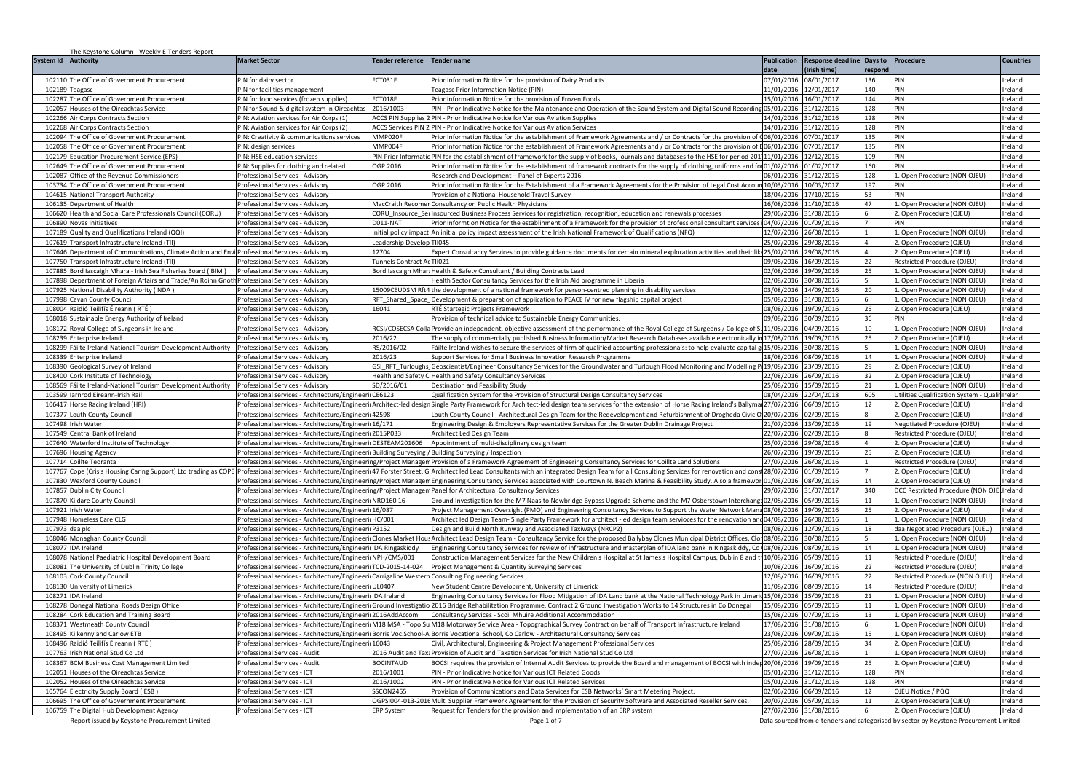| The Keystone Column - Weekly E-Tenders Report                                                                                       |                                                                                                               |                                          |                                                                                                                                                                                                                                                                                                  |                          |                                     |                                                                                       |                  |
|-------------------------------------------------------------------------------------------------------------------------------------|---------------------------------------------------------------------------------------------------------------|------------------------------------------|--------------------------------------------------------------------------------------------------------------------------------------------------------------------------------------------------------------------------------------------------------------------------------------------------|--------------------------|-------------------------------------|---------------------------------------------------------------------------------------|------------------|
| System Id Authority                                                                                                                 | <b>Market Sector</b>                                                                                          | <b>Tender reference</b>                  | <b>Tender name</b>                                                                                                                                                                                                                                                                               | <b>Publication</b>       | <b>Response deadline</b><br>Days to | Procedure                                                                             | <b>Countries</b> |
|                                                                                                                                     |                                                                                                               |                                          |                                                                                                                                                                                                                                                                                                  | data                     | Irish time)<br>espond               |                                                                                       |                  |
| 102110 The Office of Government Procurement                                                                                         | PIN for dairy sector                                                                                          | FCT031F                                  | Prior Information Notice for the provision of Dairy Products                                                                                                                                                                                                                                     | 07/01/2016               | 08/01/2017<br>136                   | PIN                                                                                   | Ireland          |
| 102189<br>Teagasc                                                                                                                   | PIN for facilities management                                                                                 |                                          | eagasc Prior Information Notice (PIN)                                                                                                                                                                                                                                                            | 11/01/2016               | 12/01/2017<br>140                   | PIN                                                                                   | reland           |
| 102287 The Office of Government Procurement                                                                                         | PIN for food services (frozen supplies)                                                                       | FCT018F                                  | Prior information Notice for the provision of Frozen Foods                                                                                                                                                                                                                                       | 15/01/2016               | 144<br>16/01/2017                   | PIN                                                                                   | eland            |
| 102057<br>Houses of the Oireachtas Service                                                                                          | <sup>2</sup> IN for Sound & digital system in Oireachtas                                                      | 2016/1003                                | IN - Prior Indicative Notice for the Maintenance and Operation of the Sound System and Digital Sound Recording                                                                                                                                                                                   | 05/01/2016               | 31/12/2016<br>128                   | PIN                                                                                   | eland            |
| 102266 Air Corps Contracts Section                                                                                                  | IN: Aviation services for Air Corps (1)                                                                       | <b>ACCS PIN Supplies</b>                 | PIN - Prior Indicative Notice for Various Aviation Supplies                                                                                                                                                                                                                                      | 14/01/2016               | 31/12/2016<br>128                   | PIN                                                                                   | reland           |
| 102268 Air Corps Contracts Section                                                                                                  | PIN: Aviation services for Air Corps (2)                                                                      |                                          | ACCS Services PIN 2 PIN - Prior Indicative Notice for Various Aviation Services                                                                                                                                                                                                                  | 14/01/2016               | 128<br>31/12/2016                   | PIN                                                                                   | reland           |
| 102094 The Office of Government Procurement                                                                                         | PIN: Creativity & communications services                                                                     | MMP020F                                  | Prior Information Notice for the establishment of Framework Agreements and / or Contracts for the provision of 006/01/2016                                                                                                                                                                       |                          | 07/01/2017<br>135                   | PIN                                                                                   | Ireland          |
| 102058<br>The Office of Government Procurement                                                                                      | PIN: design services                                                                                          | MMP004F                                  | Prior Information Notice for the establishment of Framework Agreements and / or Contracts for the provision of 006/01/2016                                                                                                                                                                       |                          | 07/01/2017<br>135                   | PIN                                                                                   | reland           |
| 102179<br><b>Education Procurement Service (EPS)</b>                                                                                | PIN: HSE education services                                                                                   | PIN Prior Informatio                     | PIN for the establishment of framework for the supply of books, journals and databases to the HSE for period 20111/01/2016                                                                                                                                                                       |                          | 12/12/2016<br>109                   | PIN                                                                                   | Ireland          |
| 102649<br>The Office of Government Procurement                                                                                      | PIN: Supplies for clothing and related                                                                        | OGP 2016                                 | Prior Information Notice for the establishment of framework contracts for the supply of clothing, uniforms and fo 01/02/2016                                                                                                                                                                     |                          | 01/02/2017<br>160                   | PIN                                                                                   | Ireland          |
| 102087<br>Office of the Revenue Commissioners                                                                                       | Professional Services - Advisory                                                                              |                                          | esearch and Development - Panel of Experts 2016                                                                                                                                                                                                                                                  | 06/01/2016               | 128<br>31/12/2016                   | L. Open Procedure (NON OJEU)                                                          | reland           |
| 103734<br>The Office of Government Procurement                                                                                      | Professional Services - Advisory                                                                              | OGP 2016                                 | Prior Information Notice for the Establishment of a Framework Agreements for the Provision of Legal Cost Accoun 10/03/2016 10/03/2017                                                                                                                                                            |                          | 197                                 | PIN                                                                                   | eland            |
| 10461<br><b>National Transport Authority</b>                                                                                        | Professional Services - Advisory                                                                              |                                          | rovision of a National Household Travel Survey                                                                                                                                                                                                                                                   | 18/04/2016               | 17/10/2016<br>53                    |                                                                                       | eland            |
| 106135<br>Department of Health                                                                                                      | Professional Services - Advisory                                                                              | MacCraith Recome                         | Consultancy on Public Health Physicians                                                                                                                                                                                                                                                          | 16/08/2016 11/10/2016    | 47                                  | Open Procedure (NON OJEU)                                                             | reland           |
| 106620<br>Health and Social Care Professionals Council (CORU)                                                                       | Professional Services - Advisory                                                                              | CORU_Insource_Sei                        | Insourced Business Process Services for registration, recognition, education and renewals processes                                                                                                                                                                                              | 29/06/2016 31/08/2016    |                                     | 2. Open Procedure (OJEU)                                                              | reland           |
| 106890<br>Novas Initiatives                                                                                                         | Professional Services - Advisory                                                                              | D011-NAT                                 | 01/09/2016 Prior Informtion Notice for the establihment of a Framework for the provision of professional consultant services 04/07/2016 01/09/2016                                                                                                                                               |                          |                                     | PIN                                                                                   | Ireland          |
| Quality and Qualifications Ireland (QQI)<br>107189<br>10761                                                                         | Professional Services - Advisory                                                                              |                                          | Initial policy impact An initial policy impact assessment of the Irish National Framework of Qualifications (NFQ)<br>TII045                                                                                                                                                                      | 12/07/2016               | 26/08/201                           | 1. Open Procedure (NON OJEU)                                                          | Ireland          |
| Transport Infrastructure Ireland (TII)                                                                                              | Professional Services - Advisory                                                                              | Leadership Develop                       |                                                                                                                                                                                                                                                                                                  | 25/07/2016               | 29/08/2016                          | 2. Open Procedure (OJEU)                                                              | Ireland          |
| 107646<br>Department of Communications, Climate Action and Envi Professional Services - Advisory                                    |                                                                                                               | 12704                                    | ixpert Consultancy Services to provide guidance documents for certain mineral exploration activities and their li                                                                                                                                                                                | 25/07/2016               | 29/08/2016                          | 2. Open Procedure (OJEU)                                                              | reland           |
| 107750<br>ransport Infrastructure Ireland (TII                                                                                      | Professional Services - Advisorv                                                                              | Funnels Contract Ad TII021               |                                                                                                                                                                                                                                                                                                  | 09/08/2016               | 16/09/2016                          | Restricted Procedure (OJEU)                                                           | reland           |
| 107885<br>Bord lascaigh Mhara - Irish Sea Fisheries Board (BIM)                                                                     | Professional Services - Advisory                                                                              | Bord lascaigh Mhar                       | lealth & Safety Consultant / Building Contracts Lead                                                                                                                                                                                                                                             | 02/08/2016               | 19/09/2016<br>25                    | Open Procedure (NON OJEU                                                              | reland           |
| 107898<br>Department of Foreign Affairs and Trade/An Roinn Gnóth Professional Services - Advisory                                   |                                                                                                               |                                          | lealth Sector Consultancy Services for the Irish Aid programme in Liberia                                                                                                                                                                                                                        | 02/08/2016               | 30/08/2016                          | Open Procedure (NON OJEU)                                                             | eland            |
| 107925<br>National Disability Authority (NDA)                                                                                       | Professional Services - Advisory                                                                              | 5009CEUDSM Rft4                          | the development of a national framework for person-centred planning in disability services                                                                                                                                                                                                       | 03/08/2016               | 14/09/2016<br>20                    | . Open Procedure (NON OJEU)                                                           | reland           |
| 107998<br>Cavan County Council                                                                                                      | Professional Services - Advisory                                                                              | RFT_Shared_Space                         | Development & preparation of application to PEACE IV for new flagship capital project                                                                                                                                                                                                            | 05/08/2016               | 31/08/2016                          | Open Procedure (NON OJEU)                                                             | Ireland          |
| 108004 Raidió Teilifís Éireann (RTÉ)                                                                                                | Professional Services - Advisory                                                                              | 16041                                    | RTÉ Startegic Projects Framework                                                                                                                                                                                                                                                                 | 08/08/2016               | 19/09/2016<br>25                    | 2. Open Procedure (OJEU)                                                              | reland           |
| 108018 Sustainable Energy Authority of Ireland<br>108172                                                                            | Professional Services - Advisory                                                                              |                                          | Provision of technical advice to Sustainable Energy Communities.                                                                                                                                                                                                                                 | 09/08/2016 30/09/2016    | 36<br>10                            | PIN                                                                                   | Ireland          |
| Royal College of Surgeons in Ireland<br>108239<br>nterprise Ireland                                                                 | Professional Services - Advisory<br>Professional Services - Advisory                                          | RCSI/COSECSA Colla                       | Provide an independent, objective assessment of the performance of the Royal College of Surgeons / College of Su11/08/2016                                                                                                                                                                       |                          | 04/09/2016<br>25                    | L. Open Procedure (NON OJEU)                                                          | reland<br>reland |
| 108299                                                                                                                              |                                                                                                               | 2016/22                                  | The supply of commercially published Business Information/Market Research Databases available electronically in 17/08/2016                                                                                                                                                                       |                          | 19/09/2016                          | 2. Open Procedure (OJEU)                                                              | reland           |
| áilte Ireland-National Tourism Development Authority                                                                                | Professional Services - Advisory                                                                              | RS/2016/02<br>2016/23                    | áilte Ireland wishes to secure the services of firm of qualified accounting professionals: to help evaluate capital g                                                                                                                                                                            | 15/08/2016               | 30/08/2016<br>14                    | Open Procedure (NON OJEU)                                                             |                  |
| 10833<br>iterprise Ireland<br>10839                                                                                                 | Professional Services - Advisory                                                                              |                                          | <b>Support Services for Small Business Innovation Research Programme</b>                                                                                                                                                                                                                         | 18/08/2016               | 08/09/2016<br>3/09/2016<br>29       | Open Procedure (NON OJEU)                                                             | reland<br>eland  |
| eological Survey of Ireland<br>108400<br>ork Institute of Technology                                                                | Professional Services - Advisory<br>Professional Services - Advisory                                          | GSI_RFT_Turloughs<br>Health and Safety C | Geoscientist/Engineer Consultancy Services for the Groundwater and Turlough Flood Monitoring and Modelling P19/08/2016<br>Health and Safety Consultancy Services                                                                                                                                 | 2/08/2016                | 26/09/2016<br>32                    | Open Procedure (OJEU)<br>. Open Procedure (OJEU)                                      | eland            |
| 108569                                                                                                                              |                                                                                                               |                                          |                                                                                                                                                                                                                                                                                                  |                          | 21                                  |                                                                                       | Ireland          |
| Fáilte Ireland-National Tourism Development Authority<br>103599<br>larnrod Eireann-Irish Rail                                       | Professional Services - Advisory<br>Professional services - Architecture/Engineerii CE6123                    | SD/2016/01                               | Destination and Feasibility Study                                                                                                                                                                                                                                                                | 25/08/2016<br>08/04/2016 | 15/09/2016<br>22/04/2018<br>605     | . Open Procedure (NON OJEU)                                                           |                  |
| 106417<br>Horse Racing Ireland (HRI)                                                                                                |                                                                                                               |                                          | Qualification System for the Provision of Structural Design Consultancy Services<br>Professional services - Architecture/Engineeril Architect-led design Single Party Framework for Architect-led design team services for the extension of Horse Racing Ireland's Ballyma 27/07/2016 06/09/2016 |                          | 12                                  | Utilities Qualification System - Qualif Irelan<br>2. Open Procedure (OJEU)            | Ireland          |
| 10737<br>Louth County Council                                                                                                       | Professional services - Architecture/Engineerii 42598                                                         |                                          | Louth County Council - Architectural Design Team for the Redevelopment and Refurbishment of Drogheda Civic O 20/07/2016                                                                                                                                                                          |                          | 02/09/2016                          | 2. Open Procedure (OJEU)                                                              | Ireland          |
| 10749<br>Irish Water                                                                                                                | Professional services - Architecture/Engineeri                                                                | 16/171                                   | Engineering Design & Employers Representative Services for the Greater Dublin Drainage Project                                                                                                                                                                                                   | 21/07/2016               | 13/09/2016<br>19                    | Negotiated Procedure (OJEU                                                            | Ireland          |
| 107549<br>entral Bank of Ireland                                                                                                    | Professional services - Architecture/Engineer                                                                 | 2015P033                                 | Architect Led Design Team                                                                                                                                                                                                                                                                        | 22/07/2016               | 02/09/2016                          | Restricted Procedure (OJEU                                                            | reland           |
| 107640<br>Waterford Institute of Technology                                                                                         | Professional services - Architecture/Engineeri DESTEAM201606                                                  |                                          | Appointment of multi-disciplinary design team                                                                                                                                                                                                                                                    | 25/07/2016               | 29/08/2016                          | 2. Open Procedure (OJEU)                                                              | Ireland          |
| 107696<br><b>Housing Agency</b>                                                                                                     | Professional services - Architecture/Engineerii Building Surveving                                            |                                          | Building Surveying / Inspection                                                                                                                                                                                                                                                                  | 26/07/2016               | 19/09/2016                          | 2. Open Procedure (OJEU)                                                              | reland           |
| 107714<br>Coillte Teoranta                                                                                                          | rofessional services - Architecture/Engineering/Project Manager                                               |                                          | Provision of a Framework Agreement of Engineering Consultancy Services for Coillte Land Solutions                                                                                                                                                                                                | 27/07/2016               | 26/08/2016                          | Restricted Procedure (OJEU)                                                           | eland            |
| 107767 Cope (Crisis Housing Caring Support) Ltd trading as COPE Professional services - Architecture/Engineeri 47 Forster Street, G |                                                                                                               |                                          | Architect led Lead Consultants with an integrated Design Team for all Consulting Services for renovation and cons 28/07/2016                                                                                                                                                                     |                          | 01/09/2016                          | 2. Open Procedure (OJEU)                                                              | reland           |
| 107830 Wexford County Council                                                                                                       | Professional services - Architecture/Engineering/Project Managem                                              |                                          | Engineering Consultancy Services associated with Courtown N. Beach Marina & Feasibility Study. Also a framewor 01/08/2016                                                                                                                                                                        |                          | 08/09/2016<br>14                    | 2. Open Procedure (OJEU)                                                              | Ireland          |
| 107857 Dublin City Council                                                                                                          | Professional services - Architecture/Engineering/Project Managen Panel for Architectural Consultancy Services |                                          |                                                                                                                                                                                                                                                                                                  | 29/07/2016 31/07/2017    | 340                                 | DCC Restricted Procedure (NON OJ                                                      | lIreland         |
| 107870<br><b>Kildare County Council</b>                                                                                             | Professional services - Architecture/Engineeri NRO160 16                                                      |                                          | Ground Investigation for the M7 Naas to Newbridge Bypass Upgrade Scheme and the M7 Osberstown Interchang 02/08/2016                                                                                                                                                                              |                          | 05/09/2016<br>11                    | 1. Open Procedure (NON OJEU)                                                          | Ireland          |
| 10792<br>Irish Water                                                                                                                | Professional services - Architecture/Engineeri                                                                | 16/087                                   | Project Management Oversight (PMO) and Engineering Consultancy Services to Support the Water Network Mana08/08/2016                                                                                                                                                                              |                          | 9/09/2016                           | 2. Open Procedure (OJEU                                                               | eland            |
| 107948<br>Homeless Care CLG                                                                                                         | Professional services - Architecture/Engineeri HC/001                                                         |                                          | Architect led Design Team- Single Party Framework for architect -led design team servioces for the renovation and 04/08/2016                                                                                                                                                                     |                          | 26/08/2016                          | Open Procedure (NON OJEU)                                                             | reland           |
| 10797<br>daa plo                                                                                                                    | 'rofessional services - Architecture/Engineer                                                                 | 23152                                    | esign and Build North Runway and Associated Taxiways (NRCP2)                                                                                                                                                                                                                                     | 08/08/2016               | 2/09/2016                           | daa Negotiated Procedure (OJEU)                                                       | eland            |
| 108046<br>Monaghan County Council                                                                                                   | Professional services - Architecture/Engineeri                                                                | Clones Market Hou                        | Architect Lead Design Team - Consultancy Service for the proposed Ballybay Clones Municipal District Offices, Clon08/08/2016                                                                                                                                                                     |                          | 30/08/2016                          | Open Procedure (NON OJEU)                                                             | reland           |
| 108077<br><b>IDA</b> Ireland                                                                                                        | Professional services - Architecture/Engineeri                                                                | <b>IDA Ringaskiddy</b>                   | Ingineering Consultancy Services for review of infrastructure and masterplan of IDA land bank in Ringaskiddy, Co 08/08/2016                                                                                                                                                                      |                          | 08/09/2016<br>14                    | Open Procedure (NON OJEU)                                                             | eland            |
| 108078 National Paediatric Hospital Development Board                                                                               | Professional services - Architecture/Engineerii NPH/CMS/001                                                   |                                          | Construction Management Services for the New Children's Hospital at St James's Hospital Campus, Dublin 8 and th10/08/2016                                                                                                                                                                        |                          | 05/09/2016<br>11                    | Restricted Procedure (OJEU)                                                           | eland            |
| 108081 The University of Dublin Trinity College                                                                                     | Professional services - Architecture/Engineerii TCD-2015-14-024                                               |                                          | Project Management & Quantity Surveying Services                                                                                                                                                                                                                                                 | 10/08/2016               | 16/09/2016<br>22                    | Restricted Procedure (OJEU)                                                           | reland           |
| 108103 Cork County Council                                                                                                          | Professional services - Architecture/Engineeri Carrigaline Western                                            |                                          | <b>Consulting Engineering Services</b>                                                                                                                                                                                                                                                           | 12/08/2016 16/09/2016    | 22                                  | Restricted Procedure (NON OJEU)                                                       | Ireland          |
| 108130 University of Limerick                                                                                                       | Professional services - Architecture/Engineeri UL0407                                                         |                                          | New Student Centre Development, University of Limerick                                                                                                                                                                                                                                           | 11/08/2016               | 08/09/2016<br>14                    | Restricted Procedure (OJEU)                                                           | Ireland          |
| 10827<br><b>IDA</b> Ireland                                                                                                         | Professional services - Architecture/Engineeri IDA Ireland                                                    |                                          | Engineering Consultancy Services for Flood Mitigation of IDA Land bank at the National Technology Park in Limerid 15/08/2016                                                                                                                                                                     |                          | 15/09/2016<br>21                    | 1. Open Procedure (NON OJEU)                                                          | Ireland          |
| 10827<br>Onegal National Roads Design Office                                                                                        | Professional services - Architecture/Engineerii Ground Investigatio                                           |                                          | 2016 Bridge Rehabilitation Programme, Contract 2 Ground Investigation Works to 14 Structures in Co Donegal                                                                                                                                                                                       | 15/08/2016               | 5/09/2016<br>11                     | Open Procedure (NON OJEU)                                                             | reland           |
| 108284<br>Cork Education and Training Board                                                                                         | Professional services - Architecture/Engineer                                                                 | 016AddAccom                              | Consultancy Services - Scoil Mhuire Additional Accommodation                                                                                                                                                                                                                                     | 5/08/2016                | 17/09/2016<br>13                    | Open Procedure (NON OJEU)                                                             | reland           |
| 108371<br><b>Westmeath County Council</b>                                                                                           | Professional services - Architecture/Engineeri                                                                | M18 MSA - Topo Su                        | M18 Motorway Service Area - Topographical Survey Contract on behalf of Transport Infrastructure Ireland                                                                                                                                                                                          | 17/08/2016               | 31/08/2016                          | Open Procedure (NON OJEU)                                                             | reland           |
| 108495<br>Kilkenny and Carlow ETB                                                                                                   | Professional services - Architecture/Engineer                                                                 | Borris Voc.School-A                      | Borris Vocational School, Co Carlow - Architectural Consultancy Services                                                                                                                                                                                                                         | 23/08/2016               | 09/09/2016<br>15                    | Open Procedure (NON OJEU)                                                             | reland           |
| 108496<br>Raidió Teilifís Éireann (RTÉ)                                                                                             | Professional services - Architecture/Engineeri                                                                | 16043                                    | ivil, Architectural, Engineering & Project Management Professional Services                                                                                                                                                                                                                      | 25/08/2016               | 8/09/2016<br>34                     | Open Procedure (OJEU)                                                                 | eland            |
| 107763<br>Irish National Stud Co Ltd                                                                                                | Professional Services - Audit                                                                                 | 016 Audit and Tax                        | Provision of Audit and Taxation Services for Irish National Stud Co Ltd                                                                                                                                                                                                                          | 27/07/2016               | 26/08/2016                          | . Open Procedure (NON OJEU)                                                           | eland            |
| 108367 BCM Business Cost Management Limited                                                                                         | Professional Services - Audit                                                                                 | <b>BOCINTAUD</b>                         | BOCSI requires the provision of Internal Audit Services to provide the Board and management of BOCSI with indep 20/08/2016                                                                                                                                                                       |                          | 19/09/2016<br>25.                   | 2. Open Procedure (OJEU)                                                              | reland           |
| 102051<br>Houses of the Oireachtas Service                                                                                          | Professional Services - ICT                                                                                   | 2016/1001                                | PIN - Prior Indicative Notice for Various ICT Related Goods                                                                                                                                                                                                                                      | 05/01/2016               | 31/12/2016<br>128                   | PIN                                                                                   | reland           |
| Houses of the Oireachtas Service<br>102052                                                                                          | Professional Services - ICT                                                                                   | 2016/1002                                | PIN - Prior Indicative Notice for Various ICT Related Services                                                                                                                                                                                                                                   | 05/01/2016               | 31/12/2016<br>128                   | PIN                                                                                   | reland           |
| lectricity Supply Board (ESB)<br>105764                                                                                             | Professional Services - ICT                                                                                   | SSCON2455                                | Provision of Communications and Data Services for ESB Networks' Smart Metering Project                                                                                                                                                                                                           | 02/06/2016               | 06/09/2016                          | OJEU Notice / PQQ                                                                     | reland           |
| 10669<br>The Office of Government Procurement                                                                                       | Professional Services - ICT                                                                                   |                                          | OGPSI004-013-2014 Multi Supplier Framework Agreement for the Provision of Security Software and Associated Reseller Services.                                                                                                                                                                    | 0/07/2016                | 05/09/2016                          | 2. Open Procedure (OJEU)                                                              | reland           |
| 106759 The Digital Hub Development Agency                                                                                           | Professional Services - ICT                                                                                   | <b>ERP System</b>                        | Request for Tenders for the provision and implementation of an ERP system                                                                                                                                                                                                                        | 27/07/2016 31/08/2016    |                                     | 2. Open Procedure (OJEU)                                                              | Ireland          |
| Report issued by Keystone Procurement Limited                                                                                       |                                                                                                               |                                          | Page 1 of 7                                                                                                                                                                                                                                                                                      |                          |                                     | Data sourced from e-tenders and categorised by sector by Keystone Procurement Limited |                  |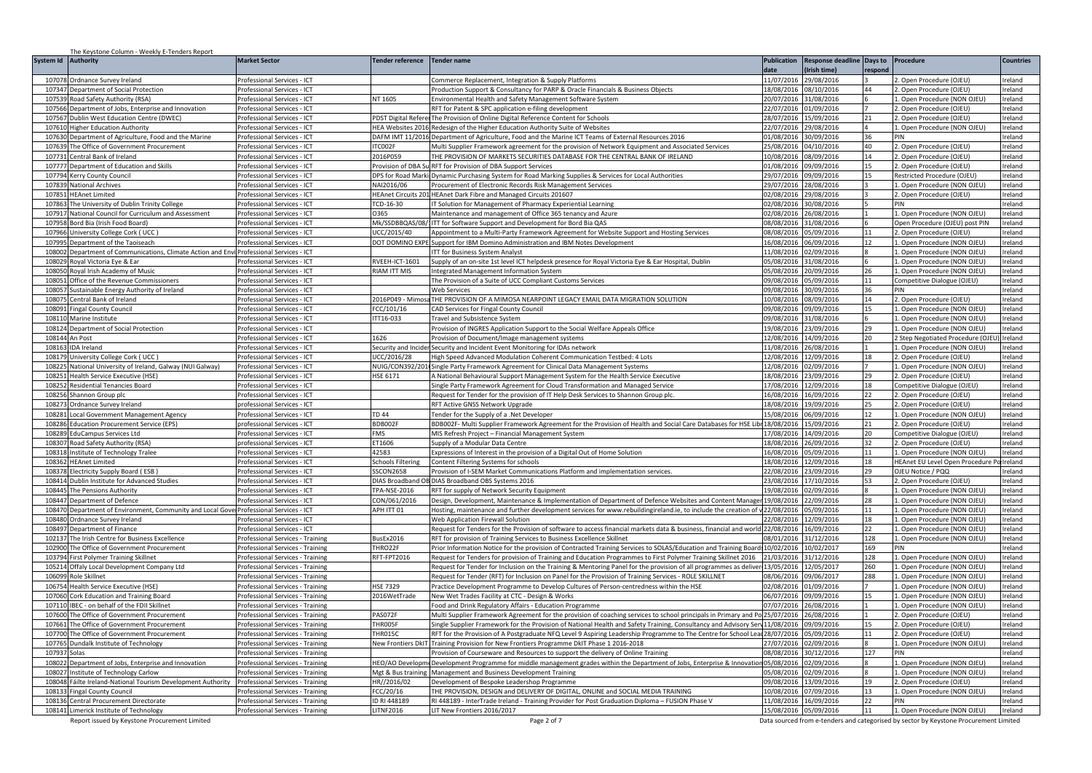| System Id Authority<br><b>Market Sector</b><br>Tender reference<br><b>Tender name</b><br><b>Publication</b><br><b>Response deadline</b><br>Days to<br>Procedure<br><b>Countries</b><br>date<br>Irish time)<br>respond<br>107078<br>Ordnance Survey Ireland<br>Professional Services - ICT<br>Commerce Replacement, Integration & Supply Platforms<br>11/07/2016<br>29/08/2016<br>2. Open Procedure (OJEU)<br>Ireland<br>18/08/2016<br>08/10/2016<br>107347<br>Department of Social Protection<br>Professional Services - ICT<br>Production Support & Consultancy for PARP & Oracle Financials & Business Objects<br>44<br>2. Open Procedure (OJEU)<br>Ireland<br>107539<br>NT 1605<br>20/07/2016<br>31/08/2016<br>. Open Procedure (NON OJEU)<br>Road Safety Authority (RSA)<br>rofessional Services - ICT<br>Environmental Health and Safety Management Software System<br>Ireland<br>107566<br>Department of Jobs, Enterprise and Innovation<br>Professional Services - ICT<br>RFT for Patent & SPC application e-filing development<br>22/07/2016<br>01/09/2016<br>2. Open Procedure (OJEU)<br>reland<br>28/07/2016<br>107567<br>ublin West Education Centre (DWEC)<br>rofessional Services - ICT<br><b>PDST Digital Refere</b><br>The Provision of Online Digital Reference Content for Schools<br>5/09/2016<br>21<br>2. Open Procedure (OJEU)<br>eland<br>107610<br>HEA Websites 2016 Redesign of the Higher Education Authority Suite of Websites<br>2/07/2016<br>29/08/2016<br>1. Open Procedure (NON OJEU)<br><b>Higher Education Authority</b><br>Professional Services - ICT<br>reland<br>DAFM IMT 11/2016 Department of Agriculture, Food and the Marine ICT Teams of External Resources 2016<br>01/08/2016<br>107630<br>Department of Agriculture, Food and the Marine<br>Professional Services - ICT<br>0/09/2016<br>36<br>PIN<br>Ireland<br>107639<br>25/08/2016<br>04/10/2016<br>40<br>The Office of Government Procurement<br>Professional Services - ICT<br><b>TC002F</b><br>Multi Supplier Framework agreement for the provision of Network Equipment and Associated Services<br>2. Open Procedure (OJEU)<br>Ireland<br>107731<br>Central Bank of Ireland<br>Professional Services - ICT<br>2016P059<br>THE PROVISION OF MARKETS SECURITIES DATABASE FOR THE CENTRAL BANK OF IRELAND<br>10/08/2016<br>08/09/2016<br>14<br>2. Open Procedure (OJEU)<br>Ireland<br>10777<br>Department of Education and Skills<br>rofessional Services - ICT<br>Provision of DBA Su RFT for Provision of DBA Support Services<br>01/08/2016<br>09/09/2016<br>15<br>2. Open Procedure (OJEU)<br>reland<br>!9/07/2016<br>09/09/2016<br>107794<br>rofessional Services - ICT<br>DPS for Road Marki Dynamic Purchasing System for Road Marking Supplies & Services for Local Authorities<br>15<br>Restricted Procedure (OJEU)<br>reland<br>Kerry County Council<br>107839<br>NAI2016/06<br>29/07/2016<br>28/08/2016<br>1. Open Procedure (NON OJEU)<br>Ireland<br>National Archives<br>Professional Services - ICT<br>Procurement of Electronic Records Risk Management Services<br>10785<br><b>HEAnet Limited</b><br>Professional Services - ICT<br>HEAnet Circuits 201 HEAnet Dark Fibre and Managed Circuits 201607<br>02/08/2016<br>29/08/2016<br>2. Open Procedure (OJEU)<br>reland<br>02/08/2016<br>30/08/2016<br>eland<br>107863<br>he University of Dublin Trinity College<br>Professional Services - ICT<br>TCD-16-30<br>IT Solution for Management of Pharmacy Experiential Learning<br>PIN<br>107917<br>National Council for Curriculum and Assessment<br>Professional Services - ICT<br>0365<br>Maintenance and management of Office 365 tenancy and Azure<br>02/08/2016<br>26/08/2016<br>1. Open Procedure (NON OJEU)<br>reland<br>08/08/2016<br>107958<br>Bord Bia (Irish Food Board)<br>Mk/SSDBBQAS/08/<br>ITT for Software Support and Development for Bord Bia QAS<br>31/08/2016<br>Open Procedure (OJEU) post PIN<br>reland<br>Professional Services - ICT<br>107966<br>UCC/2015/40<br>05/09/2016<br>Jniversity College Cork (UCC<br>Appointment to a Multi-Party Framework Agreement for Website Support and Hosting Services<br>08/08/2016<br>2. Open Procedure (OJEU)<br>reland<br>Professional Services - ICT<br>11<br>10799<br>Department of the Taoiseach<br>Professional Services - ICT<br>DOT DOMINO EXPE Support for IBM Domino Administration and IBM Notes Development<br>16/08/2016<br>06/09/2016<br>12<br>1. Open Procedure (NON OJEU)<br>Ireland<br>10800<br>Department of Communications, Climate Action and Envi Professional Services - ICT<br><b>TT for Business System Analyst</b><br>11/08/2016<br>02/09/2016<br>$\mathbf{g}$<br>1. Open Procedure (NON OJEU)<br>Ireland<br>108029<br>RVEEH-ICT-1601<br>Supply of an on-site 1st level ICT helpdesk presence for Royal Victoria Eye & Ear Hospital, Dublin<br>05/08/2016<br>1/08/2016<br>1. Open Procedure (NON OJEU)<br>Roval Victoria Eve & Far<br>rofessional Services - ICT<br>Ireland<br>108050<br>Royal Irish Academy of Music<br>RIAM ITT MIS<br>05/08/2016<br>0/09/2016<br>26<br>1. Open Procedure (NON OJEU)<br>rofessional Services - ICT<br>Integrated Management Information System<br>reland<br>11<br>10805<br>Office of the Revenue Commissioners<br>rofessional Services - ICT<br>The Provision of a Suite of UCC Compliant Customs Services<br>09/08/2016<br>15/09/2016<br>Competitive Dialogue (OJEU)<br>reland<br>10805<br>09/08/2016<br>0/09/2016<br>36<br>ustainable Energy Authority of Ireland<br>rofessional Services - ICT<br><b>Web Services</b><br>PIN<br>eland<br>10807<br>entral Bank of Ireland<br>rofessional Services - ICT<br>2016P049 - Mimos<br>THE PROVISION OF A MIMOSA NEARPOINT LEGACY EMAIL DATA MIGRATION SOLUTION<br>0/08/2016<br>8/09/2016<br>2. Open Procedure (OJEU)<br>eland<br>14<br>108091<br>FCC/101/16<br>09/08/2016<br>19/09/2016<br>reland<br>ingal County Council<br>rofessional Services - ICT<br>CAD Services for Fingal County Council<br>15<br>1. Open Procedure (NON OJEU)<br>TT16-033<br>108110<br>09/08/2016<br>31/08/2016<br>1. Open Procedure (NON OJEU)<br>reland<br>Marine Institute<br>rofessional Services - ICT<br>Travel and Subsistence System<br>108124<br>Department of Social Protection<br>Provision of INGRES Application Support to the Social Welfare Appeals Office<br>19/08/2016<br>23/09/2016<br>29<br>1. Open Procedure (NON OJEU)<br>reland<br>Professional Services - ICT<br>108144<br>12/08/2016<br>14/09/2016<br>Ireland<br>An Post<br>Professional Services - ICT<br>1626<br>Provision of Document/Image management systems<br>20<br>2 Step Negotiated Procedure (OJE<br>10816<br><b>DA</b> Ireland<br>Security and Incider Security and Incident Event Monitoring for IDAs network<br>11/08/2016<br>26/08/2016<br>Open Procedure (NON OJEU)<br>eland<br>rofessional Services - ICT<br>2/08/2016<br>12/09/2016<br>18<br>10817<br>niversity College Cork (UCC)<br>rofessional Services - ICT<br>JCC/2016/28<br>High Speed Advanced Modulation Coherent Communication Testbed: 4 Lots<br>. Open Procedure (OJEU)<br>reland<br>108225<br>National University of Ireland, Galway (NUI Galway)<br>12/08/2016<br>02/09/2016<br>1. Open Procedure (NON OJEU)<br>Professional Services - ICT<br>NUIG/CON392/201 Single Party Framework Agreement for Clinical Data Management Systems<br>Ireland<br>10825<br>lealth Service Executive (HSE)<br>18/08/2016<br>23/09/2016<br>29<br>2. Open Procedure (OJEU)<br>eland<br>Professional Services - ICT<br><b>HSE 6171</b><br>A National Behavioural Support Management System for the Health Service Executive<br>108252<br><b>Residential Tenancies Board</b><br>Professional Services - ICT<br>Single Party Framework Agreement for Cloud Transformation and Managed Service<br>7/08/2016<br>12/09/2016<br>18<br>Competitive Dialogue (OJEU)<br>eland<br>108256<br>6/08/2016<br>16/09/2016<br>22<br>reland<br>Shannon Group plc<br>Professional Services - ICT<br>Request for Tender for the provision of IT Help Desk Services to Shannon Group plc.<br>2. Open Procedure (OJEU)<br>108273<br>18/08/2016<br>19/09/2016<br>25<br>2. Open Procedure (OJEU)<br>Ireland<br>Ordnance Survey Ireland<br>professional Services - ICT<br>RFT Active GNSS Network Upgrade<br>10828<br>ocal Government Management Agency<br>TD 44<br>15/08/2016<br>06/09/2016<br>12<br>1. Open Procedure (NON OJEU)<br>Ireland<br>Professional Services - ICT<br>Tender for the Supply of a .Net Developer<br>108286<br><b>Education Procurement Service (EPS)</b><br>BDB002F<br>BDB002F- Multi Supplier Framework Agreement for the Provision of Health and Social Care Databases for HSE Libr 18/08/2016<br>15/09/2016<br>orofessional Services - ICT<br>21<br>2. Open Procedure (OJEU)<br>Ireland<br>108289<br>duCampus Services Ltd<br><b>FMS</b><br>MIS Refresh Project - Financial Management System<br>7/08/2016<br>4/09/2016<br>20<br>Ireland<br>rofessional Services - ICT<br>Competitive Dialogue (OJEU)<br>ET1606<br>108307<br>load Safety Authority (RSA)<br>8/08/2016<br>6/09/2016<br>32<br>2. Open Procedure (OJEU)<br>Ireland<br>orofessional Services - ICT<br>Supply of a Modular Data Centre<br>42583<br>108318<br>16/08/2016<br>05/09/2016<br>11<br>1. Open Procedure (NON OJEU)<br>nstitute of Technology Tralee<br>Professional Services - ICT<br>Expressions of Interest in the provision of a Digital Out of Home Solution<br>Ireland<br>108362<br><b>Schools Filtering</b><br>18/08/2016<br>2/09/2016<br>18<br>HEAnet EU Level Open Procedure P<br><b>HFAnet Limited</b><br>rofessional Services - ICT<br>Content Filtering Systems for schools<br>reland<br>10837<br>ectricity Supply Board (ESB)<br>rofessional Services - ICT<br><b>SSCON2658</b><br>Provision of I-SEM Market Communications Platform and implementation services.<br>22/08/2016<br>3/09/2016<br>29<br>OJEU Notice / PQQ<br>eland<br>108414<br>Dublin Institute for Advanced Studies<br>DIAS Broadband OB DIAS Broadband OBS Systems 2016<br>23/08/2016<br>17/10/2016<br>53<br>2. Open Procedure (OJEU)<br>reland<br>Professional Services - ICT<br>19/08/2016<br>02/09/2016<br>108445<br>TPA-NSE-2016<br>1. Open Procedure (NON OJEU)<br>reland<br>The Pensions Authority<br>Professional Services - ICT<br>RFT for supply of Network Security Equipment<br>108447<br>Department of Defence<br>Professional Services - ICT<br>CON/061/2016<br>Design, Development, Maintenance & Implementation of Department of Defence Websites and Content Manager<br>19/08/2016<br>22/09/2016<br>28<br>1. Open Procedure (NON OJEU)<br>reland<br>Department of Environment, Community and Local Gove Professional Services - ICT<br>APH ITT 01<br>Hosting, maintenance and further development services for www.rebuildingireland.ie, to include the creation of y22/08/2016<br>10847<br>05/09/2016<br>11<br>Open Procedure (NON OJEU)<br>reland<br>108480<br>Ordnance Survey Ireland<br>rofessional Services - ICT<br>Web Application Firewall Solution<br>22/08/2016<br>12/09/2016<br>18<br>. Open Procedure (NON OJEU)<br>reland<br>10849<br>Request for Tenders for the Provision of software to access financial markets data & business, financial and world<br>22/08/2016<br>6/09/2016<br>22<br>1. Open Procedure (NON OJEU)<br>reland<br><b>Department of Finance</b><br>rofessional Services - ICT<br>128<br>BusEx2016<br>08/01/2016<br>31/12/2016<br>1. Open Procedure (NON OJEU)<br>10213<br>he Irish Centre for Business Excellence<br>rofessional Services - Training<br>RFT for provision of Training Services to Business Excellence Skillnet<br>reland<br>169<br>102900<br>he Office of Government Procurement<br>Professional Services - Training<br>THRO22F<br>Prior Information Notice for the provision of Contracted Training Services to SOLAS/Education and Training Board:<br>10/02/2016<br>10/02/2017<br>PIN<br>reland<br>RFT-FPT2016<br>128<br>10379<br>rst Polymer Training Skillnet<br>rofessional Services - Training<br>Request for Tenders for provision of Training and Education Programmes to First Polymer Training Skillnet 2016<br>21/03/2016<br>31/12/2016<br>1. Open Procedure (NON OJEU)<br>eland<br>13/05/2016<br>260<br>105214<br>Offaly Local Development Company Ltd<br>Request for Tender for Inclusion on the Training & Mentoring Panel for the provision of all programmes as deliver<br>12/05/2017<br>1. Open Procedure (NON OJEU)<br>reland<br>Professional Services - Training<br>288<br>106099<br>Role Skillnet<br>Request for Tender (RFT) for Inclusion on Panel for the Provision of Training Services - ROLE SKILLNET<br>08/06/2016<br>09/06/2017<br>1. Open Procedure (NON OJEU)<br>reland<br>Professional Services - Training<br>106754<br>Health Service Executive (HSE)<br>Professional Services - Training<br><b>HSE 7329</b><br>Practice Development Programme to Develop Cultures of Person-centredness within the HSE<br>02/08/2016<br>01/09/2016<br>1. Open Procedure (NON OJEU)<br>Ireland<br>2016WetTrade<br>06/07/2016<br>09/09/2016<br>107060<br>Cork Education and Training Board<br>Professional Services - Training<br>New Wet Trades Facility at CTC - Design & Works<br>15<br>1. Open Procedure (NON OJEU)<br>Ireland<br>10711<br>BEC - on behalf of the FDII Skillnet<br>rofessional Services - Training<br>Food and Drink Regulatory Affairs - Education Programme<br>07/07/2016<br>26/08/2016<br>Open Procedure (NON OJEU)<br>Ireland<br>107600<br>PAS072F<br>Multi Supplier Framework Agreement for the provision of coaching services to school principals in Primary and Po<br>25/07/2016<br>6/08/2016<br>2. Open Procedure (OJEU)<br>Ireland<br>he Office of Government Procurement<br>rofessional Services - Training<br>10766<br>THROO5F<br>Single Supplier Framework for the Provision of National Health and Safety Training, Consultancy and Advisory Serv<br>11/08/2016<br>09/09/2016<br>15<br>. Open Procedure (OJEU)<br>reland<br>he Office of Government Procurement<br>rofessional Services - Training<br>107700<br>The Office of Government Procurement<br>Professional Services - Training<br>THR015C<br>RFT for the Provision of A Postgraduate NFQ Level 9 Aspiring Leadership Programme to The Centre for School Lea 28/07/2016<br>15/09/2016<br>11<br>2. Open Procedure (OJEU)<br>Ireland<br>10776<br>undalk Institute of Technology<br>rofessional Services - Training<br>New Frontiers DkIT Training Provision for New Frontiers Programme DkIT Phase 1 2016-2018<br>!7/07/2016<br>2/09/2016<br>Open Procedure (NON OJEU)<br>eland<br>10793<br>Provision of Courseware and Resources to support the delivery of Online Training<br>08/08/2016<br>0/12/2016<br>127<br>eland<br>rofessional Services - Training<br>Solas<br>PIN<br>108022<br>Development Programme for middle management grades within the Department of Jobs, Enterprise & Innovation<br>05/08/2016<br>02/09/2016<br>1. Open Procedure (NON OJEU)<br>Department of Jobs, Enterprise and Innovation<br>Professional Services - Training<br>HEO/AO Developm<br>reland<br>108027<br>Institute of Technology Carlow<br>Professional Services - Training<br>Mgt & Bus training<br>Management and Business Development Training<br>05/08/2016<br>02/09/2016<br>1. Open Procedure (NON OJEU)<br>reland<br>108048<br>Fáilte Ireland-National Tourism Development Authority<br>HR//2016/02<br>Development of Bespoke Leadershop Programme<br>09/08/2016<br>13/09/2016<br>reland<br>Professional Services - Training<br>19<br>2. Open Procedure (OJEU)<br>10813<br>ngal County Council<br>FCC/20/16<br>THE PROVISION, DESIGN and DELIVERY OF DIGITAL, ONLINE and SOCIAL MEDIA TRAINING<br>10/08/2016<br>17/09/2016<br>13<br>1. Open Procedure (NON OJEU)<br>reland<br>rofessional Services - Training<br>ID RI 448189<br>RI 448189 - InterTrade Ireland - Training Provider for Post Graduation Diploma - FUSION Phase V<br>1/08/2016<br>6/09/2016<br>22<br>PIN<br>10813<br>entral Procurement Directorate<br>Professional Services - Training<br>reland<br>108141<br><b>LITNF2016</b><br>LIT New Frontiers 2016/2017<br>15/08/2016 05/09/2016<br>11<br>1. Open Procedure (NON OJEU)<br>Limerick Institute of Technology<br>Professional Services - Training<br>Ireland<br>Report issued by Keystone Procurement Limited<br>Page 2 of 7<br>Data sourced from e-tenders and categorised by sector by Keystone Procurement Limited | The Keystone Column - Weekly E-Tenders Report |  |  |  |  |
|-------------------------------------------------------------------------------------------------------------------------------------------------------------------------------------------------------------------------------------------------------------------------------------------------------------------------------------------------------------------------------------------------------------------------------------------------------------------------------------------------------------------------------------------------------------------------------------------------------------------------------------------------------------------------------------------------------------------------------------------------------------------------------------------------------------------------------------------------------------------------------------------------------------------------------------------------------------------------------------------------------------------------------------------------------------------------------------------------------------------------------------------------------------------------------------------------------------------------------------------------------------------------------------------------------------------------------------------------------------------------------------------------------------------------------------------------------------------------------------------------------------------------------------------------------------------------------------------------------------------------------------------------------------------------------------------------------------------------------------------------------------------------------------------------------------------------------------------------------------------------------------------------------------------------------------------------------------------------------------------------------------------------------------------------------------------------------------------------------------------------------------------------------------------------------------------------------------------------------------------------------------------------------------------------------------------------------------------------------------------------------------------------------------------------------------------------------------------------------------------------------------------------------------------------------------------------------------------------------------------------------------------------------------------------------------------------------------------------------------------------------------------------------------------------------------------------------------------------------------------------------------------------------------------------------------------------------------------------------------------------------------------------------------------------------------------------------------------------------------------------------------------------------------------------------------------------------------------------------------------------------------------------------------------------------------------------------------------------------------------------------------------------------------------------------------------------------------------------------------------------------------------------------------------------------------------------------------------------------------------------------------------------------------------------------------------------------------------------------------------------------------------------------------------------------------------------------------------------------------------------------------------------------------------------------------------------------------------------------------------------------------------------------------------------------------------------------------------------------------------------------------------------------------------------------------------------------------------------------------------------------------------------------------------------------------------------------------------------------------------------------------------------------------------------------------------------------------------------------------------------------------------------------------------------------------------------------------------------------------------------------------------------------------------------------------------------------------------------------------------------------------------------------------------------------------------------------------------------------------------------------------------------------------------------------------------------------------------------------------------------------------------------------------------------------------------------------------------------------------------------------------------------------------------------------------------------------------------------------------------------------------------------------------------------------------------------------------------------------------------------------------------------------------------------------------------------------------------------------------------------------------------------------------------------------------------------------------------------------------------------------------------------------------------------------------------------------------------------------------------------------------------------------------------------------------------------------------------------------------------------------------------------------------------------------------------------------------------------------------------------------------------------------------------------------------------------------------------------------------------------------------------------------------------------------------------------------------------------------------------------------------------------------------------------------------------------------------------------------------------------------------------------------------------------------------------------------------------------------------------------------------------------------------------------------------------------------------------------------------------------------------------------------------------------------------------------------------------------------------------------------------------------------------------------------------------------------------------------------------------------------------------------------------------------------------------------------------------------------------------------------------------------------------------------------------------------------------------------------------------------------------------------------------------------------------------------------------------------------------------------------------------------------------------------------------------------------------------------------------------------------------------------------------------------------------------------------------------------------------------------------------------------------------------------------------------------------------------------------------------------------------------------------------------------------------------------------------------------------------------------------------------------------------------------------------------------------------------------------------------------------------------------------------------------------------------------------------------------------------------------------------------------------------------------------------------------------------------------------------------------------------------------------------------------------------------------------------------------------------------------------------------------------------------------------------------------------------------------------------------------------------------------------------------------------------------------------------------------------------------------------------------------------------------------------------------------------------------------------------------------------------------------------------------------------------------------------------------------------------------------------------------------------------------------------------------------------------------------------------------------------------------------------------------------------------------------------------------------------------------------------------------------------------------------------------------------------------------------------------------------------------------------------------------------------------------------------------------------------------------------------------------------------------------------------------------------------------------------------------------------------------------------------------------------------------------------------------------------------------------------------------------------------------------------------------------------------------------------------------------------------------------------------------------------------------------------------------------------------------------------------------------------------------------------------------------------------------------------------------------------------------------------------------------------------------------------------------------------------------------------------------------------------------------------------------------------------------------------------------------------------------------------------------------------------------------------------------------------------------------------------------------------------------------------------------------------------------------------------------------------------------------------------------------------------------------------------------------------------------------------------------------------------------------------------------------------------------------------------------------------------------------------------------------------------------------------------------------------------------------------------------------------------------------------------------------------------------------------------------------------------------------------------------------------------------------------------------------------------------------------------------------------------------------------------------------------------------------------------------------------------------------------------------------------------------------------------------------------------------------------------------------------------------------------------------------------------------------------------------------------------------------------------------------------------------------------------------------------------------------------------------------------------------------------------------------------------------------------------------------------------------------------------------------------------------------------------------------------------------------------------------------------------------------------------------------------------------------------------------------------------------------------------------------------------------------------------------------------------------------------------------------------------------------------------------------------------------------------------------------------------------------------------------------------------------------------------------------------------------------------------------------------------------------------------------------------------------------------------------------------------------------------------------------------------------------------------------------------------------------------------------------------------------------------------------------------------------------------------------------------------------------------------------------------------------------------------------------------------------------------------------------------------------------------------------------------------------------------------------------------------------------------------------------------------------------------------------------------------------------------------------------------------------------------------------------------------------------------------------------------------------------------------------------------------------------------------------------------------------------------------------------------------------------------------------------------------------------------------------------------------------------------------------------------------------------------------------------------------------------------------------------------------------------------------------------------------------------------------------------------------------------------------------------------------------------------------------------------------------------------------------------------------------------------------------------------------------------------------------------------------------------------------------------------------------------------------------------------------------------------------------------------------------------------------------------------------------------------------------------------------------------------------------------------------------------------------------------------------------------------------------------------------------------------------------------------------------------------------------------------------------------------------------------------------------------------------------------------------------------------------------------------------------------------------------------------------------------------------------------------------------------------------------------------------------------------------------------------------------------------------------------------------------------------------------------------------------------------------------------------------------------------------------------------------------------------------------------------------------------------------------------------------------------------------------------------------------------------------------------------------------------------------------------------------------------------------------------------------------------------------------------------------------------------------------------------------------------------------------------------------------------------------------------------------------------------------------------------------------------------------------------------------------------------------------------------------------------------------------------------------------------------------------------------------------------------------------------------------------------------------------------------------------------------------------------------------------------------------------------------------------------------------------------------------------------------------------------------------------------------------------------------------------------------------------------------------------------------------------------------------------------------------------------------------------------------------------------------------------------------------------------------------------------------------------------------------------------------------------------------------------------------------------------------------------------------------------|-----------------------------------------------|--|--|--|--|
|                                                                                                                                                                                                                                                                                                                                                                                                                                                                                                                                                                                                                                                                                                                                                                                                                                                                                                                                                                                                                                                                                                                                                                                                                                                                                                                                                                                                                                                                                                                                                                                                                                                                                                                                                                                                                                                                                                                                                                                                                                                                                                                                                                                                                                                                                                                                                                                                                                                                                                                                                                                                                                                                                                                                                                                                                                                                                                                                                                                                                                                                                                                                                                                                                                                                                                                                                                                                                                                                                                                                                                                                                                                                                                                                                                                                                                                                                                                                                                                                                                                                                                                                                                                                                                                                                                                                                                                                                                                                                                                                                                                                                                                                                                                                                                                                                                                                                                                                                                                                                                                                                                                                                                                                                                                                                                                                                                                                                                                                                                                                                                                                                                                                                                                                                                                                                                                                                                                                                                                                                                                                                                                                                                                                                                                                                                                                                                                                                                                                                                                                                                                                                                                                                                                                                                                                                                                                                                                                                                                                                                                                                                                                                                                                                                                                                                                                                                                                                                                                                                                                                                                                                                                                                                                                                                                                                                                                                                                                                                                                                                                                                                                                                                                                                                                                                                                                                                                                                                                                                                                                                                                                                                                                                                                                                                                                                                                                                                                                                                                                                                                                                                                                                                                                                                                                                                                                                                                                                                                                                                                                                                                                                                                                                                                                                                                                                                                                                                                                                                                                                                                                                                                                                                                                                                                                                                                                                                                                                                                                                                                                                                                                                                                                                                                                                                                                                                                                                                                                                                                                                                                                                                                                                                                                                                                                                                                                                                                                                                                                                                                                                                                                                                                                                                                                                                                                                                                                                                                                                                                                                                                                                                                                                                                                                                                                                                                                                                                                                                                                                                                                                                                                                                                                                                                                                                                                                                                                                                                                                                                                                                                                                                                                                                                                                                                                                                                                                                                                                                                                                                                                                                                                                                                                                                                                                                                                                                                                                                                                                                                                                                                                                                                                                                                                                                                                                                                                                                                                                                                                                                                                                                                                                                                                                                                                                                                                                                                                                                                                                                                                                                                                                                                                                                                                                                                                                                                                                                                                                                                                                                                                                                                                                                                                                                                                                                                                                                                                                                                                                                                                                                                                                                                                                                                                                                                                                                                                                                                                                                                             |                                               |  |  |  |  |
|                                                                                                                                                                                                                                                                                                                                                                                                                                                                                                                                                                                                                                                                                                                                                                                                                                                                                                                                                                                                                                                                                                                                                                                                                                                                                                                                                                                                                                                                                                                                                                                                                                                                                                                                                                                                                                                                                                                                                                                                                                                                                                                                                                                                                                                                                                                                                                                                                                                                                                                                                                                                                                                                                                                                                                                                                                                                                                                                                                                                                                                                                                                                                                                                                                                                                                                                                                                                                                                                                                                                                                                                                                                                                                                                                                                                                                                                                                                                                                                                                                                                                                                                                                                                                                                                                                                                                                                                                                                                                                                                                                                                                                                                                                                                                                                                                                                                                                                                                                                                                                                                                                                                                                                                                                                                                                                                                                                                                                                                                                                                                                                                                                                                                                                                                                                                                                                                                                                                                                                                                                                                                                                                                                                                                                                                                                                                                                                                                                                                                                                                                                                                                                                                                                                                                                                                                                                                                                                                                                                                                                                                                                                                                                                                                                                                                                                                                                                                                                                                                                                                                                                                                                                                                                                                                                                                                                                                                                                                                                                                                                                                                                                                                                                                                                                                                                                                                                                                                                                                                                                                                                                                                                                                                                                                                                                                                                                                                                                                                                                                                                                                                                                                                                                                                                                                                                                                                                                                                                                                                                                                                                                                                                                                                                                                                                                                                                                                                                                                                                                                                                                                                                                                                                                                                                                                                                                                                                                                                                                                                                                                                                                                                                                                                                                                                                                                                                                                                                                                                                                                                                                                                                                                                                                                                                                                                                                                                                                                                                                                                                                                                                                                                                                                                                                                                                                                                                                                                                                                                                                                                                                                                                                                                                                                                                                                                                                                                                                                                                                                                                                                                                                                                                                                                                                                                                                                                                                                                                                                                                                                                                                                                                                                                                                                                                                                                                                                                                                                                                                                                                                                                                                                                                                                                                                                                                                                                                                                                                                                                                                                                                                                                                                                                                                                                                                                                                                                                                                                                                                                                                                                                                                                                                                                                                                                                                                                                                                                                                                                                                                                                                                                                                                                                                                                                                                                                                                                                                                                                                                                                                                                                                                                                                                                                                                                                                                                                                                                                                                                                                                                                                                                                                                                                                                                                                                                                                                                                                                                                                                             |                                               |  |  |  |  |
|                                                                                                                                                                                                                                                                                                                                                                                                                                                                                                                                                                                                                                                                                                                                                                                                                                                                                                                                                                                                                                                                                                                                                                                                                                                                                                                                                                                                                                                                                                                                                                                                                                                                                                                                                                                                                                                                                                                                                                                                                                                                                                                                                                                                                                                                                                                                                                                                                                                                                                                                                                                                                                                                                                                                                                                                                                                                                                                                                                                                                                                                                                                                                                                                                                                                                                                                                                                                                                                                                                                                                                                                                                                                                                                                                                                                                                                                                                                                                                                                                                                                                                                                                                                                                                                                                                                                                                                                                                                                                                                                                                                                                                                                                                                                                                                                                                                                                                                                                                                                                                                                                                                                                                                                                                                                                                                                                                                                                                                                                                                                                                                                                                                                                                                                                                                                                                                                                                                                                                                                                                                                                                                                                                                                                                                                                                                                                                                                                                                                                                                                                                                                                                                                                                                                                                                                                                                                                                                                                                                                                                                                                                                                                                                                                                                                                                                                                                                                                                                                                                                                                                                                                                                                                                                                                                                                                                                                                                                                                                                                                                                                                                                                                                                                                                                                                                                                                                                                                                                                                                                                                                                                                                                                                                                                                                                                                                                                                                                                                                                                                                                                                                                                                                                                                                                                                                                                                                                                                                                                                                                                                                                                                                                                                                                                                                                                                                                                                                                                                                                                                                                                                                                                                                                                                                                                                                                                                                                                                                                                                                                                                                                                                                                                                                                                                                                                                                                                                                                                                                                                                                                                                                                                                                                                                                                                                                                                                                                                                                                                                                                                                                                                                                                                                                                                                                                                                                                                                                                                                                                                                                                                                                                                                                                                                                                                                                                                                                                                                                                                                                                                                                                                                                                                                                                                                                                                                                                                                                                                                                                                                                                                                                                                                                                                                                                                                                                                                                                                                                                                                                                                                                                                                                                                                                                                                                                                                                                                                                                                                                                                                                                                                                                                                                                                                                                                                                                                                                                                                                                                                                                                                                                                                                                                                                                                                                                                                                                                                                                                                                                                                                                                                                                                                                                                                                                                                                                                                                                                                                                                                                                                                                                                                                                                                                                                                                                                                                                                                                                                                                                                                                                                                                                                                                                                                                                                                                                                                                                                                                                             |                                               |  |  |  |  |
|                                                                                                                                                                                                                                                                                                                                                                                                                                                                                                                                                                                                                                                                                                                                                                                                                                                                                                                                                                                                                                                                                                                                                                                                                                                                                                                                                                                                                                                                                                                                                                                                                                                                                                                                                                                                                                                                                                                                                                                                                                                                                                                                                                                                                                                                                                                                                                                                                                                                                                                                                                                                                                                                                                                                                                                                                                                                                                                                                                                                                                                                                                                                                                                                                                                                                                                                                                                                                                                                                                                                                                                                                                                                                                                                                                                                                                                                                                                                                                                                                                                                                                                                                                                                                                                                                                                                                                                                                                                                                                                                                                                                                                                                                                                                                                                                                                                                                                                                                                                                                                                                                                                                                                                                                                                                                                                                                                                                                                                                                                                                                                                                                                                                                                                                                                                                                                                                                                                                                                                                                                                                                                                                                                                                                                                                                                                                                                                                                                                                                                                                                                                                                                                                                                                                                                                                                                                                                                                                                                                                                                                                                                                                                                                                                                                                                                                                                                                                                                                                                                                                                                                                                                                                                                                                                                                                                                                                                                                                                                                                                                                                                                                                                                                                                                                                                                                                                                                                                                                                                                                                                                                                                                                                                                                                                                                                                                                                                                                                                                                                                                                                                                                                                                                                                                                                                                                                                                                                                                                                                                                                                                                                                                                                                                                                                                                                                                                                                                                                                                                                                                                                                                                                                                                                                                                                                                                                                                                                                                                                                                                                                                                                                                                                                                                                                                                                                                                                                                                                                                                                                                                                                                                                                                                                                                                                                                                                                                                                                                                                                                                                                                                                                                                                                                                                                                                                                                                                                                                                                                                                                                                                                                                                                                                                                                                                                                                                                                                                                                                                                                                                                                                                                                                                                                                                                                                                                                                                                                                                                                                                                                                                                                                                                                                                                                                                                                                                                                                                                                                                                                                                                                                                                                                                                                                                                                                                                                                                                                                                                                                                                                                                                                                                                                                                                                                                                                                                                                                                                                                                                                                                                                                                                                                                                                                                                                                                                                                                                                                                                                                                                                                                                                                                                                                                                                                                                                                                                                                                                                                                                                                                                                                                                                                                                                                                                                                                                                                                                                                                                                                                                                                                                                                                                                                                                                                                                                                                                                                                                                                             |                                               |  |  |  |  |
|                                                                                                                                                                                                                                                                                                                                                                                                                                                                                                                                                                                                                                                                                                                                                                                                                                                                                                                                                                                                                                                                                                                                                                                                                                                                                                                                                                                                                                                                                                                                                                                                                                                                                                                                                                                                                                                                                                                                                                                                                                                                                                                                                                                                                                                                                                                                                                                                                                                                                                                                                                                                                                                                                                                                                                                                                                                                                                                                                                                                                                                                                                                                                                                                                                                                                                                                                                                                                                                                                                                                                                                                                                                                                                                                                                                                                                                                                                                                                                                                                                                                                                                                                                                                                                                                                                                                                                                                                                                                                                                                                                                                                                                                                                                                                                                                                                                                                                                                                                                                                                                                                                                                                                                                                                                                                                                                                                                                                                                                                                                                                                                                                                                                                                                                                                                                                                                                                                                                                                                                                                                                                                                                                                                                                                                                                                                                                                                                                                                                                                                                                                                                                                                                                                                                                                                                                                                                                                                                                                                                                                                                                                                                                                                                                                                                                                                                                                                                                                                                                                                                                                                                                                                                                                                                                                                                                                                                                                                                                                                                                                                                                                                                                                                                                                                                                                                                                                                                                                                                                                                                                                                                                                                                                                                                                                                                                                                                                                                                                                                                                                                                                                                                                                                                                                                                                                                                                                                                                                                                                                                                                                                                                                                                                                                                                                                                                                                                                                                                                                                                                                                                                                                                                                                                                                                                                                                                                                                                                                                                                                                                                                                                                                                                                                                                                                                                                                                                                                                                                                                                                                                                                                                                                                                                                                                                                                                                                                                                                                                                                                                                                                                                                                                                                                                                                                                                                                                                                                                                                                                                                                                                                                                                                                                                                                                                                                                                                                                                                                                                                                                                                                                                                                                                                                                                                                                                                                                                                                                                                                                                                                                                                                                                                                                                                                                                                                                                                                                                                                                                                                                                                                                                                                                                                                                                                                                                                                                                                                                                                                                                                                                                                                                                                                                                                                                                                                                                                                                                                                                                                                                                                                                                                                                                                                                                                                                                                                                                                                                                                                                                                                                                                                                                                                                                                                                                                                                                                                                                                                                                                                                                                                                                                                                                                                                                                                                                                                                                                                                                                                                                                                                                                                                                                                                                                                                                                                                                                                                                                                                             |                                               |  |  |  |  |
|                                                                                                                                                                                                                                                                                                                                                                                                                                                                                                                                                                                                                                                                                                                                                                                                                                                                                                                                                                                                                                                                                                                                                                                                                                                                                                                                                                                                                                                                                                                                                                                                                                                                                                                                                                                                                                                                                                                                                                                                                                                                                                                                                                                                                                                                                                                                                                                                                                                                                                                                                                                                                                                                                                                                                                                                                                                                                                                                                                                                                                                                                                                                                                                                                                                                                                                                                                                                                                                                                                                                                                                                                                                                                                                                                                                                                                                                                                                                                                                                                                                                                                                                                                                                                                                                                                                                                                                                                                                                                                                                                                                                                                                                                                                                                                                                                                                                                                                                                                                                                                                                                                                                                                                                                                                                                                                                                                                                                                                                                                                                                                                                                                                                                                                                                                                                                                                                                                                                                                                                                                                                                                                                                                                                                                                                                                                                                                                                                                                                                                                                                                                                                                                                                                                                                                                                                                                                                                                                                                                                                                                                                                                                                                                                                                                                                                                                                                                                                                                                                                                                                                                                                                                                                                                                                                                                                                                                                                                                                                                                                                                                                                                                                                                                                                                                                                                                                                                                                                                                                                                                                                                                                                                                                                                                                                                                                                                                                                                                                                                                                                                                                                                                                                                                                                                                                                                                                                                                                                                                                                                                                                                                                                                                                                                                                                                                                                                                                                                                                                                                                                                                                                                                                                                                                                                                                                                                                                                                                                                                                                                                                                                                                                                                                                                                                                                                                                                                                                                                                                                                                                                                                                                                                                                                                                                                                                                                                                                                                                                                                                                                                                                                                                                                                                                                                                                                                                                                                                                                                                                                                                                                                                                                                                                                                                                                                                                                                                                                                                                                                                                                                                                                                                                                                                                                                                                                                                                                                                                                                                                                                                                                                                                                                                                                                                                                                                                                                                                                                                                                                                                                                                                                                                                                                                                                                                                                                                                                                                                                                                                                                                                                                                                                                                                                                                                                                                                                                                                                                                                                                                                                                                                                                                                                                                                                                                                                                                                                                                                                                                                                                                                                                                                                                                                                                                                                                                                                                                                                                                                                                                                                                                                                                                                                                                                                                                                                                                                                                                                                                                                                                                                                                                                                                                                                                                                                                                                                                                                                                                                             |                                               |  |  |  |  |
|                                                                                                                                                                                                                                                                                                                                                                                                                                                                                                                                                                                                                                                                                                                                                                                                                                                                                                                                                                                                                                                                                                                                                                                                                                                                                                                                                                                                                                                                                                                                                                                                                                                                                                                                                                                                                                                                                                                                                                                                                                                                                                                                                                                                                                                                                                                                                                                                                                                                                                                                                                                                                                                                                                                                                                                                                                                                                                                                                                                                                                                                                                                                                                                                                                                                                                                                                                                                                                                                                                                                                                                                                                                                                                                                                                                                                                                                                                                                                                                                                                                                                                                                                                                                                                                                                                                                                                                                                                                                                                                                                                                                                                                                                                                                                                                                                                                                                                                                                                                                                                                                                                                                                                                                                                                                                                                                                                                                                                                                                                                                                                                                                                                                                                                                                                                                                                                                                                                                                                                                                                                                                                                                                                                                                                                                                                                                                                                                                                                                                                                                                                                                                                                                                                                                                                                                                                                                                                                                                                                                                                                                                                                                                                                                                                                                                                                                                                                                                                                                                                                                                                                                                                                                                                                                                                                                                                                                                                                                                                                                                                                                                                                                                                                                                                                                                                                                                                                                                                                                                                                                                                                                                                                                                                                                                                                                                                                                                                                                                                                                                                                                                                                                                                                                                                                                                                                                                                                                                                                                                                                                                                                                                                                                                                                                                                                                                                                                                                                                                                                                                                                                                                                                                                                                                                                                                                                                                                                                                                                                                                                                                                                                                                                                                                                                                                                                                                                                                                                                                                                                                                                                                                                                                                                                                                                                                                                                                                                                                                                                                                                                                                                                                                                                                                                                                                                                                                                                                                                                                                                                                                                                                                                                                                                                                                                                                                                                                                                                                                                                                                                                                                                                                                                                                                                                                                                                                                                                                                                                                                                                                                                                                                                                                                                                                                                                                                                                                                                                                                                                                                                                                                                                                                                                                                                                                                                                                                                                                                                                                                                                                                                                                                                                                                                                                                                                                                                                                                                                                                                                                                                                                                                                                                                                                                                                                                                                                                                                                                                                                                                                                                                                                                                                                                                                                                                                                                                                                                                                                                                                                                                                                                                                                                                                                                                                                                                                                                                                                                                                                                                                                                                                                                                                                                                                                                                                                                                                                                                                                                                             |                                               |  |  |  |  |
|                                                                                                                                                                                                                                                                                                                                                                                                                                                                                                                                                                                                                                                                                                                                                                                                                                                                                                                                                                                                                                                                                                                                                                                                                                                                                                                                                                                                                                                                                                                                                                                                                                                                                                                                                                                                                                                                                                                                                                                                                                                                                                                                                                                                                                                                                                                                                                                                                                                                                                                                                                                                                                                                                                                                                                                                                                                                                                                                                                                                                                                                                                                                                                                                                                                                                                                                                                                                                                                                                                                                                                                                                                                                                                                                                                                                                                                                                                                                                                                                                                                                                                                                                                                                                                                                                                                                                                                                                                                                                                                                                                                                                                                                                                                                                                                                                                                                                                                                                                                                                                                                                                                                                                                                                                                                                                                                                                                                                                                                                                                                                                                                                                                                                                                                                                                                                                                                                                                                                                                                                                                                                                                                                                                                                                                                                                                                                                                                                                                                                                                                                                                                                                                                                                                                                                                                                                                                                                                                                                                                                                                                                                                                                                                                                                                                                                                                                                                                                                                                                                                                                                                                                                                                                                                                                                                                                                                                                                                                                                                                                                                                                                                                                                                                                                                                                                                                                                                                                                                                                                                                                                                                                                                                                                                                                                                                                                                                                                                                                                                                                                                                                                                                                                                                                                                                                                                                                                                                                                                                                                                                                                                                                                                                                                                                                                                                                                                                                                                                                                                                                                                                                                                                                                                                                                                                                                                                                                                                                                                                                                                                                                                                                                                                                                                                                                                                                                                                                                                                                                                                                                                                                                                                                                                                                                                                                                                                                                                                                                                                                                                                                                                                                                                                                                                                                                                                                                                                                                                                                                                                                                                                                                                                                                                                                                                                                                                                                                                                                                                                                                                                                                                                                                                                                                                                                                                                                                                                                                                                                                                                                                                                                                                                                                                                                                                                                                                                                                                                                                                                                                                                                                                                                                                                                                                                                                                                                                                                                                                                                                                                                                                                                                                                                                                                                                                                                                                                                                                                                                                                                                                                                                                                                                                                                                                                                                                                                                                                                                                                                                                                                                                                                                                                                                                                                                                                                                                                                                                                                                                                                                                                                                                                                                                                                                                                                                                                                                                                                                                                                                                                                                                                                                                                                                                                                                                                                                                                                                                                                                                             |                                               |  |  |  |  |
|                                                                                                                                                                                                                                                                                                                                                                                                                                                                                                                                                                                                                                                                                                                                                                                                                                                                                                                                                                                                                                                                                                                                                                                                                                                                                                                                                                                                                                                                                                                                                                                                                                                                                                                                                                                                                                                                                                                                                                                                                                                                                                                                                                                                                                                                                                                                                                                                                                                                                                                                                                                                                                                                                                                                                                                                                                                                                                                                                                                                                                                                                                                                                                                                                                                                                                                                                                                                                                                                                                                                                                                                                                                                                                                                                                                                                                                                                                                                                                                                                                                                                                                                                                                                                                                                                                                                                                                                                                                                                                                                                                                                                                                                                                                                                                                                                                                                                                                                                                                                                                                                                                                                                                                                                                                                                                                                                                                                                                                                                                                                                                                                                                                                                                                                                                                                                                                                                                                                                                                                                                                                                                                                                                                                                                                                                                                                                                                                                                                                                                                                                                                                                                                                                                                                                                                                                                                                                                                                                                                                                                                                                                                                                                                                                                                                                                                                                                                                                                                                                                                                                                                                                                                                                                                                                                                                                                                                                                                                                                                                                                                                                                                                                                                                                                                                                                                                                                                                                                                                                                                                                                                                                                                                                                                                                                                                                                                                                                                                                                                                                                                                                                                                                                                                                                                                                                                                                                                                                                                                                                                                                                                                                                                                                                                                                                                                                                                                                                                                                                                                                                                                                                                                                                                                                                                                                                                                                                                                                                                                                                                                                                                                                                                                                                                                                                                                                                                                                                                                                                                                                                                                                                                                                                                                                                                                                                                                                                                                                                                                                                                                                                                                                                                                                                                                                                                                                                                                                                                                                                                                                                                                                                                                                                                                                                                                                                                                                                                                                                                                                                                                                                                                                                                                                                                                                                                                                                                                                                                                                                                                                                                                                                                                                                                                                                                                                                                                                                                                                                                                                                                                                                                                                                                                                                                                                                                                                                                                                                                                                                                                                                                                                                                                                                                                                                                                                                                                                                                                                                                                                                                                                                                                                                                                                                                                                                                                                                                                                                                                                                                                                                                                                                                                                                                                                                                                                                                                                                                                                                                                                                                                                                                                                                                                                                                                                                                                                                                                                                                                                                                                                                                                                                                                                                                                                                                                                                                                                                                                                                                             |                                               |  |  |  |  |
|                                                                                                                                                                                                                                                                                                                                                                                                                                                                                                                                                                                                                                                                                                                                                                                                                                                                                                                                                                                                                                                                                                                                                                                                                                                                                                                                                                                                                                                                                                                                                                                                                                                                                                                                                                                                                                                                                                                                                                                                                                                                                                                                                                                                                                                                                                                                                                                                                                                                                                                                                                                                                                                                                                                                                                                                                                                                                                                                                                                                                                                                                                                                                                                                                                                                                                                                                                                                                                                                                                                                                                                                                                                                                                                                                                                                                                                                                                                                                                                                                                                                                                                                                                                                                                                                                                                                                                                                                                                                                                                                                                                                                                                                                                                                                                                                                                                                                                                                                                                                                                                                                                                                                                                                                                                                                                                                                                                                                                                                                                                                                                                                                                                                                                                                                                                                                                                                                                                                                                                                                                                                                                                                                                                                                                                                                                                                                                                                                                                                                                                                                                                                                                                                                                                                                                                                                                                                                                                                                                                                                                                                                                                                                                                                                                                                                                                                                                                                                                                                                                                                                                                                                                                                                                                                                                                                                                                                                                                                                                                                                                                                                                                                                                                                                                                                                                                                                                                                                                                                                                                                                                                                                                                                                                                                                                                                                                                                                                                                                                                                                                                                                                                                                                                                                                                                                                                                                                                                                                                                                                                                                                                                                                                                                                                                                                                                                                                                                                                                                                                                                                                                                                                                                                                                                                                                                                                                                                                                                                                                                                                                                                                                                                                                                                                                                                                                                                                                                                                                                                                                                                                                                                                                                                                                                                                                                                                                                                                                                                                                                                                                                                                                                                                                                                                                                                                                                                                                                                                                                                                                                                                                                                                                                                                                                                                                                                                                                                                                                                                                                                                                                                                                                                                                                                                                                                                                                                                                                                                                                                                                                                                                                                                                                                                                                                                                                                                                                                                                                                                                                                                                                                                                                                                                                                                                                                                                                                                                                                                                                                                                                                                                                                                                                                                                                                                                                                                                                                                                                                                                                                                                                                                                                                                                                                                                                                                                                                                                                                                                                                                                                                                                                                                                                                                                                                                                                                                                                                                                                                                                                                                                                                                                                                                                                                                                                                                                                                                                                                                                                                                                                                                                                                                                                                                                                                                                                                                                                                                                                                                             |                                               |  |  |  |  |
|                                                                                                                                                                                                                                                                                                                                                                                                                                                                                                                                                                                                                                                                                                                                                                                                                                                                                                                                                                                                                                                                                                                                                                                                                                                                                                                                                                                                                                                                                                                                                                                                                                                                                                                                                                                                                                                                                                                                                                                                                                                                                                                                                                                                                                                                                                                                                                                                                                                                                                                                                                                                                                                                                                                                                                                                                                                                                                                                                                                                                                                                                                                                                                                                                                                                                                                                                                                                                                                                                                                                                                                                                                                                                                                                                                                                                                                                                                                                                                                                                                                                                                                                                                                                                                                                                                                                                                                                                                                                                                                                                                                                                                                                                                                                                                                                                                                                                                                                                                                                                                                                                                                                                                                                                                                                                                                                                                                                                                                                                                                                                                                                                                                                                                                                                                                                                                                                                                                                                                                                                                                                                                                                                                                                                                                                                                                                                                                                                                                                                                                                                                                                                                                                                                                                                                                                                                                                                                                                                                                                                                                                                                                                                                                                                                                                                                                                                                                                                                                                                                                                                                                                                                                                                                                                                                                                                                                                                                                                                                                                                                                                                                                                                                                                                                                                                                                                                                                                                                                                                                                                                                                                                                                                                                                                                                                                                                                                                                                                                                                                                                                                                                                                                                                                                                                                                                                                                                                                                                                                                                                                                                                                                                                                                                                                                                                                                                                                                                                                                                                                                                                                                                                                                                                                                                                                                                                                                                                                                                                                                                                                                                                                                                                                                                                                                                                                                                                                                                                                                                                                                                                                                                                                                                                                                                                                                                                                                                                                                                                                                                                                                                                                                                                                                                                                                                                                                                                                                                                                                                                                                                                                                                                                                                                                                                                                                                                                                                                                                                                                                                                                                                                                                                                                                                                                                                                                                                                                                                                                                                                                                                                                                                                                                                                                                                                                                                                                                                                                                                                                                                                                                                                                                                                                                                                                                                                                                                                                                                                                                                                                                                                                                                                                                                                                                                                                                                                                                                                                                                                                                                                                                                                                                                                                                                                                                                                                                                                                                                                                                                                                                                                                                                                                                                                                                                                                                                                                                                                                                                                                                                                                                                                                                                                                                                                                                                                                                                                                                                                                                                                                                                                                                                                                                                                                                                                                                                                                                                                                                                                             |                                               |  |  |  |  |
|                                                                                                                                                                                                                                                                                                                                                                                                                                                                                                                                                                                                                                                                                                                                                                                                                                                                                                                                                                                                                                                                                                                                                                                                                                                                                                                                                                                                                                                                                                                                                                                                                                                                                                                                                                                                                                                                                                                                                                                                                                                                                                                                                                                                                                                                                                                                                                                                                                                                                                                                                                                                                                                                                                                                                                                                                                                                                                                                                                                                                                                                                                                                                                                                                                                                                                                                                                                                                                                                                                                                                                                                                                                                                                                                                                                                                                                                                                                                                                                                                                                                                                                                                                                                                                                                                                                                                                                                                                                                                                                                                                                                                                                                                                                                                                                                                                                                                                                                                                                                                                                                                                                                                                                                                                                                                                                                                                                                                                                                                                                                                                                                                                                                                                                                                                                                                                                                                                                                                                                                                                                                                                                                                                                                                                                                                                                                                                                                                                                                                                                                                                                                                                                                                                                                                                                                                                                                                                                                                                                                                                                                                                                                                                                                                                                                                                                                                                                                                                                                                                                                                                                                                                                                                                                                                                                                                                                                                                                                                                                                                                                                                                                                                                                                                                                                                                                                                                                                                                                                                                                                                                                                                                                                                                                                                                                                                                                                                                                                                                                                                                                                                                                                                                                                                                                                                                                                                                                                                                                                                                                                                                                                                                                                                                                                                                                                                                                                                                                                                                                                                                                                                                                                                                                                                                                                                                                                                                                                                                                                                                                                                                                                                                                                                                                                                                                                                                                                                                                                                                                                                                                                                                                                                                                                                                                                                                                                                                                                                                                                                                                                                                                                                                                                                                                                                                                                                                                                                                                                                                                                                                                                                                                                                                                                                                                                                                                                                                                                                                                                                                                                                                                                                                                                                                                                                                                                                                                                                                                                                                                                                                                                                                                                                                                                                                                                                                                                                                                                                                                                                                                                                                                                                                                                                                                                                                                                                                                                                                                                                                                                                                                                                                                                                                                                                                                                                                                                                                                                                                                                                                                                                                                                                                                                                                                                                                                                                                                                                                                                                                                                                                                                                                                                                                                                                                                                                                                                                                                                                                                                                                                                                                                                                                                                                                                                                                                                                                                                                                                                                                                                                                                                                                                                                                                                                                                                                                                                                                                                                                                             |                                               |  |  |  |  |
|                                                                                                                                                                                                                                                                                                                                                                                                                                                                                                                                                                                                                                                                                                                                                                                                                                                                                                                                                                                                                                                                                                                                                                                                                                                                                                                                                                                                                                                                                                                                                                                                                                                                                                                                                                                                                                                                                                                                                                                                                                                                                                                                                                                                                                                                                                                                                                                                                                                                                                                                                                                                                                                                                                                                                                                                                                                                                                                                                                                                                                                                                                                                                                                                                                                                                                                                                                                                                                                                                                                                                                                                                                                                                                                                                                                                                                                                                                                                                                                                                                                                                                                                                                                                                                                                                                                                                                                                                                                                                                                                                                                                                                                                                                                                                                                                                                                                                                                                                                                                                                                                                                                                                                                                                                                                                                                                                                                                                                                                                                                                                                                                                                                                                                                                                                                                                                                                                                                                                                                                                                                                                                                                                                                                                                                                                                                                                                                                                                                                                                                                                                                                                                                                                                                                                                                                                                                                                                                                                                                                                                                                                                                                                                                                                                                                                                                                                                                                                                                                                                                                                                                                                                                                                                                                                                                                                                                                                                                                                                                                                                                                                                                                                                                                                                                                                                                                                                                                                                                                                                                                                                                                                                                                                                                                                                                                                                                                                                                                                                                                                                                                                                                                                                                                                                                                                                                                                                                                                                                                                                                                                                                                                                                                                                                                                                                                                                                                                                                                                                                                                                                                                                                                                                                                                                                                                                                                                                                                                                                                                                                                                                                                                                                                                                                                                                                                                                                                                                                                                                                                                                                                                                                                                                                                                                                                                                                                                                                                                                                                                                                                                                                                                                                                                                                                                                                                                                                                                                                                                                                                                                                                                                                                                                                                                                                                                                                                                                                                                                                                                                                                                                                                                                                                                                                                                                                                                                                                                                                                                                                                                                                                                                                                                                                                                                                                                                                                                                                                                                                                                                                                                                                                                                                                                                                                                                                                                                                                                                                                                                                                                                                                                                                                                                                                                                                                                                                                                                                                                                                                                                                                                                                                                                                                                                                                                                                                                                                                                                                                                                                                                                                                                                                                                                                                                                                                                                                                                                                                                                                                                                                                                                                                                                                                                                                                                                                                                                                                                                                                                                                                                                                                                                                                                                                                                                                                                                                                                                                                                                                             |                                               |  |  |  |  |
|                                                                                                                                                                                                                                                                                                                                                                                                                                                                                                                                                                                                                                                                                                                                                                                                                                                                                                                                                                                                                                                                                                                                                                                                                                                                                                                                                                                                                                                                                                                                                                                                                                                                                                                                                                                                                                                                                                                                                                                                                                                                                                                                                                                                                                                                                                                                                                                                                                                                                                                                                                                                                                                                                                                                                                                                                                                                                                                                                                                                                                                                                                                                                                                                                                                                                                                                                                                                                                                                                                                                                                                                                                                                                                                                                                                                                                                                                                                                                                                                                                                                                                                                                                                                                                                                                                                                                                                                                                                                                                                                                                                                                                                                                                                                                                                                                                                                                                                                                                                                                                                                                                                                                                                                                                                                                                                                                                                                                                                                                                                                                                                                                                                                                                                                                                                                                                                                                                                                                                                                                                                                                                                                                                                                                                                                                                                                                                                                                                                                                                                                                                                                                                                                                                                                                                                                                                                                                                                                                                                                                                                                                                                                                                                                                                                                                                                                                                                                                                                                                                                                                                                                                                                                                                                                                                                                                                                                                                                                                                                                                                                                                                                                                                                                                                                                                                                                                                                                                                                                                                                                                                                                                                                                                                                                                                                                                                                                                                                                                                                                                                                                                                                                                                                                                                                                                                                                                                                                                                                                                                                                                                                                                                                                                                                                                                                                                                                                                                                                                                                                                                                                                                                                                                                                                                                                                                                                                                                                                                                                                                                                                                                                                                                                                                                                                                                                                                                                                                                                                                                                                                                                                                                                                                                                                                                                                                                                                                                                                                                                                                                                                                                                                                                                                                                                                                                                                                                                                                                                                                                                                                                                                                                                                                                                                                                                                                                                                                                                                                                                                                                                                                                                                                                                                                                                                                                                                                                                                                                                                                                                                                                                                                                                                                                                                                                                                                                                                                                                                                                                                                                                                                                                                                                                                                                                                                                                                                                                                                                                                                                                                                                                                                                                                                                                                                                                                                                                                                                                                                                                                                                                                                                                                                                                                                                                                                                                                                                                                                                                                                                                                                                                                                                                                                                                                                                                                                                                                                                                                                                                                                                                                                                                                                                                                                                                                                                                                                                                                                                                                                                                                                                                                                                                                                                                                                                                                                                                                                                                                                                             |                                               |  |  |  |  |
|                                                                                                                                                                                                                                                                                                                                                                                                                                                                                                                                                                                                                                                                                                                                                                                                                                                                                                                                                                                                                                                                                                                                                                                                                                                                                                                                                                                                                                                                                                                                                                                                                                                                                                                                                                                                                                                                                                                                                                                                                                                                                                                                                                                                                                                                                                                                                                                                                                                                                                                                                                                                                                                                                                                                                                                                                                                                                                                                                                                                                                                                                                                                                                                                                                                                                                                                                                                                                                                                                                                                                                                                                                                                                                                                                                                                                                                                                                                                                                                                                                                                                                                                                                                                                                                                                                                                                                                                                                                                                                                                                                                                                                                                                                                                                                                                                                                                                                                                                                                                                                                                                                                                                                                                                                                                                                                                                                                                                                                                                                                                                                                                                                                                                                                                                                                                                                                                                                                                                                                                                                                                                                                                                                                                                                                                                                                                                                                                                                                                                                                                                                                                                                                                                                                                                                                                                                                                                                                                                                                                                                                                                                                                                                                                                                                                                                                                                                                                                                                                                                                                                                                                                                                                                                                                                                                                                                                                                                                                                                                                                                                                                                                                                                                                                                                                                                                                                                                                                                                                                                                                                                                                                                                                                                                                                                                                                                                                                                                                                                                                                                                                                                                                                                                                                                                                                                                                                                                                                                                                                                                                                                                                                                                                                                                                                                                                                                                                                                                                                                                                                                                                                                                                                                                                                                                                                                                                                                                                                                                                                                                                                                                                                                                                                                                                                                                                                                                                                                                                                                                                                                                                                                                                                                                                                                                                                                                                                                                                                                                                                                                                                                                                                                                                                                                                                                                                                                                                                                                                                                                                                                                                                                                                                                                                                                                                                                                                                                                                                                                                                                                                                                                                                                                                                                                                                                                                                                                                                                                                                                                                                                                                                                                                                                                                                                                                                                                                                                                                                                                                                                                                                                                                                                                                                                                                                                                                                                                                                                                                                                                                                                                                                                                                                                                                                                                                                                                                                                                                                                                                                                                                                                                                                                                                                                                                                                                                                                                                                                                                                                                                                                                                                                                                                                                                                                                                                                                                                                                                                                                                                                                                                                                                                                                                                                                                                                                                                                                                                                                                                                                                                                                                                                                                                                                                                                                                                                                                                                                                                                                             |                                               |  |  |  |  |
|                                                                                                                                                                                                                                                                                                                                                                                                                                                                                                                                                                                                                                                                                                                                                                                                                                                                                                                                                                                                                                                                                                                                                                                                                                                                                                                                                                                                                                                                                                                                                                                                                                                                                                                                                                                                                                                                                                                                                                                                                                                                                                                                                                                                                                                                                                                                                                                                                                                                                                                                                                                                                                                                                                                                                                                                                                                                                                                                                                                                                                                                                                                                                                                                                                                                                                                                                                                                                                                                                                                                                                                                                                                                                                                                                                                                                                                                                                                                                                                                                                                                                                                                                                                                                                                                                                                                                                                                                                                                                                                                                                                                                                                                                                                                                                                                                                                                                                                                                                                                                                                                                                                                                                                                                                                                                                                                                                                                                                                                                                                                                                                                                                                                                                                                                                                                                                                                                                                                                                                                                                                                                                                                                                                                                                                                                                                                                                                                                                                                                                                                                                                                                                                                                                                                                                                                                                                                                                                                                                                                                                                                                                                                                                                                                                                                                                                                                                                                                                                                                                                                                                                                                                                                                                                                                                                                                                                                                                                                                                                                                                                                                                                                                                                                                                                                                                                                                                                                                                                                                                                                                                                                                                                                                                                                                                                                                                                                                                                                                                                                                                                                                                                                                                                                                                                                                                                                                                                                                                                                                                                                                                                                                                                                                                                                                                                                                                                                                                                                                                                                                                                                                                                                                                                                                                                                                                                                                                                                                                                                                                                                                                                                                                                                                                                                                                                                                                                                                                                                                                                                                                                                                                                                                                                                                                                                                                                                                                                                                                                                                                                                                                                                                                                                                                                                                                                                                                                                                                                                                                                                                                                                                                                                                                                                                                                                                                                                                                                                                                                                                                                                                                                                                                                                                                                                                                                                                                                                                                                                                                                                                                                                                                                                                                                                                                                                                                                                                                                                                                                                                                                                                                                                                                                                                                                                                                                                                                                                                                                                                                                                                                                                                                                                                                                                                                                                                                                                                                                                                                                                                                                                                                                                                                                                                                                                                                                                                                                                                                                                                                                                                                                                                                                                                                                                                                                                                                                                                                                                                                                                                                                                                                                                                                                                                                                                                                                                                                                                                                                                                                                                                                                                                                                                                                                                                                                                                                                                                                                                                                                             |                                               |  |  |  |  |
|                                                                                                                                                                                                                                                                                                                                                                                                                                                                                                                                                                                                                                                                                                                                                                                                                                                                                                                                                                                                                                                                                                                                                                                                                                                                                                                                                                                                                                                                                                                                                                                                                                                                                                                                                                                                                                                                                                                                                                                                                                                                                                                                                                                                                                                                                                                                                                                                                                                                                                                                                                                                                                                                                                                                                                                                                                                                                                                                                                                                                                                                                                                                                                                                                                                                                                                                                                                                                                                                                                                                                                                                                                                                                                                                                                                                                                                                                                                                                                                                                                                                                                                                                                                                                                                                                                                                                                                                                                                                                                                                                                                                                                                                                                                                                                                                                                                                                                                                                                                                                                                                                                                                                                                                                                                                                                                                                                                                                                                                                                                                                                                                                                                                                                                                                                                                                                                                                                                                                                                                                                                                                                                                                                                                                                                                                                                                                                                                                                                                                                                                                                                                                                                                                                                                                                                                                                                                                                                                                                                                                                                                                                                                                                                                                                                                                                                                                                                                                                                                                                                                                                                                                                                                                                                                                                                                                                                                                                                                                                                                                                                                                                                                                                                                                                                                                                                                                                                                                                                                                                                                                                                                                                                                                                                                                                                                                                                                                                                                                                                                                                                                                                                                                                                                                                                                                                                                                                                                                                                                                                                                                                                                                                                                                                                                                                                                                                                                                                                                                                                                                                                                                                                                                                                                                                                                                                                                                                                                                                                                                                                                                                                                                                                                                                                                                                                                                                                                                                                                                                                                                                                                                                                                                                                                                                                                                                                                                                                                                                                                                                                                                                                                                                                                                                                                                                                                                                                                                                                                                                                                                                                                                                                                                                                                                                                                                                                                                                                                                                                                                                                                                                                                                                                                                                                                                                                                                                                                                                                                                                                                                                                                                                                                                                                                                                                                                                                                                                                                                                                                                                                                                                                                                                                                                                                                                                                                                                                                                                                                                                                                                                                                                                                                                                                                                                                                                                                                                                                                                                                                                                                                                                                                                                                                                                                                                                                                                                                                                                                                                                                                                                                                                                                                                                                                                                                                                                                                                                                                                                                                                                                                                                                                                                                                                                                                                                                                                                                                                                                                                                                                                                                                                                                                                                                                                                                                                                                                                                                                                                                             |                                               |  |  |  |  |
|                                                                                                                                                                                                                                                                                                                                                                                                                                                                                                                                                                                                                                                                                                                                                                                                                                                                                                                                                                                                                                                                                                                                                                                                                                                                                                                                                                                                                                                                                                                                                                                                                                                                                                                                                                                                                                                                                                                                                                                                                                                                                                                                                                                                                                                                                                                                                                                                                                                                                                                                                                                                                                                                                                                                                                                                                                                                                                                                                                                                                                                                                                                                                                                                                                                                                                                                                                                                                                                                                                                                                                                                                                                                                                                                                                                                                                                                                                                                                                                                                                                                                                                                                                                                                                                                                                                                                                                                                                                                                                                                                                                                                                                                                                                                                                                                                                                                                                                                                                                                                                                                                                                                                                                                                                                                                                                                                                                                                                                                                                                                                                                                                                                                                                                                                                                                                                                                                                                                                                                                                                                                                                                                                                                                                                                                                                                                                                                                                                                                                                                                                                                                                                                                                                                                                                                                                                                                                                                                                                                                                                                                                                                                                                                                                                                                                                                                                                                                                                                                                                                                                                                                                                                                                                                                                                                                                                                                                                                                                                                                                                                                                                                                                                                                                                                                                                                                                                                                                                                                                                                                                                                                                                                                                                                                                                                                                                                                                                                                                                                                                                                                                                                                                                                                                                                                                                                                                                                                                                                                                                                                                                                                                                                                                                                                                                                                                                                                                                                                                                                                                                                                                                                                                                                                                                                                                                                                                                                                                                                                                                                                                                                                                                                                                                                                                                                                                                                                                                                                                                                                                                                                                                                                                                                                                                                                                                                                                                                                                                                                                                                                                                                                                                                                                                                                                                                                                                                                                                                                                                                                                                                                                                                                                                                                                                                                                                                                                                                                                                                                                                                                                                                                                                                                                                                                                                                                                                                                                                                                                                                                                                                                                                                                                                                                                                                                                                                                                                                                                                                                                                                                                                                                                                                                                                                                                                                                                                                                                                                                                                                                                                                                                                                                                                                                                                                                                                                                                                                                                                                                                                                                                                                                                                                                                                                                                                                                                                                                                                                                                                                                                                                                                                                                                                                                                                                                                                                                                                                                                                                                                                                                                                                                                                                                                                                                                                                                                                                                                                                                                                                                                                                                                                                                                                                                                                                                                                                                                                                                                                                             |                                               |  |  |  |  |
|                                                                                                                                                                                                                                                                                                                                                                                                                                                                                                                                                                                                                                                                                                                                                                                                                                                                                                                                                                                                                                                                                                                                                                                                                                                                                                                                                                                                                                                                                                                                                                                                                                                                                                                                                                                                                                                                                                                                                                                                                                                                                                                                                                                                                                                                                                                                                                                                                                                                                                                                                                                                                                                                                                                                                                                                                                                                                                                                                                                                                                                                                                                                                                                                                                                                                                                                                                                                                                                                                                                                                                                                                                                                                                                                                                                                                                                                                                                                                                                                                                                                                                                                                                                                                                                                                                                                                                                                                                                                                                                                                                                                                                                                                                                                                                                                                                                                                                                                                                                                                                                                                                                                                                                                                                                                                                                                                                                                                                                                                                                                                                                                                                                                                                                                                                                                                                                                                                                                                                                                                                                                                                                                                                                                                                                                                                                                                                                                                                                                                                                                                                                                                                                                                                                                                                                                                                                                                                                                                                                                                                                                                                                                                                                                                                                                                                                                                                                                                                                                                                                                                                                                                                                                                                                                                                                                                                                                                                                                                                                                                                                                                                                                                                                                                                                                                                                                                                                                                                                                                                                                                                                                                                                                                                                                                                                                                                                                                                                                                                                                                                                                                                                                                                                                                                                                                                                                                                                                                                                                                                                                                                                                                                                                                                                                                                                                                                                                                                                                                                                                                                                                                                                                                                                                                                                                                                                                                                                                                                                                                                                                                                                                                                                                                                                                                                                                                                                                                                                                                                                                                                                                                                                                                                                                                                                                                                                                                                                                                                                                                                                                                                                                                                                                                                                                                                                                                                                                                                                                                                                                                                                                                                                                                                                                                                                                                                                                                                                                                                                                                                                                                                                                                                                                                                                                                                                                                                                                                                                                                                                                                                                                                                                                                                                                                                                                                                                                                                                                                                                                                                                                                                                                                                                                                                                                                                                                                                                                                                                                                                                                                                                                                                                                                                                                                                                                                                                                                                                                                                                                                                                                                                                                                                                                                                                                                                                                                                                                                                                                                                                                                                                                                                                                                                                                                                                                                                                                                                                                                                                                                                                                                                                                                                                                                                                                                                                                                                                                                                                                                                                                                                                                                                                                                                                                                                                                                                                                                                                                                                                             |                                               |  |  |  |  |
|                                                                                                                                                                                                                                                                                                                                                                                                                                                                                                                                                                                                                                                                                                                                                                                                                                                                                                                                                                                                                                                                                                                                                                                                                                                                                                                                                                                                                                                                                                                                                                                                                                                                                                                                                                                                                                                                                                                                                                                                                                                                                                                                                                                                                                                                                                                                                                                                                                                                                                                                                                                                                                                                                                                                                                                                                                                                                                                                                                                                                                                                                                                                                                                                                                                                                                                                                                                                                                                                                                                                                                                                                                                                                                                                                                                                                                                                                                                                                                                                                                                                                                                                                                                                                                                                                                                                                                                                                                                                                                                                                                                                                                                                                                                                                                                                                                                                                                                                                                                                                                                                                                                                                                                                                                                                                                                                                                                                                                                                                                                                                                                                                                                                                                                                                                                                                                                                                                                                                                                                                                                                                                                                                                                                                                                                                                                                                                                                                                                                                                                                                                                                                                                                                                                                                                                                                                                                                                                                                                                                                                                                                                                                                                                                                                                                                                                                                                                                                                                                                                                                                                                                                                                                                                                                                                                                                                                                                                                                                                                                                                                                                                                                                                                                                                                                                                                                                                                                                                                                                                                                                                                                                                                                                                                                                                                                                                                                                                                                                                                                                                                                                                                                                                                                                                                                                                                                                                                                                                                                                                                                                                                                                                                                                                                                                                                                                                                                                                                                                                                                                                                                                                                                                                                                                                                                                                                                                                                                                                                                                                                                                                                                                                                                                                                                                                                                                                                                                                                                                                                                                                                                                                                                                                                                                                                                                                                                                                                                                                                                                                                                                                                                                                                                                                                                                                                                                                                                                                                                                                                                                                                                                                                                                                                                                                                                                                                                                                                                                                                                                                                                                                                                                                                                                                                                                                                                                                                                                                                                                                                                                                                                                                                                                                                                                                                                                                                                                                                                                                                                                                                                                                                                                                                                                                                                                                                                                                                                                                                                                                                                                                                                                                                                                                                                                                                                                                                                                                                                                                                                                                                                                                                                                                                                                                                                                                                                                                                                                                                                                                                                                                                                                                                                                                                                                                                                                                                                                                                                                                                                                                                                                                                                                                                                                                                                                                                                                                                                                                                                                                                                                                                                                                                                                                                                                                                                                                                                                                                                                                                             |                                               |  |  |  |  |
|                                                                                                                                                                                                                                                                                                                                                                                                                                                                                                                                                                                                                                                                                                                                                                                                                                                                                                                                                                                                                                                                                                                                                                                                                                                                                                                                                                                                                                                                                                                                                                                                                                                                                                                                                                                                                                                                                                                                                                                                                                                                                                                                                                                                                                                                                                                                                                                                                                                                                                                                                                                                                                                                                                                                                                                                                                                                                                                                                                                                                                                                                                                                                                                                                                                                                                                                                                                                                                                                                                                                                                                                                                                                                                                                                                                                                                                                                                                                                                                                                                                                                                                                                                                                                                                                                                                                                                                                                                                                                                                                                                                                                                                                                                                                                                                                                                                                                                                                                                                                                                                                                                                                                                                                                                                                                                                                                                                                                                                                                                                                                                                                                                                                                                                                                                                                                                                                                                                                                                                                                                                                                                                                                                                                                                                                                                                                                                                                                                                                                                                                                                                                                                                                                                                                                                                                                                                                                                                                                                                                                                                                                                                                                                                                                                                                                                                                                                                                                                                                                                                                                                                                                                                                                                                                                                                                                                                                                                                                                                                                                                                                                                                                                                                                                                                                                                                                                                                                                                                                                                                                                                                                                                                                                                                                                                                                                                                                                                                                                                                                                                                                                                                                                                                                                                                                                                                                                                                                                                                                                                                                                                                                                                                                                                                                                                                                                                                                                                                                                                                                                                                                                                                                                                                                                                                                                                                                                                                                                                                                                                                                                                                                                                                                                                                                                                                                                                                                                                                                                                                                                                                                                                                                                                                                                                                                                                                                                                                                                                                                                                                                                                                                                                                                                                                                                                                                                                                                                                                                                                                                                                                                                                                                                                                                                                                                                                                                                                                                                                                                                                                                                                                                                                                                                                                                                                                                                                                                                                                                                                                                                                                                                                                                                                                                                                                                                                                                                                                                                                                                                                                                                                                                                                                                                                                                                                                                                                                                                                                                                                                                                                                                                                                                                                                                                                                                                                                                                                                                                                                                                                                                                                                                                                                                                                                                                                                                                                                                                                                                                                                                                                                                                                                                                                                                                                                                                                                                                                                                                                                                                                                                                                                                                                                                                                                                                                                                                                                                                                                                                                                                                                                                                                                                                                                                                                                                                                                                                                                                                                                             |                                               |  |  |  |  |
|                                                                                                                                                                                                                                                                                                                                                                                                                                                                                                                                                                                                                                                                                                                                                                                                                                                                                                                                                                                                                                                                                                                                                                                                                                                                                                                                                                                                                                                                                                                                                                                                                                                                                                                                                                                                                                                                                                                                                                                                                                                                                                                                                                                                                                                                                                                                                                                                                                                                                                                                                                                                                                                                                                                                                                                                                                                                                                                                                                                                                                                                                                                                                                                                                                                                                                                                                                                                                                                                                                                                                                                                                                                                                                                                                                                                                                                                                                                                                                                                                                                                                                                                                                                                                                                                                                                                                                                                                                                                                                                                                                                                                                                                                                                                                                                                                                                                                                                                                                                                                                                                                                                                                                                                                                                                                                                                                                                                                                                                                                                                                                                                                                                                                                                                                                                                                                                                                                                                                                                                                                                                                                                                                                                                                                                                                                                                                                                                                                                                                                                                                                                                                                                                                                                                                                                                                                                                                                                                                                                                                                                                                                                                                                                                                                                                                                                                                                                                                                                                                                                                                                                                                                                                                                                                                                                                                                                                                                                                                                                                                                                                                                                                                                                                                                                                                                                                                                                                                                                                                                                                                                                                                                                                                                                                                                                                                                                                                                                                                                                                                                                                                                                                                                                                                                                                                                                                                                                                                                                                                                                                                                                                                                                                                                                                                                                                                                                                                                                                                                                                                                                                                                                                                                                                                                                                                                                                                                                                                                                                                                                                                                                                                                                                                                                                                                                                                                                                                                                                                                                                                                                                                                                                                                                                                                                                                                                                                                                                                                                                                                                                                                                                                                                                                                                                                                                                                                                                                                                                                                                                                                                                                                                                                                                                                                                                                                                                                                                                                                                                                                                                                                                                                                                                                                                                                                                                                                                                                                                                                                                                                                                                                                                                                                                                                                                                                                                                                                                                                                                                                                                                                                                                                                                                                                                                                                                                                                                                                                                                                                                                                                                                                                                                                                                                                                                                                                                                                                                                                                                                                                                                                                                                                                                                                                                                                                                                                                                                                                                                                                                                                                                                                                                                                                                                                                                                                                                                                                                                                                                                                                                                                                                                                                                                                                                                                                                                                                                                                                                                                                                                                                                                                                                                                                                                                                                                                                                                                                                                                                                             |                                               |  |  |  |  |
|                                                                                                                                                                                                                                                                                                                                                                                                                                                                                                                                                                                                                                                                                                                                                                                                                                                                                                                                                                                                                                                                                                                                                                                                                                                                                                                                                                                                                                                                                                                                                                                                                                                                                                                                                                                                                                                                                                                                                                                                                                                                                                                                                                                                                                                                                                                                                                                                                                                                                                                                                                                                                                                                                                                                                                                                                                                                                                                                                                                                                                                                                                                                                                                                                                                                                                                                                                                                                                                                                                                                                                                                                                                                                                                                                                                                                                                                                                                                                                                                                                                                                                                                                                                                                                                                                                                                                                                                                                                                                                                                                                                                                                                                                                                                                                                                                                                                                                                                                                                                                                                                                                                                                                                                                                                                                                                                                                                                                                                                                                                                                                                                                                                                                                                                                                                                                                                                                                                                                                                                                                                                                                                                                                                                                                                                                                                                                                                                                                                                                                                                                                                                                                                                                                                                                                                                                                                                                                                                                                                                                                                                                                                                                                                                                                                                                                                                                                                                                                                                                                                                                                                                                                                                                                                                                                                                                                                                                                                                                                                                                                                                                                                                                                                                                                                                                                                                                                                                                                                                                                                                                                                                                                                                                                                                                                                                                                                                                                                                                                                                                                                                                                                                                                                                                                                                                                                                                                                                                                                                                                                                                                                                                                                                                                                                                                                                                                                                                                                                                                                                                                                                                                                                                                                                                                                                                                                                                                                                                                                                                                                                                                                                                                                                                                                                                                                                                                                                                                                                                                                                                                                                                                                                                                                                                                                                                                                                                                                                                                                                                                                                                                                                                                                                                                                                                                                                                                                                                                                                                                                                                                                                                                                                                                                                                                                                                                                                                                                                                                                                                                                                                                                                                                                                                                                                                                                                                                                                                                                                                                                                                                                                                                                                                                                                                                                                                                                                                                                                                                                                                                                                                                                                                                                                                                                                                                                                                                                                                                                                                                                                                                                                                                                                                                                                                                                                                                                                                                                                                                                                                                                                                                                                                                                                                                                                                                                                                                                                                                                                                                                                                                                                                                                                                                                                                                                                                                                                                                                                                                                                                                                                                                                                                                                                                                                                                                                                                                                                                                                                                                                                                                                                                                                                                                                                                                                                                                                                                                                                                                                             |                                               |  |  |  |  |
|                                                                                                                                                                                                                                                                                                                                                                                                                                                                                                                                                                                                                                                                                                                                                                                                                                                                                                                                                                                                                                                                                                                                                                                                                                                                                                                                                                                                                                                                                                                                                                                                                                                                                                                                                                                                                                                                                                                                                                                                                                                                                                                                                                                                                                                                                                                                                                                                                                                                                                                                                                                                                                                                                                                                                                                                                                                                                                                                                                                                                                                                                                                                                                                                                                                                                                                                                                                                                                                                                                                                                                                                                                                                                                                                                                                                                                                                                                                                                                                                                                                                                                                                                                                                                                                                                                                                                                                                                                                                                                                                                                                                                                                                                                                                                                                                                                                                                                                                                                                                                                                                                                                                                                                                                                                                                                                                                                                                                                                                                                                                                                                                                                                                                                                                                                                                                                                                                                                                                                                                                                                                                                                                                                                                                                                                                                                                                                                                                                                                                                                                                                                                                                                                                                                                                                                                                                                                                                                                                                                                                                                                                                                                                                                                                                                                                                                                                                                                                                                                                                                                                                                                                                                                                                                                                                                                                                                                                                                                                                                                                                                                                                                                                                                                                                                                                                                                                                                                                                                                                                                                                                                                                                                                                                                                                                                                                                                                                                                                                                                                                                                                                                                                                                                                                                                                                                                                                                                                                                                                                                                                                                                                                                                                                                                                                                                                                                                                                                                                                                                                                                                                                                                                                                                                                                                                                                                                                                                                                                                                                                                                                                                                                                                                                                                                                                                                                                                                                                                                                                                                                                                                                                                                                                                                                                                                                                                                                                                                                                                                                                                                                                                                                                                                                                                                                                                                                                                                                                                                                                                                                                                                                                                                                                                                                                                                                                                                                                                                                                                                                                                                                                                                                                                                                                                                                                                                                                                                                                                                                                                                                                                                                                                                                                                                                                                                                                                                                                                                                                                                                                                                                                                                                                                                                                                                                                                                                                                                                                                                                                                                                                                                                                                                                                                                                                                                                                                                                                                                                                                                                                                                                                                                                                                                                                                                                                                                                                                                                                                                                                                                                                                                                                                                                                                                                                                                                                                                                                                                                                                                                                                                                                                                                                                                                                                                                                                                                                                                                                                                                                                                                                                                                                                                                                                                                                                                                                                                                                                                                                                             |                                               |  |  |  |  |
|                                                                                                                                                                                                                                                                                                                                                                                                                                                                                                                                                                                                                                                                                                                                                                                                                                                                                                                                                                                                                                                                                                                                                                                                                                                                                                                                                                                                                                                                                                                                                                                                                                                                                                                                                                                                                                                                                                                                                                                                                                                                                                                                                                                                                                                                                                                                                                                                                                                                                                                                                                                                                                                                                                                                                                                                                                                                                                                                                                                                                                                                                                                                                                                                                                                                                                                                                                                                                                                                                                                                                                                                                                                                                                                                                                                                                                                                                                                                                                                                                                                                                                                                                                                                                                                                                                                                                                                                                                                                                                                                                                                                                                                                                                                                                                                                                                                                                                                                                                                                                                                                                                                                                                                                                                                                                                                                                                                                                                                                                                                                                                                                                                                                                                                                                                                                                                                                                                                                                                                                                                                                                                                                                                                                                                                                                                                                                                                                                                                                                                                                                                                                                                                                                                                                                                                                                                                                                                                                                                                                                                                                                                                                                                                                                                                                                                                                                                                                                                                                                                                                                                                                                                                                                                                                                                                                                                                                                                                                                                                                                                                                                                                                                                                                                                                                                                                                                                                                                                                                                                                                                                                                                                                                                                                                                                                                                                                                                                                                                                                                                                                                                                                                                                                                                                                                                                                                                                                                                                                                                                                                                                                                                                                                                                                                                                                                                                                                                                                                                                                                                                                                                                                                                                                                                                                                                                                                                                                                                                                                                                                                                                                                                                                                                                                                                                                                                                                                                                                                                                                                                                                                                                                                                                                                                                                                                                                                                                                                                                                                                                                                                                                                                                                                                                                                                                                                                                                                                                                                                                                                                                                                                                                                                                                                                                                                                                                                                                                                                                                                                                                                                                                                                                                                                                                                                                                                                                                                                                                                                                                                                                                                                                                                                                                                                                                                                                                                                                                                                                                                                                                                                                                                                                                                                                                                                                                                                                                                                                                                                                                                                                                                                                                                                                                                                                                                                                                                                                                                                                                                                                                                                                                                                                                                                                                                                                                                                                                                                                                                                                                                                                                                                                                                                                                                                                                                                                                                                                                                                                                                                                                                                                                                                                                                                                                                                                                                                                                                                                                                                                                                                                                                                                                                                                                                                                                                                                                                                                                                                                                             |                                               |  |  |  |  |
|                                                                                                                                                                                                                                                                                                                                                                                                                                                                                                                                                                                                                                                                                                                                                                                                                                                                                                                                                                                                                                                                                                                                                                                                                                                                                                                                                                                                                                                                                                                                                                                                                                                                                                                                                                                                                                                                                                                                                                                                                                                                                                                                                                                                                                                                                                                                                                                                                                                                                                                                                                                                                                                                                                                                                                                                                                                                                                                                                                                                                                                                                                                                                                                                                                                                                                                                                                                                                                                                                                                                                                                                                                                                                                                                                                                                                                                                                                                                                                                                                                                                                                                                                                                                                                                                                                                                                                                                                                                                                                                                                                                                                                                                                                                                                                                                                                                                                                                                                                                                                                                                                                                                                                                                                                                                                                                                                                                                                                                                                                                                                                                                                                                                                                                                                                                                                                                                                                                                                                                                                                                                                                                                                                                                                                                                                                                                                                                                                                                                                                                                                                                                                                                                                                                                                                                                                                                                                                                                                                                                                                                                                                                                                                                                                                                                                                                                                                                                                                                                                                                                                                                                                                                                                                                                                                                                                                                                                                                                                                                                                                                                                                                                                                                                                                                                                                                                                                                                                                                                                                                                                                                                                                                                                                                                                                                                                                                                                                                                                                                                                                                                                                                                                                                                                                                                                                                                                                                                                                                                                                                                                                                                                                                                                                                                                                                                                                                                                                                                                                                                                                                                                                                                                                                                                                                                                                                                                                                                                                                                                                                                                                                                                                                                                                                                                                                                                                                                                                                                                                                                                                                                                                                                                                                                                                                                                                                                                                                                                                                                                                                                                                                                                                                                                                                                                                                                                                                                                                                                                                                                                                                                                                                                                                                                                                                                                                                                                                                                                                                                                                                                                                                                                                                                                                                                                                                                                                                                                                                                                                                                                                                                                                                                                                                                                                                                                                                                                                                                                                                                                                                                                                                                                                                                                                                                                                                                                                                                                                                                                                                                                                                                                                                                                                                                                                                                                                                                                                                                                                                                                                                                                                                                                                                                                                                                                                                                                                                                                                                                                                                                                                                                                                                                                                                                                                                                                                                                                                                                                                                                                                                                                                                                                                                                                                                                                                                                                                                                                                                                                                                                                                                                                                                                                                                                                                                                                                                                                                                                                                                             |                                               |  |  |  |  |
|                                                                                                                                                                                                                                                                                                                                                                                                                                                                                                                                                                                                                                                                                                                                                                                                                                                                                                                                                                                                                                                                                                                                                                                                                                                                                                                                                                                                                                                                                                                                                                                                                                                                                                                                                                                                                                                                                                                                                                                                                                                                                                                                                                                                                                                                                                                                                                                                                                                                                                                                                                                                                                                                                                                                                                                                                                                                                                                                                                                                                                                                                                                                                                                                                                                                                                                                                                                                                                                                                                                                                                                                                                                                                                                                                                                                                                                                                                                                                                                                                                                                                                                                                                                                                                                                                                                                                                                                                                                                                                                                                                                                                                                                                                                                                                                                                                                                                                                                                                                                                                                                                                                                                                                                                                                                                                                                                                                                                                                                                                                                                                                                                                                                                                                                                                                                                                                                                                                                                                                                                                                                                                                                                                                                                                                                                                                                                                                                                                                                                                                                                                                                                                                                                                                                                                                                                                                                                                                                                                                                                                                                                                                                                                                                                                                                                                                                                                                                                                                                                                                                                                                                                                                                                                                                                                                                                                                                                                                                                                                                                                                                                                                                                                                                                                                                                                                                                                                                                                                                                                                                                                                                                                                                                                                                                                                                                                                                                                                                                                                                                                                                                                                                                                                                                                                                                                                                                                                                                                                                                                                                                                                                                                                                                                                                                                                                                                                                                                                                                                                                                                                                                                                                                                                                                                                                                                                                                                                                                                                                                                                                                                                                                                                                                                                                                                                                                                                                                                                                                                                                                                                                                                                                                                                                                                                                                                                                                                                                                                                                                                                                                                                                                                                                                                                                                                                                                                                                                                                                                                                                                                                                                                                                                                                                                                                                                                                                                                                                                                                                                                                                                                                                                                                                                                                                                                                                                                                                                                                                                                                                                                                                                                                                                                                                                                                                                                                                                                                                                                                                                                                                                                                                                                                                                                                                                                                                                                                                                                                                                                                                                                                                                                                                                                                                                                                                                                                                                                                                                                                                                                                                                                                                                                                                                                                                                                                                                                                                                                                                                                                                                                                                                                                                                                                                                                                                                                                                                                                                                                                                                                                                                                                                                                                                                                                                                                                                                                                                                                                                                                                                                                                                                                                                                                                                                                                                                                                                                                                                                                                             |                                               |  |  |  |  |
|                                                                                                                                                                                                                                                                                                                                                                                                                                                                                                                                                                                                                                                                                                                                                                                                                                                                                                                                                                                                                                                                                                                                                                                                                                                                                                                                                                                                                                                                                                                                                                                                                                                                                                                                                                                                                                                                                                                                                                                                                                                                                                                                                                                                                                                                                                                                                                                                                                                                                                                                                                                                                                                                                                                                                                                                                                                                                                                                                                                                                                                                                                                                                                                                                                                                                                                                                                                                                                                                                                                                                                                                                                                                                                                                                                                                                                                                                                                                                                                                                                                                                                                                                                                                                                                                                                                                                                                                                                                                                                                                                                                                                                                                                                                                                                                                                                                                                                                                                                                                                                                                                                                                                                                                                                                                                                                                                                                                                                                                                                                                                                                                                                                                                                                                                                                                                                                                                                                                                                                                                                                                                                                                                                                                                                                                                                                                                                                                                                                                                                                                                                                                                                                                                                                                                                                                                                                                                                                                                                                                                                                                                                                                                                                                                                                                                                                                                                                                                                                                                                                                                                                                                                                                                                                                                                                                                                                                                                                                                                                                                                                                                                                                                                                                                                                                                                                                                                                                                                                                                                                                                                                                                                                                                                                                                                                                                                                                                                                                                                                                                                                                                                                                                                                                                                                                                                                                                                                                                                                                                                                                                                                                                                                                                                                                                                                                                                                                                                                                                                                                                                                                                                                                                                                                                                                                                                                                                                                                                                                                                                                                                                                                                                                                                                                                                                                                                                                                                                                                                                                                                                                                                                                                                                                                                                                                                                                                                                                                                                                                                                                                                                                                                                                                                                                                                                                                                                                                                                                                                                                                                                                                                                                                                                                                                                                                                                                                                                                                                                                                                                                                                                                                                                                                                                                                                                                                                                                                                                                                                                                                                                                                                                                                                                                                                                                                                                                                                                                                                                                                                                                                                                                                                                                                                                                                                                                                                                                                                                                                                                                                                                                                                                                                                                                                                                                                                                                                                                                                                                                                                                                                                                                                                                                                                                                                                                                                                                                                                                                                                                                                                                                                                                                                                                                                                                                                                                                                                                                                                                                                                                                                                                                                                                                                                                                                                                                                                                                                                                                                                                                                                                                                                                                                                                                                                                                                                                                                                                                                                                                             |                                               |  |  |  |  |
|                                                                                                                                                                                                                                                                                                                                                                                                                                                                                                                                                                                                                                                                                                                                                                                                                                                                                                                                                                                                                                                                                                                                                                                                                                                                                                                                                                                                                                                                                                                                                                                                                                                                                                                                                                                                                                                                                                                                                                                                                                                                                                                                                                                                                                                                                                                                                                                                                                                                                                                                                                                                                                                                                                                                                                                                                                                                                                                                                                                                                                                                                                                                                                                                                                                                                                                                                                                                                                                                                                                                                                                                                                                                                                                                                                                                                                                                                                                                                                                                                                                                                                                                                                                                                                                                                                                                                                                                                                                                                                                                                                                                                                                                                                                                                                                                                                                                                                                                                                                                                                                                                                                                                                                                                                                                                                                                                                                                                                                                                                                                                                                                                                                                                                                                                                                                                                                                                                                                                                                                                                                                                                                                                                                                                                                                                                                                                                                                                                                                                                                                                                                                                                                                                                                                                                                                                                                                                                                                                                                                                                                                                                                                                                                                                                                                                                                                                                                                                                                                                                                                                                                                                                                                                                                                                                                                                                                                                                                                                                                                                                                                                                                                                                                                                                                                                                                                                                                                                                                                                                                                                                                                                                                                                                                                                                                                                                                                                                                                                                                                                                                                                                                                                                                                                                                                                                                                                                                                                                                                                                                                                                                                                                                                                                                                                                                                                                                                                                                                                                                                                                                                                                                                                                                                                                                                                                                                                                                                                                                                                                                                                                                                                                                                                                                                                                                                                                                                                                                                                                                                                                                                                                                                                                                                                                                                                                                                                                                                                                                                                                                                                                                                                                                                                                                                                                                                                                                                                                                                                                                                                                                                                                                                                                                                                                                                                                                                                                                                                                                                                                                                                                                                                                                                                                                                                                                                                                                                                                                                                                                                                                                                                                                                                                                                                                                                                                                                                                                                                                                                                                                                                                                                                                                                                                                                                                                                                                                                                                                                                                                                                                                                                                                                                                                                                                                                                                                                                                                                                                                                                                                                                                                                                                                                                                                                                                                                                                                                                                                                                                                                                                                                                                                                                                                                                                                                                                                                                                                                                                                                                                                                                                                                                                                                                                                                                                                                                                                                                                                                                                                                                                                                                                                                                                                                                                                                                                                                                                                                                                                             |                                               |  |  |  |  |
|                                                                                                                                                                                                                                                                                                                                                                                                                                                                                                                                                                                                                                                                                                                                                                                                                                                                                                                                                                                                                                                                                                                                                                                                                                                                                                                                                                                                                                                                                                                                                                                                                                                                                                                                                                                                                                                                                                                                                                                                                                                                                                                                                                                                                                                                                                                                                                                                                                                                                                                                                                                                                                                                                                                                                                                                                                                                                                                                                                                                                                                                                                                                                                                                                                                                                                                                                                                                                                                                                                                                                                                                                                                                                                                                                                                                                                                                                                                                                                                                                                                                                                                                                                                                                                                                                                                                                                                                                                                                                                                                                                                                                                                                                                                                                                                                                                                                                                                                                                                                                                                                                                                                                                                                                                                                                                                                                                                                                                                                                                                                                                                                                                                                                                                                                                                                                                                                                                                                                                                                                                                                                                                                                                                                                                                                                                                                                                                                                                                                                                                                                                                                                                                                                                                                                                                                                                                                                                                                                                                                                                                                                                                                                                                                                                                                                                                                                                                                                                                                                                                                                                                                                                                                                                                                                                                                                                                                                                                                                                                                                                                                                                                                                                                                                                                                                                                                                                                                                                                                                                                                                                                                                                                                                                                                                                                                                                                                                                                                                                                                                                                                                                                                                                                                                                                                                                                                                                                                                                                                                                                                                                                                                                                                                                                                                                                                                                                                                                                                                                                                                                                                                                                                                                                                                                                                                                                                                                                                                                                                                                                                                                                                                                                                                                                                                                                                                                                                                                                                                                                                                                                                                                                                                                                                                                                                                                                                                                                                                                                                                                                                                                                                                                                                                                                                                                                                                                                                                                                                                                                                                                                                                                                                                                                                                                                                                                                                                                                                                                                                                                                                                                                                                                                                                                                                                                                                                                                                                                                                                                                                                                                                                                                                                                                                                                                                                                                                                                                                                                                                                                                                                                                                                                                                                                                                                                                                                                                                                                                                                                                                                                                                                                                                                                                                                                                                                                                                                                                                                                                                                                                                                                                                                                                                                                                                                                                                                                                                                                                                                                                                                                                                                                                                                                                                                                                                                                                                                                                                                                                                                                                                                                                                                                                                                                                                                                                                                                                                                                                                                                                                                                                                                                                                                                                                                                                                                                                                                                                                                                                             |                                               |  |  |  |  |
|                                                                                                                                                                                                                                                                                                                                                                                                                                                                                                                                                                                                                                                                                                                                                                                                                                                                                                                                                                                                                                                                                                                                                                                                                                                                                                                                                                                                                                                                                                                                                                                                                                                                                                                                                                                                                                                                                                                                                                                                                                                                                                                                                                                                                                                                                                                                                                                                                                                                                                                                                                                                                                                                                                                                                                                                                                                                                                                                                                                                                                                                                                                                                                                                                                                                                                                                                                                                                                                                                                                                                                                                                                                                                                                                                                                                                                                                                                                                                                                                                                                                                                                                                                                                                                                                                                                                                                                                                                                                                                                                                                                                                                                                                                                                                                                                                                                                                                                                                                                                                                                                                                                                                                                                                                                                                                                                                                                                                                                                                                                                                                                                                                                                                                                                                                                                                                                                                                                                                                                                                                                                                                                                                                                                                                                                                                                                                                                                                                                                                                                                                                                                                                                                                                                                                                                                                                                                                                                                                                                                                                                                                                                                                                                                                                                                                                                                                                                                                                                                                                                                                                                                                                                                                                                                                                                                                                                                                                                                                                                                                                                                                                                                                                                                                                                                                                                                                                                                                                                                                                                                                                                                                                                                                                                                                                                                                                                                                                                                                                                                                                                                                                                                                                                                                                                                                                                                                                                                                                                                                                                                                                                                                                                                                                                                                                                                                                                                                                                                                                                                                                                                                                                                                                                                                                                                                                                                                                                                                                                                                                                                                                                                                                                                                                                                                                                                                                                                                                                                                                                                                                                                                                                                                                                                                                                                                                                                                                                                                                                                                                                                                                                                                                                                                                                                                                                                                                                                                                                                                                                                                                                                                                                                                                                                                                                                                                                                                                                                                                                                                                                                                                                                                                                                                                                                                                                                                                                                                                                                                                                                                                                                                                                                                                                                                                                                                                                                                                                                                                                                                                                                                                                                                                                                                                                                                                                                                                                                                                                                                                                                                                                                                                                                                                                                                                                                                                                                                                                                                                                                                                                                                                                                                                                                                                                                                                                                                                                                                                                                                                                                                                                                                                                                                                                                                                                                                                                                                                                                                                                                                                                                                                                                                                                                                                                                                                                                                                                                                                                                                                                                                                                                                                                                                                                                                                                                                                                                                                                                                                                             |                                               |  |  |  |  |
|                                                                                                                                                                                                                                                                                                                                                                                                                                                                                                                                                                                                                                                                                                                                                                                                                                                                                                                                                                                                                                                                                                                                                                                                                                                                                                                                                                                                                                                                                                                                                                                                                                                                                                                                                                                                                                                                                                                                                                                                                                                                                                                                                                                                                                                                                                                                                                                                                                                                                                                                                                                                                                                                                                                                                                                                                                                                                                                                                                                                                                                                                                                                                                                                                                                                                                                                                                                                                                                                                                                                                                                                                                                                                                                                                                                                                                                                                                                                                                                                                                                                                                                                                                                                                                                                                                                                                                                                                                                                                                                                                                                                                                                                                                                                                                                                                                                                                                                                                                                                                                                                                                                                                                                                                                                                                                                                                                                                                                                                                                                                                                                                                                                                                                                                                                                                                                                                                                                                                                                                                                                                                                                                                                                                                                                                                                                                                                                                                                                                                                                                                                                                                                                                                                                                                                                                                                                                                                                                                                                                                                                                                                                                                                                                                                                                                                                                                                                                                                                                                                                                                                                                                                                                                                                                                                                                                                                                                                                                                                                                                                                                                                                                                                                                                                                                                                                                                                                                                                                                                                                                                                                                                                                                                                                                                                                                                                                                                                                                                                                                                                                                                                                                                                                                                                                                                                                                                                                                                                                                                                                                                                                                                                                                                                                                                                                                                                                                                                                                                                                                                                                                                                                                                                                                                                                                                                                                                                                                                                                                                                                                                                                                                                                                                                                                                                                                                                                                                                                                                                                                                                                                                                                                                                                                                                                                                                                                                                                                                                                                                                                                                                                                                                                                                                                                                                                                                                                                                                                                                                                                                                                                                                                                                                                                                                                                                                                                                                                                                                                                                                                                                                                                                                                                                                                                                                                                                                                                                                                                                                                                                                                                                                                                                                                                                                                                                                                                                                                                                                                                                                                                                                                                                                                                                                                                                                                                                                                                                                                                                                                                                                                                                                                                                                                                                                                                                                                                                                                                                                                                                                                                                                                                                                                                                                                                                                                                                                                                                                                                                                                                                                                                                                                                                                                                                                                                                                                                                                                                                                                                                                                                                                                                                                                                                                                                                                                                                                                                                                                                                                                                                                                                                                                                                                                                                                                                                                                                                                                                                                                             |                                               |  |  |  |  |
|                                                                                                                                                                                                                                                                                                                                                                                                                                                                                                                                                                                                                                                                                                                                                                                                                                                                                                                                                                                                                                                                                                                                                                                                                                                                                                                                                                                                                                                                                                                                                                                                                                                                                                                                                                                                                                                                                                                                                                                                                                                                                                                                                                                                                                                                                                                                                                                                                                                                                                                                                                                                                                                                                                                                                                                                                                                                                                                                                                                                                                                                                                                                                                                                                                                                                                                                                                                                                                                                                                                                                                                                                                                                                                                                                                                                                                                                                                                                                                                                                                                                                                                                                                                                                                                                                                                                                                                                                                                                                                                                                                                                                                                                                                                                                                                                                                                                                                                                                                                                                                                                                                                                                                                                                                                                                                                                                                                                                                                                                                                                                                                                                                                                                                                                                                                                                                                                                                                                                                                                                                                                                                                                                                                                                                                                                                                                                                                                                                                                                                                                                                                                                                                                                                                                                                                                                                                                                                                                                                                                                                                                                                                                                                                                                                                                                                                                                                                                                                                                                                                                                                                                                                                                                                                                                                                                                                                                                                                                                                                                                                                                                                                                                                                                                                                                                                                                                                                                                                                                                                                                                                                                                                                                                                                                                                                                                                                                                                                                                                                                                                                                                                                                                                                                                                                                                                                                                                                                                                                                                                                                                                                                                                                                                                                                                                                                                                                                                                                                                                                                                                                                                                                                                                                                                                                                                                                                                                                                                                                                                                                                                                                                                                                                                                                                                                                                                                                                                                                                                                                                                                                                                                                                                                                                                                                                                                                                                                                                                                                                                                                                                                                                                                                                                                                                                                                                                                                                                                                                                                                                                                                                                                                                                                                                                                                                                                                                                                                                                                                                                                                                                                                                                                                                                                                                                                                                                                                                                                                                                                                                                                                                                                                                                                                                                                                                                                                                                                                                                                                                                                                                                                                                                                                                                                                                                                                                                                                                                                                                                                                                                                                                                                                                                                                                                                                                                                                                                                                                                                                                                                                                                                                                                                                                                                                                                                                                                                                                                                                                                                                                                                                                                                                                                                                                                                                                                                                                                                                                                                                                                                                                                                                                                                                                                                                                                                                                                                                                                                                                                                                                                                                                                                                                                                                                                                                                                                                                                                                                                                                             |                                               |  |  |  |  |
|                                                                                                                                                                                                                                                                                                                                                                                                                                                                                                                                                                                                                                                                                                                                                                                                                                                                                                                                                                                                                                                                                                                                                                                                                                                                                                                                                                                                                                                                                                                                                                                                                                                                                                                                                                                                                                                                                                                                                                                                                                                                                                                                                                                                                                                                                                                                                                                                                                                                                                                                                                                                                                                                                                                                                                                                                                                                                                                                                                                                                                                                                                                                                                                                                                                                                                                                                                                                                                                                                                                                                                                                                                                                                                                                                                                                                                                                                                                                                                                                                                                                                                                                                                                                                                                                                                                                                                                                                                                                                                                                                                                                                                                                                                                                                                                                                                                                                                                                                                                                                                                                                                                                                                                                                                                                                                                                                                                                                                                                                                                                                                                                                                                                                                                                                                                                                                                                                                                                                                                                                                                                                                                                                                                                                                                                                                                                                                                                                                                                                                                                                                                                                                                                                                                                                                                                                                                                                                                                                                                                                                                                                                                                                                                                                                                                                                                                                                                                                                                                                                                                                                                                                                                                                                                                                                                                                                                                                                                                                                                                                                                                                                                                                                                                                                                                                                                                                                                                                                                                                                                                                                                                                                                                                                                                                                                                                                                                                                                                                                                                                                                                                                                                                                                                                                                                                                                                                                                                                                                                                                                                                                                                                                                                                                                                                                                                                                                                                                                                                                                                                                                                                                                                                                                                                                                                                                                                                                                                                                                                                                                                                                                                                                                                                                                                                                                                                                                                                                                                                                                                                                                                                                                                                                                                                                                                                                                                                                                                                                                                                                                                                                                                                                                                                                                                                                                                                                                                                                                                                                                                                                                                                                                                                                                                                                                                                                                                                                                                                                                                                                                                                                                                                                                                                                                                                                                                                                                                                                                                                                                                                                                                                                                                                                                                                                                                                                                                                                                                                                                                                                                                                                                                                                                                                                                                                                                                                                                                                                                                                                                                                                                                                                                                                                                                                                                                                                                                                                                                                                                                                                                                                                                                                                                                                                                                                                                                                                                                                                                                                                                                                                                                                                                                                                                                                                                                                                                                                                                                                                                                                                                                                                                                                                                                                                                                                                                                                                                                                                                                                                                                                                                                                                                                                                                                                                                                                                                                                                                                                                                             |                                               |  |  |  |  |
|                                                                                                                                                                                                                                                                                                                                                                                                                                                                                                                                                                                                                                                                                                                                                                                                                                                                                                                                                                                                                                                                                                                                                                                                                                                                                                                                                                                                                                                                                                                                                                                                                                                                                                                                                                                                                                                                                                                                                                                                                                                                                                                                                                                                                                                                                                                                                                                                                                                                                                                                                                                                                                                                                                                                                                                                                                                                                                                                                                                                                                                                                                                                                                                                                                                                                                                                                                                                                                                                                                                                                                                                                                                                                                                                                                                                                                                                                                                                                                                                                                                                                                                                                                                                                                                                                                                                                                                                                                                                                                                                                                                                                                                                                                                                                                                                                                                                                                                                                                                                                                                                                                                                                                                                                                                                                                                                                                                                                                                                                                                                                                                                                                                                                                                                                                                                                                                                                                                                                                                                                                                                                                                                                                                                                                                                                                                                                                                                                                                                                                                                                                                                                                                                                                                                                                                                                                                                                                                                                                                                                                                                                                                                                                                                                                                                                                                                                                                                                                                                                                                                                                                                                                                                                                                                                                                                                                                                                                                                                                                                                                                                                                                                                                                                                                                                                                                                                                                                                                                                                                                                                                                                                                                                                                                                                                                                                                                                                                                                                                                                                                                                                                                                                                                                                                                                                                                                                                                                                                                                                                                                                                                                                                                                                                                                                                                                                                                                                                                                                                                                                                                                                                                                                                                                                                                                                                                                                                                                                                                                                                                                                                                                                                                                                                                                                                                                                                                                                                                                                                                                                                                                                                                                                                                                                                                                                                                                                                                                                                                                                                                                                                                                                                                                                                                                                                                                                                                                                                                                                                                                                                                                                                                                                                                                                                                                                                                                                                                                                                                                                                                                                                                                                                                                                                                                                                                                                                                                                                                                                                                                                                                                                                                                                                                                                                                                                                                                                                                                                                                                                                                                                                                                                                                                                                                                                                                                                                                                                                                                                                                                                                                                                                                                                                                                                                                                                                                                                                                                                                                                                                                                                                                                                                                                                                                                                                                                                                                                                                                                                                                                                                                                                                                                                                                                                                                                                                                                                                                                                                                                                                                                                                                                                                                                                                                                                                                                                                                                                                                                                                                                                                                                                                                                                                                                                                                                                                                                                                                                                                                             |                                               |  |  |  |  |
|                                                                                                                                                                                                                                                                                                                                                                                                                                                                                                                                                                                                                                                                                                                                                                                                                                                                                                                                                                                                                                                                                                                                                                                                                                                                                                                                                                                                                                                                                                                                                                                                                                                                                                                                                                                                                                                                                                                                                                                                                                                                                                                                                                                                                                                                                                                                                                                                                                                                                                                                                                                                                                                                                                                                                                                                                                                                                                                                                                                                                                                                                                                                                                                                                                                                                                                                                                                                                                                                                                                                                                                                                                                                                                                                                                                                                                                                                                                                                                                                                                                                                                                                                                                                                                                                                                                                                                                                                                                                                                                                                                                                                                                                                                                                                                                                                                                                                                                                                                                                                                                                                                                                                                                                                                                                                                                                                                                                                                                                                                                                                                                                                                                                                                                                                                                                                                                                                                                                                                                                                                                                                                                                                                                                                                                                                                                                                                                                                                                                                                                                                                                                                                                                                                                                                                                                                                                                                                                                                                                                                                                                                                                                                                                                                                                                                                                                                                                                                                                                                                                                                                                                                                                                                                                                                                                                                                                                                                                                                                                                                                                                                                                                                                                                                                                                                                                                                                                                                                                                                                                                                                                                                                                                                                                                                                                                                                                                                                                                                                                                                                                                                                                                                                                                                                                                                                                                                                                                                                                                                                                                                                                                                                                                                                                                                                                                                                                                                                                                                                                                                                                                                                                                                                                                                                                                                                                                                                                                                                                                                                                                                                                                                                                                                                                                                                                                                                                                                                                                                                                                                                                                                                                                                                                                                                                                                                                                                                                                                                                                                                                                                                                                                                                                                                                                                                                                                                                                                                                                                                                                                                                                                                                                                                                                                                                                                                                                                                                                                                                                                                                                                                                                                                                                                                                                                                                                                                                                                                                                                                                                                                                                                                                                                                                                                                                                                                                                                                                                                                                                                                                                                                                                                                                                                                                                                                                                                                                                                                                                                                                                                                                                                                                                                                                                                                                                                                                                                                                                                                                                                                                                                                                                                                                                                                                                                                                                                                                                                                                                                                                                                                                                                                                                                                                                                                                                                                                                                                                                                                                                                                                                                                                                                                                                                                                                                                                                                                                                                                                                                                                                                                                                                                                                                                                                                                                                                                                                                                                                                                                             |                                               |  |  |  |  |
|                                                                                                                                                                                                                                                                                                                                                                                                                                                                                                                                                                                                                                                                                                                                                                                                                                                                                                                                                                                                                                                                                                                                                                                                                                                                                                                                                                                                                                                                                                                                                                                                                                                                                                                                                                                                                                                                                                                                                                                                                                                                                                                                                                                                                                                                                                                                                                                                                                                                                                                                                                                                                                                                                                                                                                                                                                                                                                                                                                                                                                                                                                                                                                                                                                                                                                                                                                                                                                                                                                                                                                                                                                                                                                                                                                                                                                                                                                                                                                                                                                                                                                                                                                                                                                                                                                                                                                                                                                                                                                                                                                                                                                                                                                                                                                                                                                                                                                                                                                                                                                                                                                                                                                                                                                                                                                                                                                                                                                                                                                                                                                                                                                                                                                                                                                                                                                                                                                                                                                                                                                                                                                                                                                                                                                                                                                                                                                                                                                                                                                                                                                                                                                                                                                                                                                                                                                                                                                                                                                                                                                                                                                                                                                                                                                                                                                                                                                                                                                                                                                                                                                                                                                                                                                                                                                                                                                                                                                                                                                                                                                                                                                                                                                                                                                                                                                                                                                                                                                                                                                                                                                                                                                                                                                                                                                                                                                                                                                                                                                                                                                                                                                                                                                                                                                                                                                                                                                                                                                                                                                                                                                                                                                                                                                                                                                                                                                                                                                                                                                                                                                                                                                                                                                                                                                                                                                                                                                                                                                                                                                                                                                                                                                                                                                                                                                                                                                                                                                                                                                                                                                                                                                                                                                                                                                                                                                                                                                                                                                                                                                                                                                                                                                                                                                                                                                                                                                                                                                                                                                                                                                                                                                                                                                                                                                                                                                                                                                                                                                                                                                                                                                                                                                                                                                                                                                                                                                                                                                                                                                                                                                                                                                                                                                                                                                                                                                                                                                                                                                                                                                                                                                                                                                                                                                                                                                                                                                                                                                                                                                                                                                                                                                                                                                                                                                                                                                                                                                                                                                                                                                                                                                                                                                                                                                                                                                                                                                                                                                                                                                                                                                                                                                                                                                                                                                                                                                                                                                                                                                                                                                                                                                                                                                                                                                                                                                                                                                                                                                                                                                                                                                                                                                                                                                                                                                                                                                                                                                                                                                                             |                                               |  |  |  |  |
|                                                                                                                                                                                                                                                                                                                                                                                                                                                                                                                                                                                                                                                                                                                                                                                                                                                                                                                                                                                                                                                                                                                                                                                                                                                                                                                                                                                                                                                                                                                                                                                                                                                                                                                                                                                                                                                                                                                                                                                                                                                                                                                                                                                                                                                                                                                                                                                                                                                                                                                                                                                                                                                                                                                                                                                                                                                                                                                                                                                                                                                                                                                                                                                                                                                                                                                                                                                                                                                                                                                                                                                                                                                                                                                                                                                                                                                                                                                                                                                                                                                                                                                                                                                                                                                                                                                                                                                                                                                                                                                                                                                                                                                                                                                                                                                                                                                                                                                                                                                                                                                                                                                                                                                                                                                                                                                                                                                                                                                                                                                                                                                                                                                                                                                                                                                                                                                                                                                                                                                                                                                                                                                                                                                                                                                                                                                                                                                                                                                                                                                                                                                                                                                                                                                                                                                                                                                                                                                                                                                                                                                                                                                                                                                                                                                                                                                                                                                                                                                                                                                                                                                                                                                                                                                                                                                                                                                                                                                                                                                                                                                                                                                                                                                                                                                                                                                                                                                                                                                                                                                                                                                                                                                                                                                                                                                                                                                                                                                                                                                                                                                                                                                                                                                                                                                                                                                                                                                                                                                                                                                                                                                                                                                                                                                                                                                                                                                                                                                                                                                                                                                                                                                                                                                                                                                                                                                                                                                                                                                                                                                                                                                                                                                                                                                                                                                                                                                                                                                                                                                                                                                                                                                                                                                                                                                                                                                                                                                                                                                                                                                                                                                                                                                                                                                                                                                                                                                                                                                                                                                                                                                                                                                                                                                                                                                                                                                                                                                                                                                                                                                                                                                                                                                                                                                                                                                                                                                                                                                                                                                                                                                                                                                                                                                                                                                                                                                                                                                                                                                                                                                                                                                                                                                                                                                                                                                                                                                                                                                                                                                                                                                                                                                                                                                                                                                                                                                                                                                                                                                                                                                                                                                                                                                                                                                                                                                                                                                                                                                                                                                                                                                                                                                                                                                                                                                                                                                                                                                                                                                                                                                                                                                                                                                                                                                                                                                                                                                                                                                                                                                                                                                                                                                                                                                                                                                                                                                                                                                                                                                             |                                               |  |  |  |  |
|                                                                                                                                                                                                                                                                                                                                                                                                                                                                                                                                                                                                                                                                                                                                                                                                                                                                                                                                                                                                                                                                                                                                                                                                                                                                                                                                                                                                                                                                                                                                                                                                                                                                                                                                                                                                                                                                                                                                                                                                                                                                                                                                                                                                                                                                                                                                                                                                                                                                                                                                                                                                                                                                                                                                                                                                                                                                                                                                                                                                                                                                                                                                                                                                                                                                                                                                                                                                                                                                                                                                                                                                                                                                                                                                                                                                                                                                                                                                                                                                                                                                                                                                                                                                                                                                                                                                                                                                                                                                                                                                                                                                                                                                                                                                                                                                                                                                                                                                                                                                                                                                                                                                                                                                                                                                                                                                                                                                                                                                                                                                                                                                                                                                                                                                                                                                                                                                                                                                                                                                                                                                                                                                                                                                                                                                                                                                                                                                                                                                                                                                                                                                                                                                                                                                                                                                                                                                                                                                                                                                                                                                                                                                                                                                                                                                                                                                                                                                                                                                                                                                                                                                                                                                                                                                                                                                                                                                                                                                                                                                                                                                                                                                                                                                                                                                                                                                                                                                                                                                                                                                                                                                                                                                                                                                                                                                                                                                                                                                                                                                                                                                                                                                                                                                                                                                                                                                                                                                                                                                                                                                                                                                                                                                                                                                                                                                                                                                                                                                                                                                                                                                                                                                                                                                                                                                                                                                                                                                                                                                                                                                                                                                                                                                                                                                                                                                                                                                                                                                                                                                                                                                                                                                                                                                                                                                                                                                                                                                                                                                                                                                                                                                                                                                                                                                                                                                                                                                                                                                                                                                                                                                                                                                                                                                                                                                                                                                                                                                                                                                                                                                                                                                                                                                                                                                                                                                                                                                                                                                                                                                                                                                                                                                                                                                                                                                                                                                                                                                                                                                                                                                                                                                                                                                                                                                                                                                                                                                                                                                                                                                                                                                                                                                                                                                                                                                                                                                                                                                                                                                                                                                                                                                                                                                                                                                                                                                                                                                                                                                                                                                                                                                                                                                                                                                                                                                                                                                                                                                                                                                                                                                                                                                                                                                                                                                                                                                                                                                                                                                                                                                                                                                                                                                                                                                                                                                                                                                                                                                                                                             |                                               |  |  |  |  |
|                                                                                                                                                                                                                                                                                                                                                                                                                                                                                                                                                                                                                                                                                                                                                                                                                                                                                                                                                                                                                                                                                                                                                                                                                                                                                                                                                                                                                                                                                                                                                                                                                                                                                                                                                                                                                                                                                                                                                                                                                                                                                                                                                                                                                                                                                                                                                                                                                                                                                                                                                                                                                                                                                                                                                                                                                                                                                                                                                                                                                                                                                                                                                                                                                                                                                                                                                                                                                                                                                                                                                                                                                                                                                                                                                                                                                                                                                                                                                                                                                                                                                                                                                                                                                                                                                                                                                                                                                                                                                                                                                                                                                                                                                                                                                                                                                                                                                                                                                                                                                                                                                                                                                                                                                                                                                                                                                                                                                                                                                                                                                                                                                                                                                                                                                                                                                                                                                                                                                                                                                                                                                                                                                                                                                                                                                                                                                                                                                                                                                                                                                                                                                                                                                                                                                                                                                                                                                                                                                                                                                                                                                                                                                                                                                                                                                                                                                                                                                                                                                                                                                                                                                                                                                                                                                                                                                                                                                                                                                                                                                                                                                                                                                                                                                                                                                                                                                                                                                                                                                                                                                                                                                                                                                                                                                                                                                                                                                                                                                                                                                                                                                                                                                                                                                                                                                                                                                                                                                                                                                                                                                                                                                                                                                                                                                                                                                                                                                                                                                                                                                                                                                                                                                                                                                                                                                                                                                                                                                                                                                                                                                                                                                                                                                                                                                                                                                                                                                                                                                                                                                                                                                                                                                                                                                                                                                                                                                                                                                                                                                                                                                                                                                                                                                                                                                                                                                                                                                                                                                                                                                                                                                                                                                                                                                                                                                                                                                                                                                                                                                                                                                                                                                                                                                                                                                                                                                                                                                                                                                                                                                                                                                                                                                                                                                                                                                                                                                                                                                                                                                                                                                                                                                                                                                                                                                                                                                                                                                                                                                                                                                                                                                                                                                                                                                                                                                                                                                                                                                                                                                                                                                                                                                                                                                                                                                                                                                                                                                                                                                                                                                                                                                                                                                                                                                                                                                                                                                                                                                                                                                                                                                                                                                                                                                                                                                                                                                                                                                                                                                                                                                                                                                                                                                                                                                                                                                                                                                                                                                                                             |                                               |  |  |  |  |
|                                                                                                                                                                                                                                                                                                                                                                                                                                                                                                                                                                                                                                                                                                                                                                                                                                                                                                                                                                                                                                                                                                                                                                                                                                                                                                                                                                                                                                                                                                                                                                                                                                                                                                                                                                                                                                                                                                                                                                                                                                                                                                                                                                                                                                                                                                                                                                                                                                                                                                                                                                                                                                                                                                                                                                                                                                                                                                                                                                                                                                                                                                                                                                                                                                                                                                                                                                                                                                                                                                                                                                                                                                                                                                                                                                                                                                                                                                                                                                                                                                                                                                                                                                                                                                                                                                                                                                                                                                                                                                                                                                                                                                                                                                                                                                                                                                                                                                                                                                                                                                                                                                                                                                                                                                                                                                                                                                                                                                                                                                                                                                                                                                                                                                                                                                                                                                                                                                                                                                                                                                                                                                                                                                                                                                                                                                                                                                                                                                                                                                                                                                                                                                                                                                                                                                                                                                                                                                                                                                                                                                                                                                                                                                                                                                                                                                                                                                                                                                                                                                                                                                                                                                                                                                                                                                                                                                                                                                                                                                                                                                                                                                                                                                                                                                                                                                                                                                                                                                                                                                                                                                                                                                                                                                                                                                                                                                                                                                                                                                                                                                                                                                                                                                                                                                                                                                                                                                                                                                                                                                                                                                                                                                                                                                                                                                                                                                                                                                                                                                                                                                                                                                                                                                                                                                                                                                                                                                                                                                                                                                                                                                                                                                                                                                                                                                                                                                                                                                                                                                                                                                                                                                                                                                                                                                                                                                                                                                                                                                                                                                                                                                                                                                                                                                                                                                                                                                                                                                                                                                                                                                                                                                                                                                                                                                                                                                                                                                                                                                                                                                                                                                                                                                                                                                                                                                                                                                                                                                                                                                                                                                                                                                                                                                                                                                                                                                                                                                                                                                                                                                                                                                                                                                                                                                                                                                                                                                                                                                                                                                                                                                                                                                                                                                                                                                                                                                                                                                                                                                                                                                                                                                                                                                                                                                                                                                                                                                                                                                                                                                                                                                                                                                                                                                                                                                                                                                                                                                                                                                                                                                                                                                                                                                                                                                                                                                                                                                                                                                                                                                                                                                                                                                                                                                                                                                                                                                                                                                                                                                                             |                                               |  |  |  |  |
|                                                                                                                                                                                                                                                                                                                                                                                                                                                                                                                                                                                                                                                                                                                                                                                                                                                                                                                                                                                                                                                                                                                                                                                                                                                                                                                                                                                                                                                                                                                                                                                                                                                                                                                                                                                                                                                                                                                                                                                                                                                                                                                                                                                                                                                                                                                                                                                                                                                                                                                                                                                                                                                                                                                                                                                                                                                                                                                                                                                                                                                                                                                                                                                                                                                                                                                                                                                                                                                                                                                                                                                                                                                                                                                                                                                                                                                                                                                                                                                                                                                                                                                                                                                                                                                                                                                                                                                                                                                                                                                                                                                                                                                                                                                                                                                                                                                                                                                                                                                                                                                                                                                                                                                                                                                                                                                                                                                                                                                                                                                                                                                                                                                                                                                                                                                                                                                                                                                                                                                                                                                                                                                                                                                                                                                                                                                                                                                                                                                                                                                                                                                                                                                                                                                                                                                                                                                                                                                                                                                                                                                                                                                                                                                                                                                                                                                                                                                                                                                                                                                                                                                                                                                                                                                                                                                                                                                                                                                                                                                                                                                                                                                                                                                                                                                                                                                                                                                                                                                                                                                                                                                                                                                                                                                                                                                                                                                                                                                                                                                                                                                                                                                                                                                                                                                                                                                                                                                                                                                                                                                                                                                                                                                                                                                                                                                                                                                                                                                                                                                                                                                                                                                                                                                                                                                                                                                                                                                                                                                                                                                                                                                                                                                                                                                                                                                                                                                                                                                                                                                                                                                                                                                                                                                                                                                                                                                                                                                                                                                                                                                                                                                                                                                                                                                                                                                                                                                                                                                                                                                                                                                                                                                                                                                                                                                                                                                                                                                                                                                                                                                                                                                                                                                                                                                                                                                                                                                                                                                                                                                                                                                                                                                                                                                                                                                                                                                                                                                                                                                                                                                                                                                                                                                                                                                                                                                                                                                                                                                                                                                                                                                                                                                                                                                                                                                                                                                                                                                                                                                                                                                                                                                                                                                                                                                                                                                                                                                                                                                                                                                                                                                                                                                                                                                                                                                                                                                                                                                                                                                                                                                                                                                                                                                                                                                                                                                                                                                                                                                                                                                                                                                                                                                                                                                                                                                                                                                                                                                                                                                             |                                               |  |  |  |  |
|                                                                                                                                                                                                                                                                                                                                                                                                                                                                                                                                                                                                                                                                                                                                                                                                                                                                                                                                                                                                                                                                                                                                                                                                                                                                                                                                                                                                                                                                                                                                                                                                                                                                                                                                                                                                                                                                                                                                                                                                                                                                                                                                                                                                                                                                                                                                                                                                                                                                                                                                                                                                                                                                                                                                                                                                                                                                                                                                                                                                                                                                                                                                                                                                                                                                                                                                                                                                                                                                                                                                                                                                                                                                                                                                                                                                                                                                                                                                                                                                                                                                                                                                                                                                                                                                                                                                                                                                                                                                                                                                                                                                                                                                                                                                                                                                                                                                                                                                                                                                                                                                                                                                                                                                                                                                                                                                                                                                                                                                                                                                                                                                                                                                                                                                                                                                                                                                                                                                                                                                                                                                                                                                                                                                                                                                                                                                                                                                                                                                                                                                                                                                                                                                                                                                                                                                                                                                                                                                                                                                                                                                                                                                                                                                                                                                                                                                                                                                                                                                                                                                                                                                                                                                                                                                                                                                                                                                                                                                                                                                                                                                                                                                                                                                                                                                                                                                                                                                                                                                                                                                                                                                                                                                                                                                                                                                                                                                                                                                                                                                                                                                                                                                                                                                                                                                                                                                                                                                                                                                                                                                                                                                                                                                                                                                                                                                                                                                                                                                                                                                                                                                                                                                                                                                                                                                                                                                                                                                                                                                                                                                                                                                                                                                                                                                                                                                                                                                                                                                                                                                                                                                                                                                                                                                                                                                                                                                                                                                                                                                                                                                                                                                                                                                                                                                                                                                                                                                                                                                                                                                                                                                                                                                                                                                                                                                                                                                                                                                                                                                                                                                                                                                                                                                                                                                                                                                                                                                                                                                                                                                                                                                                                                                                                                                                                                                                                                                                                                                                                                                                                                                                                                                                                                                                                                                                                                                                                                                                                                                                                                                                                                                                                                                                                                                                                                                                                                                                                                                                                                                                                                                                                                                                                                                                                                                                                                                                                                                                                                                                                                                                                                                                                                                                                                                                                                                                                                                                                                                                                                                                                                                                                                                                                                                                                                                                                                                                                                                                                                                                                                                                                                                                                                                                                                                                                                                                                                                                                                                                                                             |                                               |  |  |  |  |
|                                                                                                                                                                                                                                                                                                                                                                                                                                                                                                                                                                                                                                                                                                                                                                                                                                                                                                                                                                                                                                                                                                                                                                                                                                                                                                                                                                                                                                                                                                                                                                                                                                                                                                                                                                                                                                                                                                                                                                                                                                                                                                                                                                                                                                                                                                                                                                                                                                                                                                                                                                                                                                                                                                                                                                                                                                                                                                                                                                                                                                                                                                                                                                                                                                                                                                                                                                                                                                                                                                                                                                                                                                                                                                                                                                                                                                                                                                                                                                                                                                                                                                                                                                                                                                                                                                                                                                                                                                                                                                                                                                                                                                                                                                                                                                                                                                                                                                                                                                                                                                                                                                                                                                                                                                                                                                                                                                                                                                                                                                                                                                                                                                                                                                                                                                                                                                                                                                                                                                                                                                                                                                                                                                                                                                                                                                                                                                                                                                                                                                                                                                                                                                                                                                                                                                                                                                                                                                                                                                                                                                                                                                                                                                                                                                                                                                                                                                                                                                                                                                                                                                                                                                                                                                                                                                                                                                                                                                                                                                                                                                                                                                                                                                                                                                                                                                                                                                                                                                                                                                                                                                                                                                                                                                                                                                                                                                                                                                                                                                                                                                                                                                                                                                                                                                                                                                                                                                                                                                                                                                                                                                                                                                                                                                                                                                                                                                                                                                                                                                                                                                                                                                                                                                                                                                                                                                                                                                                                                                                                                                                                                                                                                                                                                                                                                                                                                                                                                                                                                                                                                                                                                                                                                                                                                                                                                                                                                                                                                                                                                                                                                                                                                                                                                                                                                                                                                                                                                                                                                                                                                                                                                                                                                                                                                                                                                                                                                                                                                                                                                                                                                                                                                                                                                                                                                                                                                                                                                                                                                                                                                                                                                                                                                                                                                                                                                                                                                                                                                                                                                                                                                                                                                                                                                                                                                                                                                                                                                                                                                                                                                                                                                                                                                                                                                                                                                                                                                                                                                                                                                                                                                                                                                                                                                                                                                                                                                                                                                                                                                                                                                                                                                                                                                                                                                                                                                                                                                                                                                                                                                                                                                                                                                                                                                                                                                                                                                                                                                                                                                                                                                                                                                                                                                                                                                                                                                                                                                                                                                                                             |                                               |  |  |  |  |
|                                                                                                                                                                                                                                                                                                                                                                                                                                                                                                                                                                                                                                                                                                                                                                                                                                                                                                                                                                                                                                                                                                                                                                                                                                                                                                                                                                                                                                                                                                                                                                                                                                                                                                                                                                                                                                                                                                                                                                                                                                                                                                                                                                                                                                                                                                                                                                                                                                                                                                                                                                                                                                                                                                                                                                                                                                                                                                                                                                                                                                                                                                                                                                                                                                                                                                                                                                                                                                                                                                                                                                                                                                                                                                                                                                                                                                                                                                                                                                                                                                                                                                                                                                                                                                                                                                                                                                                                                                                                                                                                                                                                                                                                                                                                                                                                                                                                                                                                                                                                                                                                                                                                                                                                                                                                                                                                                                                                                                                                                                                                                                                                                                                                                                                                                                                                                                                                                                                                                                                                                                                                                                                                                                                                                                                                                                                                                                                                                                                                                                                                                                                                                                                                                                                                                                                                                                                                                                                                                                                                                                                                                                                                                                                                                                                                                                                                                                                                                                                                                                                                                                                                                                                                                                                                                                                                                                                                                                                                                                                                                                                                                                                                                                                                                                                                                                                                                                                                                                                                                                                                                                                                                                                                                                                                                                                                                                                                                                                                                                                                                                                                                                                                                                                                                                                                                                                                                                                                                                                                                                                                                                                                                                                                                                                                                                                                                                                                                                                                                                                                                                                                                                                                                                                                                                                                                                                                                                                                                                                                                                                                                                                                                                                                                                                                                                                                                                                                                                                                                                                                                                                                                                                                                                                                                                                                                                                                                                                                                                                                                                                                                                                                                                                                                                                                                                                                                                                                                                                                                                                                                                                                                                                                                                                                                                                                                                                                                                                                                                                                                                                                                                                                                                                                                                                                                                                                                                                                                                                                                                                                                                                                                                                                                                                                                                                                                                                                                                                                                                                                                                                                                                                                                                                                                                                                                                                                                                                                                                                                                                                                                                                                                                                                                                                                                                                                                                                                                                                                                                                                                                                                                                                                                                                                                                                                                                                                                                                                                                                                                                                                                                                                                                                                                                                                                                                                                                                                                                                                                                                                                                                                                                                                                                                                                                                                                                                                                                                                                                                                                                                                                                                                                                                                                                                                                                                                                                                                                                                                                                                             |                                               |  |  |  |  |
|                                                                                                                                                                                                                                                                                                                                                                                                                                                                                                                                                                                                                                                                                                                                                                                                                                                                                                                                                                                                                                                                                                                                                                                                                                                                                                                                                                                                                                                                                                                                                                                                                                                                                                                                                                                                                                                                                                                                                                                                                                                                                                                                                                                                                                                                                                                                                                                                                                                                                                                                                                                                                                                                                                                                                                                                                                                                                                                                                                                                                                                                                                                                                                                                                                                                                                                                                                                                                                                                                                                                                                                                                                                                                                                                                                                                                                                                                                                                                                                                                                                                                                                                                                                                                                                                                                                                                                                                                                                                                                                                                                                                                                                                                                                                                                                                                                                                                                                                                                                                                                                                                                                                                                                                                                                                                                                                                                                                                                                                                                                                                                                                                                                                                                                                                                                                                                                                                                                                                                                                                                                                                                                                                                                                                                                                                                                                                                                                                                                                                                                                                                                                                                                                                                                                                                                                                                                                                                                                                                                                                                                                                                                                                                                                                                                                                                                                                                                                                                                                                                                                                                                                                                                                                                                                                                                                                                                                                                                                                                                                                                                                                                                                                                                                                                                                                                                                                                                                                                                                                                                                                                                                                                                                                                                                                                                                                                                                                                                                                                                                                                                                                                                                                                                                                                                                                                                                                                                                                                                                                                                                                                                                                                                                                                                                                                                                                                                                                                                                                                                                                                                                                                                                                                                                                                                                                                                                                                                                                                                                                                                                                                                                                                                                                                                                                                                                                                                                                                                                                                                                                                                                                                                                                                                                                                                                                                                                                                                                                                                                                                                                                                                                                                                                                                                                                                                                                                                                                                                                                                                                                                                                                                                                                                                                                                                                                                                                                                                                                                                                                                                                                                                                                                                                                                                                                                                                                                                                                                                                                                                                                                                                                                                                                                                                                                                                                                                                                                                                                                                                                                                                                                                                                                                                                                                                                                                                                                                                                                                                                                                                                                                                                                                                                                                                                                                                                                                                                                                                                                                                                                                                                                                                                                                                                                                                                                                                                                                                                                                                                                                                                                                                                                                                                                                                                                                                                                                                                                                                                                                                                                                                                                                                                                                                                                                                                                                                                                                                                                                                                                                                                                                                                                                                                                                                                                                                                                                                                                                                                                                             |                                               |  |  |  |  |
|                                                                                                                                                                                                                                                                                                                                                                                                                                                                                                                                                                                                                                                                                                                                                                                                                                                                                                                                                                                                                                                                                                                                                                                                                                                                                                                                                                                                                                                                                                                                                                                                                                                                                                                                                                                                                                                                                                                                                                                                                                                                                                                                                                                                                                                                                                                                                                                                                                                                                                                                                                                                                                                                                                                                                                                                                                                                                                                                                                                                                                                                                                                                                                                                                                                                                                                                                                                                                                                                                                                                                                                                                                                                                                                                                                                                                                                                                                                                                                                                                                                                                                                                                                                                                                                                                                                                                                                                                                                                                                                                                                                                                                                                                                                                                                                                                                                                                                                                                                                                                                                                                                                                                                                                                                                                                                                                                                                                                                                                                                                                                                                                                                                                                                                                                                                                                                                                                                                                                                                                                                                                                                                                                                                                                                                                                                                                                                                                                                                                                                                                                                                                                                                                                                                                                                                                                                                                                                                                                                                                                                                                                                                                                                                                                                                                                                                                                                                                                                                                                                                                                                                                                                                                                                                                                                                                                                                                                                                                                                                                                                                                                                                                                                                                                                                                                                                                                                                                                                                                                                                                                                                                                                                                                                                                                                                                                                                                                                                                                                                                                                                                                                                                                                                                                                                                                                                                                                                                                                                                                                                                                                                                                                                                                                                                                                                                                                                                                                                                                                                                                                                                                                                                                                                                                                                                                                                                                                                                                                                                                                                                                                                                                                                                                                                                                                                                                                                                                                                                                                                                                                                                                                                                                                                                                                                                                                                                                                                                                                                                                                                                                                                                                                                                                                                                                                                                                                                                                                                                                                                                                                                                                                                                                                                                                                                                                                                                                                                                                                                                                                                                                                                                                                                                                                                                                                                                                                                                                                                                                                                                                                                                                                                                                                                                                                                                                                                                                                                                                                                                                                                                                                                                                                                                                                                                                                                                                                                                                                                                                                                                                                                                                                                                                                                                                                                                                                                                                                                                                                                                                                                                                                                                                                                                                                                                                                                                                                                                                                                                                                                                                                                                                                                                                                                                                                                                                                                                                                                                                                                                                                                                                                                                                                                                                                                                                                                                                                                                                                                                                                                                                                                                                                                                                                                                                                                                                                                                                                                                                                                             |                                               |  |  |  |  |
|                                                                                                                                                                                                                                                                                                                                                                                                                                                                                                                                                                                                                                                                                                                                                                                                                                                                                                                                                                                                                                                                                                                                                                                                                                                                                                                                                                                                                                                                                                                                                                                                                                                                                                                                                                                                                                                                                                                                                                                                                                                                                                                                                                                                                                                                                                                                                                                                                                                                                                                                                                                                                                                                                                                                                                                                                                                                                                                                                                                                                                                                                                                                                                                                                                                                                                                                                                                                                                                                                                                                                                                                                                                                                                                                                                                                                                                                                                                                                                                                                                                                                                                                                                                                                                                                                                                                                                                                                                                                                                                                                                                                                                                                                                                                                                                                                                                                                                                                                                                                                                                                                                                                                                                                                                                                                                                                                                                                                                                                                                                                                                                                                                                                                                                                                                                                                                                                                                                                                                                                                                                                                                                                                                                                                                                                                                                                                                                                                                                                                                                                                                                                                                                                                                                                                                                                                                                                                                                                                                                                                                                                                                                                                                                                                                                                                                                                                                                                                                                                                                                                                                                                                                                                                                                                                                                                                                                                                                                                                                                                                                                                                                                                                                                                                                                                                                                                                                                                                                                                                                                                                                                                                                                                                                                                                                                                                                                                                                                                                                                                                                                                                                                                                                                                                                                                                                                                                                                                                                                                                                                                                                                                                                                                                                                                                                                                                                                                                                                                                                                                                                                                                                                                                                                                                                                                                                                                                                                                                                                                                                                                                                                                                                                                                                                                                                                                                                                                                                                                                                                                                                                                                                                                                                                                                                                                                                                                                                                                                                                                                                                                                                                                                                                                                                                                                                                                                                                                                                                                                                                                                                                                                                                                                                                                                                                                                                                                                                                                                                                                                                                                                                                                                                                                                                                                                                                                                                                                                                                                                                                                                                                                                                                                                                                                                                                                                                                                                                                                                                                                                                                                                                                                                                                                                                                                                                                                                                                                                                                                                                                                                                                                                                                                                                                                                                                                                                                                                                                                                                                                                                                                                                                                                                                                                                                                                                                                                                                                                                                                                                                                                                                                                                                                                                                                                                                                                                                                                                                                                                                                                                                                                                                                                                                                                                                                                                                                                                                                                                                                                                                                                                                                                                                                                                                                                                                                                                                                                                                                                                                             |                                               |  |  |  |  |
|                                                                                                                                                                                                                                                                                                                                                                                                                                                                                                                                                                                                                                                                                                                                                                                                                                                                                                                                                                                                                                                                                                                                                                                                                                                                                                                                                                                                                                                                                                                                                                                                                                                                                                                                                                                                                                                                                                                                                                                                                                                                                                                                                                                                                                                                                                                                                                                                                                                                                                                                                                                                                                                                                                                                                                                                                                                                                                                                                                                                                                                                                                                                                                                                                                                                                                                                                                                                                                                                                                                                                                                                                                                                                                                                                                                                                                                                                                                                                                                                                                                                                                                                                                                                                                                                                                                                                                                                                                                                                                                                                                                                                                                                                                                                                                                                                                                                                                                                                                                                                                                                                                                                                                                                                                                                                                                                                                                                                                                                                                                                                                                                                                                                                                                                                                                                                                                                                                                                                                                                                                                                                                                                                                                                                                                                                                                                                                                                                                                                                                                                                                                                                                                                                                                                                                                                                                                                                                                                                                                                                                                                                                                                                                                                                                                                                                                                                                                                                                                                                                                                                                                                                                                                                                                                                                                                                                                                                                                                                                                                                                                                                                                                                                                                                                                                                                                                                                                                                                                                                                                                                                                                                                                                                                                                                                                                                                                                                                                                                                                                                                                                                                                                                                                                                                                                                                                                                                                                                                                                                                                                                                                                                                                                                                                                                                                                                                                                                                                                                                                                                                                                                                                                                                                                                                                                                                                                                                                                                                                                                                                                                                                                                                                                                                                                                                                                                                                                                                                                                                                                                                                                                                                                                                                                                                                                                                                                                                                                                                                                                                                                                                                                                                                                                                                                                                                                                                                                                                                                                                                                                                                                                                                                                                                                                                                                                                                                                                                                                                                                                                                                                                                                                                                                                                                                                                                                                                                                                                                                                                                                                                                                                                                                                                                                                                                                                                                                                                                                                                                                                                                                                                                                                                                                                                                                                                                                                                                                                                                                                                                                                                                                                                                                                                                                                                                                                                                                                                                                                                                                                                                                                                                                                                                                                                                                                                                                                                                                                                                                                                                                                                                                                                                                                                                                                                                                                                                                                                                                                                                                                                                                                                                                                                                                                                                                                                                                                                                                                                                                                                                                                                                                                                                                                                                                                                                                                                                                                                                                                                                             |                                               |  |  |  |  |
|                                                                                                                                                                                                                                                                                                                                                                                                                                                                                                                                                                                                                                                                                                                                                                                                                                                                                                                                                                                                                                                                                                                                                                                                                                                                                                                                                                                                                                                                                                                                                                                                                                                                                                                                                                                                                                                                                                                                                                                                                                                                                                                                                                                                                                                                                                                                                                                                                                                                                                                                                                                                                                                                                                                                                                                                                                                                                                                                                                                                                                                                                                                                                                                                                                                                                                                                                                                                                                                                                                                                                                                                                                                                                                                                                                                                                                                                                                                                                                                                                                                                                                                                                                                                                                                                                                                                                                                                                                                                                                                                                                                                                                                                                                                                                                                                                                                                                                                                                                                                                                                                                                                                                                                                                                                                                                                                                                                                                                                                                                                                                                                                                                                                                                                                                                                                                                                                                                                                                                                                                                                                                                                                                                                                                                                                                                                                                                                                                                                                                                                                                                                                                                                                                                                                                                                                                                                                                                                                                                                                                                                                                                                                                                                                                                                                                                                                                                                                                                                                                                                                                                                                                                                                                                                                                                                                                                                                                                                                                                                                                                                                                                                                                                                                                                                                                                                                                                                                                                                                                                                                                                                                                                                                                                                                                                                                                                                                                                                                                                                                                                                                                                                                                                                                                                                                                                                                                                                                                                                                                                                                                                                                                                                                                                                                                                                                                                                                                                                                                                                                                                                                                                                                                                                                                                                                                                                                                                                                                                                                                                                                                                                                                                                                                                                                                                                                                                                                                                                                                                                                                                                                                                                                                                                                                                                                                                                                                                                                                                                                                                                                                                                                                                                                                                                                                                                                                                                                                                                                                                                                                                                                                                                                                                                                                                                                                                                                                                                                                                                                                                                                                                                                                                                                                                                                                                                                                                                                                                                                                                                                                                                                                                                                                                                                                                                                                                                                                                                                                                                                                                                                                                                                                                                                                                                                                                                                                                                                                                                                                                                                                                                                                                                                                                                                                                                                                                                                                                                                                                                                                                                                                                                                                                                                                                                                                                                                                                                                                                                                                                                                                                                                                                                                                                                                                                                                                                                                                                                                                                                                                                                                                                                                                                                                                                                                                                                                                                                                                                                                                                                                                                                                                                                                                                                                                                                                                                                                                                                                                                                             |                                               |  |  |  |  |
|                                                                                                                                                                                                                                                                                                                                                                                                                                                                                                                                                                                                                                                                                                                                                                                                                                                                                                                                                                                                                                                                                                                                                                                                                                                                                                                                                                                                                                                                                                                                                                                                                                                                                                                                                                                                                                                                                                                                                                                                                                                                                                                                                                                                                                                                                                                                                                                                                                                                                                                                                                                                                                                                                                                                                                                                                                                                                                                                                                                                                                                                                                                                                                                                                                                                                                                                                                                                                                                                                                                                                                                                                                                                                                                                                                                                                                                                                                                                                                                                                                                                                                                                                                                                                                                                                                                                                                                                                                                                                                                                                                                                                                                                                                                                                                                                                                                                                                                                                                                                                                                                                                                                                                                                                                                                                                                                                                                                                                                                                                                                                                                                                                                                                                                                                                                                                                                                                                                                                                                                                                                                                                                                                                                                                                                                                                                                                                                                                                                                                                                                                                                                                                                                                                                                                                                                                                                                                                                                                                                                                                                                                                                                                                                                                                                                                                                                                                                                                                                                                                                                                                                                                                                                                                                                                                                                                                                                                                                                                                                                                                                                                                                                                                                                                                                                                                                                                                                                                                                                                                                                                                                                                                                                                                                                                                                                                                                                                                                                                                                                                                                                                                                                                                                                                                                                                                                                                                                                                                                                                                                                                                                                                                                                                                                                                                                                                                                                                                                                                                                                                                                                                                                                                                                                                                                                                                                                                                                                                                                                                                                                                                                                                                                                                                                                                                                                                                                                                                                                                                                                                                                                                                                                                                                                                                                                                                                                                                                                                                                                                                                                                                                                                                                                                                                                                                                                                                                                                                                                                                                                                                                                                                                                                                                                                                                                                                                                                                                                                                                                                                                                                                                                                                                                                                                                                                                                                                                                                                                                                                                                                                                                                                                                                                                                                                                                                                                                                                                                                                                                                                                                                                                                                                                                                                                                                                                                                                                                                                                                                                                                                                                                                                                                                                                                                                                                                                                                                                                                                                                                                                                                                                                                                                                                                                                                                                                                                                                                                                                                                                                                                                                                                                                                                                                                                                                                                                                                                                                                                                                                                                                                                                                                                                                                                                                                                                                                                                                                                                                                                                                                                                                                                                                                                                                                                                                                                                                                                                                                                                                             |                                               |  |  |  |  |
|                                                                                                                                                                                                                                                                                                                                                                                                                                                                                                                                                                                                                                                                                                                                                                                                                                                                                                                                                                                                                                                                                                                                                                                                                                                                                                                                                                                                                                                                                                                                                                                                                                                                                                                                                                                                                                                                                                                                                                                                                                                                                                                                                                                                                                                                                                                                                                                                                                                                                                                                                                                                                                                                                                                                                                                                                                                                                                                                                                                                                                                                                                                                                                                                                                                                                                                                                                                                                                                                                                                                                                                                                                                                                                                                                                                                                                                                                                                                                                                                                                                                                                                                                                                                                                                                                                                                                                                                                                                                                                                                                                                                                                                                                                                                                                                                                                                                                                                                                                                                                                                                                                                                                                                                                                                                                                                                                                                                                                                                                                                                                                                                                                                                                                                                                                                                                                                                                                                                                                                                                                                                                                                                                                                                                                                                                                                                                                                                                                                                                                                                                                                                                                                                                                                                                                                                                                                                                                                                                                                                                                                                                                                                                                                                                                                                                                                                                                                                                                                                                                                                                                                                                                                                                                                                                                                                                                                                                                                                                                                                                                                                                                                                                                                                                                                                                                                                                                                                                                                                                                                                                                                                                                                                                                                                                                                                                                                                                                                                                                                                                                                                                                                                                                                                                                                                                                                                                                                                                                                                                                                                                                                                                                                                                                                                                                                                                                                                                                                                                                                                                                                                                                                                                                                                                                                                                                                                                                                                                                                                                                                                                                                                                                                                                                                                                                                                                                                                                                                                                                                                                                                                                                                                                                                                                                                                                                                                                                                                                                                                                                                                                                                                                                                                                                                                                                                                                                                                                                                                                                                                                                                                                                                                                                                                                                                                                                                                                                                                                                                                                                                                                                                                                                                                                                                                                                                                                                                                                                                                                                                                                                                                                                                                                                                                                                                                                                                                                                                                                                                                                                                                                                                                                                                                                                                                                                                                                                                                                                                                                                                                                                                                                                                                                                                                                                                                                                                                                                                                                                                                                                                                                                                                                                                                                                                                                                                                                                                                                                                                                                                                                                                                                                                                                                                                                                                                                                                                                                                                                                                                                                                                                                                                                                                                                                                                                                                                                                                                                                                                                                                                                                                                                                                                                                                                                                                                                                                                                                                                                                                             |                                               |  |  |  |  |
|                                                                                                                                                                                                                                                                                                                                                                                                                                                                                                                                                                                                                                                                                                                                                                                                                                                                                                                                                                                                                                                                                                                                                                                                                                                                                                                                                                                                                                                                                                                                                                                                                                                                                                                                                                                                                                                                                                                                                                                                                                                                                                                                                                                                                                                                                                                                                                                                                                                                                                                                                                                                                                                                                                                                                                                                                                                                                                                                                                                                                                                                                                                                                                                                                                                                                                                                                                                                                                                                                                                                                                                                                                                                                                                                                                                                                                                                                                                                                                                                                                                                                                                                                                                                                                                                                                                                                                                                                                                                                                                                                                                                                                                                                                                                                                                                                                                                                                                                                                                                                                                                                                                                                                                                                                                                                                                                                                                                                                                                                                                                                                                                                                                                                                                                                                                                                                                                                                                                                                                                                                                                                                                                                                                                                                                                                                                                                                                                                                                                                                                                                                                                                                                                                                                                                                                                                                                                                                                                                                                                                                                                                                                                                                                                                                                                                                                                                                                                                                                                                                                                                                                                                                                                                                                                                                                                                                                                                                                                                                                                                                                                                                                                                                                                                                                                                                                                                                                                                                                                                                                                                                                                                                                                                                                                                                                                                                                                                                                                                                                                                                                                                                                                                                                                                                                                                                                                                                                                                                                                                                                                                                                                                                                                                                                                                                                                                                                                                                                                                                                                                                                                                                                                                                                                                                                                                                                                                                                                                                                                                                                                                                                                                                                                                                                                                                                                                                                                                                                                                                                                                                                                                                                                                                                                                                                                                                                                                                                                                                                                                                                                                                                                                                                                                                                                                                                                                                                                                                                                                                                                                                                                                                                                                                                                                                                                                                                                                                                                                                                                                                                                                                                                                                                                                                                                                                                                                                                                                                                                                                                                                                                                                                                                                                                                                                                                                                                                                                                                                                                                                                                                                                                                                                                                                                                                                                                                                                                                                                                                                                                                                                                                                                                                                                                                                                                                                                                                                                                                                                                                                                                                                                                                                                                                                                                                                                                                                                                                                                                                                                                                                                                                                                                                                                                                                                                                                                                                                                                                                                                                                                                                                                                                                                                                                                                                                                                                                                                                                                                                                                                                                                                                                                                                                                                                                                                                                                                                                                                                                                                             |                                               |  |  |  |  |
|                                                                                                                                                                                                                                                                                                                                                                                                                                                                                                                                                                                                                                                                                                                                                                                                                                                                                                                                                                                                                                                                                                                                                                                                                                                                                                                                                                                                                                                                                                                                                                                                                                                                                                                                                                                                                                                                                                                                                                                                                                                                                                                                                                                                                                                                                                                                                                                                                                                                                                                                                                                                                                                                                                                                                                                                                                                                                                                                                                                                                                                                                                                                                                                                                                                                                                                                                                                                                                                                                                                                                                                                                                                                                                                                                                                                                                                                                                                                                                                                                                                                                                                                                                                                                                                                                                                                                                                                                                                                                                                                                                                                                                                                                                                                                                                                                                                                                                                                                                                                                                                                                                                                                                                                                                                                                                                                                                                                                                                                                                                                                                                                                                                                                                                                                                                                                                                                                                                                                                                                                                                                                                                                                                                                                                                                                                                                                                                                                                                                                                                                                                                                                                                                                                                                                                                                                                                                                                                                                                                                                                                                                                                                                                                                                                                                                                                                                                                                                                                                                                                                                                                                                                                                                                                                                                                                                                                                                                                                                                                                                                                                                                                                                                                                                                                                                                                                                                                                                                                                                                                                                                                                                                                                                                                                                                                                                                                                                                                                                                                                                                                                                                                                                                                                                                                                                                                                                                                                                                                                                                                                                                                                                                                                                                                                                                                                                                                                                                                                                                                                                                                                                                                                                                                                                                                                                                                                                                                                                                                                                                                                                                                                                                                                                                                                                                                                                                                                                                                                                                                                                                                                                                                                                                                                                                                                                                                                                                                                                                                                                                                                                                                                                                                                                                                                                                                                                                                                                                                                                                                                                                                                                                                                                                                                                                                                                                                                                                                                                                                                                                                                                                                                                                                                                                                                                                                                                                                                                                                                                                                                                                                                                                                                                                                                                                                                                                                                                                                                                                                                                                                                                                                                                                                                                                                                                                                                                                                                                                                                                                                                                                                                                                                                                                                                                                                                                                                                                                                                                                                                                                                                                                                                                                                                                                                                                                                                                                                                                                                                                                                                                                                                                                                                                                                                                                                                                                                                                                                                                                                                                                                                                                                                                                                                                                                                                                                                                                                                                                                                                                                                                                                                                                                                                                                                                                                                                                                                                                                                                                                             |                                               |  |  |  |  |
|                                                                                                                                                                                                                                                                                                                                                                                                                                                                                                                                                                                                                                                                                                                                                                                                                                                                                                                                                                                                                                                                                                                                                                                                                                                                                                                                                                                                                                                                                                                                                                                                                                                                                                                                                                                                                                                                                                                                                                                                                                                                                                                                                                                                                                                                                                                                                                                                                                                                                                                                                                                                                                                                                                                                                                                                                                                                                                                                                                                                                                                                                                                                                                                                                                                                                                                                                                                                                                                                                                                                                                                                                                                                                                                                                                                                                                                                                                                                                                                                                                                                                                                                                                                                                                                                                                                                                                                                                                                                                                                                                                                                                                                                                                                                                                                                                                                                                                                                                                                                                                                                                                                                                                                                                                                                                                                                                                                                                                                                                                                                                                                                                                                                                                                                                                                                                                                                                                                                                                                                                                                                                                                                                                                                                                                                                                                                                                                                                                                                                                                                                                                                                                                                                                                                                                                                                                                                                                                                                                                                                                                                                                                                                                                                                                                                                                                                                                                                                                                                                                                                                                                                                                                                                                                                                                                                                                                                                                                                                                                                                                                                                                                                                                                                                                                                                                                                                                                                                                                                                                                                                                                                                                                                                                                                                                                                                                                                                                                                                                                                                                                                                                                                                                                                                                                                                                                                                                                                                                                                                                                                                                                                                                                                                                                                                                                                                                                                                                                                                                                                                                                                                                                                                                                                                                                                                                                                                                                                                                                                                                                                                                                                                                                                                                                                                                                                                                                                                                                                                                                                                                                                                                                                                                                                                                                                                                                                                                                                                                                                                                                                                                                                                                                                                                                                                                                                                                                                                                                                                                                                                                                                                                                                                                                                                                                                                                                                                                                                                                                                                                                                                                                                                                                                                                                                                                                                                                                                                                                                                                                                                                                                                                                                                                                                                                                                                                                                                                                                                                                                                                                                                                                                                                                                                                                                                                                                                                                                                                                                                                                                                                                                                                                                                                                                                                                                                                                                                                                                                                                                                                                                                                                                                                                                                                                                                                                                                                                                                                                                                                                                                                                                                                                                                                                                                                                                                                                                                                                                                                                                                                                                                                                                                                                                                                                                                                                                                                                                                                                                                                                                                                                                                                                                                                                                                                                                                                                                                                                                                                                             |                                               |  |  |  |  |
|                                                                                                                                                                                                                                                                                                                                                                                                                                                                                                                                                                                                                                                                                                                                                                                                                                                                                                                                                                                                                                                                                                                                                                                                                                                                                                                                                                                                                                                                                                                                                                                                                                                                                                                                                                                                                                                                                                                                                                                                                                                                                                                                                                                                                                                                                                                                                                                                                                                                                                                                                                                                                                                                                                                                                                                                                                                                                                                                                                                                                                                                                                                                                                                                                                                                                                                                                                                                                                                                                                                                                                                                                                                                                                                                                                                                                                                                                                                                                                                                                                                                                                                                                                                                                                                                                                                                                                                                                                                                                                                                                                                                                                                                                                                                                                                                                                                                                                                                                                                                                                                                                                                                                                                                                                                                                                                                                                                                                                                                                                                                                                                                                                                                                                                                                                                                                                                                                                                                                                                                                                                                                                                                                                                                                                                                                                                                                                                                                                                                                                                                                                                                                                                                                                                                                                                                                                                                                                                                                                                                                                                                                                                                                                                                                                                                                                                                                                                                                                                                                                                                                                                                                                                                                                                                                                                                                                                                                                                                                                                                                                                                                                                                                                                                                                                                                                                                                                                                                                                                                                                                                                                                                                                                                                                                                                                                                                                                                                                                                                                                                                                                                                                                                                                                                                                                                                                                                                                                                                                                                                                                                                                                                                                                                                                                                                                                                                                                                                                                                                                                                                                                                                                                                                                                                                                                                                                                                                                                                                                                                                                                                                                                                                                                                                                                                                                                                                                                                                                                                                                                                                                                                                                                                                                                                                                                                                                                                                                                                                                                                                                                                                                                                                                                                                                                                                                                                                                                                                                                                                                                                                                                                                                                                                                                                                                                                                                                                                                                                                                                                                                                                                                                                                                                                                                                                                                                                                                                                                                                                                                                                                                                                                                                                                                                                                                                                                                                                                                                                                                                                                                                                                                                                                                                                                                                                                                                                                                                                                                                                                                                                                                                                                                                                                                                                                                                                                                                                                                                                                                                                                                                                                                                                                                                                                                                                                                                                                                                                                                                                                                                                                                                                                                                                                                                                                                                                                                                                                                                                                                                                                                                                                                                                                                                                                                                                                                                                                                                                                                                                                                                                                                                                                                                                                                                                                                                                                                                                                                                                                                             |                                               |  |  |  |  |
|                                                                                                                                                                                                                                                                                                                                                                                                                                                                                                                                                                                                                                                                                                                                                                                                                                                                                                                                                                                                                                                                                                                                                                                                                                                                                                                                                                                                                                                                                                                                                                                                                                                                                                                                                                                                                                                                                                                                                                                                                                                                                                                                                                                                                                                                                                                                                                                                                                                                                                                                                                                                                                                                                                                                                                                                                                                                                                                                                                                                                                                                                                                                                                                                                                                                                                                                                                                                                                                                                                                                                                                                                                                                                                                                                                                                                                                                                                                                                                                                                                                                                                                                                                                                                                                                                                                                                                                                                                                                                                                                                                                                                                                                                                                                                                                                                                                                                                                                                                                                                                                                                                                                                                                                                                                                                                                                                                                                                                                                                                                                                                                                                                                                                                                                                                                                                                                                                                                                                                                                                                                                                                                                                                                                                                                                                                                                                                                                                                                                                                                                                                                                                                                                                                                                                                                                                                                                                                                                                                                                                                                                                                                                                                                                                                                                                                                                                                                                                                                                                                                                                                                                                                                                                                                                                                                                                                                                                                                                                                                                                                                                                                                                                                                                                                                                                                                                                                                                                                                                                                                                                                                                                                                                                                                                                                                                                                                                                                                                                                                                                                                                                                                                                                                                                                                                                                                                                                                                                                                                                                                                                                                                                                                                                                                                                                                                                                                                                                                                                                                                                                                                                                                                                                                                                                                                                                                                                                                                                                                                                                                                                                                                                                                                                                                                                                                                                                                                                                                                                                                                                                                                                                                                                                                                                                                                                                                                                                                                                                                                                                                                                                                                                                                                                                                                                                                                                                                                                                                                                                                                                                                                                                                                                                                                                                                                                                                                                                                                                                                                                                                                                                                                                                                                                                                                                                                                                                                                                                                                                                                                                                                                                                                                                                                                                                                                                                                                                                                                                                                                                                                                                                                                                                                                                                                                                                                                                                                                                                                                                                                                                                                                                                                                                                                                                                                                                                                                                                                                                                                                                                                                                                                                                                                                                                                                                                                                                                                                                                                                                                                                                                                                                                                                                                                                                                                                                                                                                                                                                                                                                                                                                                                                                                                                                                                                                                                                                                                                                                                                                                                                                                                                                                                                                                                                                                                                                                                                                                                                                                                             |                                               |  |  |  |  |
|                                                                                                                                                                                                                                                                                                                                                                                                                                                                                                                                                                                                                                                                                                                                                                                                                                                                                                                                                                                                                                                                                                                                                                                                                                                                                                                                                                                                                                                                                                                                                                                                                                                                                                                                                                                                                                                                                                                                                                                                                                                                                                                                                                                                                                                                                                                                                                                                                                                                                                                                                                                                                                                                                                                                                                                                                                                                                                                                                                                                                                                                                                                                                                                                                                                                                                                                                                                                                                                                                                                                                                                                                                                                                                                                                                                                                                                                                                                                                                                                                                                                                                                                                                                                                                                                                                                                                                                                                                                                                                                                                                                                                                                                                                                                                                                                                                                                                                                                                                                                                                                                                                                                                                                                                                                                                                                                                                                                                                                                                                                                                                                                                                                                                                                                                                                                                                                                                                                                                                                                                                                                                                                                                                                                                                                                                                                                                                                                                                                                                                                                                                                                                                                                                                                                                                                                                                                                                                                                                                                                                                                                                                                                                                                                                                                                                                                                                                                                                                                                                                                                                                                                                                                                                                                                                                                                                                                                                                                                                                                                                                                                                                                                                                                                                                                                                                                                                                                                                                                                                                                                                                                                                                                                                                                                                                                                                                                                                                                                                                                                                                                                                                                                                                                                                                                                                                                                                                                                                                                                                                                                                                                                                                                                                                                                                                                                                                                                                                                                                                                                                                                                                                                                                                                                                                                                                                                                                                                                                                                                                                                                                                                                                                                                                                                                                                                                                                                                                                                                                                                                                                                                                                                                                                                                                                                                                                                                                                                                                                                                                                                                                                                                                                                                                                                                                                                                                                                                                                                                                                                                                                                                                                                                                                                                                                                                                                                                                                                                                                                                                                                                                                                                                                                                                                                                                                                                                                                                                                                                                                                                                                                                                                                                                                                                                                                                                                                                                                                                                                                                                                                                                                                                                                                                                                                                                                                                                                                                                                                                                                                                                                                                                                                                                                                                                                                                                                                                                                                                                                                                                                                                                                                                                                                                                                                                                                                                                                                                                                                                                                                                                                                                                                                                                                                                                                                                                                                                                                                                                                                                                                                                                                                                                                                                                                                                                                                                                                                                                                                                                                                                                                                                                                                                                                                                                                                                                                                                                                                                                                                             |                                               |  |  |  |  |
|                                                                                                                                                                                                                                                                                                                                                                                                                                                                                                                                                                                                                                                                                                                                                                                                                                                                                                                                                                                                                                                                                                                                                                                                                                                                                                                                                                                                                                                                                                                                                                                                                                                                                                                                                                                                                                                                                                                                                                                                                                                                                                                                                                                                                                                                                                                                                                                                                                                                                                                                                                                                                                                                                                                                                                                                                                                                                                                                                                                                                                                                                                                                                                                                                                                                                                                                                                                                                                                                                                                                                                                                                                                                                                                                                                                                                                                                                                                                                                                                                                                                                                                                                                                                                                                                                                                                                                                                                                                                                                                                                                                                                                                                                                                                                                                                                                                                                                                                                                                                                                                                                                                                                                                                                                                                                                                                                                                                                                                                                                                                                                                                                                                                                                                                                                                                                                                                                                                                                                                                                                                                                                                                                                                                                                                                                                                                                                                                                                                                                                                                                                                                                                                                                                                                                                                                                                                                                                                                                                                                                                                                                                                                                                                                                                                                                                                                                                                                                                                                                                                                                                                                                                                                                                                                                                                                                                                                                                                                                                                                                                                                                                                                                                                                                                                                                                                                                                                                                                                                                                                                                                                                                                                                                                                                                                                                                                                                                                                                                                                                                                                                                                                                                                                                                                                                                                                                                                                                                                                                                                                                                                                                                                                                                                                                                                                                                                                                                                                                                                                                                                                                                                                                                                                                                                                                                                                                                                                                                                                                                                                                                                                                                                                                                                                                                                                                                                                                                                                                                                                                                                                                                                                                                                                                                                                                                                                                                                                                                                                                                                                                                                                                                                                                                                                                                                                                                                                                                                                                                                                                                                                                                                                                                                                                                                                                                                                                                                                                                                                                                                                                                                                                                                                                                                                                                                                                                                                                                                                                                                                                                                                                                                                                                                                                                                                                                                                                                                                                                                                                                                                                                                                                                                                                                                                                                                                                                                                                                                                                                                                                                                                                                                                                                                                                                                                                                                                                                                                                                                                                                                                                                                                                                                                                                                                                                                                                                                                                                                                                                                                                                                                                                                                                                                                                                                                                                                                                                                                                                                                                                                                                                                                                                                                                                                                                                                                                                                                                                                                                                                                                                                                                                                                                                                                                                                                                                                                                                                                                                                                             |                                               |  |  |  |  |
|                                                                                                                                                                                                                                                                                                                                                                                                                                                                                                                                                                                                                                                                                                                                                                                                                                                                                                                                                                                                                                                                                                                                                                                                                                                                                                                                                                                                                                                                                                                                                                                                                                                                                                                                                                                                                                                                                                                                                                                                                                                                                                                                                                                                                                                                                                                                                                                                                                                                                                                                                                                                                                                                                                                                                                                                                                                                                                                                                                                                                                                                                                                                                                                                                                                                                                                                                                                                                                                                                                                                                                                                                                                                                                                                                                                                                                                                                                                                                                                                                                                                                                                                                                                                                                                                                                                                                                                                                                                                                                                                                                                                                                                                                                                                                                                                                                                                                                                                                                                                                                                                                                                                                                                                                                                                                                                                                                                                                                                                                                                                                                                                                                                                                                                                                                                                                                                                                                                                                                                                                                                                                                                                                                                                                                                                                                                                                                                                                                                                                                                                                                                                                                                                                                                                                                                                                                                                                                                                                                                                                                                                                                                                                                                                                                                                                                                                                                                                                                                                                                                                                                                                                                                                                                                                                                                                                                                                                                                                                                                                                                                                                                                                                                                                                                                                                                                                                                                                                                                                                                                                                                                                                                                                                                                                                                                                                                                                                                                                                                                                                                                                                                                                                                                                                                                                                                                                                                                                                                                                                                                                                                                                                                                                                                                                                                                                                                                                                                                                                                                                                                                                                                                                                                                                                                                                                                                                                                                                                                                                                                                                                                                                                                                                                                                                                                                                                                                                                                                                                                                                                                                                                                                                                                                                                                                                                                                                                                                                                                                                                                                                                                                                                                                                                                                                                                                                                                                                                                                                                                                                                                                                                                                                                                                                                                                                                                                                                                                                                                                                                                                                                                                                                                                                                                                                                                                                                                                                                                                                                                                                                                                                                                                                                                                                                                                                                                                                                                                                                                                                                                                                                                                                                                                                                                                                                                                                                                                                                                                                                                                                                                                                                                                                                                                                                                                                                                                                                                                                                                                                                                                                                                                                                                                                                                                                                                                                                                                                                                                                                                                                                                                                                                                                                                                                                                                                                                                                                                                                                                                                                                                                                                                                                                                                                                                                                                                                                                                                                                                                                                                                                                                                                                                                                                                                                                                                                                                                                                                                                                                             |                                               |  |  |  |  |
|                                                                                                                                                                                                                                                                                                                                                                                                                                                                                                                                                                                                                                                                                                                                                                                                                                                                                                                                                                                                                                                                                                                                                                                                                                                                                                                                                                                                                                                                                                                                                                                                                                                                                                                                                                                                                                                                                                                                                                                                                                                                                                                                                                                                                                                                                                                                                                                                                                                                                                                                                                                                                                                                                                                                                                                                                                                                                                                                                                                                                                                                                                                                                                                                                                                                                                                                                                                                                                                                                                                                                                                                                                                                                                                                                                                                                                                                                                                                                                                                                                                                                                                                                                                                                                                                                                                                                                                                                                                                                                                                                                                                                                                                                                                                                                                                                                                                                                                                                                                                                                                                                                                                                                                                                                                                                                                                                                                                                                                                                                                                                                                                                                                                                                                                                                                                                                                                                                                                                                                                                                                                                                                                                                                                                                                                                                                                                                                                                                                                                                                                                                                                                                                                                                                                                                                                                                                                                                                                                                                                                                                                                                                                                                                                                                                                                                                                                                                                                                                                                                                                                                                                                                                                                                                                                                                                                                                                                                                                                                                                                                                                                                                                                                                                                                                                                                                                                                                                                                                                                                                                                                                                                                                                                                                                                                                                                                                                                                                                                                                                                                                                                                                                                                                                                                                                                                                                                                                                                                                                                                                                                                                                                                                                                                                                                                                                                                                                                                                                                                                                                                                                                                                                                                                                                                                                                                                                                                                                                                                                                                                                                                                                                                                                                                                                                                                                                                                                                                                                                                                                                                                                                                                                                                                                                                                                                                                                                                                                                                                                                                                                                                                                                                                                                                                                                                                                                                                                                                                                                                                                                                                                                                                                                                                                                                                                                                                                                                                                                                                                                                                                                                                                                                                                                                                                                                                                                                                                                                                                                                                                                                                                                                                                                                                                                                                                                                                                                                                                                                                                                                                                                                                                                                                                                                                                                                                                                                                                                                                                                                                                                                                                                                                                                                                                                                                                                                                                                                                                                                                                                                                                                                                                                                                                                                                                                                                                                                                                                                                                                                                                                                                                                                                                                                                                                                                                                                                                                                                                                                                                                                                                                                                                                                                                                                                                                                                                                                                                                                                                                                                                                                                                                                                                                                                                                                                                                                                                                                                                                                                             |                                               |  |  |  |  |
|                                                                                                                                                                                                                                                                                                                                                                                                                                                                                                                                                                                                                                                                                                                                                                                                                                                                                                                                                                                                                                                                                                                                                                                                                                                                                                                                                                                                                                                                                                                                                                                                                                                                                                                                                                                                                                                                                                                                                                                                                                                                                                                                                                                                                                                                                                                                                                                                                                                                                                                                                                                                                                                                                                                                                                                                                                                                                                                                                                                                                                                                                                                                                                                                                                                                                                                                                                                                                                                                                                                                                                                                                                                                                                                                                                                                                                                                                                                                                                                                                                                                                                                                                                                                                                                                                                                                                                                                                                                                                                                                                                                                                                                                                                                                                                                                                                                                                                                                                                                                                                                                                                                                                                                                                                                                                                                                                                                                                                                                                                                                                                                                                                                                                                                                                                                                                                                                                                                                                                                                                                                                                                                                                                                                                                                                                                                                                                                                                                                                                                                                                                                                                                                                                                                                                                                                                                                                                                                                                                                                                                                                                                                                                                                                                                                                                                                                                                                                                                                                                                                                                                                                                                                                                                                                                                                                                                                                                                                                                                                                                                                                                                                                                                                                                                                                                                                                                                                                                                                                                                                                                                                                                                                                                                                                                                                                                                                                                                                                                                                                                                                                                                                                                                                                                                                                                                                                                                                                                                                                                                                                                                                                                                                                                                                                                                                                                                                                                                                                                                                                                                                                                                                                                                                                                                                                                                                                                                                                                                                                                                                                                                                                                                                                                                                                                                                                                                                                                                                                                                                                                                                                                                                                                                                                                                                                                                                                                                                                                                                                                                                                                                                                                                                                                                                                                                                                                                                                                                                                                                                                                                                                                                                                                                                                                                                                                                                                                                                                                                                                                                                                                                                                                                                                                                                                                                                                                                                                                                                                                                                                                                                                                                                                                                                                                                                                                                                                                                                                                                                                                                                                                                                                                                                                                                                                                                                                                                                                                                                                                                                                                                                                                                                                                                                                                                                                                                                                                                                                                                                                                                                                                                                                                                                                                                                                                                                                                                                                                                                                                                                                                                                                                                                                                                                                                                                                                                                                                                                                                                                                                                                                                                                                                                                                                                                                                                                                                                                                                                                                                                                                                                                                                                                                                                                                                                                                                                                                                                                                                                                             |                                               |  |  |  |  |
|                                                                                                                                                                                                                                                                                                                                                                                                                                                                                                                                                                                                                                                                                                                                                                                                                                                                                                                                                                                                                                                                                                                                                                                                                                                                                                                                                                                                                                                                                                                                                                                                                                                                                                                                                                                                                                                                                                                                                                                                                                                                                                                                                                                                                                                                                                                                                                                                                                                                                                                                                                                                                                                                                                                                                                                                                                                                                                                                                                                                                                                                                                                                                                                                                                                                                                                                                                                                                                                                                                                                                                                                                                                                                                                                                                                                                                                                                                                                                                                                                                                                                                                                                                                                                                                                                                                                                                                                                                                                                                                                                                                                                                                                                                                                                                                                                                                                                                                                                                                                                                                                                                                                                                                                                                                                                                                                                                                                                                                                                                                                                                                                                                                                                                                                                                                                                                                                                                                                                                                                                                                                                                                                                                                                                                                                                                                                                                                                                                                                                                                                                                                                                                                                                                                                                                                                                                                                                                                                                                                                                                                                                                                                                                                                                                                                                                                                                                                                                                                                                                                                                                                                                                                                                                                                                                                                                                                                                                                                                                                                                                                                                                                                                                                                                                                                                                                                                                                                                                                                                                                                                                                                                                                                                                                                                                                                                                                                                                                                                                                                                                                                                                                                                                                                                                                                                                                                                                                                                                                                                                                                                                                                                                                                                                                                                                                                                                                                                                                                                                                                                                                                                                                                                                                                                                                                                                                                                                                                                                                                                                                                                                                                                                                                                                                                                                                                                                                                                                                                                                                                                                                                                                                                                                                                                                                                                                                                                                                                                                                                                                                                                                                                                                                                                                                                                                                                                                                                                                                                                                                                                                                                                                                                                                                                                                                                                                                                                                                                                                                                                                                                                                                                                                                                                                                                                                                                                                                                                                                                                                                                                                                                                                                                                                                                                                                                                                                                                                                                                                                                                                                                                                                                                                                                                                                                                                                                                                                                                                                                                                                                                                                                                                                                                                                                                                                                                                                                                                                                                                                                                                                                                                                                                                                                                                                                                                                                                                                                                                                                                                                                                                                                                                                                                                                                                                                                                                                                                                                                                                                                                                                                                                                                                                                                                                                                                                                                                                                                                                                                                                                                                                                                                                                                                                                                                                                                                                                                                                                                                                                             |                                               |  |  |  |  |
|                                                                                                                                                                                                                                                                                                                                                                                                                                                                                                                                                                                                                                                                                                                                                                                                                                                                                                                                                                                                                                                                                                                                                                                                                                                                                                                                                                                                                                                                                                                                                                                                                                                                                                                                                                                                                                                                                                                                                                                                                                                                                                                                                                                                                                                                                                                                                                                                                                                                                                                                                                                                                                                                                                                                                                                                                                                                                                                                                                                                                                                                                                                                                                                                                                                                                                                                                                                                                                                                                                                                                                                                                                                                                                                                                                                                                                                                                                                                                                                                                                                                                                                                                                                                                                                                                                                                                                                                                                                                                                                                                                                                                                                                                                                                                                                                                                                                                                                                                                                                                                                                                                                                                                                                                                                                                                                                                                                                                                                                                                                                                                                                                                                                                                                                                                                                                                                                                                                                                                                                                                                                                                                                                                                                                                                                                                                                                                                                                                                                                                                                                                                                                                                                                                                                                                                                                                                                                                                                                                                                                                                                                                                                                                                                                                                                                                                                                                                                                                                                                                                                                                                                                                                                                                                                                                                                                                                                                                                                                                                                                                                                                                                                                                                                                                                                                                                                                                                                                                                                                                                                                                                                                                                                                                                                                                                                                                                                                                                                                                                                                                                                                                                                                                                                                                                                                                                                                                                                                                                                                                                                                                                                                                                                                                                                                                                                                                                                                                                                                                                                                                                                                                                                                                                                                                                                                                                                                                                                                                                                                                                                                                                                                                                                                                                                                                                                                                                                                                                                                                                                                                                                                                                                                                                                                                                                                                                                                                                                                                                                                                                                                                                                                                                                                                                                                                                                                                                                                                                                                                                                                                                                                                                                                                                                                                                                                                                                                                                                                                                                                                                                                                                                                                                                                                                                                                                                                                                                                                                                                                                                                                                                                                                                                                                                                                                                                                                                                                                                                                                                                                                                                                                                                                                                                                                                                                                                                                                                                                                                                                                                                                                                                                                                                                                                                                                                                                                                                                                                                                                                                                                                                                                                                                                                                                                                                                                                                                                                                                                                                                                                                                                                                                                                                                                                                                                                                                                                                                                                                                                                                                                                                                                                                                                                                                                                                                                                                                                                                                                                                                                                                                                                                                                                                                                                                                                                                                                                                                                                                                                             |                                               |  |  |  |  |
|                                                                                                                                                                                                                                                                                                                                                                                                                                                                                                                                                                                                                                                                                                                                                                                                                                                                                                                                                                                                                                                                                                                                                                                                                                                                                                                                                                                                                                                                                                                                                                                                                                                                                                                                                                                                                                                                                                                                                                                                                                                                                                                                                                                                                                                                                                                                                                                                                                                                                                                                                                                                                                                                                                                                                                                                                                                                                                                                                                                                                                                                                                                                                                                                                                                                                                                                                                                                                                                                                                                                                                                                                                                                                                                                                                                                                                                                                                                                                                                                                                                                                                                                                                                                                                                                                                                                                                                                                                                                                                                                                                                                                                                                                                                                                                                                                                                                                                                                                                                                                                                                                                                                                                                                                                                                                                                                                                                                                                                                                                                                                                                                                                                                                                                                                                                                                                                                                                                                                                                                                                                                                                                                                                                                                                                                                                                                                                                                                                                                                                                                                                                                                                                                                                                                                                                                                                                                                                                                                                                                                                                                                                                                                                                                                                                                                                                                                                                                                                                                                                                                                                                                                                                                                                                                                                                                                                                                                                                                                                                                                                                                                                                                                                                                                                                                                                                                                                                                                                                                                                                                                                                                                                                                                                                                                                                                                                                                                                                                                                                                                                                                                                                                                                                                                                                                                                                                                                                                                                                                                                                                                                                                                                                                                                                                                                                                                                                                                                                                                                                                                                                                                                                                                                                                                                                                                                                                                                                                                                                                                                                                                                                                                                                                                                                                                                                                                                                                                                                                                                                                                                                                                                                                                                                                                                                                                                                                                                                                                                                                                                                                                                                                                                                                                                                                                                                                                                                                                                                                                                                                                                                                                                                                                                                                                                                                                                                                                                                                                                                                                                                                                                                                                                                                                                                                                                                                                                                                                                                                                                                                                                                                                                                                                                                                                                                                                                                                                                                                                                                                                                                                                                                                                                                                                                                                                                                                                                                                                                                                                                                                                                                                                                                                                                                                                                                                                                                                                                                                                                                                                                                                                                                                                                                                                                                                                                                                                                                                                                                                                                                                                                                                                                                                                                                                                                                                                                                                                                                                                                                                                                                                                                                                                                                                                                                                                                                                                                                                                                                                                                                                                                                                                                                                                                                                                                                                                                                                                                                                                                                             |                                               |  |  |  |  |
|                                                                                                                                                                                                                                                                                                                                                                                                                                                                                                                                                                                                                                                                                                                                                                                                                                                                                                                                                                                                                                                                                                                                                                                                                                                                                                                                                                                                                                                                                                                                                                                                                                                                                                                                                                                                                                                                                                                                                                                                                                                                                                                                                                                                                                                                                                                                                                                                                                                                                                                                                                                                                                                                                                                                                                                                                                                                                                                                                                                                                                                                                                                                                                                                                                                                                                                                                                                                                                                                                                                                                                                                                                                                                                                                                                                                                                                                                                                                                                                                                                                                                                                                                                                                                                                                                                                                                                                                                                                                                                                                                                                                                                                                                                                                                                                                                                                                                                                                                                                                                                                                                                                                                                                                                                                                                                                                                                                                                                                                                                                                                                                                                                                                                                                                                                                                                                                                                                                                                                                                                                                                                                                                                                                                                                                                                                                                                                                                                                                                                                                                                                                                                                                                                                                                                                                                                                                                                                                                                                                                                                                                                                                                                                                                                                                                                                                                                                                                                                                                                                                                                                                                                                                                                                                                                                                                                                                                                                                                                                                                                                                                                                                                                                                                                                                                                                                                                                                                                                                                                                                                                                                                                                                                                                                                                                                                                                                                                                                                                                                                                                                                                                                                                                                                                                                                                                                                                                                                                                                                                                                                                                                                                                                                                                                                                                                                                                                                                                                                                                                                                                                                                                                                                                                                                                                                                                                                                                                                                                                                                                                                                                                                                                                                                                                                                                                                                                                                                                                                                                                                                                                                                                                                                                                                                                                                                                                                                                                                                                                                                                                                                                                                                                                                                                                                                                                                                                                                                                                                                                                                                                                                                                                                                                                                                                                                                                                                                                                                                                                                                                                                                                                                                                                                                                                                                                                                                                                                                                                                                                                                                                                                                                                                                                                                                                                                                                                                                                                                                                                                                                                                                                                                                                                                                                                                                                                                                                                                                                                                                                                                                                                                                                                                                                                                                                                                                                                                                                                                                                                                                                                                                                                                                                                                                                                                                                                                                                                                                                                                                                                                                                                                                                                                                                                                                                                                                                                                                                                                                                                                                                                                                                                                                                                                                                                                                                                                                                                                                                                                                                                                                                                                                                                                                                                                                                                                                                                                                                                                                                                             |                                               |  |  |  |  |
|                                                                                                                                                                                                                                                                                                                                                                                                                                                                                                                                                                                                                                                                                                                                                                                                                                                                                                                                                                                                                                                                                                                                                                                                                                                                                                                                                                                                                                                                                                                                                                                                                                                                                                                                                                                                                                                                                                                                                                                                                                                                                                                                                                                                                                                                                                                                                                                                                                                                                                                                                                                                                                                                                                                                                                                                                                                                                                                                                                                                                                                                                                                                                                                                                                                                                                                                                                                                                                                                                                                                                                                                                                                                                                                                                                                                                                                                                                                                                                                                                                                                                                                                                                                                                                                                                                                                                                                                                                                                                                                                                                                                                                                                                                                                                                                                                                                                                                                                                                                                                                                                                                                                                                                                                                                                                                                                                                                                                                                                                                                                                                                                                                                                                                                                                                                                                                                                                                                                                                                                                                                                                                                                                                                                                                                                                                                                                                                                                                                                                                                                                                                                                                                                                                                                                                                                                                                                                                                                                                                                                                                                                                                                                                                                                                                                                                                                                                                                                                                                                                                                                                                                                                                                                                                                                                                                                                                                                                                                                                                                                                                                                                                                                                                                                                                                                                                                                                                                                                                                                                                                                                                                                                                                                                                                                                                                                                                                                                                                                                                                                                                                                                                                                                                                                                                                                                                                                                                                                                                                                                                                                                                                                                                                                                                                                                                                                                                                                                                                                                                                                                                                                                                                                                                                                                                                                                                                                                                                                                                                                                                                                                                                                                                                                                                                                                                                                                                                                                                                                                                                                                                                                                                                                                                                                                                                                                                                                                                                                                                                                                                                                                                                                                                                                                                                                                                                                                                                                                                                                                                                                                                                                                                                                                                                                                                                                                                                                                                                                                                                                                                                                                                                                                                                                                                                                                                                                                                                                                                                                                                                                                                                                                                                                                                                                                                                                                                                                                                                                                                                                                                                                                                                                                                                                                                                                                                                                                                                                                                                                                                                                                                                                                                                                                                                                                                                                                                                                                                                                                                                                                                                                                                                                                                                                                                                                                                                                                                                                                                                                                                                                                                                                                                                                                                                                                                                                                                                                                                                                                                                                                                                                                                                                                                                                                                                                                                                                                                                                                                                                                                                                                                                                                                                                                                                                                                                                                                                                                                                                                                             |                                               |  |  |  |  |
|                                                                                                                                                                                                                                                                                                                                                                                                                                                                                                                                                                                                                                                                                                                                                                                                                                                                                                                                                                                                                                                                                                                                                                                                                                                                                                                                                                                                                                                                                                                                                                                                                                                                                                                                                                                                                                                                                                                                                                                                                                                                                                                                                                                                                                                                                                                                                                                                                                                                                                                                                                                                                                                                                                                                                                                                                                                                                                                                                                                                                                                                                                                                                                                                                                                                                                                                                                                                                                                                                                                                                                                                                                                                                                                                                                                                                                                                                                                                                                                                                                                                                                                                                                                                                                                                                                                                                                                                                                                                                                                                                                                                                                                                                                                                                                                                                                                                                                                                                                                                                                                                                                                                                                                                                                                                                                                                                                                                                                                                                                                                                                                                                                                                                                                                                                                                                                                                                                                                                                                                                                                                                                                                                                                                                                                                                                                                                                                                                                                                                                                                                                                                                                                                                                                                                                                                                                                                                                                                                                                                                                                                                                                                                                                                                                                                                                                                                                                                                                                                                                                                                                                                                                                                                                                                                                                                                                                                                                                                                                                                                                                                                                                                                                                                                                                                                                                                                                                                                                                                                                                                                                                                                                                                                                                                                                                                                                                                                                                                                                                                                                                                                                                                                                                                                                                                                                                                                                                                                                                                                                                                                                                                                                                                                                                                                                                                                                                                                                                                                                                                                                                                                                                                                                                                                                                                                                                                                                                                                                                                                                                                                                                                                                                                                                                                                                                                                                                                                                                                                                                                                                                                                                                                                                                                                                                                                                                                                                                                                                                                                                                                                                                                                                                                                                                                                                                                                                                                                                                                                                                                                                                                                                                                                                                                                                                                                                                                                                                                                                                                                                                                                                                                                                                                                                                                                                                                                                                                                                                                                                                                                                                                                                                                                                                                                                                                                                                                                                                                                                                                                                                                                                                                                                                                                                                                                                                                                                                                                                                                                                                                                                                                                                                                                                                                                                                                                                                                                                                                                                                                                                                                                                                                                                                                                                                                                                                                                                                                                                                                                                                                                                                                                                                                                                                                                                                                                                                                                                                                                                                                                                                                                                                                                                                                                                                                                                                                                                                                                                                                                                                                                                                                                                                                                                                                                                                                                                                                                                                                                                                             |                                               |  |  |  |  |
|                                                                                                                                                                                                                                                                                                                                                                                                                                                                                                                                                                                                                                                                                                                                                                                                                                                                                                                                                                                                                                                                                                                                                                                                                                                                                                                                                                                                                                                                                                                                                                                                                                                                                                                                                                                                                                                                                                                                                                                                                                                                                                                                                                                                                                                                                                                                                                                                                                                                                                                                                                                                                                                                                                                                                                                                                                                                                                                                                                                                                                                                                                                                                                                                                                                                                                                                                                                                                                                                                                                                                                                                                                                                                                                                                                                                                                                                                                                                                                                                                                                                                                                                                                                                                                                                                                                                                                                                                                                                                                                                                                                                                                                                                                                                                                                                                                                                                                                                                                                                                                                                                                                                                                                                                                                                                                                                                                                                                                                                                                                                                                                                                                                                                                                                                                                                                                                                                                                                                                                                                                                                                                                                                                                                                                                                                                                                                                                                                                                                                                                                                                                                                                                                                                                                                                                                                                                                                                                                                                                                                                                                                                                                                                                                                                                                                                                                                                                                                                                                                                                                                                                                                                                                                                                                                                                                                                                                                                                                                                                                                                                                                                                                                                                                                                                                                                                                                                                                                                                                                                                                                                                                                                                                                                                                                                                                                                                                                                                                                                                                                                                                                                                                                                                                                                                                                                                                                                                                                                                                                                                                                                                                                                                                                                                                                                                                                                                                                                                                                                                                                                                                                                                                                                                                                                                                                                                                                                                                                                                                                                                                                                                                                                                                                                                                                                                                                                                                                                                                                                                                                                                                                                                                                                                                                                                                                                                                                                                                                                                                                                                                                                                                                                                                                                                                                                                                                                                                                                                                                                                                                                                                                                                                                                                                                                                                                                                                                                                                                                                                                                                                                                                                                                                                                                                                                                                                                                                                                                                                                                                                                                                                                                                                                                                                                                                                                                                                                                                                                                                                                                                                                                                                                                                                                                                                                                                                                                                                                                                                                                                                                                                                                                                                                                                                                                                                                                                                                                                                                                                                                                                                                                                                                                                                                                                                                                                                                                                                                                                                                                                                                                                                                                                                                                                                                                                                                                                                                                                                                                                                                                                                                                                                                                                                                                                                                                                                                                                                                                                                                                                                                                                                                                                                                                                                                                                                                                                                                                                                                                                             |                                               |  |  |  |  |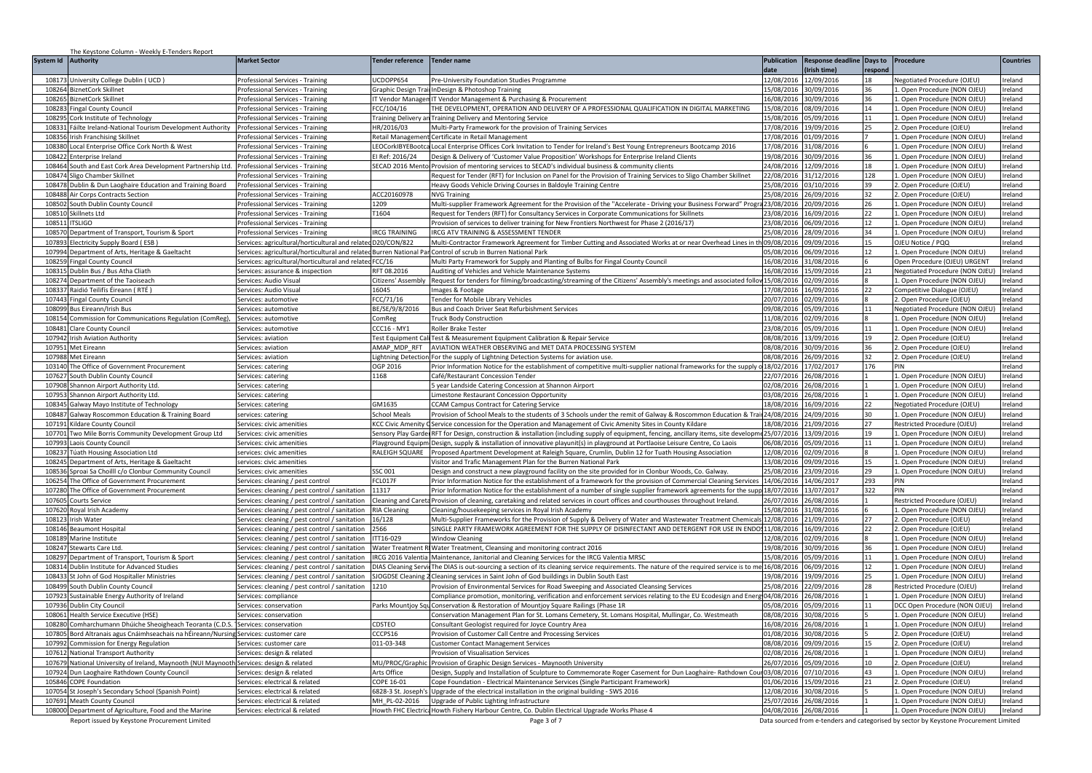|                     | The Keystone Column - Weekly E-Tenders Report                                            |                                                                      |                             |                                                                                                                                        |                       |                           |         |                                                                                       |                  |
|---------------------|------------------------------------------------------------------------------------------|----------------------------------------------------------------------|-----------------------------|----------------------------------------------------------------------------------------------------------------------------------------|-----------------------|---------------------------|---------|---------------------------------------------------------------------------------------|------------------|
| System Id Authority |                                                                                          | <b>Market Sector</b>                                                 | <b>Tender reference</b>     | <b>Tender name</b>                                                                                                                     | <b>Publication</b>    | Response deadline Days to |         | Procedure                                                                             | <b>Countries</b> |
|                     |                                                                                          |                                                                      |                             |                                                                                                                                        | atch                  | (Irish time)              | respond |                                                                                       |                  |
| 10817               | University College Dublin ( UCD )                                                        | Professional Services - Training                                     | UCDOPP654                   | Pre-University Foundation Studies Programme                                                                                            | 12/08/2016            | 12/09/2016                |         | Negotiated Procedure (OJEU)                                                           | Ireland          |
|                     | 108264 BiznetCork Skillnet                                                               | Professional Services - Trainin                                      | Graphic Design Trai         | InDesign & Photoshop Training                                                                                                          | 15/08/2016            | 30/09/2016                | 36      | 1. Open Procedure (NON OJEU)                                                          | Ireland          |
| 108265              | <b>BiznetCork Skillnet</b>                                                               | Professional Services - Training                                     | <b>IT Vendor Managen</b>    | IT Vendor Management & Purchasing & Procurement                                                                                        | 16/08/2016            | 30/09/2016                | 36      | 1. Open Procedure (NON OJEU)                                                          | reland           |
| 108283              | Fingal County Council                                                                    | Professional Services - Training                                     | FCC/104/16                  | HE DEVELOPMENT, OPERATION AND DELIVERY OF A PROFESSIONAL QUALIFICATION IN DIGITAL MARKETING                                            | 5/08/2016             | 08/09/2016                | 14      | 1. Open Procedure (NON OJEU)                                                          | reland           |
| 108295              | Cork Institute of Technology                                                             | Professional Services - Training                                     | <b>Fraining Delivery an</b> | Training Delivery and Mentoring Service                                                                                                |                       | 5/08/2016 05/09/2016      | 11      | 1. Open Procedure (NON OJEU)                                                          | Ireland          |
|                     | 108331 Fáilte Ireland-National Tourism Development Authority                             | Professional Services - Training                                     | HR/2016/03                  | Multi-Party Framework for the provision of Training Services                                                                           |                       | 7/08/2016 19/09/2016      | 25      | 2. Open Procedure (OJEU)                                                              | Ireland          |
| 108356              | Irish Franchising Skillnet                                                               | Professional Services - Training                                     | Retail Managemen            | Certificate in Retail Management                                                                                                       |                       | 17/08/2016 01/09/2016     |         | 1. Open Procedure (NON OJEU)                                                          | Ireland          |
| 108380              | Local Enterprise Office Cork North & West                                                | Professional Services - Training                                     | LEOCorkIBYEBootca           | Local Enterprise Offices Cork Invitation to Tender for Ireland's Best Young Entrepreneurs Bootcamp 2016                                | 17/08/2016            | 31/08/2016                |         | 1. Open Procedure (NON OJEU)                                                          | Ireland          |
| 108422              | <b>Enterprise Ireland</b>                                                                | Professional Services - Training                                     | El Ref: 2016/24             | Design & Delivery of 'Customer Value Proposition' Workshops for Enterprise Ireland Clients                                             | 9/08/2016             | 30/09/2016                | 36      | 1. Open Procedure (NON OJEU)                                                          | Ireland          |
| 108464              | South and East Cork Area Development Partnership Ltd.                                    | Professional Services - Training                                     | SECAD 2016 Mento            | Provision of mentoring services to SECAD's individual business & community clients                                                     | 4/08/2016             | 12/09/2016                | 18      | . Open Procedure (NON OJEU)                                                           | Ireland          |
| 108474              | Sligo Chamber Skillnet                                                                   | rofessional Services - Training                                      |                             | lequest for Tender (RFT) for Inclusion on Panel for the Provision of Training Services to Sligo Chamber Skillnet                       | 22/08/2016            | 31/12/2016                | 128     | 1. Open Procedure (NON OJEU)                                                          | reland           |
|                     | 108478 Dublin & Dun Laoghaire Education and Training Board                               | Professional Services - Training                                     |                             | Heavy Goods Vehicle Driving Courses in Baldoyle Training Centre                                                                        | 25/08/2016 03/10/2016 |                           | 39      | 2. Open Procedure (OJEU)                                                              | Ireland          |
| 108488              | Air Corps Contracts Section                                                              | Professional Services - Training                                     | ACC20160978                 | <b>NVG Training</b>                                                                                                                    |                       | 25/08/2016 26/09/2016     | 32      | 2. Open Procedure (OJEU)                                                              | reland           |
| 108502              | South Dublin County Council                                                              | Professional Services - Training                                     | 1209                        | Multi-supplier Framework Agreement for the Provision of the "Accelerate - Driving your Business Forward" Progra 23/08/2016 20/09/2016  |                       |                           | 26      | 1. Open Procedure (NON OJEU)                                                          | reland           |
| 108510              | Skillnets Ltd                                                                            | Professional Services - Training                                     | T1604                       | Request for Tenders (RFT) for Consultancy Services in Corporate Communications for Skillnets                                           |                       | 3/08/2016 16/09/2016      | 22      | 1. Open Procedure (NON OJEU)                                                          | Ireland          |
| 108511              | <b>ITSLIGO</b>                                                                           | Professional Services - Training                                     |                             | Provision of services to deliver training for New Frontiers Northwest for Phase 2 (2016/17)                                            | 23/08/2016            | 06/09/2016                | 12      | 1. Open Procedure (NON OJEU)                                                          | Ireland          |
| 108570              | Department of Transport, Tourism & Sport                                                 | Professional Services - Training                                     | <b>IRCG TRAINING</b>        | RCG ATV TRAINING & ASSESSMENT TENDER                                                                                                   | 25/08/2016            | 28/09/2016                | 34      | 1. Open Procedure (NON OJEU)                                                          | Ireland          |
| 10789               | <b>Electricity Supply Board (ESB)</b>                                                    | Services: agricultural/horticultural and relatedD20/CON/822          |                             | Multi-Contractor Framework Agreement for Timber Cutting and Associated Works at or near Overhead Lines in                              | 09/08/2016            | 09/09/2016                | 15      | OJEU Notice / PQQ                                                                     | Ireland          |
| 107994              | Jepartment of Arts, Heritage & Gaeltacht                                                 | Services: agricultural/horticultural and related Burren National Par |                             | Control of scrub in Burren National Park                                                                                               | 5/08/2016             | 6/09/2016                 | 12      | 1. Open Procedure (NON OJEU)                                                          | Ireland          |
| 108259              | Fingal County Council                                                                    | Services: agricultural/horticultural and related FCC/16              |                             | Multi Party Framework for Supply and Planting of Bulbs for Fingal County Council                                                       | 6/08/2016             | 1/08/2016                 |         | Open Procedure (OJEU) URGENT                                                          | <b>Treland</b>   |
| 108315              | Dublin Bus / Bus Atha Cliath                                                             | Services: assurance & inspection                                     | RFT 08.2016                 | Auditing of Vehicles and Vehicle Maintenance Systems                                                                                   | 16/08/2016            | 15/09/2016                | 21      | Negotiated Procedure (NON OJEU                                                        | Ireland          |
| 108274              | Department of the Taoiseach                                                              | Services: Audio Visual                                               | Citizens' Assembly          | Request for tenders for filming/broadcasting/streaming of the Citizens' Assembly's meetings and associated foll                        | 15/08/2016            | 02/09/2016                |         | 1. Open Procedure (NON OJEU)                                                          | reland           |
| 108337              | Raidió Teilifís Éireann ( RTÉ )                                                          | Services: Audio Visual                                               | 16045                       | mages & Footage                                                                                                                        | 7/08/2016             | 16/09/2016                | 22      | Competitive Dialogue (OJEU)                                                           | reland           |
| 107443              | <b>Fingal County Council</b>                                                             | Services: automotive                                                 | FCC/71/16                   | Fender for Mobile Library Vehicles                                                                                                     |                       | 0/07/2016 02/09/2016      |         | 2. Open Procedure (OJEU)                                                              | reland           |
|                     | 108099 Bus Eireann/Irish Bus                                                             | Services: automotive                                                 | BE/SE/9/8/2016              | Bus and Coach Driver Seat Refurbishment Services                                                                                       |                       | 09/08/2016 05/09/2016     | 11      | Negotiated Procedure (NON OJEU)                                                       | Ireland          |
| 108154              | Commission for Communications Regulation (ComReg),                                       | Services: automotive                                                 | ComRee                      | <b>Truck Body Construction</b>                                                                                                         |                       | 11/08/2016 02/09/2016     |         | 1. Open Procedure (NON OJEU)                                                          | Ireland          |
| 108481              | <b>Clare County Council</b>                                                              | Services: automotive                                                 | <b>CCC16 - MY1</b>          | Roller Brake Tester                                                                                                                    | 23/08/2016            | 05/09/2016                | 11      | 1. Open Procedure (NON OJEU)                                                          | Ireland          |
|                     | 107942 Irish Aviation Authority                                                          | Services: aviation                                                   | <b>Test Foujoment Ca</b>    | Test & Measurement Equipment Calibration & Repair Service                                                                              | 08/08/2016            | 13/09/2016                | 19      | 2. Open Procedure (OJEU)                                                              | Ireland          |
| 107951              | Met Eireann                                                                              | Services: aviation                                                   | AMAP MDP RFT                | AVIATION WEATHER OBSERVING and MET DATA PROCESSING SYSTEM                                                                              | 08/08/2016            | 30/09/2016                | 36      | 2. Open Procedure (OJEU)                                                              | Ireland          |
| 107988              | Met Eireann                                                                              | Services: aviation                                                   | ightning Detection          | For the supply of Lightning Detection Systems for aviation use.                                                                        | 08/08/2016            | 26/09/2016                | 32      | 2. Open Procedure (OJEU)                                                              | reland           |
| 103140              | The Office of Government Procurement                                                     | Services: catering                                                   | OGP 2016                    | rior Information Notice for the establishment of competitive multi-supplier national frameworks for the supply o 18/02/2016 17/02/2017 |                       |                           | 176     | PIN                                                                                   | reland           |
| 107627              | outh Dublin County Council                                                               | Services: catering                                                   | 1168                        | Café/Restaurant Concession Tender                                                                                                      | 22/07/2016            | 26/08/2016                |         | 1. Open Procedure (NON OJEU)                                                          | reland           |
| 107908              | Shannon Airport Authority Ltd.                                                           | Services: catering                                                   |                             | year Landside Catering Concession at Shannon Airport                                                                                   |                       | 02/08/2016 26/08/2016     |         | 1. Open Procedure (NON OJEU)                                                          | reland           |
| 107953              | Shannon Airport Authority Ltd.                                                           | Services: catering                                                   |                             | imestone Restaurant Concession Opportunity.                                                                                            | 03/08/2016 26/08/2016 |                           |         | 1. Open Procedure (NON OJEU)                                                          | Ireland          |
| 108345              | Galway Mayo Institute of Technology                                                      | Services: catering                                                   | GM1635                      | <b>CCAM Campus Contract for Catering Service</b>                                                                                       | 18/08/2016 16/09/2016 |                           | 22      | Negotiated Procedure (OJEU)                                                           | Ireland          |
| 108487              | Galway Roscommon Education & Training Board                                              | services: catering                                                   | <b>School Meals</b>         | Provision of School Meals to the students of 3 Schools under the remit of Galway & Roscommon Education & Tra                           | 24/08/2016            | 24/09/2016                | 30      | 1. Open Procedure (NON OJEU)                                                          | Ireland          |
| 107191              | Gildare County Council                                                                   | Services: civic amenities                                            | <b>KCC Civic Amenity</b>    | Service concession for the Operation and Management of Civic Amenity Sites in County Kildare                                           | 18/08/2016            | 1/09/2016                 | 27      | Restricted Procedure (OJEU)                                                           | Ireland          |
| 10770               | wo Mile Borris Community Development Group Ltd                                           | Services: civic amenities                                            | Sensory Play Garde          | RFT for Design, construction & installation (including supply of equipment, fencing, ancillary items, site develop                     | 5/07/2016             | 3/09/2016                 | 19      | 1. Open Procedure (NON OJEU)                                                          | Ireland          |
| 107993              | Laois County Council                                                                     | Services: civic amenities                                            | Playground Equipm           | Design, supply & installation of innovative playunit(s) in playground at Portlaoise Leisure Centre, Co Laois                           | 06/08/2016            | 05/09/2016                | 11      | 1. Open Procedure (NON OJEU)                                                          | Ireland          |
| 108237              | úath Housing Association Ltd                                                             | ervices: civic amenities                                             | RALEIGH SQUARE              | Proposed Apartment Development at Raleigh Square, Crumlin, Dublin 12 for Tuath Housing Association                                     | 12/08/2016            | 02/09/2016                |         | 1. Open Procedure (NON OJEU)                                                          | Ireland          |
| 108245              | Department of Arts, Heritage & Gaeltacht                                                 | ervices: civic amenities                                             |                             | /isitor and Trafic Management Plan for the Burren National Park                                                                        | 3/08/2016             | 09/09/2016                | 15      | 1. Open Procedure (NON OJEU)                                                          | reland           |
| 108536              | Sproai Sa Choilll c/o Clonbur Community Council                                          | Services: civic amenities                                            | SSC 001                     | Design and construct a new playground facility on the site provided for in Clonbur Woods, Co. Galway.                                  | 5/08/2016             | 23/09/2016                | 29      | 1. Open Procedure (NON OJEU)                                                          | Ireland          |
| 106254              | he Office of Government Procurement                                                      | Services: cleaning / pest control                                    | FCL017F                     | Prior Information Notice for the establishment of a framework for the provision of Commercial Cleaning Services                        | 14/06/2016            | 14/06/2017                | 293     | PIN                                                                                   | Ireland          |
| 107280              | The Office of Government Procurement                                                     | Services: cleaning / pest control / sanitation                       | 11317                       | Prior Information Notice for the establishment of a number of single supplier framework agreements for the supp 18/07/2016             |                       | 13/07/2017                | 322     | PIN                                                                                   | Ireland          |
| 107605              | <b>Courts Service</b>                                                                    | Services: cleaning / pest control / sanitation                       | Cleaning and Careta         | Provision of cleaning, caretaking and related services in court offices and courthouses throughout Ireland.                            | 26/07/2016            | 26/08/2016                |         | Restricted Procedure (OJEU)                                                           | Ireland          |
| 107620              | Royal Irish Academy                                                                      | Services: cleaning / pest control / sanitation                       | <b>RIA Cleaning</b>         | Cleaning/housekeeping services in Royal Irish Academy                                                                                  | 5/08/2016             | 31/08/2016                |         | 1. Open Procedure (NON OJEU)                                                          | Ireland          |
| 108123              | <b>Irish Water</b>                                                                       | Services: cleaning / pest control / sanitation                       | 16/128                      | Multi-Supplier Frameworks for the Provision of Supply & Delivery of Water and Wastewater Treatment Chemical                            | 12/08/2016            | 21/09/2016                | 27      | 2. Open Procedure (OJEU)                                                              | Ireland          |
| 108146              | <b>Beaumont Hospital</b>                                                                 | Services: cleaning / pest control / sanitation                       | 2566                        | ingle party framework agreement for the Supply of Disinfectant and Detergent for USE IN ENDO111/08/2016                                |                       | 16/09/2016                | 22      | 2. Open Procedure (OJEU)                                                              | Ireland          |
| 108189              | Marine Institute                                                                         | Services: cleaning / pest control / sanitation                       | TT16-029                    | Window Cleaning                                                                                                                        |                       | 12/08/2016 02/09/2016     |         | 1. Open Procedure (NON OJEU)                                                          | reland           |
| 108247              | Stewarts Care Ltd                                                                        | Services: cleaning / pest control / sanitation                       | Water Treatment F           | Water Treatment, Cleansing and monitoring contract 2016                                                                                | 19/08/2016            | 30/09/2016                | 36      | 1. Open Procedure (NON OJEU)                                                          | reland           |
| 108297              | Jepartment of Transport, Tourism & Sport                                                 | Services: cleaning / pest control / sanitation                       | RCG 2016 Valentia           | Maintenance, Janitorial and Cleaning Services for the IRCG Valentia MRSC                                                               | 5/08/2016             | 05/09/2016                | 11      | 1. Open Procedure (NON OJEU)                                                          | reland           |
| 108314              | Dublin Institute for Advanced Studies                                                    | Services: cleaning / pest control / sanitation                       | <b>DIAS Cleaning Servic</b> | The DIAS is out-sourcing a section of its cleaning service requirements. The nature of the required service is to me                   | 16/08/2016 06/09/2016 |                           | 12      | 1. Open Procedure (NON OJEU)                                                          | reland           |
| 108433              | St John of God Hospitaller Ministries                                                    | Services: cleaning / pest control / sanitation                       |                             | SJOGDSE Cleaning 2 Cleaning services in Saint John of God buildings in Dublin South East                                               |                       | 9/08/2016 19/09/2016      | 25      | 1. Open Procedure (NON OJEU)                                                          | Ireland          |
| 108499              | South Dublin County Council                                                              | Services: cleaning / pest control / sanitation                       | 1210                        | Provision of Environmental Services for Road Sweeping and Associated Cleansing Services                                                | 25/08/2016            | 22/09/2016                | 28      | Restricted Procedure (OJEU)                                                           | Ireland          |
| 107923              | Sustainable Energy Authority of Ireland                                                  | Services: compliance                                                 |                             | Compliance promotion, monitoring, verification and enforcement services relating to the EU Ecodesign and Ene                           | 04/08/2016            | 26/08/2016                |         | 1. Open Procedure (NON OJEU)                                                          | Ireland          |
| 107936              | Dublin City Council                                                                      | Services: conservation                                               | Parks Mountjoy Squ          | Conservation & Restoration of Mountjoy Square Railings (Phase 1R                                                                       | 5/08/2016             | 05/09/2016                | 11      | DCC Open Procedure (NON OJEU)                                                         | Ireland          |
| 108063              | lealth Service Executive (HSE)                                                           | Services: conservatior                                               |                             | onservation Management Plan for St. Lomans Cemetery, St. Lomans Hospital, Mullingar, Co. Westmeath                                     | 08/08/2016            | 30/08/2016                |         | L. Open Procedure (NON OJEU)                                                          | Ireland          |
| 108280              | Comharchumann Dhúiche Sheoigheach Teoranta (C.D.S                                        | Services: conservation                                               | CDSTEO                      | Consultant Geologist required for Joyce Country Area                                                                                   | 16/08/2016            | 26/08/2016                |         | 1. Open Procedure (NON OJEU)                                                          | Ireland          |
| 10780               | Bord Altranais agus Cnáimhseachais na hÉireann/Nursing                                   | Services: customer care                                              | CCCPS16                     | rovision of Customer Call Centre and Processing Services                                                                               | 01/08/2016            | 30/08/2016                |         | 2. Open Procedure (OJEU                                                               | Ireland          |
| 107992              | Commission for Energy Regulation                                                         | Services: customer care                                              | 011-03-348                  | Customer Contact Management Services                                                                                                   | 8/08/2016             | 09/09/2016                | 15      | 2. Open Procedure (OJEU)                                                              | reland           |
| 107612              | <b>National Transport Authority</b>                                                      | Services: design & related                                           |                             | rovision of Visualisation Services                                                                                                     | 2/08/2016             | 26/08/2016                |         | 1. Open Procedure (NON OJEU)                                                          | reland           |
|                     | 107679 National University of Ireland, Maynooth (NUI Maynooth Services: design & related |                                                                      | MU/PROC/Graphic             | Provision of Graphic Design Services - Maynooth University                                                                             |                       | 6/07/2016 05/09/2016      | 10      | 2. Open Procedure (OJEU)                                                              | Ireland          |
|                     | 107924 Dun Laoghaire Rathdown County Council                                             | Services: design & related                                           | Arts Office                 | Design, Supply and Installation of Sculpture to Commemorate Roger Casement for Dun Laoghaire- Rathdown Cour 03/08/2016   07/10/2016    |                       |                           | 43      | 1. Open Procedure (NON OJEU)                                                          | Ireland          |
|                     | 105846 COPE Foundation                                                                   | Services: electrical & related                                       | COPE 16-01                  | Cope Foundation - Electrical Maintenance Services (Single Participant Framework)                                                       | 01/06/2016            | 15/09/2016                | 21      | 2. Open Procedure (OJEU)                                                              | Ireland          |
| 107054              | t Joseph's Secondary School (Spanish Point)                                              | Services: electrical & related                                       | 6828-3 St. Joseph'          | Upgrade of the electrical installation in the original building - SWS 2016                                                             | 2/08/2016             | 30/08/2016                |         | 1. Open Procedure (NON OJEU)                                                          | Ireland          |
| 107691              | Meath County Counci                                                                      | Services: electrical & related                                       | MH PL-02-2016               | Upgrade of Public Lighting Infrastructure                                                                                              | 5/07/2016             | 26/08/2016                |         | L. Open Procedure (NON OJEU)                                                          | reland           |
|                     | 108000 Department of Agriculture, Food and the Marine                                    | Services: electrical & related                                       |                             | Howth FHC Electrica Howth Fishery Harbour Centre, Co. Dublin Electrical Upgrade Works Phase 4                                          | 04/08/2016 26/08/2016 |                           |         | 1. Open Procedure (NON OJEU)                                                          | Ireland          |
|                     | Report issued by Keystone Procurement Limited                                            |                                                                      |                             | Page 3 of 7                                                                                                                            |                       |                           |         | Data sourced from e-tenders and categorised by sector by Keystone Procurement Limited |                  |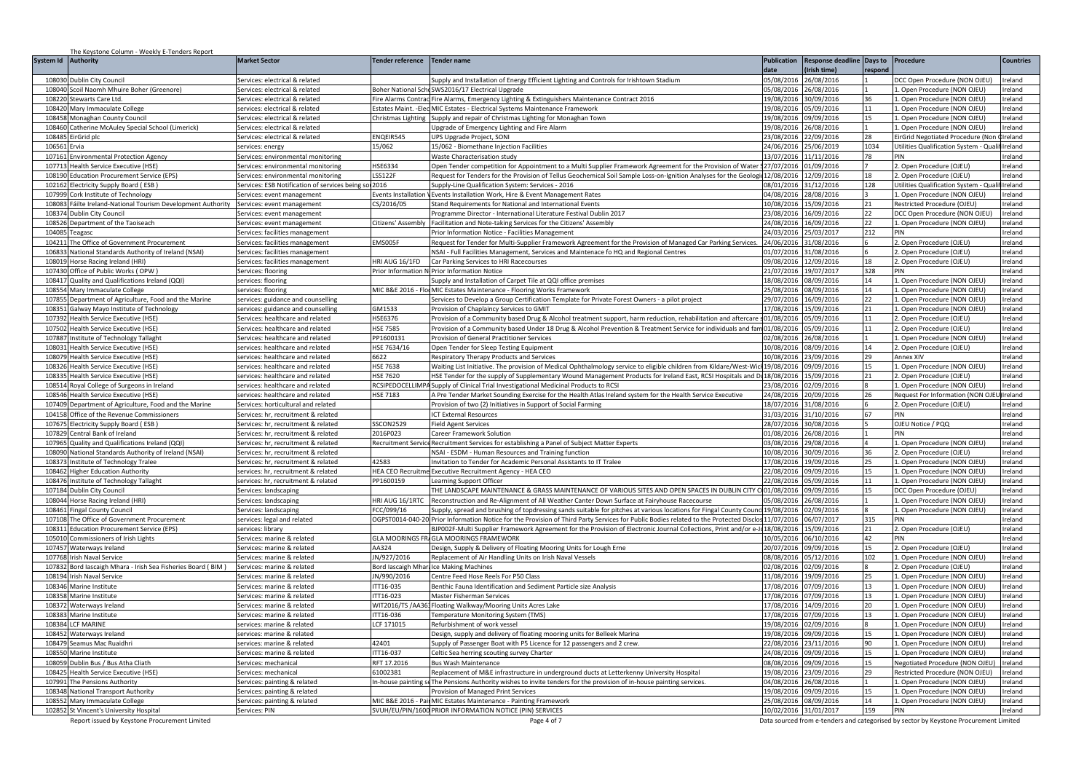|                     | The Keystone Column - Weekly E-Tenders Report                                              |                                                                            |                                            |                                                                                                                                       |                          |                                     |           |                                                                                       |                    |
|---------------------|--------------------------------------------------------------------------------------------|----------------------------------------------------------------------------|--------------------------------------------|---------------------------------------------------------------------------------------------------------------------------------------|--------------------------|-------------------------------------|-----------|---------------------------------------------------------------------------------------|--------------------|
| System Id Authority |                                                                                            | <b>Market Sector</b>                                                       | <b>Tender reference</b>                    | <b>Tender name</b>                                                                                                                    | <b>Publication</b>       | Response deadline Days to Procedure |           |                                                                                       | <b>Countries</b>   |
|                     |                                                                                            |                                                                            |                                            |                                                                                                                                       | at c                     | Irish time)                         | respone   |                                                                                       |                    |
| 108030              | Dublin City Council                                                                        | Services: electrical & related                                             |                                            | Supply and Installation of Energy Efficient Lighting and Controls for Irishtown Stadium                                               | 05/08/2016               | 6/08/2016                           |           | DCC Open Procedure (NON OJEU                                                          | Ireland            |
| 108040              | Scoil Naomh Mhuire Boher (Greenore)                                                        | Services: electrical & related                                             | <b>Boher National Sch</b>                  | SWS2016/17 Electrical Upgrade                                                                                                         | 05/08/2016               | 26/08/2016                          |           | 1. Open Procedure (NON OJEU)                                                          | Ireland            |
| 108220              | Stewarts Care Ltd.<br>108420 Mary Immaculate College                                       | Services: electrical & related<br>services: electrical & related           | ire Alarms Contrac<br>states Maint. - Elec | Fire Alarms, Emergency Lighting & Extinguishers Maintenance Contract 2016<br>MIC Estates - Electrical Systems Maintenance Framework   | 19/08/2016<br>9/08/2016  | 30/09/2016<br>5/09/2016             | 36<br>11  | 1. Open Procedure (NON OJEU)<br>1. Open Procedure (NON OJEU)                          | Ireland<br>Ireland |
|                     | 108458 Monaghan County Council                                                             | Services: electrical & related                                             | hristmas Lighting                          | Supply and repair of Christmas Lighting for Monaghan Town                                                                             | 9/08/2016                | 09/09/2016                          | 15        | 1. Open Procedure (NON OJEU)                                                          | Ireland            |
| 108460              | Catherine McAuley Special School (Limerick)                                                | Services: electrical & related                                             |                                            | Upgrade of Emergency Lighting and Fire Alarm                                                                                          | 9/08/2016                | 26/08/2016                          |           | 1. Open Procedure (NON OJEU)                                                          | Ireland            |
|                     | 108485 EirGrid plc                                                                         | Services: electrical & related                                             | ENQEIR545                                  | JPS Upgrade Project, SONI                                                                                                             |                          | 23/08/2016 22/09/2016               | 28        | EirGrid Negotiated Procedure (No                                                      | Ireland            |
| 106561              | Frvia                                                                                      | services: energy                                                           | 15/062                                     | 5/062 - Biomethane Injection Facilities                                                                                               | 4/06/2016                | 25/06/2019                          | 1034      | Utilities Qualification System - Qualif Ireland                                       |                    |
| 107161              | <b>Environmental Protection Agency</b>                                                     | Services: environmental monitoring                                         |                                            | <b>Naste Characterisation study</b>                                                                                                   | 3/07/2016                | 1/11/2016                           | 78        | PIN                                                                                   | Ireland            |
| 107713              | <b>Health Service Executive (HSE</b>                                                       | Services: environmental monitoring                                         | <b>HSE6334</b>                             | Open Tender competition for Appointment to a Multi Supplier Framework Agreement for the Provision of Water                            | 7/07/2016                | 1/09/2016                           |           | 2. Open Procedure (OJEU)                                                              | Ireland            |
| 108190              | ducation Procurement Service (EPS)                                                         | iervices: environmental monitorin                                          | <b>LSS122F</b>                             | equest for Tenders for the Provision of Tellus Geochemical Soil Sample Loss-on-Ignition Analyses for the Geologi                      | 12/08/2016               | 12/09/2016                          | 18        | 2. Open Procedure (OJEU)                                                              | Ireland            |
| 102162              | ectricity Supply Board (ESB                                                                | Services: ESB Notification of services being so 2016                       |                                            | upply-Line Qualification System: Services - 2016                                                                                      |                          | 08/01/2016 31/12/2016               | 128       | Utilities Qualification System - Qua                                                  | Ireland            |
| 10799               | ork Institute of Technology                                                                | ervices: event management                                                  | vents Installation                         | vents Installation Work, Hire & Event Management Rates                                                                                | 04/08/2016               | 8/08/2016                           |           | 1. Open Procedure (NON OJEU)                                                          | Ireland            |
| 108083              | Fáilte Ireland-National Tourism Development Authority                                      | Services: event management                                                 | CS/2016/05                                 | tand Requirements for National and International Events                                                                               | 0/08/2016                | 15/09/2016                          | 21        | Restricted Procedure (OJEU)                                                           | Ireland            |
| 108374              | Dublin City Council                                                                        | Services: event management                                                 |                                            | Programme Director - International Literature Festival Dublin 2017                                                                    | 3/08/2016                | 16/09/2016                          | 22        | DCC Open Procedure (NON OJEU)                                                         | Ireland            |
| 108526              | Department of the Taoiseach                                                                | Services: event management                                                 | Citizens' Assembly                         | Facilitation and Note-taking Services for the Citizens' Assembly                                                                      | 24/08/2016               | 16/09/2016                          | 22        | 1. Open Procedure (NON OJEU)                                                          | Ireland            |
| 104085              | eagasc                                                                                     | Services: facilities management                                            |                                            | Prior Information Notice - Facilities Management                                                                                      | 24/03/2016               | !5/03/2017                          | 212       | PIN                                                                                   | Ireland            |
| 10421               | The Office of Government Procurement                                                       | Services: facilities management                                            | EMS005F                                    | equest for Tender for Multi-Supplier Framework Agreement for the Provision of Managed Car Parking Services                            | 24/06/2016               | 1/08/2016                           |           | 2. Open Procedure (OJEU)                                                              | Ireland            |
| 106833              | National Standards Authority of Ireland (NSAI)                                             | Services: facilities management                                            |                                            | VSAI - Full Facilities Management, Services and Maintenace fo HQ and Regional Centres                                                 | 1/07/2016                | 1/08/2016                           | 18        | 2. Open Procedure (OJEU)                                                              | Ireland            |
| 108019              | Horse Racing Ireland (HRI)                                                                 | Services: facilities management                                            | HRI AUG 16/1FD                             | Car Parking Services to HRI Racecourses                                                                                               | 09/08/2016               | 2/09/2016                           |           | 2. Open Procedure (OJEU)<br>PIN                                                       | Ireland            |
| 107430<br>108417    | Office of Public Works (OPW)<br>Quality and Qualifications Ireland (QQI)                   | Services: flooring<br>services: flooring                                   | Prior Information N                        | <b>Prior Information Notice</b><br>upply and Installation of Carpet Tile at QQI office premises                                       | 21/07/2016<br>18/08/2016 | 9/07/2017<br>8/09/2016              | 328<br>14 | 1. Open Procedure (NON OJEU)                                                          | Ireland<br>Ireland |
| 108554              | Mary Immaculate College                                                                    | services: flooring                                                         |                                            | MIC B&E 2016 - Flor MIC Estates Maintenance - Flooring Works Framework                                                                | 5/08/2016                | 8/09/2016                           | 14        | 1. Open Procedure (NON OJEU)                                                          | Ireland            |
| 107855              | Department of Agriculture, Food and the Marine                                             | services: guidance and counselling                                         |                                            | ervices to Develop a Group Certification Template for Private Forest Owners - a pilot project                                         | 9/07/2016                | 16/09/2016                          | 22        | 1. Open Procedure (NON OJEU)                                                          | Ireland            |
|                     | 108351 Galway Mayo Institute of Technology                                                 | services: guidance and counselling                                         | GM1533                                     | Provision of Chaplaincy Services to GMIT                                                                                              | 7/08/2016                | 15/09/2016                          | 21        | 1. Open Procedure (NON OJEU)                                                          | Ireland            |
|                     | 107392 Health Service Executive (HSE)                                                      | Services: healthcare and related                                           | HSE6376                                    | Provision of a Community based Drug & Alcohol treatment support, harm reduction, rehabilitation and aftercare \$01/08/2016            |                          | 05/09/2016                          | 11        | 2. Open Procedure (OJEU)                                                              | Ireland            |
| 107502              | <b>Health Service Executive (HSE)</b>                                                      | Services: healthcare and related                                           | <b>HSE 7585</b>                            | Provision of a Community based Under 18 Drug & Alcohol Prevention & Treatment Service for individuals and fam 01/08/2016              |                          | 05/09/2016                          | 11        | 2. Open Procedure (OJEU)                                                              | Ireland            |
| 10788               | Institute of Technology Tallaght                                                           | Services: healthcare and related                                           | PP1600131                                  | Provision of General Practitioner Services                                                                                            | 2/08/2016                | 26/08/2016                          |           | 1. Open Procedure (NON OJEU)                                                          | Ireland            |
| 10803:              | lealth Service Executive (HSE)                                                             | services: healthcare and related                                           | HSE 7634/16                                | Open Tender for Sleep Testing Equipment                                                                                               | 0/08/2016                | 08/09/2016                          | 14        | . Open Procedure (OJEU)                                                               | Ireland            |
| 108079              | ealth Service Executive (HSE)                                                              | ervices: healthcare and related                                            | 6622                                       | Respiratory Therapy Products and Services                                                                                             | 0/08/2016                | 3/09/2016                           | 29        | Annex XIV                                                                             | Ireland            |
| 10832               | ealth Service Executive (HSE)                                                              | services: healthcare and related                                           | <b>HSE 7638</b>                            | Waiting List Initiative. The provision of Medical Ophthalmology service to eligible children from Kildare/West-Wic                    | 9/08/2016                | 9/09/2016                           | 15        | 1. Open Procedure (NON OJEU)                                                          | Ireland            |
| 108335              | ealth Service Executive (HSE)                                                              | services: healthcare and related                                           | <b>HSE 7620</b>                            | ISE Tender for the supply of Supplementary Wound Management Products for Ireland East, RCSI Hospitals and Du                          | 18/08/2016               | 5/09/2016                           | 21        | 2. Open Procedure (OJEU)                                                              | reland             |
| 108514              | Royal College of Surgeons in Ireland                                                       | services: healthcare and related                                           | RCSIPEDOCELLIMPA                           | Supply of Clinical Trial Investigational Medicinal Products to RCSI                                                                   | 3/08/2016                | 02/09/2016                          |           | 1. Open Procedure (NON OJEU)                                                          | Ireland            |
| 108546              | <b>Health Service Executive (HSE)</b>                                                      | services: healthcare and related                                           | <b>HSE 7183</b>                            | A Pre Tender Market Sounding Exercise for the Health Atlas Ireland system for the Health Service Executive                            | 24/08/2016               | 20/09/2016                          | 26        | Request For Information (NON OJEU Ireland                                             |                    |
| 107409              | Department of Agriculture, Food and the Marine                                             | Services: horticultural and related                                        |                                            | Provision of two (2) Initiatives in Support of Social Farming                                                                         | 18/07/2016 31/08/2016    |                                     |           | 2. Open Procedure (OJEU)                                                              | Ireland            |
| 104158              | Office of the Revenue Commissioners                                                        | Services: hr, recruitment & related                                        |                                            | <b>ICT External Resources</b>                                                                                                         | 31/03/2016               | 1/10/2016                           | 67        | PIN                                                                                   | Ireland            |
| 10767               | lectricity Supply Board (ESB)                                                              | Services: hr, recruitment & related                                        | <b>SSCON2529</b><br>2016P023               | ield Agent Services                                                                                                                   | 28/07/2016               | 0/08/2016                           |           | OJEU Notice / PQQ<br>PIN                                                              | Ireland            |
| 107829<br>107965    | entral Bank of Ireland                                                                     | Services: hr, recruitment & related                                        | Recruitment Servic                         | Career Framework Solution                                                                                                             | 1/08/2016<br>03/08/2016  | 6/08/2016                           |           | 1. Open Procedure (NON OJEU)                                                          | Ireland<br>Ireland |
| 108090              | Quality and Qualifications Ireland (QQI)<br>National Standards Authority of Ireland (NSAI) | Services: hr, recruitment & related<br>Services: hr. recruitment & related |                                            | Recruitment Services for establishing a Panel of Subject Matter Experts<br><b>ISAI - ESDM - Human Resources and Training function</b> | 10/08/2016               | 29/08/2016<br>0/09/2016             | 36        | 2. Open Procedure (OJEU)                                                              | Ireland            |
| 108373              | nstitute of Technology Tralee                                                              | Services: hr, recruitment & related                                        | 42583                                      | nvitation to Tender for Academic Personal Assistants to IT Tralee                                                                     | 7/08/2016                | 9/09/2016                           | 25        | 1. Open Procedure (NON OJEU)                                                          | Ireland            |
| 108462              | <b>Higher Education Authority</b>                                                          | services: hr. recruitment & related                                        | <b>IEA CEO Recruitme</b>                   | Executive Recruitment Agency - HEA CEO                                                                                                | 22/08/2016               | 09/09/2016                          | 15        | 1. Open Procedure (NON OJEU)                                                          | Ireland            |
| 108476              | Institute of Technology Tallaght                                                           | services: hr, recruitment & related                                        | PP1600159                                  | earning Support Officer                                                                                                               | 22/08/2016               | 05/09/2016                          | 11        | 1. Open Procedure (NON OJEU)                                                          | Ireland            |
|                     | 107184 Dublin City Council                                                                 | Services: landscaping                                                      |                                            | THE LANDSCAPE MAINTENANCE & GRASS MAINTENANCE OF VARIOUS SITES AND OPEN SPACES IN DUBLIN CITY C 01/08/2016                            |                          | 09/09/2016                          | 15        | DCC Open Procedure (OJEU)                                                             | Ireland            |
| 108044              | Horse Racing Ireland (HRI)                                                                 | Services: landscaping                                                      | HRI AUG 16/1RTC                            | Reconstruction and Re-Alignment of All Weather Canter Down Surface at Fairyhouse Racecourse                                           | 05/08/2016               | 26/08/2016                          |           | 1. Open Procedure (NON OJEU)                                                          | Ireland            |
| 10846               | ingal County Council                                                                       | Services: landscapine                                                      | TC/099/16                                  | upply, spread and brushing of topdressing sands suitable for pitches at various locations for Fingal County Coun                      | 9/08/2016                | 2/09/2016                           |           | 1. Open Procedure (NON OJEU)                                                          | Ireland            |
| 107108              | he Office of Government Procurement                                                        | services: legal and related                                                |                                            | OGPST0014-040-20 Prior Information Notice for the Provision of Third Party Services for Public Bodies related to the Protected Disclo | 1/07/2016                | 6/07/2017                           | 315       | PIN                                                                                   | Ireland            |
| 10831               | ducation Procurement Service (EPS)                                                         | ervices: library                                                           |                                            | MP002F-Multi Supplier Framework Agreement for the Provision of Electronic Journal Collections, Print and/or e-                        | 8/08/2016                | 5/09/2016                           | 21        | 2. Open Procedure (OJEU)                                                              | Ireland            |
| 105010              | ommissioners of Irish Lights                                                               | Services: marine & related                                                 |                                            | <b>GLA MOORINGS FRIGLA MOORINGS FRAMEWORK</b>                                                                                         | 0/05/2016                | 06/10/2016                          | 42        | PIN                                                                                   | Ireland            |
| 10745               | Vaterways Ireland                                                                          | Services: marine & related                                                 | AA324                                      | Design, Supply & Delivery of Floating Mooring Units for Lough Erne                                                                    | 0/07/2016                | 09/09/2016                          | 15        | 2. Open Procedure (OJEU)                                                              | Ireland            |
| 107768              | ish Naval Service                                                                          | Services: marine & related                                                 | N/927/2016                                 | eplacement of Air Handling Units on Irish Naval Vessels                                                                               | 08/08/2016               | 05/12/2016                          | 102       | 1. Open Procedure (NON OJEU)                                                          | Ireland            |
| 107832              | Bord lascaigh Mhara - Irish Sea Fisheries Board (BIM)                                      | Services: marine & related                                                 | Bord lascaigh Mhara                        | Ice Making Machines                                                                                                                   | 2/08/2016                | 02/09/2016                          |           | 2. Open Procedure (OJEU)                                                              | Ireland            |
| 108194              | <b>Irish Naval Service</b>                                                                 | Services: marine & related                                                 | N/990/2016                                 | Centre Feed Hose Reels For P50 Class                                                                                                  | 1/08/2016                | 19/09/2016                          | 25        | 1. Open Procedure (NON OJEU)                                                          | Ireland            |
| 108346<br>108358    | Marine Institute                                                                           | Services: marine & related                                                 | ITT16-035                                  | Benthic Fauna Identification and Sediment Particle size Analysis                                                                      | 17/08/2016               | 07/09/2016                          | 13        | 1. Open Procedure (NON OJEU)                                                          | Ireland            |
| 10837               | Marine Institute<br>Vaterways Ireland                                                      | Services: marine & related<br>Services: marine & related                   | ITT16-023<br>WIT2016/TS /AA36              | Master Fisherman Services<br>Floating Walkway/Mooring Units Acres Lake                                                                | 17/08/2016<br>7/08/2016  | 7/09/2016<br>4/09/2016              | 13<br>20  | 1. Open Procedure (NON OJEU)<br>1. Open Procedure (NON OJEU)                          | Ireland<br>Ireland |
| 108383              | Marine Institute                                                                           | iervices: marine & related                                                 | ITT16-036                                  | emperature Monitoring System (TMS)                                                                                                    | 7/08/2016                | 7/09/2016                           | 13        | 1. Open Procedure (NON OJEU)                                                          | Ireland            |
| 108384              | CF MARINE                                                                                  | services: marine & related                                                 | LCF 171015                                 | Refurbishment of work vessel                                                                                                          | 9/08/2016                | 2/09/2016                           |           | 1. Open Procedure (NON OJEU)                                                          | Ireland            |
| 108452              | Waterways Ireland                                                                          | services: marine & related                                                 |                                            | Design, supply and delivery of floating mooring units for Belleek Marina                                                              | 19/08/2016               | 9/09/2016                           | 15        | 1. Open Procedure (NON OJEU)                                                          | Ireland            |
| 108479              | Seamus Mac Ruaidhri                                                                        | services: marine & related                                                 | 42401                                      | upply of Passenger Boat with P5 Licence for 12 passengers and 2 crew.                                                                 | 2/08/2016                | 3/11/2016                           | 90        | 1. Open Procedure (NON OJEU)                                                          | Ireland            |
| 108550              | Marine Institute                                                                           | Services: marine & related                                                 | TT16-037                                   | eltic Sea herring scouting survey Charter                                                                                             | 4/08/2016                | 9/09/2016                           | 15        | 1. Open Procedure (NON OJEU)                                                          | Ireland            |
| 108059              | Dublin Bus / Bus Atha Cliath                                                               | Services: mechanical                                                       | RFT 17.2016                                | <b>Bus Wash Maintenance</b>                                                                                                           | 08/08/2016               | 09/09/2016                          | 15        | Negotiated Procedure (NON OJEU)                                                       | Ireland            |
| 108425              | <b>Health Service Executive (HSE)</b>                                                      | Services: mechanical                                                       | 61002381                                   | Replacement of M&E infrastructure in underground ducts at Letterkenny University Hospital                                             | 9/08/2016                | 23/09/2016                          | 29        | Restricted Procedure (NON OJEU)                                                       | Ireland            |
| 107993              | The Pensions Authority                                                                     | Services: painting & related                                               | In-house painting se                       | The Pensions Authority wishes to invite tenders for the provision of in-house painting services                                       | 04/08/2016               | 26/08/2016                          |           | 1. Open Procedure (NON OJEU)                                                          | Ireland            |
| 108348              | <b>National Transport Authority</b>                                                        | Services: painting & related                                               |                                            | rovision of Managed Print Services                                                                                                    | 9/08/2016                | 9/09/2016                           |           | 1. Open Procedure (NON OJEU)                                                          | Ireland            |
| 10855               | Mary Immaculate College                                                                    | Services: painting & related                                               |                                            | MIC B&E 2016 - Pail MIC Estates Maintenance - Painting Framework                                                                      | 5/08/2016                | 08/09/2016                          | 14        | 1. Open Procedure (NON OJEU)                                                          | Ireland            |
|                     | 102852 St Vincent's University Hospital                                                    | Services: PIN                                                              |                                            | SVUH/EU/PIN/1600 PRIOR INFORMATION NOTICE (PIN) SERVICES                                                                              |                          | 10/02/2016 31/01/2017               | 159       | PIN                                                                                   | Ireland            |
|                     | Report issued by Keystone Procurement Limited                                              |                                                                            |                                            | Page 4 of 7                                                                                                                           |                          |                                     |           | Data sourced from e-tenders and categorised by sector by Keystone Procurement Limited |                    |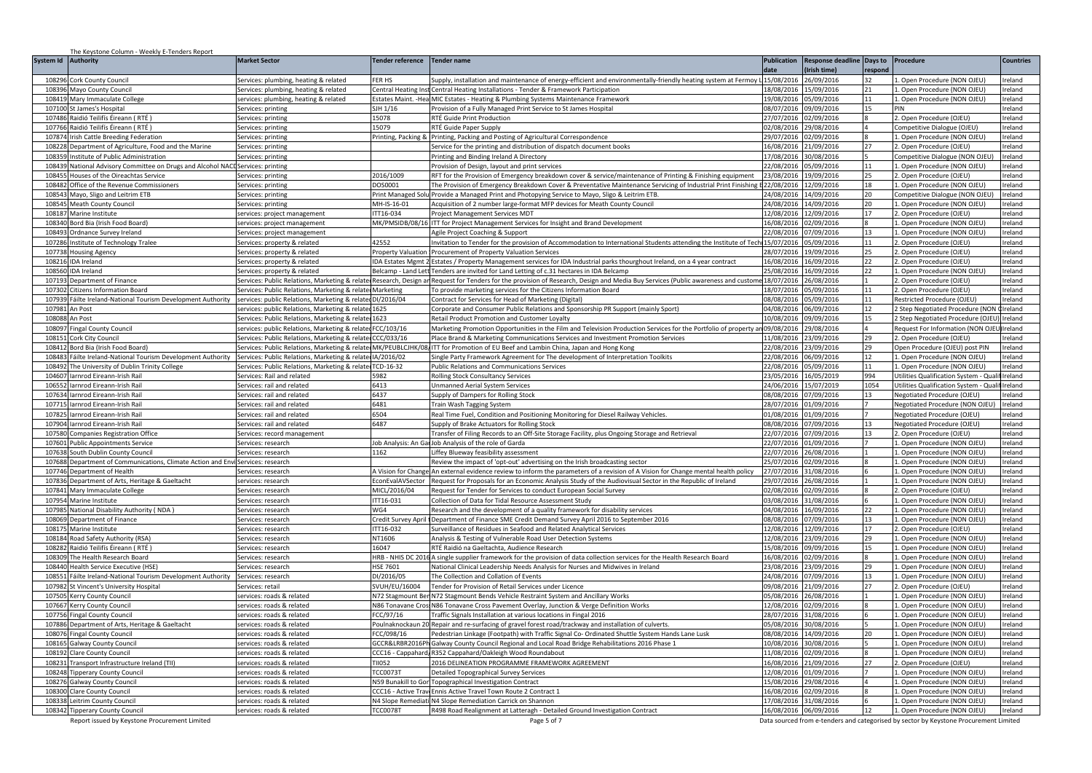|                  | The Keystone Column - Weekly E-Tenders Report                                  |                                                                |                                 |                                                                                                                                                                                                                                         |                          |                           |          |                                                                                       |                   |
|------------------|--------------------------------------------------------------------------------|----------------------------------------------------------------|---------------------------------|-----------------------------------------------------------------------------------------------------------------------------------------------------------------------------------------------------------------------------------------|--------------------------|---------------------------|----------|---------------------------------------------------------------------------------------|-------------------|
| System Id        | Authority                                                                      | <b>Market Sector</b>                                           | <b>Tender reference</b>         | <b>Tender name</b>                                                                                                                                                                                                                      | <b>Publication</b>       | Response deadline Days to |          | Procedure                                                                             | <b>Countries</b>  |
|                  |                                                                                |                                                                |                                 |                                                                                                                                                                                                                                         | date                     | Irish time)               | respond  |                                                                                       |                   |
| 108296           | Cork County Council                                                            | Services: plumbing, heating & related                          | <b>FFR HS</b>                   | Supply, installation and maintenance of energy-efficient and environmentally-friendly heating system at Fermoy                                                                                                                          | 15/08/2016               | 26/09/2016                |          | . Open Procedure (NON OJEU)                                                           | Ireland           |
| 108396           | Mayo County Council                                                            | Services: plumbing, heating & related                          | <b>Central Heating Ins</b>      | Central Heating Installations - Tender & Framework Participation                                                                                                                                                                        | 18/08/2016               | 15/09/2016                | 21       | 1. Open Procedure (NON OJEU)                                                          | reland            |
| 108419           | Mary Immaculate College                                                        | ervices: plumbing, heating & related                           |                                 | Estates Maint. - Hea MIC Estates - Heating & Plumbing Systems Maintenance Framework                                                                                                                                                     | 19/08/2016               | 05/09/2016                | 11       | . Open Procedure (NON OJEU)                                                           | eland             |
| 107100           | St James's Hospital                                                            | ervices: printing                                              | SJH 1/16                        | Provision of a Fully Managed Print Service to St James Hospital                                                                                                                                                                         | 08/07/2016               | 09/09/2016                | 15       | PIN                                                                                   | eland             |
| 107486           | Raidió Teilifís Éireann (RTÉ)                                                  | ervices: printing                                              | 15078                           | RTÉ Guide Print Production                                                                                                                                                                                                              | 7/07/2016                | 02/09/2016                |          | 2. Open Procedure (OJEU)                                                              | reland            |
| 107766           | Raidió Teilifís Éireann (RTÉ)                                                  | Services: printing                                             | 15079                           | RTÉ Guide Paper Supply                                                                                                                                                                                                                  | 02/08/2016               | 29/08/2016                |          | Competitive Dialogue (OJEU)                                                           | reland            |
|                  | 107874 Irish Cattle Breeding Federation                                        | Services: printine                                             |                                 | Printing, Packing & Printing, Packing and Posting of Agricultural Correspondence                                                                                                                                                        | 29/07/2016 02/09/2016    |                           |          | 1. Open Procedure (NON OJEU)                                                          | Ireland           |
| 108228<br>108359 | Department of Agriculture, Food and the Marine                                 | Services: printine                                             |                                 | Service for the printing and distribution of dispatch document books                                                                                                                                                                    | 16/08/2016               | 21/09/2016                | 27       | 2. Open Procedure (OJEU)                                                              | reland            |
| 108439           | Institute of Public Administration                                             | Services: printing                                             |                                 | Printing and Binding Ireland A Directory                                                                                                                                                                                                | 17/08/2016<br>22/08/2016 | 30/08/2016                | 11       | Competitive Dialogue (NON OJEU                                                        | Ireland<br>reland |
| 108455           | National Advisory Committee on Drugs and Alcohol NACI                          | Services: printing                                             |                                 | Provision of Design, layout and print services                                                                                                                                                                                          |                          | 05/09/2016                |          | 1. Open Procedure (NON OJEU)                                                          |                   |
|                  | Houses of the Oireachtas Service<br>108482 Office of the Revenue Commissioners | Services: printina<br>Services: printine                       | 2016/1009<br>DOS0001            | RFT for the Provision of Emergency breakdown cover & service/maintenance of Printing & Finishing equipment<br>The Provision of Emergency Breakdown Cover & Preventative Maintenance Servicing of Industrial Print Finishing E22/08/2016 | 23/08/2016               | 19/09/2016<br>12/09/2016  | 25<br>18 | . Open Procedure (OJEU)<br>1. Open Procedure (NON OJEU)                               | reland<br>reland  |
| 108543           | Mayo, Sligo and Leitrim ETB                                                    | ervices: printine                                              | rint Managed Solu               | Provide a Managed Print and Photopying Service to Mayo, Sligo & Leitrim ETB.                                                                                                                                                            | 24/08/2016               | 14/09/2016                | 20       | Competitive Dialogue (NON OJEU                                                        | eland             |
|                  | 108545 Meath County Council                                                    | ervices: printing                                              | MH-IS-16-01                     | Acquisition of 2 number large-format MFP devices for Meath County Council                                                                                                                                                               | 24/08/2016               | 14/09/2016                | 20       | 1. Open Procedure (NON OJEU)                                                          | reland            |
|                  | 108187 Marine Institute                                                        | ervices: project management                                    | ITT16-034                       | Project Management Services MDT                                                                                                                                                                                                         | 12/08/2016               | 12/09/2016                | 17       | 2. Open Procedure (OJEU)                                                              | reland            |
|                  | 108340 Bord Bia (Irish Food Board)                                             | services: project management                                   |                                 | MK/PMSIDB/08/16 ITT for Project Management Services for Insight and Brand Development                                                                                                                                                   | 16/08/2016               | 02/09/2016                |          | 1. Open Procedure (NON OJEU)                                                          | Ireland           |
| 108493           | Ordnance Survey Ireland                                                        | Services: project management                                   |                                 | Agile Project Coaching & Support                                                                                                                                                                                                        | 22/08/2016               | 07/09/2016                | 13       | 1. Open Procedure (NON OJEU)                                                          | Ireland           |
| 107286           | Institute of Technology Tralee                                                 | Services: property & related                                   | 42552                           | nvitation to Tender for the provision of Accommodation to International Students attending the Institute of Tech                                                                                                                        | 15/07/2016               | 05/09/2016                | 11       | 2. Open Procedure (OJEU)                                                              | reland            |
| 107738           | <b>Housing Agency</b>                                                          | ervices: property & related                                    | <b>Property Valuation</b>       | Procurement of Property Valuation Services                                                                                                                                                                                              | 28/07/2016               | 9/09/2016                 | 25       | 2. Open Procedure (OJEU)                                                              | reland            |
|                  | 108216 IDA Ireland                                                             | ervices: property & related                                    | IDA Estates Mgmt                | Estates / Property Management services for IDA Industrial parks thourghout Ireland, on a 4 year contract                                                                                                                                | 16/08/2016               | 16/09/2016                | 22       | 2. Open Procedure (OJEU)                                                              | Ireland           |
| 108560           | <b>IDA</b> Ireland                                                             | Services: property & related                                   | Belcamp - Land Lett             | Tenders are invited for Land Letting of c.31 hectares in IDA Belcamp                                                                                                                                                                    | 25/08/2016               | 16/09/2016                | 22       | 1. Open Procedure (NON OJEU)                                                          | reland            |
| 107193           | Department of Finance                                                          |                                                                |                                 | ervices: Public Relations, Marketing & related Research, Design an Request for Tenders for the provision of Research, Design and Media Buy Services (Public awareness and custome                                                       | 18/07/2016               | 26/08/2016                |          | . Open Procedure (OJEU)                                                               | eland             |
| 107302           | <b>Citizens Information Board</b>                                              | Services: Public Relations, Marketing & related Marketing      |                                 | To provide marketing services for the Citizens Information Board                                                                                                                                                                        | 18/07/2016               | 15/09/2016                | 11       | 2. Open Procedure (OJEU)                                                              | eland             |
| 107939           | Fáilte Ireland-National Tourism Development Authority                          | services: public Relations, Marketing & related DI/2016/04     |                                 | Contract for Services for Head of Marketing (Digital)                                                                                                                                                                                   | 08/08/2016               | 15/09/2016                | 11       | Restricted Procedure (OJEU)                                                           | reland            |
| 107981           | An Post                                                                        | services: public Relations, Marketing & related 1625           |                                 | Corporate and Consumer Public Relations and Sponsorship PR Support (mainly Sport)                                                                                                                                                       | 04/08/2016               | 06/09/2016                | 12       | 2 Step Negotiated Procedure (NON                                                      | Ireland           |
| 108088 An Post   |                                                                                | Services: Public Relations, Marketing & related 1623           |                                 | Retail Product Promotion and Customer Loyalty                                                                                                                                                                                           | 10/08/2016               | 09/09/2016                | 15       | 2 Step Negotiated Procedure (OJEU)                                                    | Ireland           |
| 108097           | ingal County Council                                                           | ervices: public Relations, Marketing & related FCC/103/16      |                                 | Marketing Promotion Opportunities in the Film and Television Production Services for the Portfolio of property a                                                                                                                        | 09/08/2016               | 29/08/2016                |          | Request For Information (NON OJEL                                                     | Ireland           |
| 108151           | Cork City Council                                                              | Services: Public Relations, Marketing & relate CCC/033/16      |                                 | Place Brand & Marketing Communications Services and Investment Promotion Services                                                                                                                                                       | 11/08/2016               | 23/09/2016                | 29       | 2. Open Procedure (OJEU)                                                              | reland            |
| 108412           | Bord Bia (Irish Food Board)                                                    | ervices: Public Relations, Marketing & related MK/PEUBLCJHK/08 |                                 | TT for Promotion of EU Beef and Lambin China, Japan and Hong Kong                                                                                                                                                                       | 2/08/2016                | 23/09/2016                | 29       | Open Procedure (OJEU) post PIN                                                        | reland            |
| 108483           | áilte Ireland-National Tourism Development Authority                           | Services: Public Relations, Marketing & related IA/2016/02     |                                 | Single Party Framework Agreement for The development of Interpretation Toolkits                                                                                                                                                         | 22/08/2016               | 06/09/2016                | 12       | 1. Open Procedure (NON OJEU)                                                          | eland             |
| 108492           | he University of Dublin Trinity College                                        | ervices: Public Relations, Marketing & related TCD-16-32       |                                 | Public Relations and Communications Services                                                                                                                                                                                            | 22/08/2016               | 15/09/2016                | 11       | Open Procedure (NON OJEU)                                                             | eland             |
| 104607           | arnrod Eireann-Irish Rail                                                      | ervices: Rail and related                                      | 5982                            | Rolling Stock Consultancy Services                                                                                                                                                                                                      | 23/05/2016               | 6/05/2019                 | 994      | Utilities Qualification System - Qual                                                 | eland             |
| 106552           | larnrod Eireann-Irish Rail                                                     | ervices: rail and related                                      | 6413                            | <b>Jnmanned Aerial System Services</b>                                                                                                                                                                                                  | 24/06/2016               | 15/07/2019                | 1054     | Utilities Qualification System - Qualif Ireland                                       |                   |
| 107634           | larnrod Eireann-Irish Rail                                                     | Services: rail and related                                     | 6437                            | Supply of Dampers for Rolling Stock                                                                                                                                                                                                     | 08/08/2016               | 07/09/2016                | 13       | Negotiated Procedure (OJEU)                                                           | reland            |
| 107715           | larnrod Eireann-Irish Rail                                                     | Services: rail and related                                     | 6481                            | Train Wash Tagging System                                                                                                                                                                                                               | 28/07/2016               | 01/09/2016                |          | Negotiated Procedure (NON OJEU)                                                       | Ireland           |
| 10782            | arnrod Eireann-Irish Rail                                                      | Services: rail and related                                     | 6504                            | Real Time Fuel, Condition and Positioning Monitoring for Diesel Railway Vehicles                                                                                                                                                        | 01/08/2016               | 01/09/2016                |          | Negotiated Procedure (OJEU)                                                           | Ireland           |
| 107904           | arnrod Eireann-Irish Rail                                                      | ervices: rail and related                                      | 6487                            | Supply of Brake Actuators for Rolling Stock                                                                                                                                                                                             | 08/08/2016               | 7/09/2016                 | 13       | Negotiated Procedure (OJEU)                                                           | reland            |
| 107580           | Companies Registration Office                                                  | ervices: record management                                     |                                 | Transfer of Filing Records to an Off-Site Storage Facility, plus Ongoing Storage and Retrieval                                                                                                                                          | 22/07/2016               | 7/09/2016                 | 13       | 2. Open Procedure (OJEU)                                                              | reland            |
| 107601           | Public Appointments Service                                                    | ervices: research                                              |                                 | Job Analysis: An Gar Job Analysis of the role of Garda                                                                                                                                                                                  | 22/07/2016               | 01/09/2016                |          | L. Open Procedure (NON OJEU)                                                          | Ireland           |
| 107638           | South Dublin County Council                                                    | ervices: research                                              | 1162                            | iffey Blueway feasibility assessment                                                                                                                                                                                                    | 22/07/2016               | 26/08/2016                |          | L. Open Procedure (NON OJEU)                                                          | reland            |
| 107688           | Department of Communications, Climate Action and Env                           | Services: research                                             |                                 | Review the impact of 'opt-out' advertising on the Irish broadcasting sector                                                                                                                                                             | 25/07/2016               | 02/09/2016                |          | Open Procedure (NON OJEU)                                                             | eland             |
|                  | 107746 Department of Health                                                    | Services: research                                             | A Vision for Change             | An external evidence review to inform the parameters of a revision of A Vision for Change mental health policy                                                                                                                          | 27/07/2016               | 31/08/2016                |          | L. Open Procedure (NON OJEU)                                                          | reland            |
|                  | 107836 Department of Arts, Heritage & Gaeltacht                                | ervices: research                                              | EconEvalAVSector                | Request for Proposals for an Economic Analysis Study of the Audiovisual Sector in the Republic of Ireland                                                                                                                               | 29/07/2016               | 26/08/2016                |          | 1. Open Procedure (NON OJEU)                                                          | Ireland           |
|                  | 107841 Mary Immaculate College                                                 | Services: research                                             | MICL/2016/04                    | Request for Tender for Services to conduct European Social Survey                                                                                                                                                                       | 02/08/2016               | 02/09/2016                |          | 2. Open Procedure (OJEU)                                                              | reland            |
| 107954           | Marine Institute                                                               | Services: research                                             | ITT16-031                       | Collection of Data for Tidal Resource Assessment Study                                                                                                                                                                                  | 03/08/2016               | 31/08/2016                |          | 1. Open Procedure (NON OJEU)                                                          | reland            |
| 10798<br>108069  | <b>National Disability Authority (NDA)</b><br>Department of Finance            | ervices: research<br>ervices: research                         | N <sub>G</sub> 4                | Research and the development of a quality framework for disability services                                                                                                                                                             | 04/08/2016<br>08/08/2016 | 16/09/2016                | 22<br>13 | Open Procedure (NON OJEU)                                                             | eland<br>reland   |
| 108175           | Marine Institute                                                               |                                                                | Credit Survey April<br>TT16-032 | Department of Finance SME Credit Demand Survey April 2016 to September 2016                                                                                                                                                             | 2/08/2016                | 07/09/2016<br>2/09/2016   | 17       | Open Procedure (NON OJEU)<br>. Open Procedure (OJEU)                                  | reland            |
| 108184           | Road Safety Authority (RSA)                                                    | ervices: research<br>ervices: research                         | NT1606                          | Surveillance of Residues in Seafood and Related Analytical Services<br>Analysis & Testing of Vulnerable Road User Detection Systems                                                                                                     | 12/08/2016               | 23/09/2016                | 29       | 1. Open Procedure (NON OJEU)                                                          | reland            |
| 108282           | laidió Teilifís Éireann ( RTÉ )                                                | ervices: research                                              | 16047                           | RTÉ Raidió na Gaeltachta. Audience Research                                                                                                                                                                                             | 15/08/2016               | 09/09/2016                | 15       | Open Procedure (NON OJEU)                                                             | eland             |
| 108309           | The Health Research Board                                                      | ervices: research                                              |                                 | HRB - NHIS DC 2016 A single supplier framework for the provision of data collection services for the Health Research Board                                                                                                              | 16/08/2016               | 02/09/2016                |          | . Open Procedure (NON OJEU)                                                           | eland             |
| 108440           | Health Service Executive (HSE)                                                 | ervices: research                                              | <b>HSE 7601</b>                 | National Clinical Leadership Needs Analysis for Nurses and Midwives in Ireland                                                                                                                                                          | 23/08/2016               | 23/09/2016                | 29       | L. Open Procedure (NON OJEU)                                                          | reland            |
| 108551           | Fáilte Ireland-National Tourism Development Authority                          | Services: research                                             | DI/2016/05                      | The Collection and Collation of Events                                                                                                                                                                                                  | 24/08/2016               | 07/09/2016                | 13       | 1. Open Procedure (NON OJEU)                                                          | reland            |
| 107982           | St Vincent's University Hospital                                               | Services: retail                                               | SVUH/EU/16004                   | Tender for Provision of Retail Services under Licence                                                                                                                                                                                   | 09/08/2016               | 21/09/2016                | 27       | 2. Open Procedure (OJEU)                                                              | Ireland           |
| 107505           | Kerry County Council                                                           | ervices: roads & related                                       | N72 Stagmount Ber               | N72 Stagmount Bends Vehicle Restraint System and Ancillary Works                                                                                                                                                                        | 05/08/2016               | 26/08/2016                |          | 1. Open Procedure (NON OJEU)                                                          | Ireland           |
| 107667           | Kerry County Council                                                           | ervices: roads & related                                       | N86 Tonavane Cros               | N86 Tonavane Cross Pavement Overlay, Junction & Verge Definition Works                                                                                                                                                                  | 12/08/2016               | 12/09/2016                |          | Open Procedure (NON OJEU)                                                             | reland            |
| 107756           | ingal County Council                                                           | ervices: roads & related                                       | FCC/97/16                       | raffic Signals Installation at various locations in Fingal 2016                                                                                                                                                                         | 28/07/2016               | 31/08/2016                |          | . Open Procedure (NON OJEU)                                                           | reland            |
| 107886           | Department of Arts, Heritage & Gaeltacht                                       | ervices: roads & related                                       | Poulnaknockaun 2                | Repair and re-surfacing of gravel forest road/trackway and installation of culverts.                                                                                                                                                    | 05/08/2016               | 30/08/2016                |          | Open Procedure (NON OJEU)                                                             | reland            |
| 108076           | ingal County Council                                                           | ervices: roads & related                                       | FCC/098/16                      | edestrian Linkage (Footpath) with Traffic Signal Co- Ordinated Shuttle System Hands Lane Lusk                                                                                                                                           | 08/08/2016               | 14/09/2016                | 20       | Open Procedure (NON OJEU)                                                             | eland             |
| 108165           | <b>Galway County Council</b>                                                   | ervices: roads & related                                       | GCCR&LRBR2016PH                 | Galway County Council Regional and Local Road Bridge Rehabilitations 2016 Phase 1                                                                                                                                                       | 10/08/2016               | 0/08/2016                 |          | Open Procedure (NON OJEU)                                                             | eland             |
| 108192           | <b>Clare County Council</b>                                                    | ervices: roads & related                                       |                                 | CC16 - Cappahard, R352 Cappahard/Oakleigh Wood Roundabout                                                                                                                                                                               | 11/08/2016               | 02/09/2016                |          | Open Procedure (NON OJEU)                                                             | eland             |
| 108231           | Transport Infrastructure Ireland (TII)                                         | ervices: roads & related                                       | <b>TII052</b>                   | 2016 DELINEATION PROGRAMME FRAMEWORK AGREEMENT                                                                                                                                                                                          | 16/08/2016               | 21/09/2016                | 27       | 2. Open Procedure (OJEU)                                                              | reland            |
|                  | 108248 Tipperary County Council                                                | ervices: roads & related                                       | <b>TCC0073T</b>                 | Detailed Topographical Survey Services                                                                                                                                                                                                  | 12/08/2016               | 01/09/2016                |          | 1. Open Procedure (NON OJEU)                                                          | reland            |
|                  | 108276 Galway County Council                                                   | ervices: roads & related                                       | N59 Bunakill to Go              | <b>Topographical Investigation Contract</b>                                                                                                                                                                                             | 15/08/2016               | 29/08/2016                |          | 1. Open Procedure (NON OJEU)                                                          | reland            |
| 108300           | <b>Clare County Council</b>                                                    | ervices: roads & related                                       | CCC16 - Active Trav             | Ennis Active Travel Town Route 2 Contract 1                                                                                                                                                                                             | 16/08/2016               | 02/09/2016                |          | . Open Procedure (NON OJEU)                                                           | reland            |
| 108338           | eitrim County Council                                                          | ervices: roads & related                                       | N4 Slope Remediati              | N4 Slope Remediation Carrick on Shannon                                                                                                                                                                                                 | 7/08/2016                | 31/08/2016                |          | . Open Procedure (NON OJEU)                                                           | reland            |
|                  | 108342 Tipperary County Council                                                | services: roads & related                                      | <b>TCC0078T</b>                 | R498 Road Realignment at Latteragh - Detailed Ground Investigation Contract                                                                                                                                                             | 16/08/2016 06/09/2016    |                           | 12       | 1. Open Procedure (NON OJEU)                                                          | Ireland           |
|                  | Report issued by Keystone Procurement Limited                                  |                                                                |                                 | Page 5 of 7                                                                                                                                                                                                                             |                          |                           |          | Data sourced from e-tenders and categorised by sector by Keystone Procurement Limited |                   |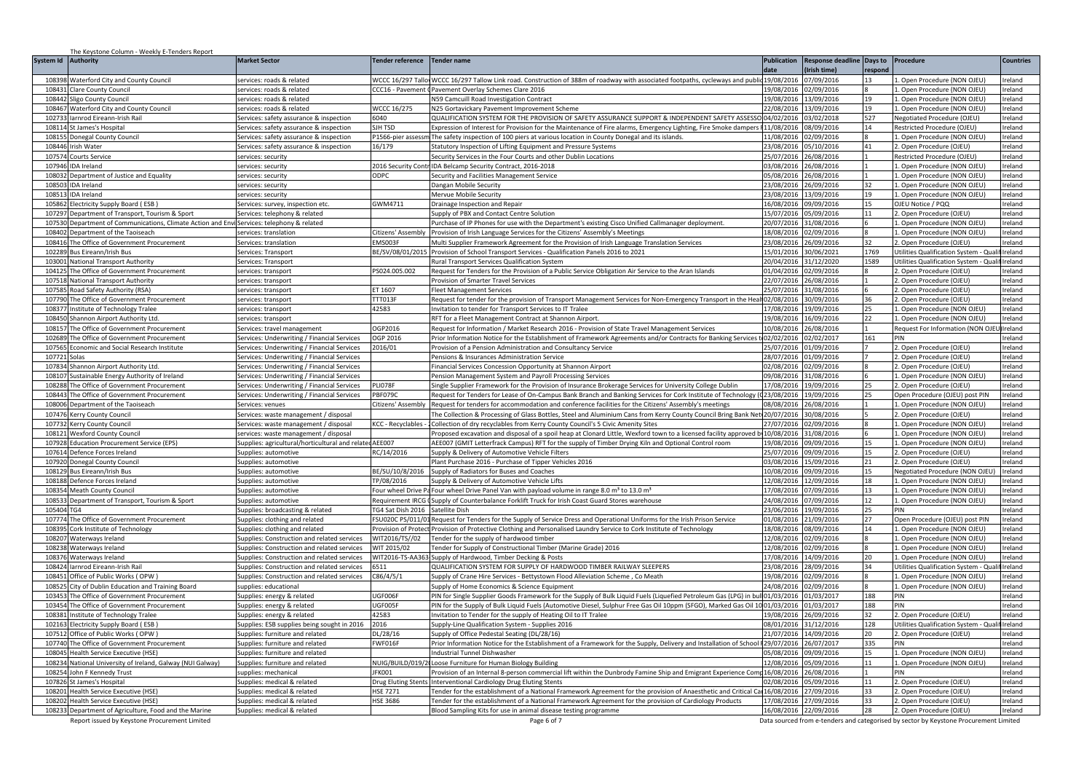| System Id Authority<br><b>Market Sector</b><br><b>Tender reference</b><br>Tender name<br><b>Publication</b><br><b>Response deadline</b><br><b>Countries</b><br>Days to<br>Procedure<br>date<br>Irish time)<br>respond<br>WCCC 16/297 Tallo WCCC 16/297 Tallow Link road. Construction of 388m of roadway with associated footpaths, cycleways and publid 19/08/2016<br>07/09/2016<br>. Open Procedure (NON OJEU)<br>108398<br><b>Waterford City and County Council</b><br>services: roads & related<br>Ireland<br>108431<br>Clare County Council<br>services: roads & related<br>CCC16 - Pavement<br>Pavement Overlay Schemes Clare 2016<br>19/08/2016<br>02/09/2016<br>1. Open Procedure (NON OJEU)<br>reland<br>19/08/2016<br>108442<br>Sligo County Council<br>services: roads & related<br><b>N59 Camcuill Road Investigation Contract</b><br>13/09/2016<br>19<br>Open Procedure (NON OJEU)<br>eland<br>108467<br><b>Waterford City and County Council</b><br>services: roads & related<br><b>NCCC 16/275</b><br><b>N25 Gortavickary Pavement Improvement Scheme</b><br>22/08/2016<br>13/09/2016<br>19<br>. Open Procedure (NON OJEU)<br>reland<br>6040<br>2UALIFICATION SYSTEM FOR THE PROVISION OF SAFETY ASSURANCE SUPPORT & INDEPENDENT SAFETY ASSESSO 04/02/2016<br>03/02/2018<br>527<br>102733<br>larnrod Eireann-Irish Rail<br>Negotiated Procedure (OJEU)<br>reland<br>Services: safety assurance & inspection<br>108114 St James's Hospital<br>SJH TSD<br>Expression of Interest for Provision for the Maintenance of Fire alarms, Emergency Lighting, Fire Smoke dampers 11/08/2016<br>08/09/2016<br>Restricted Procedure (OJEU)<br>Services: safety assurance & inspection<br>14<br>reland<br>108155 Donegal County Council<br>Services: safety assurance & inspection<br>P1566-pier assessm The safety inspection of 100 piers at various location in County Donegal and its islands.<br>11/08/2016<br>02/09/2016<br>1. Open Procedure (NON OJEU)<br>Ireland<br>16/179<br>108446 Irish Water<br>Services: safety assurance & inspection<br>Statutory Inspection of Lifting Equipment and Pressure Systems<br>23/08/2016<br>05/10/2016<br>41<br>2. Open Procedure (OJEU)<br>reland<br>107574<br>Security Services in the Four Courts and other Dublin Locations<br>25/07/2016<br>26/08/2016<br>Restricted Procedure (OJEU)<br>reland<br><b>Courts Service</b><br>services: securitv<br>107946<br>2016 Security Contr IDA Belcamp Security Contract, 2016-2018<br>03/08/2016<br>26/08/2016<br>Open Procedure (NON OJEU)<br>Ireland<br><b>IDA</b> Ireland<br>services: security<br>Department of Justice and Equality<br>ODPC<br>05/08/2016<br>26/08/2016<br>108032<br>services: security<br>Security and Facilities Management Service<br>. Open Procedure (NON OJEU)<br>reland<br>108503<br>services: security<br>Dangan Mobile Security<br>23/08/2016<br>26/09/2016<br>32<br>1. Open Procedure (NON OJEU)<br>reland<br><b>IDA</b> Ireland<br>108513<br><b>DA</b> Ireland<br>Mervue Mobile Security<br>23/08/2016<br>13/09/2016<br>19<br>. Open Procedure (NON OJEU)<br>eland<br>services: security<br>SWM4711<br>16/08/2016<br>09/09/2016<br>105862<br>Electricity Supply Board (ESB)<br>OJEU Notice / PQQ<br>reland<br>Services: survey, inspection etc<br><b>Drainage Inspection and Repair</b><br>15<br>05/09/2016<br>107297<br>Department of Transport, Tourism & Sport<br>Supply of PBX and Contact Centre Solution<br>15/07/2016<br>11<br>2. Open Procedure (OJEU)<br>reland<br>Services: telephony & related<br>107530 Department of Communications, Climate Action and Envi Services: telephony & related<br>Purchase of IP Phones for use with the Department's existing Cisco Unified Callmanager deployment.<br>20/07/2016 31/08/2016<br>1. Open Procedure (NON OJEU)<br>Ireland<br>108402<br>Department of the Taoiseach<br>Provision of Irish Language Services for the Citizens' Assembly's Meetings<br>18/08/2016<br>02/09/2016<br>1. Open Procedure (NON OJEU)<br>Ireland<br>services: translation<br>itizens' Assembly<br>108416<br>The Office of Government Procurement<br>MS003F<br>Multi Supplier Framework Agreement for the Provision of Irish Language Translation Services<br>23/08/2016<br>26/09/2016<br>2. Open Procedure (OJEU)<br>reland<br>Services: translation<br>102289<br>E/SV/08/01/2019<br>Provision of School Transport Services - Qualification Panels 2016 to 2021<br>15/01/2016<br>30/06/2021<br>1769<br>Utilities Qualification System - Qua<br>Bus Eireann/Irish Bus<br>Ireland<br>Services: Transport<br>20/04/2016<br>31/12/2020<br>1589<br>103001<br>Rural Transport Services Qualification System<br>Utilities Qualification System - Qualif Ireland<br>National Transport Authority<br>Services: Transport<br>104125<br>The Office of Government Procurement<br>PS024.005.002<br>Request for Tenders for the Provision of a Public Service Obligation Air Service to the Aran Islands<br>01/04/2016<br>02/09/2016<br>2. Open Procedure (OJEU<br>eland<br>services: transport<br>107518<br><b>National Transport Authority</b><br>rovision of Smarter Travel Services<br>22/07/2016<br>26/08/2016<br>. Open Procedure (OJEU)<br>eland<br>services: transport<br>107585<br>Road Safety Authority (RSA)<br>T 1607<br>leet Management Services<br>25/07/2016<br>31/08/2016<br>2. Open Procedure (OJEU)<br>eland<br>services: transport<br>Request for tender for the provision of Transport Management Services for Non-Emergency Transport in the Heal 02/08/2016<br>107790<br>The Office of Government Procurement<br>TT013F<br>30/09/2016<br>2. Open Procedure (OJEU)<br>reland<br>36<br>services: transport<br>42583<br>108377 Institute of Technology Tralee<br>17/08/2016 19/09/2016<br>Invitation to tender for Transport Services to IT Tralee<br>25<br>1. Open Procedure (NON OJEU)<br>reland<br>services: transport<br>108450 Shannon Airport Authority Ltd.<br>RFT for a Fleet Management Contract at Shannon Airport.<br>19/08/2016 16/09/2016<br>22<br>1. Open Procedure (NON OJEU)<br>Ireland<br>services: transport<br>108157<br>The Office of Government Procurement<br>OGP2016<br>Request for Information / Market Research 2016 - Provision of State Travel Management Services<br>10/08/2016<br>26/08/2016<br>Request For Information (NON OJI<br>Ireland<br>Services: travel management<br>102689<br>he Office of Government Procurement<br>OGP 2016<br>Prior Information Notice for the Establishment of Framework Agreements and/or Contracts for Banking Services<br>02/02/2016<br>02/02/2017<br>161<br>PIN<br>reland<br>Services: Underwriting / Financial Services<br>016/01<br>107565<br>conomic and Social Research Institute<br>Provision of a Pension Administration and Consultancy Service<br>25/07/2016<br>01/09/2016<br>2. Open Procedure (OJEU)<br>reland<br>Services: Underwriting / Financial Services<br>28/07/2016 01/09/2016<br>107721<br>Solas<br>Services: Underwriting / Financial Services<br>Pensions & Insurances Administration Service<br>2. Open Procedure (OJEU)<br>reland<br>Shannon Airport Authority Ltd.<br>inancial Services Concession Opportunity at Shannon Airport<br>02/09/2016<br>. Open Procedure (OJEU)<br>eland<br>107834<br>Services: Underwriting / Financial Services<br>02/08/2016<br>108107<br>ustainable Energy Authority of Ireland<br>Services: Underwriting / Financial Services<br>ension Management System and Payroll Processing Services<br>09/08/2016<br>31/08/2016<br>Open Procedure (NON OJEU)<br>eland<br>108288<br>LI078F<br>17/08/2016<br>19/09/2016<br>reland<br>he Office of Government Procurement<br>Services: Underwriting / Financial Services<br>ingle Supplier Framework for the Provision of Insurance Brokerage Services for University College Dublin<br>25<br>2. Open Procedure (OJEU)<br>108443<br>The Office of Government Procurement<br>Services: Underwriting / Financial Services<br>PBF0790<br>Request for Tenders for Lease of On-Campus Bank Branch and Banking Services for Cork Institute of Technology (Q23/08/2016<br>19/09/2016<br>Open Procedure (OJEU) post PIN<br>Ireland<br>25<br>108006 Department of the Taoiseach<br>Citizens' Assembly Request for tenders for accommodation and conference facilities for the Citizens' Assembly's meetings<br>08/08/2016 26/08/2016<br>1. Open Procedure (NON OJEU)<br>Ireland<br>Services: venues<br>107476<br>Kerry County Council<br>Services: waste management / disposal<br>The Collection & Processing of Glass Bottles, Steel and Aluminium Cans from Kerry County Council Bring Bank Net 20/07/2016<br>30/08/2016<br>2. Open Procedure (OJEU)<br>Ireland<br>10773<br><b>CC</b> - Recyclables<br>Collection of dry recyclables from Kerry County Council's 5 Civic Amenity Sites<br>27/07/2016<br>12/09/2016<br>L. Open Procedure (NON OJEU)<br>reland<br>Kerry County Council<br>Services: waste management / disposal<br>10/08/2016<br>10812<br>31/08/2016<br>. Open Procedure (NON OJEU)<br>services: waste management / disposal<br>roposed excavation and disposal of a spoil heap at Clonard Little, Wexford town to a licensed facility approved l'<br>reland<br>Nexford County Counci<br>Supplies: agricultural/horticultural and related AEE007<br>107928<br>19/08/2016<br>09/09/2016<br>15<br>L. Open Procedure (NON OJEU)<br>Ireland<br><b>Education Procurement Service (EPS)</b><br>AEE007 (GMIT Letterfrack Campus) RFT for the supply of Timber Drying Kiln and Optional Control room<br>107614<br>Defence Forces Ireland<br>RC/14/2016<br>Supply & Delivery of Automotive Vehicle Filters<br>25/07/2016<br>09/09/2016<br>15<br>2. Open Procedure (OJEU)<br>reland<br>Supplies: automotive<br>107920<br>Donegal County Council<br>Plant Purchase 2016 - Purchase of Tipper Vehicles 2016<br>03/08/2016<br>5/09/2016<br>21<br>2. Open Procedure (OJEU)<br>eland<br>Supplies: automotive<br>108129<br>Bus Eireann/Irish Bus<br>BE/SU/10/8/2016<br>Supply of Radiators for Buses and Coaches<br>10/08/2016<br>09/09/2016<br>Negotiated Procedure (NON OJEU)<br>reland<br>Supplies: automotive<br>15<br>108188 Defence Forces Ireland<br>FP/08/2016<br>Supply & Delivery of Automotive Vehicle Lifts<br>12/08/2016<br>12/09/2016<br>1. Open Procedure (NON OJEU)<br>18<br>reland<br>Supplies: automotive<br>108354 Meath County Council<br>Four wheel Drive Pa Four wheel Drive Panel Van with payload volume in range 8.0 m <sup>3</sup> to 13.0 m <sup>3</sup><br>17/08/2016 07/09/2016<br>13<br>1. Open Procedure (NON OJEU)<br>reland<br>Supplies: automotive<br>108533 Department of Transport, Tourism & Sport<br>Requirement IRCG (Supply of Counterbalance Forklift Truck for Irish Coast Guard Stores warehouse<br>24/08/2016<br>07/09/2016<br>12<br>1. Open Procedure (NON OJEU)<br>reland<br>Supplies: automotive<br>105404<br>G4 Sat Dish 2016<br>Satellite Dish<br>23/06/2016<br>19/09/2016<br>25<br>PIN<br>eland<br>G4<br>Supplies: broadcasting & related<br>The Office of Government Procurement<br>SU020C PS/011/0<br>01/08/2016<br>21/09/2016<br>27<br>Open Procedure (OJEU) post PIN<br>eland<br>107774<br>Supplies: clothing and related<br>Request for Tenders for the Supply of Service Dress and Operational Uniforms for the Irish Prison Service<br>18/08/2016<br>08/09/2016<br>Open Procedure (NON OJEU)<br>eland<br>10839<br>Cork Institute of Technolog<br>rovision of Protect<br>Provision of Protective Clothing and Personalised Laundry Service to Cork Institute of Technology<br>Supplies: clothing and related<br>NIT2016/TS//02<br>Waterways Ireland<br>ender for the supply of hardwood timber<br>12/08/2016<br>02/09/2016<br>1. Open Procedure (NON OJEU)<br>reland<br>108207<br>Supplies: Construction and related services<br>/IT 2015/02<br>ender for Supply of Constructional Timber (Marine Grade) 2016<br>12/08/2016<br>02/09/2016<br>Open Procedure (NON OJEU)<br>eland<br>108238<br>Waterways Ireland<br>Supplies: Construction and related services<br>108376<br>/IT2016-TS-AA363<br>Supply of Hardwood, Timber Decking & Posts<br>17/08/2016<br>14/09/2016<br>. Open Procedure (NON OJEU)<br>eland<br>Waterways Ireland<br>Supplies: Construction and related services<br>20<br>108424<br>QUALIFICATION SYSTEM FOR SUPPLY OF HARDWOOD TIMBER RAILWAY SLEEPERS<br>23/08/2016<br>28/09/2016<br>34<br>Utilities Qualification System - Qua<br>511<br>Ireland<br>Iarnrod Eireann-Irish Rail<br>Supplies: Construction and related services<br>108451<br>Office of Public Works (OPW)<br>C86/4/5/1<br>Supply of Crane Hire Services - Bettystown Flood Alleviation Scheme, Co Meath<br>19/08/2016 02/09/2016<br>Supplies: Construction and related services<br>1. Open Procedure (NON OJEU)<br>reland<br>108525<br>City of Dublin Education and Training Board<br>Supply of Home Economics & Science Equipment<br>24/08/2016<br>02/09/2016<br>1. Open Procedure (NON OJEU)<br>Ireland<br>supplies: educational<br>103453<br>The Office of Government Procurement<br>Supplies: energy & related<br>JGF006F<br>PIN for Single Supplier Goods Framework for the Supply of Bulk Liquid Fuels (Liquefied Petroleum Gas (LPG) in bul 01/03/2016<br>01/03/2017<br>188<br>PIN<br>Ireland<br>10345<br>he Office of Government Procurement<br>supplies: energy & related<br>JGF005F<br>PIN for the Supply of Bulk Liquid Fuels (Automotive Diesel, Sulphur Free Gas Oil 10ppm (SFGO), Marked Gas Oil 1001/03/2016<br>1/03/2017<br>188<br>reland<br>PIN<br>42583<br>10838<br>19/08/2016<br>26/09/2016<br>32<br>reland<br>nstitute of Technology Tralee<br>Supplies: energy & related<br>nvitation to Tender for the supply of Heating Oil to IT Tralee<br>2. Open Procedure (OJEU)<br>2016<br>128<br>10216<br>08/01/2016<br>31/12/2016<br>Ireland<br>[lectricity Supply Board (ESB)<br>Supplies: ESB supplies being sought in 2016<br>Supply-Line Qualification System - Supplies 2016<br>Utilities Qualification System - Qual<br>107512<br>Office of Public Works (OPW)<br>DL/28/16<br>Supply of Office Pedestal Seating (DL/28/16)<br>21/07/2016<br>14/09/2016<br>20<br>2. Open Procedure (OJEU)<br>Supplies: furniture and related<br>eland<br>107740<br>he Office of Government Procurement<br>Supplies: furniture and related<br>FWF016F<br>Prior Information Notice for the Establishment of a Framework for the Supply, Delivery and Installation of School 129/07/2016<br>6/07/2017<br>335<br>eland<br>108045<br>5/08/2016<br>9/09/2016<br>L. Open Procedure (NON OJEU)<br>Health Service Executive (HSE)<br>Supplies: furniture and related<br>ndustrial Tunnel Dishwasher<br>eland<br>15<br>108234 National University of Ireland, Galway (NUI Galway)<br>12/08/2016<br>05/09/2016<br>1. Open Procedure (NON OJEU)<br>Supplies: furniture and related<br>VUIG/BUILD/019/2<br>Loose Furniture for Human Biology Building<br>11<br>reland<br>108254<br>John F Kennedy Trust<br><b>FK001</b><br>Provision of an Internal 8-person commercial lift within the Dunbrody Famine Ship and Emigrant Experience Comp 16/08/2016<br>26/08/2016<br>reland<br>supplies: mechanical<br>PIN<br>107826<br>St James's Hospital<br>Supplies: medical & related<br>Orug Eluting Stents Interventional Cardiology Drug Eluting Stents<br>02/08/2016<br>05/09/2016<br>11<br>2. Open Procedure (OJEU)<br>reland<br>108201<br><b>Health Service Executive (HSE)</b><br>Supplies: medical & related<br><b>ISE 7271</b><br>ender for the establishment of a National Framework Agreement for the provision of Anaesthetic and Critical Car16/08/2016<br>7/09/2016<br>2. Open Procedure (OJEU)<br>reland<br>२२<br>108202<br><b>ISE 3686</b><br>17/08/2016<br>27/09/2016<br>lealth Service Executive (HSE)<br>Supplies: medical & related<br>ender for the establishment of a National Framework Agreement for the provision of Cardiology Products<br>33<br>2. Open Procedure (OJEU)<br>reland<br>108233 Department of Agriculture, Food and the Marine<br>Supplies: medical & related<br>16/08/2016 22/09/2016<br>28<br>2. Open Procedure (OJEU)<br>Blood Sampling Kits for use in animal disease testing programme<br>Ireland<br>Report issued by Keystone Procurement Limited<br>Page 6 of 7<br>Data sourced from e-tenders and categorised by sector by Keystone Procurement Limited | The Keystone Column - Weekly E-Tenders Report |  |  |  |  |
|----------------------------------------------------------------------------------------------------------------------------------------------------------------------------------------------------------------------------------------------------------------------------------------------------------------------------------------------------------------------------------------------------------------------------------------------------------------------------------------------------------------------------------------------------------------------------------------------------------------------------------------------------------------------------------------------------------------------------------------------------------------------------------------------------------------------------------------------------------------------------------------------------------------------------------------------------------------------------------------------------------------------------------------------------------------------------------------------------------------------------------------------------------------------------------------------------------------------------------------------------------------------------------------------------------------------------------------------------------------------------------------------------------------------------------------------------------------------------------------------------------------------------------------------------------------------------------------------------------------------------------------------------------------------------------------------------------------------------------------------------------------------------------------------------------------------------------------------------------------------------------------------------------------------------------------------------------------------------------------------------------------------------------------------------------------------------------------------------------------------------------------------------------------------------------------------------------------------------------------------------------------------------------------------------------------------------------------------------------------------------------------------------------------------------------------------------------------------------------------------------------------------------------------------------------------------------------------------------------------------------------------------------------------------------------------------------------------------------------------------------------------------------------------------------------------------------------------------------------------------------------------------------------------------------------------------------------------------------------------------------------------------------------------------------------------------------------------------------------------------------------------------------------------------------------------------------------------------------------------------------------------------------------------------------------------------------------------------------------------------------------------------------------------------------------------------------------------------------------------------------------------------------------------------------------------------------------------------------------------------------------------------------------------------------------------------------------------------------------------------------------------------------------------------------------------------------------------------------------------------------------------------------------------------------------------------------------------------------------------------------------------------------------------------------------------------------------------------------------------------------------------------------------------------------------------------------------------------------------------------------------------------------------------------------------------------------------------------------------------------------------------------------------------------------------------------------------------------------------------------------------------------------------------------------------------------------------------------------------------------------------------------------------------------------------------------------------------------------------------------------------------------------------------------------------------------------------------------------------------------------------------------------------------------------------------------------------------------------------------------------------------------------------------------------------------------------------------------------------------------------------------------------------------------------------------------------------------------------------------------------------------------------------------------------------------------------------------------------------------------------------------------------------------------------------------------------------------------------------------------------------------------------------------------------------------------------------------------------------------------------------------------------------------------------------------------------------------------------------------------------------------------------------------------------------------------------------------------------------------------------------------------------------------------------------------------------------------------------------------------------------------------------------------------------------------------------------------------------------------------------------------------------------------------------------------------------------------------------------------------------------------------------------------------------------------------------------------------------------------------------------------------------------------------------------------------------------------------------------------------------------------------------------------------------------------------------------------------------------------------------------------------------------------------------------------------------------------------------------------------------------------------------------------------------------------------------------------------------------------------------------------------------------------------------------------------------------------------------------------------------------------------------------------------------------------------------------------------------------------------------------------------------------------------------------------------------------------------------------------------------------------------------------------------------------------------------------------------------------------------------------------------------------------------------------------------------------------------------------------------------------------------------------------------------------------------------------------------------------------------------------------------------------------------------------------------------------------------------------------------------------------------------------------------------------------------------------------------------------------------------------------------------------------------------------------------------------------------------------------------------------------------------------------------------------------------------------------------------------------------------------------------------------------------------------------------------------------------------------------------------------------------------------------------------------------------------------------------------------------------------------------------------------------------------------------------------------------------------------------------------------------------------------------------------------------------------------------------------------------------------------------------------------------------------------------------------------------------------------------------------------------------------------------------------------------------------------------------------------------------------------------------------------------------------------------------------------------------------------------------------------------------------------------------------------------------------------------------------------------------------------------------------------------------------------------------------------------------------------------------------------------------------------------------------------------------------------------------------------------------------------------------------------------------------------------------------------------------------------------------------------------------------------------------------------------------------------------------------------------------------------------------------------------------------------------------------------------------------------------------------------------------------------------------------------------------------------------------------------------------------------------------------------------------------------------------------------------------------------------------------------------------------------------------------------------------------------------------------------------------------------------------------------------------------------------------------------------------------------------------------------------------------------------------------------------------------------------------------------------------------------------------------------------------------------------------------------------------------------------------------------------------------------------------------------------------------------------------------------------------------------------------------------------------------------------------------------------------------------------------------------------------------------------------------------------------------------------------------------------------------------------------------------------------------------------------------------------------------------------------------------------------------------------------------------------------------------------------------------------------------------------------------------------------------------------------------------------------------------------------------------------------------------------------------------------------------------------------------------------------------------------------------------------------------------------------------------------------------------------------------------------------------------------------------------------------------------------------------------------------------------------------------------------------------------------------------------------------------------------------------------------------------------------------------------------------------------------------------------------------------------------------------------------------------------------------------------------------------------------------------------------------------------------------------------------------------------------------------------------------------------------------------------------------------------------------------------------------------------------------------------------------------------------------------------------------------------------------------------------------------------------------------------------------------------------------------------------------------------------------------------------------------------------------------------------------------------------------------------------------------------------------------------------------------------------------------------------------------------------------------------------------------------------------------------------------------------------------------------------------------------------------------------------------------------------------------------------------------------------------------------------------------------------------------------------------------------------------------------------------------------------------------------------------------------------------------------------------------------------------------------------------------------------------------------------------------------------------------------------------------------------------------------------------------------------------------------------------------------------------------------------------------------------------------------------------------------------------------------------------------------------------------------------------------------------------------------------------------------------------------------------------------------------------------------------------------------------------------------------------------------------------------------------------------------------------------------------------------------------------------------------------------------------------------------------------------------------------------------------------------------------------------------------------------------------------------------------------------------------------------------------------------------------------------------------------------------------------------------------------------------------------------------------------------------------------------------------------------------------------------------------------------------------------------------------------------------------------------------------------------------------------------------------------------------------------------------------------------------------------------------------------------------------------------------------------------------------------------------------------------------------------------------------------------------------------------------------------------------------------------------------------------------------------------------------------------------------------------------------------------------------------------------------------------------------------------------------------------------------------------------------------------------------------------------------------------------------------------------------------------------------------------------------------------------------------------------------------------------------------------------------------------------------------------------------------------------------------------------------------------------------------------------------------------------------------------------------------------------------------------------------------------------------------------------------------------------------------------------------------------------------------------------------------------------------------------------------------------------------------------------------------------------------------------------------------------------------------------------------------------------------------------------------------------------------------------------------------------------------------------------------------------------------------------------------------------------------------|-----------------------------------------------|--|--|--|--|
|                                                                                                                                                                                                                                                                                                                                                                                                                                                                                                                                                                                                                                                                                                                                                                                                                                                                                                                                                                                                                                                                                                                                                                                                                                                                                                                                                                                                                                                                                                                                                                                                                                                                                                                                                                                                                                                                                                                                                                                                                                                                                                                                                                                                                                                                                                                                                                                                                                                                                                                                                                                                                                                                                                                                                                                                                                                                                                                                                                                                                                                                                                                                                                                                                                                                                                                                                                                                                                                                                                                                                                                                                                                                                                                                                                                                                                                                                                                                                                                                                                                                                                                                                                                                                                                                                                                                                                                                                                                                                                                                                                                                                                                                                                                                                                                                                                                                                                                                                                                                                                                                                                                                                                                                                                                                                                                                                                                                                                                                                                                                                                                                                                                                                                                                                                                                                                                                                                                                                                                                                                                                                                                                                                                                                                                                                                                                                                                                                                                                                                                                                                                                                                                                                                                                                                                                                                                                                                                                                                                                                                                                                                                                                                                                                                                                                                                                                                                                                                                                                                                                                                                                                                                                                                                                                                                                                                                                                                                                                                                                                                                                                                                                                                                                                                                                                                                                                                                                                                                                                                                                                                                                                                                                                                                                                                                                                                                                                                                                                                                                                                                                                                                                                                                                                                                                                                                                                                                                                                                                                                                                                                                                                                                                                                                                                                                                                                                                                                                                                                                                                                                                                                                                                                                                                                                                                                                                                                                                                                                                                                                                                                                                                                                                                                                                                                                                                                                                                                                                                                                                                                                                                                                                                                                                                                                                                                                                                                                                                                                                                                                                                                                                                                                                                                                                                                                                                                                                                                                                                                                                                                                                                                                                                                                                                                                                                                                                                                                                                                                                                                                                                                                                                                                                                                                                                                                                                                                                                                                                                                                                                                                                                                                                                                                                                                                                                                                                                                                                                                                                                                                                                                                                                                                                                                                                                                                                                                                                                                                                                                                                                                                                                                                                                                                                                                                                                                                                                                                                                                                                                                                                                                                                                                                                                                                                                                                                                                                                                                                                                                                                                                                                                                                                                                                                                                                                                                                                                                                                                                                                                                                                                                                                                                                                                                                                                                                                                                                                                                                                                                                                                                                                                                                                                                                                                                                                                                                                              |                                               |  |  |  |  |
|                                                                                                                                                                                                                                                                                                                                                                                                                                                                                                                                                                                                                                                                                                                                                                                                                                                                                                                                                                                                                                                                                                                                                                                                                                                                                                                                                                                                                                                                                                                                                                                                                                                                                                                                                                                                                                                                                                                                                                                                                                                                                                                                                                                                                                                                                                                                                                                                                                                                                                                                                                                                                                                                                                                                                                                                                                                                                                                                                                                                                                                                                                                                                                                                                                                                                                                                                                                                                                                                                                                                                                                                                                                                                                                                                                                                                                                                                                                                                                                                                                                                                                                                                                                                                                                                                                                                                                                                                                                                                                                                                                                                                                                                                                                                                                                                                                                                                                                                                                                                                                                                                                                                                                                                                                                                                                                                                                                                                                                                                                                                                                                                                                                                                                                                                                                                                                                                                                                                                                                                                                                                                                                                                                                                                                                                                                                                                                                                                                                                                                                                                                                                                                                                                                                                                                                                                                                                                                                                                                                                                                                                                                                                                                                                                                                                                                                                                                                                                                                                                                                                                                                                                                                                                                                                                                                                                                                                                                                                                                                                                                                                                                                                                                                                                                                                                                                                                                                                                                                                                                                                                                                                                                                                                                                                                                                                                                                                                                                                                                                                                                                                                                                                                                                                                                                                                                                                                                                                                                                                                                                                                                                                                                                                                                                                                                                                                                                                                                                                                                                                                                                                                                                                                                                                                                                                                                                                                                                                                                                                                                                                                                                                                                                                                                                                                                                                                                                                                                                                                                                                                                                                                                                                                                                                                                                                                                                                                                                                                                                                                                                                                                                                                                                                                                                                                                                                                                                                                                                                                                                                                                                                                                                                                                                                                                                                                                                                                                                                                                                                                                                                                                                                                                                                                                                                                                                                                                                                                                                                                                                                                                                                                                                                                                                                                                                                                                                                                                                                                                                                                                                                                                                                                                                                                                                                                                                                                                                                                                                                                                                                                                                                                                                                                                                                                                                                                                                                                                                                                                                                                                                                                                                                                                                                                                                                                                                                                                                                                                                                                                                                                                                                                                                                                                                                                                                                                                                                                                                                                                                                                                                                                                                                                                                                                                                                                                                                                                                                                                                                                                                                                                                                                                                                                                                                                                                                                                                                              |                                               |  |  |  |  |
|                                                                                                                                                                                                                                                                                                                                                                                                                                                                                                                                                                                                                                                                                                                                                                                                                                                                                                                                                                                                                                                                                                                                                                                                                                                                                                                                                                                                                                                                                                                                                                                                                                                                                                                                                                                                                                                                                                                                                                                                                                                                                                                                                                                                                                                                                                                                                                                                                                                                                                                                                                                                                                                                                                                                                                                                                                                                                                                                                                                                                                                                                                                                                                                                                                                                                                                                                                                                                                                                                                                                                                                                                                                                                                                                                                                                                                                                                                                                                                                                                                                                                                                                                                                                                                                                                                                                                                                                                                                                                                                                                                                                                                                                                                                                                                                                                                                                                                                                                                                                                                                                                                                                                                                                                                                                                                                                                                                                                                                                                                                                                                                                                                                                                                                                                                                                                                                                                                                                                                                                                                                                                                                                                                                                                                                                                                                                                                                                                                                                                                                                                                                                                                                                                                                                                                                                                                                                                                                                                                                                                                                                                                                                                                                                                                                                                                                                                                                                                                                                                                                                                                                                                                                                                                                                                                                                                                                                                                                                                                                                                                                                                                                                                                                                                                                                                                                                                                                                                                                                                                                                                                                                                                                                                                                                                                                                                                                                                                                                                                                                                                                                                                                                                                                                                                                                                                                                                                                                                                                                                                                                                                                                                                                                                                                                                                                                                                                                                                                                                                                                                                                                                                                                                                                                                                                                                                                                                                                                                                                                                                                                                                                                                                                                                                                                                                                                                                                                                                                                                                                                                                                                                                                                                                                                                                                                                                                                                                                                                                                                                                                                                                                                                                                                                                                                                                                                                                                                                                                                                                                                                                                                                                                                                                                                                                                                                                                                                                                                                                                                                                                                                                                                                                                                                                                                                                                                                                                                                                                                                                                                                                                                                                                                                                                                                                                                                                                                                                                                                                                                                                                                                                                                                                                                                                                                                                                                                                                                                                                                                                                                                                                                                                                                                                                                                                                                                                                                                                                                                                                                                                                                                                                                                                                                                                                                                                                                                                                                                                                                                                                                                                                                                                                                                                                                                                                                                                                                                                                                                                                                                                                                                                                                                                                                                                                                                                                                                                                                                                                                                                                                                                                                                                                                                                                                                                                                                                                                              |                                               |  |  |  |  |
|                                                                                                                                                                                                                                                                                                                                                                                                                                                                                                                                                                                                                                                                                                                                                                                                                                                                                                                                                                                                                                                                                                                                                                                                                                                                                                                                                                                                                                                                                                                                                                                                                                                                                                                                                                                                                                                                                                                                                                                                                                                                                                                                                                                                                                                                                                                                                                                                                                                                                                                                                                                                                                                                                                                                                                                                                                                                                                                                                                                                                                                                                                                                                                                                                                                                                                                                                                                                                                                                                                                                                                                                                                                                                                                                                                                                                                                                                                                                                                                                                                                                                                                                                                                                                                                                                                                                                                                                                                                                                                                                                                                                                                                                                                                                                                                                                                                                                                                                                                                                                                                                                                                                                                                                                                                                                                                                                                                                                                                                                                                                                                                                                                                                                                                                                                                                                                                                                                                                                                                                                                                                                                                                                                                                                                                                                                                                                                                                                                                                                                                                                                                                                                                                                                                                                                                                                                                                                                                                                                                                                                                                                                                                                                                                                                                                                                                                                                                                                                                                                                                                                                                                                                                                                                                                                                                                                                                                                                                                                                                                                                                                                                                                                                                                                                                                                                                                                                                                                                                                                                                                                                                                                                                                                                                                                                                                                                                                                                                                                                                                                                                                                                                                                                                                                                                                                                                                                                                                                                                                                                                                                                                                                                                                                                                                                                                                                                                                                                                                                                                                                                                                                                                                                                                                                                                                                                                                                                                                                                                                                                                                                                                                                                                                                                                                                                                                                                                                                                                                                                                                                                                                                                                                                                                                                                                                                                                                                                                                                                                                                                                                                                                                                                                                                                                                                                                                                                                                                                                                                                                                                                                                                                                                                                                                                                                                                                                                                                                                                                                                                                                                                                                                                                                                                                                                                                                                                                                                                                                                                                                                                                                                                                                                                                                                                                                                                                                                                                                                                                                                                                                                                                                                                                                                                                                                                                                                                                                                                                                                                                                                                                                                                                                                                                                                                                                                                                                                                                                                                                                                                                                                                                                                                                                                                                                                                                                                                                                                                                                                                                                                                                                                                                                                                                                                                                                                                                                                                                                                                                                                                                                                                                                                                                                                                                                                                                                                                                                                                                                                                                                                                                                                                                                                                                                                                                                                                                                                              |                                               |  |  |  |  |
|                                                                                                                                                                                                                                                                                                                                                                                                                                                                                                                                                                                                                                                                                                                                                                                                                                                                                                                                                                                                                                                                                                                                                                                                                                                                                                                                                                                                                                                                                                                                                                                                                                                                                                                                                                                                                                                                                                                                                                                                                                                                                                                                                                                                                                                                                                                                                                                                                                                                                                                                                                                                                                                                                                                                                                                                                                                                                                                                                                                                                                                                                                                                                                                                                                                                                                                                                                                                                                                                                                                                                                                                                                                                                                                                                                                                                                                                                                                                                                                                                                                                                                                                                                                                                                                                                                                                                                                                                                                                                                                                                                                                                                                                                                                                                                                                                                                                                                                                                                                                                                                                                                                                                                                                                                                                                                                                                                                                                                                                                                                                                                                                                                                                                                                                                                                                                                                                                                                                                                                                                                                                                                                                                                                                                                                                                                                                                                                                                                                                                                                                                                                                                                                                                                                                                                                                                                                                                                                                                                                                                                                                                                                                                                                                                                                                                                                                                                                                                                                                                                                                                                                                                                                                                                                                                                                                                                                                                                                                                                                                                                                                                                                                                                                                                                                                                                                                                                                                                                                                                                                                                                                                                                                                                                                                                                                                                                                                                                                                                                                                                                                                                                                                                                                                                                                                                                                                                                                                                                                                                                                                                                                                                                                                                                                                                                                                                                                                                                                                                                                                                                                                                                                                                                                                                                                                                                                                                                                                                                                                                                                                                                                                                                                                                                                                                                                                                                                                                                                                                                                                                                                                                                                                                                                                                                                                                                                                                                                                                                                                                                                                                                                                                                                                                                                                                                                                                                                                                                                                                                                                                                                                                                                                                                                                                                                                                                                                                                                                                                                                                                                                                                                                                                                                                                                                                                                                                                                                                                                                                                                                                                                                                                                                                                                                                                                                                                                                                                                                                                                                                                                                                                                                                                                                                                                                                                                                                                                                                                                                                                                                                                                                                                                                                                                                                                                                                                                                                                                                                                                                                                                                                                                                                                                                                                                                                                                                                                                                                                                                                                                                                                                                                                                                                                                                                                                                                                                                                                                                                                                                                                                                                                                                                                                                                                                                                                                                                                                                                                                                                                                                                                                                                                                                                                                                                                                                                                                                              |                                               |  |  |  |  |
|                                                                                                                                                                                                                                                                                                                                                                                                                                                                                                                                                                                                                                                                                                                                                                                                                                                                                                                                                                                                                                                                                                                                                                                                                                                                                                                                                                                                                                                                                                                                                                                                                                                                                                                                                                                                                                                                                                                                                                                                                                                                                                                                                                                                                                                                                                                                                                                                                                                                                                                                                                                                                                                                                                                                                                                                                                                                                                                                                                                                                                                                                                                                                                                                                                                                                                                                                                                                                                                                                                                                                                                                                                                                                                                                                                                                                                                                                                                                                                                                                                                                                                                                                                                                                                                                                                                                                                                                                                                                                                                                                                                                                                                                                                                                                                                                                                                                                                                                                                                                                                                                                                                                                                                                                                                                                                                                                                                                                                                                                                                                                                                                                                                                                                                                                                                                                                                                                                                                                                                                                                                                                                                                                                                                                                                                                                                                                                                                                                                                                                                                                                                                                                                                                                                                                                                                                                                                                                                                                                                                                                                                                                                                                                                                                                                                                                                                                                                                                                                                                                                                                                                                                                                                                                                                                                                                                                                                                                                                                                                                                                                                                                                                                                                                                                                                                                                                                                                                                                                                                                                                                                                                                                                                                                                                                                                                                                                                                                                                                                                                                                                                                                                                                                                                                                                                                                                                                                                                                                                                                                                                                                                                                                                                                                                                                                                                                                                                                                                                                                                                                                                                                                                                                                                                                                                                                                                                                                                                                                                                                                                                                                                                                                                                                                                                                                                                                                                                                                                                                                                                                                                                                                                                                                                                                                                                                                                                                                                                                                                                                                                                                                                                                                                                                                                                                                                                                                                                                                                                                                                                                                                                                                                                                                                                                                                                                                                                                                                                                                                                                                                                                                                                                                                                                                                                                                                                                                                                                                                                                                                                                                                                                                                                                                                                                                                                                                                                                                                                                                                                                                                                                                                                                                                                                                                                                                                                                                                                                                                                                                                                                                                                                                                                                                                                                                                                                                                                                                                                                                                                                                                                                                                                                                                                                                                                                                                                                                                                                                                                                                                                                                                                                                                                                                                                                                                                                                                                                                                                                                                                                                                                                                                                                                                                                                                                                                                                                                                                                                                                                                                                                                                                                                                                                                                                                                                                                                                                              |                                               |  |  |  |  |
|                                                                                                                                                                                                                                                                                                                                                                                                                                                                                                                                                                                                                                                                                                                                                                                                                                                                                                                                                                                                                                                                                                                                                                                                                                                                                                                                                                                                                                                                                                                                                                                                                                                                                                                                                                                                                                                                                                                                                                                                                                                                                                                                                                                                                                                                                                                                                                                                                                                                                                                                                                                                                                                                                                                                                                                                                                                                                                                                                                                                                                                                                                                                                                                                                                                                                                                                                                                                                                                                                                                                                                                                                                                                                                                                                                                                                                                                                                                                                                                                                                                                                                                                                                                                                                                                                                                                                                                                                                                                                                                                                                                                                                                                                                                                                                                                                                                                                                                                                                                                                                                                                                                                                                                                                                                                                                                                                                                                                                                                                                                                                                                                                                                                                                                                                                                                                                                                                                                                                                                                                                                                                                                                                                                                                                                                                                                                                                                                                                                                                                                                                                                                                                                                                                                                                                                                                                                                                                                                                                                                                                                                                                                                                                                                                                                                                                                                                                                                                                                                                                                                                                                                                                                                                                                                                                                                                                                                                                                                                                                                                                                                                                                                                                                                                                                                                                                                                                                                                                                                                                                                                                                                                                                                                                                                                                                                                                                                                                                                                                                                                                                                                                                                                                                                                                                                                                                                                                                                                                                                                                                                                                                                                                                                                                                                                                                                                                                                                                                                                                                                                                                                                                                                                                                                                                                                                                                                                                                                                                                                                                                                                                                                                                                                                                                                                                                                                                                                                                                                                                                                                                                                                                                                                                                                                                                                                                                                                                                                                                                                                                                                                                                                                                                                                                                                                                                                                                                                                                                                                                                                                                                                                                                                                                                                                                                                                                                                                                                                                                                                                                                                                                                                                                                                                                                                                                                                                                                                                                                                                                                                                                                                                                                                                                                                                                                                                                                                                                                                                                                                                                                                                                                                                                                                                                                                                                                                                                                                                                                                                                                                                                                                                                                                                                                                                                                                                                                                                                                                                                                                                                                                                                                                                                                                                                                                                                                                                                                                                                                                                                                                                                                                                                                                                                                                                                                                                                                                                                                                                                                                                                                                                                                                                                                                                                                                                                                                                                                                                                                                                                                                                                                                                                                                                                                                                                                                                                                                              |                                               |  |  |  |  |
|                                                                                                                                                                                                                                                                                                                                                                                                                                                                                                                                                                                                                                                                                                                                                                                                                                                                                                                                                                                                                                                                                                                                                                                                                                                                                                                                                                                                                                                                                                                                                                                                                                                                                                                                                                                                                                                                                                                                                                                                                                                                                                                                                                                                                                                                                                                                                                                                                                                                                                                                                                                                                                                                                                                                                                                                                                                                                                                                                                                                                                                                                                                                                                                                                                                                                                                                                                                                                                                                                                                                                                                                                                                                                                                                                                                                                                                                                                                                                                                                                                                                                                                                                                                                                                                                                                                                                                                                                                                                                                                                                                                                                                                                                                                                                                                                                                                                                                                                                                                                                                                                                                                                                                                                                                                                                                                                                                                                                                                                                                                                                                                                                                                                                                                                                                                                                                                                                                                                                                                                                                                                                                                                                                                                                                                                                                                                                                                                                                                                                                                                                                                                                                                                                                                                                                                                                                                                                                                                                                                                                                                                                                                                                                                                                                                                                                                                                                                                                                                                                                                                                                                                                                                                                                                                                                                                                                                                                                                                                                                                                                                                                                                                                                                                                                                                                                                                                                                                                                                                                                                                                                                                                                                                                                                                                                                                                                                                                                                                                                                                                                                                                                                                                                                                                                                                                                                                                                                                                                                                                                                                                                                                                                                                                                                                                                                                                                                                                                                                                                                                                                                                                                                                                                                                                                                                                                                                                                                                                                                                                                                                                                                                                                                                                                                                                                                                                                                                                                                                                                                                                                                                                                                                                                                                                                                                                                                                                                                                                                                                                                                                                                                                                                                                                                                                                                                                                                                                                                                                                                                                                                                                                                                                                                                                                                                                                                                                                                                                                                                                                                                                                                                                                                                                                                                                                                                                                                                                                                                                                                                                                                                                                                                                                                                                                                                                                                                                                                                                                                                                                                                                                                                                                                                                                                                                                                                                                                                                                                                                                                                                                                                                                                                                                                                                                                                                                                                                                                                                                                                                                                                                                                                                                                                                                                                                                                                                                                                                                                                                                                                                                                                                                                                                                                                                                                                                                                                                                                                                                                                                                                                                                                                                                                                                                                                                                                                                                                                                                                                                                                                                                                                                                                                                                                                                                                                                                                                                              |                                               |  |  |  |  |
|                                                                                                                                                                                                                                                                                                                                                                                                                                                                                                                                                                                                                                                                                                                                                                                                                                                                                                                                                                                                                                                                                                                                                                                                                                                                                                                                                                                                                                                                                                                                                                                                                                                                                                                                                                                                                                                                                                                                                                                                                                                                                                                                                                                                                                                                                                                                                                                                                                                                                                                                                                                                                                                                                                                                                                                                                                                                                                                                                                                                                                                                                                                                                                                                                                                                                                                                                                                                                                                                                                                                                                                                                                                                                                                                                                                                                                                                                                                                                                                                                                                                                                                                                                                                                                                                                                                                                                                                                                                                                                                                                                                                                                                                                                                                                                                                                                                                                                                                                                                                                                                                                                                                                                                                                                                                                                                                                                                                                                                                                                                                                                                                                                                                                                                                                                                                                                                                                                                                                                                                                                                                                                                                                                                                                                                                                                                                                                                                                                                                                                                                                                                                                                                                                                                                                                                                                                                                                                                                                                                                                                                                                                                                                                                                                                                                                                                                                                                                                                                                                                                                                                                                                                                                                                                                                                                                                                                                                                                                                                                                                                                                                                                                                                                                                                                                                                                                                                                                                                                                                                                                                                                                                                                                                                                                                                                                                                                                                                                                                                                                                                                                                                                                                                                                                                                                                                                                                                                                                                                                                                                                                                                                                                                                                                                                                                                                                                                                                                                                                                                                                                                                                                                                                                                                                                                                                                                                                                                                                                                                                                                                                                                                                                                                                                                                                                                                                                                                                                                                                                                                                                                                                                                                                                                                                                                                                                                                                                                                                                                                                                                                                                                                                                                                                                                                                                                                                                                                                                                                                                                                                                                                                                                                                                                                                                                                                                                                                                                                                                                                                                                                                                                                                                                                                                                                                                                                                                                                                                                                                                                                                                                                                                                                                                                                                                                                                                                                                                                                                                                                                                                                                                                                                                                                                                                                                                                                                                                                                                                                                                                                                                                                                                                                                                                                                                                                                                                                                                                                                                                                                                                                                                                                                                                                                                                                                                                                                                                                                                                                                                                                                                                                                                                                                                                                                                                                                                                                                                                                                                                                                                                                                                                                                                                                                                                                                                                                                                                                                                                                                                                                                                                                                                                                                                                                                                                                                                                                              |                                               |  |  |  |  |
|                                                                                                                                                                                                                                                                                                                                                                                                                                                                                                                                                                                                                                                                                                                                                                                                                                                                                                                                                                                                                                                                                                                                                                                                                                                                                                                                                                                                                                                                                                                                                                                                                                                                                                                                                                                                                                                                                                                                                                                                                                                                                                                                                                                                                                                                                                                                                                                                                                                                                                                                                                                                                                                                                                                                                                                                                                                                                                                                                                                                                                                                                                                                                                                                                                                                                                                                                                                                                                                                                                                                                                                                                                                                                                                                                                                                                                                                                                                                                                                                                                                                                                                                                                                                                                                                                                                                                                                                                                                                                                                                                                                                                                                                                                                                                                                                                                                                                                                                                                                                                                                                                                                                                                                                                                                                                                                                                                                                                                                                                                                                                                                                                                                                                                                                                                                                                                                                                                                                                                                                                                                                                                                                                                                                                                                                                                                                                                                                                                                                                                                                                                                                                                                                                                                                                                                                                                                                                                                                                                                                                                                                                                                                                                                                                                                                                                                                                                                                                                                                                                                                                                                                                                                                                                                                                                                                                                                                                                                                                                                                                                                                                                                                                                                                                                                                                                                                                                                                                                                                                                                                                                                                                                                                                                                                                                                                                                                                                                                                                                                                                                                                                                                                                                                                                                                                                                                                                                                                                                                                                                                                                                                                                                                                                                                                                                                                                                                                                                                                                                                                                                                                                                                                                                                                                                                                                                                                                                                                                                                                                                                                                                                                                                                                                                                                                                                                                                                                                                                                                                                                                                                                                                                                                                                                                                                                                                                                                                                                                                                                                                                                                                                                                                                                                                                                                                                                                                                                                                                                                                                                                                                                                                                                                                                                                                                                                                                                                                                                                                                                                                                                                                                                                                                                                                                                                                                                                                                                                                                                                                                                                                                                                                                                                                                                                                                                                                                                                                                                                                                                                                                                                                                                                                                                                                                                                                                                                                                                                                                                                                                                                                                                                                                                                                                                                                                                                                                                                                                                                                                                                                                                                                                                                                                                                                                                                                                                                                                                                                                                                                                                                                                                                                                                                                                                                                                                                                                                                                                                                                                                                                                                                                                                                                                                                                                                                                                                                                                                                                                                                                                                                                                                                                                                                                                                                                                                                                                                              |                                               |  |  |  |  |
|                                                                                                                                                                                                                                                                                                                                                                                                                                                                                                                                                                                                                                                                                                                                                                                                                                                                                                                                                                                                                                                                                                                                                                                                                                                                                                                                                                                                                                                                                                                                                                                                                                                                                                                                                                                                                                                                                                                                                                                                                                                                                                                                                                                                                                                                                                                                                                                                                                                                                                                                                                                                                                                                                                                                                                                                                                                                                                                                                                                                                                                                                                                                                                                                                                                                                                                                                                                                                                                                                                                                                                                                                                                                                                                                                                                                                                                                                                                                                                                                                                                                                                                                                                                                                                                                                                                                                                                                                                                                                                                                                                                                                                                                                                                                                                                                                                                                                                                                                                                                                                                                                                                                                                                                                                                                                                                                                                                                                                                                                                                                                                                                                                                                                                                                                                                                                                                                                                                                                                                                                                                                                                                                                                                                                                                                                                                                                                                                                                                                                                                                                                                                                                                                                                                                                                                                                                                                                                                                                                                                                                                                                                                                                                                                                                                                                                                                                                                                                                                                                                                                                                                                                                                                                                                                                                                                                                                                                                                                                                                                                                                                                                                                                                                                                                                                                                                                                                                                                                                                                                                                                                                                                                                                                                                                                                                                                                                                                                                                                                                                                                                                                                                                                                                                                                                                                                                                                                                                                                                                                                                                                                                                                                                                                                                                                                                                                                                                                                                                                                                                                                                                                                                                                                                                                                                                                                                                                                                                                                                                                                                                                                                                                                                                                                                                                                                                                                                                                                                                                                                                                                                                                                                                                                                                                                                                                                                                                                                                                                                                                                                                                                                                                                                                                                                                                                                                                                                                                                                                                                                                                                                                                                                                                                                                                                                                                                                                                                                                                                                                                                                                                                                                                                                                                                                                                                                                                                                                                                                                                                                                                                                                                                                                                                                                                                                                                                                                                                                                                                                                                                                                                                                                                                                                                                                                                                                                                                                                                                                                                                                                                                                                                                                                                                                                                                                                                                                                                                                                                                                                                                                                                                                                                                                                                                                                                                                                                                                                                                                                                                                                                                                                                                                                                                                                                                                                                                                                                                                                                                                                                                                                                                                                                                                                                                                                                                                                                                                                                                                                                                                                                                                                                                                                                                                                                                                                                                                                              |                                               |  |  |  |  |
|                                                                                                                                                                                                                                                                                                                                                                                                                                                                                                                                                                                                                                                                                                                                                                                                                                                                                                                                                                                                                                                                                                                                                                                                                                                                                                                                                                                                                                                                                                                                                                                                                                                                                                                                                                                                                                                                                                                                                                                                                                                                                                                                                                                                                                                                                                                                                                                                                                                                                                                                                                                                                                                                                                                                                                                                                                                                                                                                                                                                                                                                                                                                                                                                                                                                                                                                                                                                                                                                                                                                                                                                                                                                                                                                                                                                                                                                                                                                                                                                                                                                                                                                                                                                                                                                                                                                                                                                                                                                                                                                                                                                                                                                                                                                                                                                                                                                                                                                                                                                                                                                                                                                                                                                                                                                                                                                                                                                                                                                                                                                                                                                                                                                                                                                                                                                                                                                                                                                                                                                                                                                                                                                                                                                                                                                                                                                                                                                                                                                                                                                                                                                                                                                                                                                                                                                                                                                                                                                                                                                                                                                                                                                                                                                                                                                                                                                                                                                                                                                                                                                                                                                                                                                                                                                                                                                                                                                                                                                                                                                                                                                                                                                                                                                                                                                                                                                                                                                                                                                                                                                                                                                                                                                                                                                                                                                                                                                                                                                                                                                                                                                                                                                                                                                                                                                                                                                                                                                                                                                                                                                                                                                                                                                                                                                                                                                                                                                                                                                                                                                                                                                                                                                                                                                                                                                                                                                                                                                                                                                                                                                                                                                                                                                                                                                                                                                                                                                                                                                                                                                                                                                                                                                                                                                                                                                                                                                                                                                                                                                                                                                                                                                                                                                                                                                                                                                                                                                                                                                                                                                                                                                                                                                                                                                                                                                                                                                                                                                                                                                                                                                                                                                                                                                                                                                                                                                                                                                                                                                                                                                                                                                                                                                                                                                                                                                                                                                                                                                                                                                                                                                                                                                                                                                                                                                                                                                                                                                                                                                                                                                                                                                                                                                                                                                                                                                                                                                                                                                                                                                                                                                                                                                                                                                                                                                                                                                                                                                                                                                                                                                                                                                                                                                                                                                                                                                                                                                                                                                                                                                                                                                                                                                                                                                                                                                                                                                                                                                                                                                                                                                                                                                                                                                                                                                                                                                                                                                              |                                               |  |  |  |  |
|                                                                                                                                                                                                                                                                                                                                                                                                                                                                                                                                                                                                                                                                                                                                                                                                                                                                                                                                                                                                                                                                                                                                                                                                                                                                                                                                                                                                                                                                                                                                                                                                                                                                                                                                                                                                                                                                                                                                                                                                                                                                                                                                                                                                                                                                                                                                                                                                                                                                                                                                                                                                                                                                                                                                                                                                                                                                                                                                                                                                                                                                                                                                                                                                                                                                                                                                                                                                                                                                                                                                                                                                                                                                                                                                                                                                                                                                                                                                                                                                                                                                                                                                                                                                                                                                                                                                                                                                                                                                                                                                                                                                                                                                                                                                                                                                                                                                                                                                                                                                                                                                                                                                                                                                                                                                                                                                                                                                                                                                                                                                                                                                                                                                                                                                                                                                                                                                                                                                                                                                                                                                                                                                                                                                                                                                                                                                                                                                                                                                                                                                                                                                                                                                                                                                                                                                                                                                                                                                                                                                                                                                                                                                                                                                                                                                                                                                                                                                                                                                                                                                                                                                                                                                                                                                                                                                                                                                                                                                                                                                                                                                                                                                                                                                                                                                                                                                                                                                                                                                                                                                                                                                                                                                                                                                                                                                                                                                                                                                                                                                                                                                                                                                                                                                                                                                                                                                                                                                                                                                                                                                                                                                                                                                                                                                                                                                                                                                                                                                                                                                                                                                                                                                                                                                                                                                                                                                                                                                                                                                                                                                                                                                                                                                                                                                                                                                                                                                                                                                                                                                                                                                                                                                                                                                                                                                                                                                                                                                                                                                                                                                                                                                                                                                                                                                                                                                                                                                                                                                                                                                                                                                                                                                                                                                                                                                                                                                                                                                                                                                                                                                                                                                                                                                                                                                                                                                                                                                                                                                                                                                                                                                                                                                                                                                                                                                                                                                                                                                                                                                                                                                                                                                                                                                                                                                                                                                                                                                                                                                                                                                                                                                                                                                                                                                                                                                                                                                                                                                                                                                                                                                                                                                                                                                                                                                                                                                                                                                                                                                                                                                                                                                                                                                                                                                                                                                                                                                                                                                                                                                                                                                                                                                                                                                                                                                                                                                                                                                                                                                                                                                                                                                                                                                                                                                                                                                                                                                              |                                               |  |  |  |  |
|                                                                                                                                                                                                                                                                                                                                                                                                                                                                                                                                                                                                                                                                                                                                                                                                                                                                                                                                                                                                                                                                                                                                                                                                                                                                                                                                                                                                                                                                                                                                                                                                                                                                                                                                                                                                                                                                                                                                                                                                                                                                                                                                                                                                                                                                                                                                                                                                                                                                                                                                                                                                                                                                                                                                                                                                                                                                                                                                                                                                                                                                                                                                                                                                                                                                                                                                                                                                                                                                                                                                                                                                                                                                                                                                                                                                                                                                                                                                                                                                                                                                                                                                                                                                                                                                                                                                                                                                                                                                                                                                                                                                                                                                                                                                                                                                                                                                                                                                                                                                                                                                                                                                                                                                                                                                                                                                                                                                                                                                                                                                                                                                                                                                                                                                                                                                                                                                                                                                                                                                                                                                                                                                                                                                                                                                                                                                                                                                                                                                                                                                                                                                                                                                                                                                                                                                                                                                                                                                                                                                                                                                                                                                                                                                                                                                                                                                                                                                                                                                                                                                                                                                                                                                                                                                                                                                                                                                                                                                                                                                                                                                                                                                                                                                                                                                                                                                                                                                                                                                                                                                                                                                                                                                                                                                                                                                                                                                                                                                                                                                                                                                                                                                                                                                                                                                                                                                                                                                                                                                                                                                                                                                                                                                                                                                                                                                                                                                                                                                                                                                                                                                                                                                                                                                                                                                                                                                                                                                                                                                                                                                                                                                                                                                                                                                                                                                                                                                                                                                                                                                                                                                                                                                                                                                                                                                                                                                                                                                                                                                                                                                                                                                                                                                                                                                                                                                                                                                                                                                                                                                                                                                                                                                                                                                                                                                                                                                                                                                                                                                                                                                                                                                                                                                                                                                                                                                                                                                                                                                                                                                                                                                                                                                                                                                                                                                                                                                                                                                                                                                                                                                                                                                                                                                                                                                                                                                                                                                                                                                                                                                                                                                                                                                                                                                                                                                                                                                                                                                                                                                                                                                                                                                                                                                                                                                                                                                                                                                                                                                                                                                                                                                                                                                                                                                                                                                                                                                                                                                                                                                                                                                                                                                                                                                                                                                                                                                                                                                                                                                                                                                                                                                                                                                                                                                                                                                                                                                              |                                               |  |  |  |  |
|                                                                                                                                                                                                                                                                                                                                                                                                                                                                                                                                                                                                                                                                                                                                                                                                                                                                                                                                                                                                                                                                                                                                                                                                                                                                                                                                                                                                                                                                                                                                                                                                                                                                                                                                                                                                                                                                                                                                                                                                                                                                                                                                                                                                                                                                                                                                                                                                                                                                                                                                                                                                                                                                                                                                                                                                                                                                                                                                                                                                                                                                                                                                                                                                                                                                                                                                                                                                                                                                                                                                                                                                                                                                                                                                                                                                                                                                                                                                                                                                                                                                                                                                                                                                                                                                                                                                                                                                                                                                                                                                                                                                                                                                                                                                                                                                                                                                                                                                                                                                                                                                                                                                                                                                                                                                                                                                                                                                                                                                                                                                                                                                                                                                                                                                                                                                                                                                                                                                                                                                                                                                                                                                                                                                                                                                                                                                                                                                                                                                                                                                                                                                                                                                                                                                                                                                                                                                                                                                                                                                                                                                                                                                                                                                                                                                                                                                                                                                                                                                                                                                                                                                                                                                                                                                                                                                                                                                                                                                                                                                                                                                                                                                                                                                                                                                                                                                                                                                                                                                                                                                                                                                                                                                                                                                                                                                                                                                                                                                                                                                                                                                                                                                                                                                                                                                                                                                                                                                                                                                                                                                                                                                                                                                                                                                                                                                                                                                                                                                                                                                                                                                                                                                                                                                                                                                                                                                                                                                                                                                                                                                                                                                                                                                                                                                                                                                                                                                                                                                                                                                                                                                                                                                                                                                                                                                                                                                                                                                                                                                                                                                                                                                                                                                                                                                                                                                                                                                                                                                                                                                                                                                                                                                                                                                                                                                                                                                                                                                                                                                                                                                                                                                                                                                                                                                                                                                                                                                                                                                                                                                                                                                                                                                                                                                                                                                                                                                                                                                                                                                                                                                                                                                                                                                                                                                                                                                                                                                                                                                                                                                                                                                                                                                                                                                                                                                                                                                                                                                                                                                                                                                                                                                                                                                                                                                                                                                                                                                                                                                                                                                                                                                                                                                                                                                                                                                                                                                                                                                                                                                                                                                                                                                                                                                                                                                                                                                                                                                                                                                                                                                                                                                                                                                                                                                                                                                                                                                              |                                               |  |  |  |  |
|                                                                                                                                                                                                                                                                                                                                                                                                                                                                                                                                                                                                                                                                                                                                                                                                                                                                                                                                                                                                                                                                                                                                                                                                                                                                                                                                                                                                                                                                                                                                                                                                                                                                                                                                                                                                                                                                                                                                                                                                                                                                                                                                                                                                                                                                                                                                                                                                                                                                                                                                                                                                                                                                                                                                                                                                                                                                                                                                                                                                                                                                                                                                                                                                                                                                                                                                                                                                                                                                                                                                                                                                                                                                                                                                                                                                                                                                                                                                                                                                                                                                                                                                                                                                                                                                                                                                                                                                                                                                                                                                                                                                                                                                                                                                                                                                                                                                                                                                                                                                                                                                                                                                                                                                                                                                                                                                                                                                                                                                                                                                                                                                                                                                                                                                                                                                                                                                                                                                                                                                                                                                                                                                                                                                                                                                                                                                                                                                                                                                                                                                                                                                                                                                                                                                                                                                                                                                                                                                                                                                                                                                                                                                                                                                                                                                                                                                                                                                                                                                                                                                                                                                                                                                                                                                                                                                                                                                                                                                                                                                                                                                                                                                                                                                                                                                                                                                                                                                                                                                                                                                                                                                                                                                                                                                                                                                                                                                                                                                                                                                                                                                                                                                                                                                                                                                                                                                                                                                                                                                                                                                                                                                                                                                                                                                                                                                                                                                                                                                                                                                                                                                                                                                                                                                                                                                                                                                                                                                                                                                                                                                                                                                                                                                                                                                                                                                                                                                                                                                                                                                                                                                                                                                                                                                                                                                                                                                                                                                                                                                                                                                                                                                                                                                                                                                                                                                                                                                                                                                                                                                                                                                                                                                                                                                                                                                                                                                                                                                                                                                                                                                                                                                                                                                                                                                                                                                                                                                                                                                                                                                                                                                                                                                                                                                                                                                                                                                                                                                                                                                                                                                                                                                                                                                                                                                                                                                                                                                                                                                                                                                                                                                                                                                                                                                                                                                                                                                                                                                                                                                                                                                                                                                                                                                                                                                                                                                                                                                                                                                                                                                                                                                                                                                                                                                                                                                                                                                                                                                                                                                                                                                                                                                                                                                                                                                                                                                                                                                                                                                                                                                                                                                                                                                                                                                                                                                                                                                              |                                               |  |  |  |  |
|                                                                                                                                                                                                                                                                                                                                                                                                                                                                                                                                                                                                                                                                                                                                                                                                                                                                                                                                                                                                                                                                                                                                                                                                                                                                                                                                                                                                                                                                                                                                                                                                                                                                                                                                                                                                                                                                                                                                                                                                                                                                                                                                                                                                                                                                                                                                                                                                                                                                                                                                                                                                                                                                                                                                                                                                                                                                                                                                                                                                                                                                                                                                                                                                                                                                                                                                                                                                                                                                                                                                                                                                                                                                                                                                                                                                                                                                                                                                                                                                                                                                                                                                                                                                                                                                                                                                                                                                                                                                                                                                                                                                                                                                                                                                                                                                                                                                                                                                                                                                                                                                                                                                                                                                                                                                                                                                                                                                                                                                                                                                                                                                                                                                                                                                                                                                                                                                                                                                                                                                                                                                                                                                                                                                                                                                                                                                                                                                                                                                                                                                                                                                                                                                                                                                                                                                                                                                                                                                                                                                                                                                                                                                                                                                                                                                                                                                                                                                                                                                                                                                                                                                                                                                                                                                                                                                                                                                                                                                                                                                                                                                                                                                                                                                                                                                                                                                                                                                                                                                                                                                                                                                                                                                                                                                                                                                                                                                                                                                                                                                                                                                                                                                                                                                                                                                                                                                                                                                                                                                                                                                                                                                                                                                                                                                                                                                                                                                                                                                                                                                                                                                                                                                                                                                                                                                                                                                                                                                                                                                                                                                                                                                                                                                                                                                                                                                                                                                                                                                                                                                                                                                                                                                                                                                                                                                                                                                                                                                                                                                                                                                                                                                                                                                                                                                                                                                                                                                                                                                                                                                                                                                                                                                                                                                                                                                                                                                                                                                                                                                                                                                                                                                                                                                                                                                                                                                                                                                                                                                                                                                                                                                                                                                                                                                                                                                                                                                                                                                                                                                                                                                                                                                                                                                                                                                                                                                                                                                                                                                                                                                                                                                                                                                                                                                                                                                                                                                                                                                                                                                                                                                                                                                                                                                                                                                                                                                                                                                                                                                                                                                                                                                                                                                                                                                                                                                                                                                                                                                                                                                                                                                                                                                                                                                                                                                                                                                                                                                                                                                                                                                                                                                                                                                                                                                                                                                                                                                              |                                               |  |  |  |  |
|                                                                                                                                                                                                                                                                                                                                                                                                                                                                                                                                                                                                                                                                                                                                                                                                                                                                                                                                                                                                                                                                                                                                                                                                                                                                                                                                                                                                                                                                                                                                                                                                                                                                                                                                                                                                                                                                                                                                                                                                                                                                                                                                                                                                                                                                                                                                                                                                                                                                                                                                                                                                                                                                                                                                                                                                                                                                                                                                                                                                                                                                                                                                                                                                                                                                                                                                                                                                                                                                                                                                                                                                                                                                                                                                                                                                                                                                                                                                                                                                                                                                                                                                                                                                                                                                                                                                                                                                                                                                                                                                                                                                                                                                                                                                                                                                                                                                                                                                                                                                                                                                                                                                                                                                                                                                                                                                                                                                                                                                                                                                                                                                                                                                                                                                                                                                                                                                                                                                                                                                                                                                                                                                                                                                                                                                                                                                                                                                                                                                                                                                                                                                                                                                                                                                                                                                                                                                                                                                                                                                                                                                                                                                                                                                                                                                                                                                                                                                                                                                                                                                                                                                                                                                                                                                                                                                                                                                                                                                                                                                                                                                                                                                                                                                                                                                                                                                                                                                                                                                                                                                                                                                                                                                                                                                                                                                                                                                                                                                                                                                                                                                                                                                                                                                                                                                                                                                                                                                                                                                                                                                                                                                                                                                                                                                                                                                                                                                                                                                                                                                                                                                                                                                                                                                                                                                                                                                                                                                                                                                                                                                                                                                                                                                                                                                                                                                                                                                                                                                                                                                                                                                                                                                                                                                                                                                                                                                                                                                                                                                                                                                                                                                                                                                                                                                                                                                                                                                                                                                                                                                                                                                                                                                                                                                                                                                                                                                                                                                                                                                                                                                                                                                                                                                                                                                                                                                                                                                                                                                                                                                                                                                                                                                                                                                                                                                                                                                                                                                                                                                                                                                                                                                                                                                                                                                                                                                                                                                                                                                                                                                                                                                                                                                                                                                                                                                                                                                                                                                                                                                                                                                                                                                                                                                                                                                                                                                                                                                                                                                                                                                                                                                                                                                                                                                                                                                                                                                                                                                                                                                                                                                                                                                                                                                                                                                                                                                                                                                                                                                                                                                                                                                                                                                                                                                                                                                                                                                              |                                               |  |  |  |  |
|                                                                                                                                                                                                                                                                                                                                                                                                                                                                                                                                                                                                                                                                                                                                                                                                                                                                                                                                                                                                                                                                                                                                                                                                                                                                                                                                                                                                                                                                                                                                                                                                                                                                                                                                                                                                                                                                                                                                                                                                                                                                                                                                                                                                                                                                                                                                                                                                                                                                                                                                                                                                                                                                                                                                                                                                                                                                                                                                                                                                                                                                                                                                                                                                                                                                                                                                                                                                                                                                                                                                                                                                                                                                                                                                                                                                                                                                                                                                                                                                                                                                                                                                                                                                                                                                                                                                                                                                                                                                                                                                                                                                                                                                                                                                                                                                                                                                                                                                                                                                                                                                                                                                                                                                                                                                                                                                                                                                                                                                                                                                                                                                                                                                                                                                                                                                                                                                                                                                                                                                                                                                                                                                                                                                                                                                                                                                                                                                                                                                                                                                                                                                                                                                                                                                                                                                                                                                                                                                                                                                                                                                                                                                                                                                                                                                                                                                                                                                                                                                                                                                                                                                                                                                                                                                                                                                                                                                                                                                                                                                                                                                                                                                                                                                                                                                                                                                                                                                                                                                                                                                                                                                                                                                                                                                                                                                                                                                                                                                                                                                                                                                                                                                                                                                                                                                                                                                                                                                                                                                                                                                                                                                                                                                                                                                                                                                                                                                                                                                                                                                                                                                                                                                                                                                                                                                                                                                                                                                                                                                                                                                                                                                                                                                                                                                                                                                                                                                                                                                                                                                                                                                                                                                                                                                                                                                                                                                                                                                                                                                                                                                                                                                                                                                                                                                                                                                                                                                                                                                                                                                                                                                                                                                                                                                                                                                                                                                                                                                                                                                                                                                                                                                                                                                                                                                                                                                                                                                                                                                                                                                                                                                                                                                                                                                                                                                                                                                                                                                                                                                                                                                                                                                                                                                                                                                                                                                                                                                                                                                                                                                                                                                                                                                                                                                                                                                                                                                                                                                                                                                                                                                                                                                                                                                                                                                                                                                                                                                                                                                                                                                                                                                                                                                                                                                                                                                                                                                                                                                                                                                                                                                                                                                                                                                                                                                                                                                                                                                                                                                                                                                                                                                                                                                                                                                                                                                                                                                              |                                               |  |  |  |  |
|                                                                                                                                                                                                                                                                                                                                                                                                                                                                                                                                                                                                                                                                                                                                                                                                                                                                                                                                                                                                                                                                                                                                                                                                                                                                                                                                                                                                                                                                                                                                                                                                                                                                                                                                                                                                                                                                                                                                                                                                                                                                                                                                                                                                                                                                                                                                                                                                                                                                                                                                                                                                                                                                                                                                                                                                                                                                                                                                                                                                                                                                                                                                                                                                                                                                                                                                                                                                                                                                                                                                                                                                                                                                                                                                                                                                                                                                                                                                                                                                                                                                                                                                                                                                                                                                                                                                                                                                                                                                                                                                                                                                                                                                                                                                                                                                                                                                                                                                                                                                                                                                                                                                                                                                                                                                                                                                                                                                                                                                                                                                                                                                                                                                                                                                                                                                                                                                                                                                                                                                                                                                                                                                                                                                                                                                                                                                                                                                                                                                                                                                                                                                                                                                                                                                                                                                                                                                                                                                                                                                                                                                                                                                                                                                                                                                                                                                                                                                                                                                                                                                                                                                                                                                                                                                                                                                                                                                                                                                                                                                                                                                                                                                                                                                                                                                                                                                                                                                                                                                                                                                                                                                                                                                                                                                                                                                                                                                                                                                                                                                                                                                                                                                                                                                                                                                                                                                                                                                                                                                                                                                                                                                                                                                                                                                                                                                                                                                                                                                                                                                                                                                                                                                                                                                                                                                                                                                                                                                                                                                                                                                                                                                                                                                                                                                                                                                                                                                                                                                                                                                                                                                                                                                                                                                                                                                                                                                                                                                                                                                                                                                                                                                                                                                                                                                                                                                                                                                                                                                                                                                                                                                                                                                                                                                                                                                                                                                                                                                                                                                                                                                                                                                                                                                                                                                                                                                                                                                                                                                                                                                                                                                                                                                                                                                                                                                                                                                                                                                                                                                                                                                                                                                                                                                                                                                                                                                                                                                                                                                                                                                                                                                                                                                                                                                                                                                                                                                                                                                                                                                                                                                                                                                                                                                                                                                                                                                                                                                                                                                                                                                                                                                                                                                                                                                                                                                                                                                                                                                                                                                                                                                                                                                                                                                                                                                                                                                                                                                                                                                                                                                                                                                                                                                                                                                                                                                                                                                              |                                               |  |  |  |  |
|                                                                                                                                                                                                                                                                                                                                                                                                                                                                                                                                                                                                                                                                                                                                                                                                                                                                                                                                                                                                                                                                                                                                                                                                                                                                                                                                                                                                                                                                                                                                                                                                                                                                                                                                                                                                                                                                                                                                                                                                                                                                                                                                                                                                                                                                                                                                                                                                                                                                                                                                                                                                                                                                                                                                                                                                                                                                                                                                                                                                                                                                                                                                                                                                                                                                                                                                                                                                                                                                                                                                                                                                                                                                                                                                                                                                                                                                                                                                                                                                                                                                                                                                                                                                                                                                                                                                                                                                                                                                                                                                                                                                                                                                                                                                                                                                                                                                                                                                                                                                                                                                                                                                                                                                                                                                                                                                                                                                                                                                                                                                                                                                                                                                                                                                                                                                                                                                                                                                                                                                                                                                                                                                                                                                                                                                                                                                                                                                                                                                                                                                                                                                                                                                                                                                                                                                                                                                                                                                                                                                                                                                                                                                                                                                                                                                                                                                                                                                                                                                                                                                                                                                                                                                                                                                                                                                                                                                                                                                                                                                                                                                                                                                                                                                                                                                                                                                                                                                                                                                                                                                                                                                                                                                                                                                                                                                                                                                                                                                                                                                                                                                                                                                                                                                                                                                                                                                                                                                                                                                                                                                                                                                                                                                                                                                                                                                                                                                                                                                                                                                                                                                                                                                                                                                                                                                                                                                                                                                                                                                                                                                                                                                                                                                                                                                                                                                                                                                                                                                                                                                                                                                                                                                                                                                                                                                                                                                                                                                                                                                                                                                                                                                                                                                                                                                                                                                                                                                                                                                                                                                                                                                                                                                                                                                                                                                                                                                                                                                                                                                                                                                                                                                                                                                                                                                                                                                                                                                                                                                                                                                                                                                                                                                                                                                                                                                                                                                                                                                                                                                                                                                                                                                                                                                                                                                                                                                                                                                                                                                                                                                                                                                                                                                                                                                                                                                                                                                                                                                                                                                                                                                                                                                                                                                                                                                                                                                                                                                                                                                                                                                                                                                                                                                                                                                                                                                                                                                                                                                                                                                                                                                                                                                                                                                                                                                                                                                                                                                                                                                                                                                                                                                                                                                                                                                                                                                                                                                              |                                               |  |  |  |  |
|                                                                                                                                                                                                                                                                                                                                                                                                                                                                                                                                                                                                                                                                                                                                                                                                                                                                                                                                                                                                                                                                                                                                                                                                                                                                                                                                                                                                                                                                                                                                                                                                                                                                                                                                                                                                                                                                                                                                                                                                                                                                                                                                                                                                                                                                                                                                                                                                                                                                                                                                                                                                                                                                                                                                                                                                                                                                                                                                                                                                                                                                                                                                                                                                                                                                                                                                                                                                                                                                                                                                                                                                                                                                                                                                                                                                                                                                                                                                                                                                                                                                                                                                                                                                                                                                                                                                                                                                                                                                                                                                                                                                                                                                                                                                                                                                                                                                                                                                                                                                                                                                                                                                                                                                                                                                                                                                                                                                                                                                                                                                                                                                                                                                                                                                                                                                                                                                                                                                                                                                                                                                                                                                                                                                                                                                                                                                                                                                                                                                                                                                                                                                                                                                                                                                                                                                                                                                                                                                                                                                                                                                                                                                                                                                                                                                                                                                                                                                                                                                                                                                                                                                                                                                                                                                                                                                                                                                                                                                                                                                                                                                                                                                                                                                                                                                                                                                                                                                                                                                                                                                                                                                                                                                                                                                                                                                                                                                                                                                                                                                                                                                                                                                                                                                                                                                                                                                                                                                                                                                                                                                                                                                                                                                                                                                                                                                                                                                                                                                                                                                                                                                                                                                                                                                                                                                                                                                                                                                                                                                                                                                                                                                                                                                                                                                                                                                                                                                                                                                                                                                                                                                                                                                                                                                                                                                                                                                                                                                                                                                                                                                                                                                                                                                                                                                                                                                                                                                                                                                                                                                                                                                                                                                                                                                                                                                                                                                                                                                                                                                                                                                                                                                                                                                                                                                                                                                                                                                                                                                                                                                                                                                                                                                                                                                                                                                                                                                                                                                                                                                                                                                                                                                                                                                                                                                                                                                                                                                                                                                                                                                                                                                                                                                                                                                                                                                                                                                                                                                                                                                                                                                                                                                                                                                                                                                                                                                                                                                                                                                                                                                                                                                                                                                                                                                                                                                                                                                                                                                                                                                                                                                                                                                                                                                                                                                                                                                                                                                                                                                                                                                                                                                                                                                                                                                                                                                                                                                              |                                               |  |  |  |  |
|                                                                                                                                                                                                                                                                                                                                                                                                                                                                                                                                                                                                                                                                                                                                                                                                                                                                                                                                                                                                                                                                                                                                                                                                                                                                                                                                                                                                                                                                                                                                                                                                                                                                                                                                                                                                                                                                                                                                                                                                                                                                                                                                                                                                                                                                                                                                                                                                                                                                                                                                                                                                                                                                                                                                                                                                                                                                                                                                                                                                                                                                                                                                                                                                                                                                                                                                                                                                                                                                                                                                                                                                                                                                                                                                                                                                                                                                                                                                                                                                                                                                                                                                                                                                                                                                                                                                                                                                                                                                                                                                                                                                                                                                                                                                                                                                                                                                                                                                                                                                                                                                                                                                                                                                                                                                                                                                                                                                                                                                                                                                                                                                                                                                                                                                                                                                                                                                                                                                                                                                                                                                                                                                                                                                                                                                                                                                                                                                                                                                                                                                                                                                                                                                                                                                                                                                                                                                                                                                                                                                                                                                                                                                                                                                                                                                                                                                                                                                                                                                                                                                                                                                                                                                                                                                                                                                                                                                                                                                                                                                                                                                                                                                                                                                                                                                                                                                                                                                                                                                                                                                                                                                                                                                                                                                                                                                                                                                                                                                                                                                                                                                                                                                                                                                                                                                                                                                                                                                                                                                                                                                                                                                                                                                                                                                                                                                                                                                                                                                                                                                                                                                                                                                                                                                                                                                                                                                                                                                                                                                                                                                                                                                                                                                                                                                                                                                                                                                                                                                                                                                                                                                                                                                                                                                                                                                                                                                                                                                                                                                                                                                                                                                                                                                                                                                                                                                                                                                                                                                                                                                                                                                                                                                                                                                                                                                                                                                                                                                                                                                                                                                                                                                                                                                                                                                                                                                                                                                                                                                                                                                                                                                                                                                                                                                                                                                                                                                                                                                                                                                                                                                                                                                                                                                                                                                                                                                                                                                                                                                                                                                                                                                                                                                                                                                                                                                                                                                                                                                                                                                                                                                                                                                                                                                                                                                                                                                                                                                                                                                                                                                                                                                                                                                                                                                                                                                                                                                                                                                                                                                                                                                                                                                                                                                                                                                                                                                                                                                                                                                                                                                                                                                                                                                                                                                                                                                                                                                              |                                               |  |  |  |  |
|                                                                                                                                                                                                                                                                                                                                                                                                                                                                                                                                                                                                                                                                                                                                                                                                                                                                                                                                                                                                                                                                                                                                                                                                                                                                                                                                                                                                                                                                                                                                                                                                                                                                                                                                                                                                                                                                                                                                                                                                                                                                                                                                                                                                                                                                                                                                                                                                                                                                                                                                                                                                                                                                                                                                                                                                                                                                                                                                                                                                                                                                                                                                                                                                                                                                                                                                                                                                                                                                                                                                                                                                                                                                                                                                                                                                                                                                                                                                                                                                                                                                                                                                                                                                                                                                                                                                                                                                                                                                                                                                                                                                                                                                                                                                                                                                                                                                                                                                                                                                                                                                                                                                                                                                                                                                                                                                                                                                                                                                                                                                                                                                                                                                                                                                                                                                                                                                                                                                                                                                                                                                                                                                                                                                                                                                                                                                                                                                                                                                                                                                                                                                                                                                                                                                                                                                                                                                                                                                                                                                                                                                                                                                                                                                                                                                                                                                                                                                                                                                                                                                                                                                                                                                                                                                                                                                                                                                                                                                                                                                                                                                                                                                                                                                                                                                                                                                                                                                                                                                                                                                                                                                                                                                                                                                                                                                                                                                                                                                                                                                                                                                                                                                                                                                                                                                                                                                                                                                                                                                                                                                                                                                                                                                                                                                                                                                                                                                                                                                                                                                                                                                                                                                                                                                                                                                                                                                                                                                                                                                                                                                                                                                                                                                                                                                                                                                                                                                                                                                                                                                                                                                                                                                                                                                                                                                                                                                                                                                                                                                                                                                                                                                                                                                                                                                                                                                                                                                                                                                                                                                                                                                                                                                                                                                                                                                                                                                                                                                                                                                                                                                                                                                                                                                                                                                                                                                                                                                                                                                                                                                                                                                                                                                                                                                                                                                                                                                                                                                                                                                                                                                                                                                                                                                                                                                                                                                                                                                                                                                                                                                                                                                                                                                                                                                                                                                                                                                                                                                                                                                                                                                                                                                                                                                                                                                                                                                                                                                                                                                                                                                                                                                                                                                                                                                                                                                                                                                                                                                                                                                                                                                                                                                                                                                                                                                                                                                                                                                                                                                                                                                                                                                                                                                                                                                                                                                                                                                              |                                               |  |  |  |  |
|                                                                                                                                                                                                                                                                                                                                                                                                                                                                                                                                                                                                                                                                                                                                                                                                                                                                                                                                                                                                                                                                                                                                                                                                                                                                                                                                                                                                                                                                                                                                                                                                                                                                                                                                                                                                                                                                                                                                                                                                                                                                                                                                                                                                                                                                                                                                                                                                                                                                                                                                                                                                                                                                                                                                                                                                                                                                                                                                                                                                                                                                                                                                                                                                                                                                                                                                                                                                                                                                                                                                                                                                                                                                                                                                                                                                                                                                                                                                                                                                                                                                                                                                                                                                                                                                                                                                                                                                                                                                                                                                                                                                                                                                                                                                                                                                                                                                                                                                                                                                                                                                                                                                                                                                                                                                                                                                                                                                                                                                                                                                                                                                                                                                                                                                                                                                                                                                                                                                                                                                                                                                                                                                                                                                                                                                                                                                                                                                                                                                                                                                                                                                                                                                                                                                                                                                                                                                                                                                                                                                                                                                                                                                                                                                                                                                                                                                                                                                                                                                                                                                                                                                                                                                                                                                                                                                                                                                                                                                                                                                                                                                                                                                                                                                                                                                                                                                                                                                                                                                                                                                                                                                                                                                                                                                                                                                                                                                                                                                                                                                                                                                                                                                                                                                                                                                                                                                                                                                                                                                                                                                                                                                                                                                                                                                                                                                                                                                                                                                                                                                                                                                                                                                                                                                                                                                                                                                                                                                                                                                                                                                                                                                                                                                                                                                                                                                                                                                                                                                                                                                                                                                                                                                                                                                                                                                                                                                                                                                                                                                                                                                                                                                                                                                                                                                                                                                                                                                                                                                                                                                                                                                                                                                                                                                                                                                                                                                                                                                                                                                                                                                                                                                                                                                                                                                                                                                                                                                                                                                                                                                                                                                                                                                                                                                                                                                                                                                                                                                                                                                                                                                                                                                                                                                                                                                                                                                                                                                                                                                                                                                                                                                                                                                                                                                                                                                                                                                                                                                                                                                                                                                                                                                                                                                                                                                                                                                                                                                                                                                                                                                                                                                                                                                                                                                                                                                                                                                                                                                                                                                                                                                                                                                                                                                                                                                                                                                                                                                                                                                                                                                                                                                                                                                                                                                                                                                                                                                              |                                               |  |  |  |  |
|                                                                                                                                                                                                                                                                                                                                                                                                                                                                                                                                                                                                                                                                                                                                                                                                                                                                                                                                                                                                                                                                                                                                                                                                                                                                                                                                                                                                                                                                                                                                                                                                                                                                                                                                                                                                                                                                                                                                                                                                                                                                                                                                                                                                                                                                                                                                                                                                                                                                                                                                                                                                                                                                                                                                                                                                                                                                                                                                                                                                                                                                                                                                                                                                                                                                                                                                                                                                                                                                                                                                                                                                                                                                                                                                                                                                                                                                                                                                                                                                                                                                                                                                                                                                                                                                                                                                                                                                                                                                                                                                                                                                                                                                                                                                                                                                                                                                                                                                                                                                                                                                                                                                                                                                                                                                                                                                                                                                                                                                                                                                                                                                                                                                                                                                                                                                                                                                                                                                                                                                                                                                                                                                                                                                                                                                                                                                                                                                                                                                                                                                                                                                                                                                                                                                                                                                                                                                                                                                                                                                                                                                                                                                                                                                                                                                                                                                                                                                                                                                                                                                                                                                                                                                                                                                                                                                                                                                                                                                                                                                                                                                                                                                                                                                                                                                                                                                                                                                                                                                                                                                                                                                                                                                                                                                                                                                                                                                                                                                                                                                                                                                                                                                                                                                                                                                                                                                                                                                                                                                                                                                                                                                                                                                                                                                                                                                                                                                                                                                                                                                                                                                                                                                                                                                                                                                                                                                                                                                                                                                                                                                                                                                                                                                                                                                                                                                                                                                                                                                                                                                                                                                                                                                                                                                                                                                                                                                                                                                                                                                                                                                                                                                                                                                                                                                                                                                                                                                                                                                                                                                                                                                                                                                                                                                                                                                                                                                                                                                                                                                                                                                                                                                                                                                                                                                                                                                                                                                                                                                                                                                                                                                                                                                                                                                                                                                                                                                                                                                                                                                                                                                                                                                                                                                                                                                                                                                                                                                                                                                                                                                                                                                                                                                                                                                                                                                                                                                                                                                                                                                                                                                                                                                                                                                                                                                                                                                                                                                                                                                                                                                                                                                                                                                                                                                                                                                                                                                                                                                                                                                                                                                                                                                                                                                                                                                                                                                                                                                                                                                                                                                                                                                                                                                                                                                                                                                                                                                              |                                               |  |  |  |  |
|                                                                                                                                                                                                                                                                                                                                                                                                                                                                                                                                                                                                                                                                                                                                                                                                                                                                                                                                                                                                                                                                                                                                                                                                                                                                                                                                                                                                                                                                                                                                                                                                                                                                                                                                                                                                                                                                                                                                                                                                                                                                                                                                                                                                                                                                                                                                                                                                                                                                                                                                                                                                                                                                                                                                                                                                                                                                                                                                                                                                                                                                                                                                                                                                                                                                                                                                                                                                                                                                                                                                                                                                                                                                                                                                                                                                                                                                                                                                                                                                                                                                                                                                                                                                                                                                                                                                                                                                                                                                                                                                                                                                                                                                                                                                                                                                                                                                                                                                                                                                                                                                                                                                                                                                                                                                                                                                                                                                                                                                                                                                                                                                                                                                                                                                                                                                                                                                                                                                                                                                                                                                                                                                                                                                                                                                                                                                                                                                                                                                                                                                                                                                                                                                                                                                                                                                                                                                                                                                                                                                                                                                                                                                                                                                                                                                                                                                                                                                                                                                                                                                                                                                                                                                                                                                                                                                                                                                                                                                                                                                                                                                                                                                                                                                                                                                                                                                                                                                                                                                                                                                                                                                                                                                                                                                                                                                                                                                                                                                                                                                                                                                                                                                                                                                                                                                                                                                                                                                                                                                                                                                                                                                                                                                                                                                                                                                                                                                                                                                                                                                                                                                                                                                                                                                                                                                                                                                                                                                                                                                                                                                                                                                                                                                                                                                                                                                                                                                                                                                                                                                                                                                                                                                                                                                                                                                                                                                                                                                                                                                                                                                                                                                                                                                                                                                                                                                                                                                                                                                                                                                                                                                                                                                                                                                                                                                                                                                                                                                                                                                                                                                                                                                                                                                                                                                                                                                                                                                                                                                                                                                                                                                                                                                                                                                                                                                                                                                                                                                                                                                                                                                                                                                                                                                                                                                                                                                                                                                                                                                                                                                                                                                                                                                                                                                                                                                                                                                                                                                                                                                                                                                                                                                                                                                                                                                                                                                                                                                                                                                                                                                                                                                                                                                                                                                                                                                                                                                                                                                                                                                                                                                                                                                                                                                                                                                                                                                                                                                                                                                                                                                                                                                                                                                                                                                                                                                                                                                              |                                               |  |  |  |  |
|                                                                                                                                                                                                                                                                                                                                                                                                                                                                                                                                                                                                                                                                                                                                                                                                                                                                                                                                                                                                                                                                                                                                                                                                                                                                                                                                                                                                                                                                                                                                                                                                                                                                                                                                                                                                                                                                                                                                                                                                                                                                                                                                                                                                                                                                                                                                                                                                                                                                                                                                                                                                                                                                                                                                                                                                                                                                                                                                                                                                                                                                                                                                                                                                                                                                                                                                                                                                                                                                                                                                                                                                                                                                                                                                                                                                                                                                                                                                                                                                                                                                                                                                                                                                                                                                                                                                                                                                                                                                                                                                                                                                                                                                                                                                                                                                                                                                                                                                                                                                                                                                                                                                                                                                                                                                                                                                                                                                                                                                                                                                                                                                                                                                                                                                                                                                                                                                                                                                                                                                                                                                                                                                                                                                                                                                                                                                                                                                                                                                                                                                                                                                                                                                                                                                                                                                                                                                                                                                                                                                                                                                                                                                                                                                                                                                                                                                                                                                                                                                                                                                                                                                                                                                                                                                                                                                                                                                                                                                                                                                                                                                                                                                                                                                                                                                                                                                                                                                                                                                                                                                                                                                                                                                                                                                                                                                                                                                                                                                                                                                                                                                                                                                                                                                                                                                                                                                                                                                                                                                                                                                                                                                                                                                                                                                                                                                                                                                                                                                                                                                                                                                                                                                                                                                                                                                                                                                                                                                                                                                                                                                                                                                                                                                                                                                                                                                                                                                                                                                                                                                                                                                                                                                                                                                                                                                                                                                                                                                                                                                                                                                                                                                                                                                                                                                                                                                                                                                                                                                                                                                                                                                                                                                                                                                                                                                                                                                                                                                                                                                                                                                                                                                                                                                                                                                                                                                                                                                                                                                                                                                                                                                                                                                                                                                                                                                                                                                                                                                                                                                                                                                                                                                                                                                                                                                                                                                                                                                                                                                                                                                                                                                                                                                                                                                                                                                                                                                                                                                                                                                                                                                                                                                                                                                                                                                                                                                                                                                                                                                                                                                                                                                                                                                                                                                                                                                                                                                                                                                                                                                                                                                                                                                                                                                                                                                                                                                                                                                                                                                                                                                                                                                                                                                                                                                                                                                                                                                              |                                               |  |  |  |  |
|                                                                                                                                                                                                                                                                                                                                                                                                                                                                                                                                                                                                                                                                                                                                                                                                                                                                                                                                                                                                                                                                                                                                                                                                                                                                                                                                                                                                                                                                                                                                                                                                                                                                                                                                                                                                                                                                                                                                                                                                                                                                                                                                                                                                                                                                                                                                                                                                                                                                                                                                                                                                                                                                                                                                                                                                                                                                                                                                                                                                                                                                                                                                                                                                                                                                                                                                                                                                                                                                                                                                                                                                                                                                                                                                                                                                                                                                                                                                                                                                                                                                                                                                                                                                                                                                                                                                                                                                                                                                                                                                                                                                                                                                                                                                                                                                                                                                                                                                                                                                                                                                                                                                                                                                                                                                                                                                                                                                                                                                                                                                                                                                                                                                                                                                                                                                                                                                                                                                                                                                                                                                                                                                                                                                                                                                                                                                                                                                                                                                                                                                                                                                                                                                                                                                                                                                                                                                                                                                                                                                                                                                                                                                                                                                                                                                                                                                                                                                                                                                                                                                                                                                                                                                                                                                                                                                                                                                                                                                                                                                                                                                                                                                                                                                                                                                                                                                                                                                                                                                                                                                                                                                                                                                                                                                                                                                                                                                                                                                                                                                                                                                                                                                                                                                                                                                                                                                                                                                                                                                                                                                                                                                                                                                                                                                                                                                                                                                                                                                                                                                                                                                                                                                                                                                                                                                                                                                                                                                                                                                                                                                                                                                                                                                                                                                                                                                                                                                                                                                                                                                                                                                                                                                                                                                                                                                                                                                                                                                                                                                                                                                                                                                                                                                                                                                                                                                                                                                                                                                                                                                                                                                                                                                                                                                                                                                                                                                                                                                                                                                                                                                                                                                                                                                                                                                                                                                                                                                                                                                                                                                                                                                                                                                                                                                                                                                                                                                                                                                                                                                                                                                                                                                                                                                                                                                                                                                                                                                                                                                                                                                                                                                                                                                                                                                                                                                                                                                                                                                                                                                                                                                                                                                                                                                                                                                                                                                                                                                                                                                                                                                                                                                                                                                                                                                                                                                                                                                                                                                                                                                                                                                                                                                                                                                                                                                                                                                                                                                                                                                                                                                                                                                                                                                                                                                                                                                                                                                              |                                               |  |  |  |  |
|                                                                                                                                                                                                                                                                                                                                                                                                                                                                                                                                                                                                                                                                                                                                                                                                                                                                                                                                                                                                                                                                                                                                                                                                                                                                                                                                                                                                                                                                                                                                                                                                                                                                                                                                                                                                                                                                                                                                                                                                                                                                                                                                                                                                                                                                                                                                                                                                                                                                                                                                                                                                                                                                                                                                                                                                                                                                                                                                                                                                                                                                                                                                                                                                                                                                                                                                                                                                                                                                                                                                                                                                                                                                                                                                                                                                                                                                                                                                                                                                                                                                                                                                                                                                                                                                                                                                                                                                                                                                                                                                                                                                                                                                                                                                                                                                                                                                                                                                                                                                                                                                                                                                                                                                                                                                                                                                                                                                                                                                                                                                                                                                                                                                                                                                                                                                                                                                                                                                                                                                                                                                                                                                                                                                                                                                                                                                                                                                                                                                                                                                                                                                                                                                                                                                                                                                                                                                                                                                                                                                                                                                                                                                                                                                                                                                                                                                                                                                                                                                                                                                                                                                                                                                                                                                                                                                                                                                                                                                                                                                                                                                                                                                                                                                                                                                                                                                                                                                                                                                                                                                                                                                                                                                                                                                                                                                                                                                                                                                                                                                                                                                                                                                                                                                                                                                                                                                                                                                                                                                                                                                                                                                                                                                                                                                                                                                                                                                                                                                                                                                                                                                                                                                                                                                                                                                                                                                                                                                                                                                                                                                                                                                                                                                                                                                                                                                                                                                                                                                                                                                                                                                                                                                                                                                                                                                                                                                                                                                                                                                                                                                                                                                                                                                                                                                                                                                                                                                                                                                                                                                                                                                                                                                                                                                                                                                                                                                                                                                                                                                                                                                                                                                                                                                                                                                                                                                                                                                                                                                                                                                                                                                                                                                                                                                                                                                                                                                                                                                                                                                                                                                                                                                                                                                                                                                                                                                                                                                                                                                                                                                                                                                                                                                                                                                                                                                                                                                                                                                                                                                                                                                                                                                                                                                                                                                                                                                                                                                                                                                                                                                                                                                                                                                                                                                                                                                                                                                                                                                                                                                                                                                                                                                                                                                                                                                                                                                                                                                                                                                                                                                                                                                                                                                                                                                                                                                                                                                              |                                               |  |  |  |  |
|                                                                                                                                                                                                                                                                                                                                                                                                                                                                                                                                                                                                                                                                                                                                                                                                                                                                                                                                                                                                                                                                                                                                                                                                                                                                                                                                                                                                                                                                                                                                                                                                                                                                                                                                                                                                                                                                                                                                                                                                                                                                                                                                                                                                                                                                                                                                                                                                                                                                                                                                                                                                                                                                                                                                                                                                                                                                                                                                                                                                                                                                                                                                                                                                                                                                                                                                                                                                                                                                                                                                                                                                                                                                                                                                                                                                                                                                                                                                                                                                                                                                                                                                                                                                                                                                                                                                                                                                                                                                                                                                                                                                                                                                                                                                                                                                                                                                                                                                                                                                                                                                                                                                                                                                                                                                                                                                                                                                                                                                                                                                                                                                                                                                                                                                                                                                                                                                                                                                                                                                                                                                                                                                                                                                                                                                                                                                                                                                                                                                                                                                                                                                                                                                                                                                                                                                                                                                                                                                                                                                                                                                                                                                                                                                                                                                                                                                                                                                                                                                                                                                                                                                                                                                                                                                                                                                                                                                                                                                                                                                                                                                                                                                                                                                                                                                                                                                                                                                                                                                                                                                                                                                                                                                                                                                                                                                                                                                                                                                                                                                                                                                                                                                                                                                                                                                                                                                                                                                                                                                                                                                                                                                                                                                                                                                                                                                                                                                                                                                                                                                                                                                                                                                                                                                                                                                                                                                                                                                                                                                                                                                                                                                                                                                                                                                                                                                                                                                                                                                                                                                                                                                                                                                                                                                                                                                                                                                                                                                                                                                                                                                                                                                                                                                                                                                                                                                                                                                                                                                                                                                                                                                                                                                                                                                                                                                                                                                                                                                                                                                                                                                                                                                                                                                                                                                                                                                                                                                                                                                                                                                                                                                                                                                                                                                                                                                                                                                                                                                                                                                                                                                                                                                                                                                                                                                                                                                                                                                                                                                                                                                                                                                                                                                                                                                                                                                                                                                                                                                                                                                                                                                                                                                                                                                                                                                                                                                                                                                                                                                                                                                                                                                                                                                                                                                                                                                                                                                                                                                                                                                                                                                                                                                                                                                                                                                                                                                                                                                                                                                                                                                                                                                                                                                                                                                                                                                                                                                              |                                               |  |  |  |  |
|                                                                                                                                                                                                                                                                                                                                                                                                                                                                                                                                                                                                                                                                                                                                                                                                                                                                                                                                                                                                                                                                                                                                                                                                                                                                                                                                                                                                                                                                                                                                                                                                                                                                                                                                                                                                                                                                                                                                                                                                                                                                                                                                                                                                                                                                                                                                                                                                                                                                                                                                                                                                                                                                                                                                                                                                                                                                                                                                                                                                                                                                                                                                                                                                                                                                                                                                                                                                                                                                                                                                                                                                                                                                                                                                                                                                                                                                                                                                                                                                                                                                                                                                                                                                                                                                                                                                                                                                                                                                                                                                                                                                                                                                                                                                                                                                                                                                                                                                                                                                                                                                                                                                                                                                                                                                                                                                                                                                                                                                                                                                                                                                                                                                                                                                                                                                                                                                                                                                                                                                                                                                                                                                                                                                                                                                                                                                                                                                                                                                                                                                                                                                                                                                                                                                                                                                                                                                                                                                                                                                                                                                                                                                                                                                                                                                                                                                                                                                                                                                                                                                                                                                                                                                                                                                                                                                                                                                                                                                                                                                                                                                                                                                                                                                                                                                                                                                                                                                                                                                                                                                                                                                                                                                                                                                                                                                                                                                                                                                                                                                                                                                                                                                                                                                                                                                                                                                                                                                                                                                                                                                                                                                                                                                                                                                                                                                                                                                                                                                                                                                                                                                                                                                                                                                                                                                                                                                                                                                                                                                                                                                                                                                                                                                                                                                                                                                                                                                                                                                                                                                                                                                                                                                                                                                                                                                                                                                                                                                                                                                                                                                                                                                                                                                                                                                                                                                                                                                                                                                                                                                                                                                                                                                                                                                                                                                                                                                                                                                                                                                                                                                                                                                                                                                                                                                                                                                                                                                                                                                                                                                                                                                                                                                                                                                                                                                                                                                                                                                                                                                                                                                                                                                                                                                                                                                                                                                                                                                                                                                                                                                                                                                                                                                                                                                                                                                                                                                                                                                                                                                                                                                                                                                                                                                                                                                                                                                                                                                                                                                                                                                                                                                                                                                                                                                                                                                                                                                                                                                                                                                                                                                                                                                                                                                                                                                                                                                                                                                                                                                                                                                                                                                                                                                                                                                                                                                                                                                              |                                               |  |  |  |  |
|                                                                                                                                                                                                                                                                                                                                                                                                                                                                                                                                                                                                                                                                                                                                                                                                                                                                                                                                                                                                                                                                                                                                                                                                                                                                                                                                                                                                                                                                                                                                                                                                                                                                                                                                                                                                                                                                                                                                                                                                                                                                                                                                                                                                                                                                                                                                                                                                                                                                                                                                                                                                                                                                                                                                                                                                                                                                                                                                                                                                                                                                                                                                                                                                                                                                                                                                                                                                                                                                                                                                                                                                                                                                                                                                                                                                                                                                                                                                                                                                                                                                                                                                                                                                                                                                                                                                                                                                                                                                                                                                                                                                                                                                                                                                                                                                                                                                                                                                                                                                                                                                                                                                                                                                                                                                                                                                                                                                                                                                                                                                                                                                                                                                                                                                                                                                                                                                                                                                                                                                                                                                                                                                                                                                                                                                                                                                                                                                                                                                                                                                                                                                                                                                                                                                                                                                                                                                                                                                                                                                                                                                                                                                                                                                                                                                                                                                                                                                                                                                                                                                                                                                                                                                                                                                                                                                                                                                                                                                                                                                                                                                                                                                                                                                                                                                                                                                                                                                                                                                                                                                                                                                                                                                                                                                                                                                                                                                                                                                                                                                                                                                                                                                                                                                                                                                                                                                                                                                                                                                                                                                                                                                                                                                                                                                                                                                                                                                                                                                                                                                                                                                                                                                                                                                                                                                                                                                                                                                                                                                                                                                                                                                                                                                                                                                                                                                                                                                                                                                                                                                                                                                                                                                                                                                                                                                                                                                                                                                                                                                                                                                                                                                                                                                                                                                                                                                                                                                                                                                                                                                                                                                                                                                                                                                                                                                                                                                                                                                                                                                                                                                                                                                                                                                                                                                                                                                                                                                                                                                                                                                                                                                                                                                                                                                                                                                                                                                                                                                                                                                                                                                                                                                                                                                                                                                                                                                                                                                                                                                                                                                                                                                                                                                                                                                                                                                                                                                                                                                                                                                                                                                                                                                                                                                                                                                                                                                                                                                                                                                                                                                                                                                                                                                                                                                                                                                                                                                                                                                                                                                                                                                                                                                                                                                                                                                                                                                                                                                                                                                                                                                                                                                                                                                                                                                                                                                                                                                              |                                               |  |  |  |  |
|                                                                                                                                                                                                                                                                                                                                                                                                                                                                                                                                                                                                                                                                                                                                                                                                                                                                                                                                                                                                                                                                                                                                                                                                                                                                                                                                                                                                                                                                                                                                                                                                                                                                                                                                                                                                                                                                                                                                                                                                                                                                                                                                                                                                                                                                                                                                                                                                                                                                                                                                                                                                                                                                                                                                                                                                                                                                                                                                                                                                                                                                                                                                                                                                                                                                                                                                                                                                                                                                                                                                                                                                                                                                                                                                                                                                                                                                                                                                                                                                                                                                                                                                                                                                                                                                                                                                                                                                                                                                                                                                                                                                                                                                                                                                                                                                                                                                                                                                                                                                                                                                                                                                                                                                                                                                                                                                                                                                                                                                                                                                                                                                                                                                                                                                                                                                                                                                                                                                                                                                                                                                                                                                                                                                                                                                                                                                                                                                                                                                                                                                                                                                                                                                                                                                                                                                                                                                                                                                                                                                                                                                                                                                                                                                                                                                                                                                                                                                                                                                                                                                                                                                                                                                                                                                                                                                                                                                                                                                                                                                                                                                                                                                                                                                                                                                                                                                                                                                                                                                                                                                                                                                                                                                                                                                                                                                                                                                                                                                                                                                                                                                                                                                                                                                                                                                                                                                                                                                                                                                                                                                                                                                                                                                                                                                                                                                                                                                                                                                                                                                                                                                                                                                                                                                                                                                                                                                                                                                                                                                                                                                                                                                                                                                                                                                                                                                                                                                                                                                                                                                                                                                                                                                                                                                                                                                                                                                                                                                                                                                                                                                                                                                                                                                                                                                                                                                                                                                                                                                                                                                                                                                                                                                                                                                                                                                                                                                                                                                                                                                                                                                                                                                                                                                                                                                                                                                                                                                                                                                                                                                                                                                                                                                                                                                                                                                                                                                                                                                                                                                                                                                                                                                                                                                                                                                                                                                                                                                                                                                                                                                                                                                                                                                                                                                                                                                                                                                                                                                                                                                                                                                                                                                                                                                                                                                                                                                                                                                                                                                                                                                                                                                                                                                                                                                                                                                                                                                                                                                                                                                                                                                                                                                                                                                                                                                                                                                                                                                                                                                                                                                                                                                                                                                                                                                                                                                                                                                              |                                               |  |  |  |  |
|                                                                                                                                                                                                                                                                                                                                                                                                                                                                                                                                                                                                                                                                                                                                                                                                                                                                                                                                                                                                                                                                                                                                                                                                                                                                                                                                                                                                                                                                                                                                                                                                                                                                                                                                                                                                                                                                                                                                                                                                                                                                                                                                                                                                                                                                                                                                                                                                                                                                                                                                                                                                                                                                                                                                                                                                                                                                                                                                                                                                                                                                                                                                                                                                                                                                                                                                                                                                                                                                                                                                                                                                                                                                                                                                                                                                                                                                                                                                                                                                                                                                                                                                                                                                                                                                                                                                                                                                                                                                                                                                                                                                                                                                                                                                                                                                                                                                                                                                                                                                                                                                                                                                                                                                                                                                                                                                                                                                                                                                                                                                                                                                                                                                                                                                                                                                                                                                                                                                                                                                                                                                                                                                                                                                                                                                                                                                                                                                                                                                                                                                                                                                                                                                                                                                                                                                                                                                                                                                                                                                                                                                                                                                                                                                                                                                                                                                                                                                                                                                                                                                                                                                                                                                                                                                                                                                                                                                                                                                                                                                                                                                                                                                                                                                                                                                                                                                                                                                                                                                                                                                                                                                                                                                                                                                                                                                                                                                                                                                                                                                                                                                                                                                                                                                                                                                                                                                                                                                                                                                                                                                                                                                                                                                                                                                                                                                                                                                                                                                                                                                                                                                                                                                                                                                                                                                                                                                                                                                                                                                                                                                                                                                                                                                                                                                                                                                                                                                                                                                                                                                                                                                                                                                                                                                                                                                                                                                                                                                                                                                                                                                                                                                                                                                                                                                                                                                                                                                                                                                                                                                                                                                                                                                                                                                                                                                                                                                                                                                                                                                                                                                                                                                                                                                                                                                                                                                                                                                                                                                                                                                                                                                                                                                                                                                                                                                                                                                                                                                                                                                                                                                                                                                                                                                                                                                                                                                                                                                                                                                                                                                                                                                                                                                                                                                                                                                                                                                                                                                                                                                                                                                                                                                                                                                                                                                                                                                                                                                                                                                                                                                                                                                                                                                                                                                                                                                                                                                                                                                                                                                                                                                                                                                                                                                                                                                                                                                                                                                                                                                                                                                                                                                                                                                                                                                                                                                                                                                              |                                               |  |  |  |  |
|                                                                                                                                                                                                                                                                                                                                                                                                                                                                                                                                                                                                                                                                                                                                                                                                                                                                                                                                                                                                                                                                                                                                                                                                                                                                                                                                                                                                                                                                                                                                                                                                                                                                                                                                                                                                                                                                                                                                                                                                                                                                                                                                                                                                                                                                                                                                                                                                                                                                                                                                                                                                                                                                                                                                                                                                                                                                                                                                                                                                                                                                                                                                                                                                                                                                                                                                                                                                                                                                                                                                                                                                                                                                                                                                                                                                                                                                                                                                                                                                                                                                                                                                                                                                                                                                                                                                                                                                                                                                                                                                                                                                                                                                                                                                                                                                                                                                                                                                                                                                                                                                                                                                                                                                                                                                                                                                                                                                                                                                                                                                                                                                                                                                                                                                                                                                                                                                                                                                                                                                                                                                                                                                                                                                                                                                                                                                                                                                                                                                                                                                                                                                                                                                                                                                                                                                                                                                                                                                                                                                                                                                                                                                                                                                                                                                                                                                                                                                                                                                                                                                                                                                                                                                                                                                                                                                                                                                                                                                                                                                                                                                                                                                                                                                                                                                                                                                                                                                                                                                                                                                                                                                                                                                                                                                                                                                                                                                                                                                                                                                                                                                                                                                                                                                                                                                                                                                                                                                                                                                                                                                                                                                                                                                                                                                                                                                                                                                                                                                                                                                                                                                                                                                                                                                                                                                                                                                                                                                                                                                                                                                                                                                                                                                                                                                                                                                                                                                                                                                                                                                                                                                                                                                                                                                                                                                                                                                                                                                                                                                                                                                                                                                                                                                                                                                                                                                                                                                                                                                                                                                                                                                                                                                                                                                                                                                                                                                                                                                                                                                                                                                                                                                                                                                                                                                                                                                                                                                                                                                                                                                                                                                                                                                                                                                                                                                                                                                                                                                                                                                                                                                                                                                                                                                                                                                                                                                                                                                                                                                                                                                                                                                                                                                                                                                                                                                                                                                                                                                                                                                                                                                                                                                                                                                                                                                                                                                                                                                                                                                                                                                                                                                                                                                                                                                                                                                                                                                                                                                                                                                                                                                                                                                                                                                                                                                                                                                                                                                                                                                                                                                                                                                                                                                                                                                                                                                                                                                              |                                               |  |  |  |  |
|                                                                                                                                                                                                                                                                                                                                                                                                                                                                                                                                                                                                                                                                                                                                                                                                                                                                                                                                                                                                                                                                                                                                                                                                                                                                                                                                                                                                                                                                                                                                                                                                                                                                                                                                                                                                                                                                                                                                                                                                                                                                                                                                                                                                                                                                                                                                                                                                                                                                                                                                                                                                                                                                                                                                                                                                                                                                                                                                                                                                                                                                                                                                                                                                                                                                                                                                                                                                                                                                                                                                                                                                                                                                                                                                                                                                                                                                                                                                                                                                                                                                                                                                                                                                                                                                                                                                                                                                                                                                                                                                                                                                                                                                                                                                                                                                                                                                                                                                                                                                                                                                                                                                                                                                                                                                                                                                                                                                                                                                                                                                                                                                                                                                                                                                                                                                                                                                                                                                                                                                                                                                                                                                                                                                                                                                                                                                                                                                                                                                                                                                                                                                                                                                                                                                                                                                                                                                                                                                                                                                                                                                                                                                                                                                                                                                                                                                                                                                                                                                                                                                                                                                                                                                                                                                                                                                                                                                                                                                                                                                                                                                                                                                                                                                                                                                                                                                                                                                                                                                                                                                                                                                                                                                                                                                                                                                                                                                                                                                                                                                                                                                                                                                                                                                                                                                                                                                                                                                                                                                                                                                                                                                                                                                                                                                                                                                                                                                                                                                                                                                                                                                                                                                                                                                                                                                                                                                                                                                                                                                                                                                                                                                                                                                                                                                                                                                                                                                                                                                                                                                                                                                                                                                                                                                                                                                                                                                                                                                                                                                                                                                                                                                                                                                                                                                                                                                                                                                                                                                                                                                                                                                                                                                                                                                                                                                                                                                                                                                                                                                                                                                                                                                                                                                                                                                                                                                                                                                                                                                                                                                                                                                                                                                                                                                                                                                                                                                                                                                                                                                                                                                                                                                                                                                                                                                                                                                                                                                                                                                                                                                                                                                                                                                                                                                                                                                                                                                                                                                                                                                                                                                                                                                                                                                                                                                                                                                                                                                                                                                                                                                                                                                                                                                                                                                                                                                                                                                                                                                                                                                                                                                                                                                                                                                                                                                                                                                                                                                                                                                                                                                                                                                                                                                                                                                                                                                                                                                              |                                               |  |  |  |  |
|                                                                                                                                                                                                                                                                                                                                                                                                                                                                                                                                                                                                                                                                                                                                                                                                                                                                                                                                                                                                                                                                                                                                                                                                                                                                                                                                                                                                                                                                                                                                                                                                                                                                                                                                                                                                                                                                                                                                                                                                                                                                                                                                                                                                                                                                                                                                                                                                                                                                                                                                                                                                                                                                                                                                                                                                                                                                                                                                                                                                                                                                                                                                                                                                                                                                                                                                                                                                                                                                                                                                                                                                                                                                                                                                                                                                                                                                                                                                                                                                                                                                                                                                                                                                                                                                                                                                                                                                                                                                                                                                                                                                                                                                                                                                                                                                                                                                                                                                                                                                                                                                                                                                                                                                                                                                                                                                                                                                                                                                                                                                                                                                                                                                                                                                                                                                                                                                                                                                                                                                                                                                                                                                                                                                                                                                                                                                                                                                                                                                                                                                                                                                                                                                                                                                                                                                                                                                                                                                                                                                                                                                                                                                                                                                                                                                                                                                                                                                                                                                                                                                                                                                                                                                                                                                                                                                                                                                                                                                                                                                                                                                                                                                                                                                                                                                                                                                                                                                                                                                                                                                                                                                                                                                                                                                                                                                                                                                                                                                                                                                                                                                                                                                                                                                                                                                                                                                                                                                                                                                                                                                                                                                                                                                                                                                                                                                                                                                                                                                                                                                                                                                                                                                                                                                                                                                                                                                                                                                                                                                                                                                                                                                                                                                                                                                                                                                                                                                                                                                                                                                                                                                                                                                                                                                                                                                                                                                                                                                                                                                                                                                                                                                                                                                                                                                                                                                                                                                                                                                                                                                                                                                                                                                                                                                                                                                                                                                                                                                                                                                                                                                                                                                                                                                                                                                                                                                                                                                                                                                                                                                                                                                                                                                                                                                                                                                                                                                                                                                                                                                                                                                                                                                                                                                                                                                                                                                                                                                                                                                                                                                                                                                                                                                                                                                                                                                                                                                                                                                                                                                                                                                                                                                                                                                                                                                                                                                                                                                                                                                                                                                                                                                                                                                                                                                                                                                                                                                                                                                                                                                                                                                                                                                                                                                                                                                                                                                                                                                                                                                                                                                                                                                                                                                                                                                                                                                                                                                              |                                               |  |  |  |  |
|                                                                                                                                                                                                                                                                                                                                                                                                                                                                                                                                                                                                                                                                                                                                                                                                                                                                                                                                                                                                                                                                                                                                                                                                                                                                                                                                                                                                                                                                                                                                                                                                                                                                                                                                                                                                                                                                                                                                                                                                                                                                                                                                                                                                                                                                                                                                                                                                                                                                                                                                                                                                                                                                                                                                                                                                                                                                                                                                                                                                                                                                                                                                                                                                                                                                                                                                                                                                                                                                                                                                                                                                                                                                                                                                                                                                                                                                                                                                                                                                                                                                                                                                                                                                                                                                                                                                                                                                                                                                                                                                                                                                                                                                                                                                                                                                                                                                                                                                                                                                                                                                                                                                                                                                                                                                                                                                                                                                                                                                                                                                                                                                                                                                                                                                                                                                                                                                                                                                                                                                                                                                                                                                                                                                                                                                                                                                                                                                                                                                                                                                                                                                                                                                                                                                                                                                                                                                                                                                                                                                                                                                                                                                                                                                                                                                                                                                                                                                                                                                                                                                                                                                                                                                                                                                                                                                                                                                                                                                                                                                                                                                                                                                                                                                                                                                                                                                                                                                                                                                                                                                                                                                                                                                                                                                                                                                                                                                                                                                                                                                                                                                                                                                                                                                                                                                                                                                                                                                                                                                                                                                                                                                                                                                                                                                                                                                                                                                                                                                                                                                                                                                                                                                                                                                                                                                                                                                                                                                                                                                                                                                                                                                                                                                                                                                                                                                                                                                                                                                                                                                                                                                                                                                                                                                                                                                                                                                                                                                                                                                                                                                                                                                                                                                                                                                                                                                                                                                                                                                                                                                                                                                                                                                                                                                                                                                                                                                                                                                                                                                                                                                                                                                                                                                                                                                                                                                                                                                                                                                                                                                                                                                                                                                                                                                                                                                                                                                                                                                                                                                                                                                                                                                                                                                                                                                                                                                                                                                                                                                                                                                                                                                                                                                                                                                                                                                                                                                                                                                                                                                                                                                                                                                                                                                                                                                                                                                                                                                                                                                                                                                                                                                                                                                                                                                                                                                                                                                                                                                                                                                                                                                                                                                                                                                                                                                                                                                                                                                                                                                                                                                                                                                                                                                                                                                                                                                                                                                              |                                               |  |  |  |  |
|                                                                                                                                                                                                                                                                                                                                                                                                                                                                                                                                                                                                                                                                                                                                                                                                                                                                                                                                                                                                                                                                                                                                                                                                                                                                                                                                                                                                                                                                                                                                                                                                                                                                                                                                                                                                                                                                                                                                                                                                                                                                                                                                                                                                                                                                                                                                                                                                                                                                                                                                                                                                                                                                                                                                                                                                                                                                                                                                                                                                                                                                                                                                                                                                                                                                                                                                                                                                                                                                                                                                                                                                                                                                                                                                                                                                                                                                                                                                                                                                                                                                                                                                                                                                                                                                                                                                                                                                                                                                                                                                                                                                                                                                                                                                                                                                                                                                                                                                                                                                                                                                                                                                                                                                                                                                                                                                                                                                                                                                                                                                                                                                                                                                                                                                                                                                                                                                                                                                                                                                                                                                                                                                                                                                                                                                                                                                                                                                                                                                                                                                                                                                                                                                                                                                                                                                                                                                                                                                                                                                                                                                                                                                                                                                                                                                                                                                                                                                                                                                                                                                                                                                                                                                                                                                                                                                                                                                                                                                                                                                                                                                                                                                                                                                                                                                                                                                                                                                                                                                                                                                                                                                                                                                                                                                                                                                                                                                                                                                                                                                                                                                                                                                                                                                                                                                                                                                                                                                                                                                                                                                                                                                                                                                                                                                                                                                                                                                                                                                                                                                                                                                                                                                                                                                                                                                                                                                                                                                                                                                                                                                                                                                                                                                                                                                                                                                                                                                                                                                                                                                                                                                                                                                                                                                                                                                                                                                                                                                                                                                                                                                                                                                                                                                                                                                                                                                                                                                                                                                                                                                                                                                                                                                                                                                                                                                                                                                                                                                                                                                                                                                                                                                                                                                                                                                                                                                                                                                                                                                                                                                                                                                                                                                                                                                                                                                                                                                                                                                                                                                                                                                                                                                                                                                                                                                                                                                                                                                                                                                                                                                                                                                                                                                                                                                                                                                                                                                                                                                                                                                                                                                                                                                                                                                                                                                                                                                                                                                                                                                                                                                                                                                                                                                                                                                                                                                                                                                                                                                                                                                                                                                                                                                                                                                                                                                                                                                                                                                                                                                                                                                                                                                                                                                                                                                                                                                                                                                              |                                               |  |  |  |  |
|                                                                                                                                                                                                                                                                                                                                                                                                                                                                                                                                                                                                                                                                                                                                                                                                                                                                                                                                                                                                                                                                                                                                                                                                                                                                                                                                                                                                                                                                                                                                                                                                                                                                                                                                                                                                                                                                                                                                                                                                                                                                                                                                                                                                                                                                                                                                                                                                                                                                                                                                                                                                                                                                                                                                                                                                                                                                                                                                                                                                                                                                                                                                                                                                                                                                                                                                                                                                                                                                                                                                                                                                                                                                                                                                                                                                                                                                                                                                                                                                                                                                                                                                                                                                                                                                                                                                                                                                                                                                                                                                                                                                                                                                                                                                                                                                                                                                                                                                                                                                                                                                                                                                                                                                                                                                                                                                                                                                                                                                                                                                                                                                                                                                                                                                                                                                                                                                                                                                                                                                                                                                                                                                                                                                                                                                                                                                                                                                                                                                                                                                                                                                                                                                                                                                                                                                                                                                                                                                                                                                                                                                                                                                                                                                                                                                                                                                                                                                                                                                                                                                                                                                                                                                                                                                                                                                                                                                                                                                                                                                                                                                                                                                                                                                                                                                                                                                                                                                                                                                                                                                                                                                                                                                                                                                                                                                                                                                                                                                                                                                                                                                                                                                                                                                                                                                                                                                                                                                                                                                                                                                                                                                                                                                                                                                                                                                                                                                                                                                                                                                                                                                                                                                                                                                                                                                                                                                                                                                                                                                                                                                                                                                                                                                                                                                                                                                                                                                                                                                                                                                                                                                                                                                                                                                                                                                                                                                                                                                                                                                                                                                                                                                                                                                                                                                                                                                                                                                                                                                                                                                                                                                                                                                                                                                                                                                                                                                                                                                                                                                                                                                                                                                                                                                                                                                                                                                                                                                                                                                                                                                                                                                                                                                                                                                                                                                                                                                                                                                                                                                                                                                                                                                                                                                                                                                                                                                                                                                                                                                                                                                                                                                                                                                                                                                                                                                                                                                                                                                                                                                                                                                                                                                                                                                                                                                                                                                                                                                                                                                                                                                                                                                                                                                                                                                                                                                                                                                                                                                                                                                                                                                                                                                                                                                                                                                                                                                                                                                                                                                                                                                                                                                                                                                                                                                                                                                                                                                              |                                               |  |  |  |  |
|                                                                                                                                                                                                                                                                                                                                                                                                                                                                                                                                                                                                                                                                                                                                                                                                                                                                                                                                                                                                                                                                                                                                                                                                                                                                                                                                                                                                                                                                                                                                                                                                                                                                                                                                                                                                                                                                                                                                                                                                                                                                                                                                                                                                                                                                                                                                                                                                                                                                                                                                                                                                                                                                                                                                                                                                                                                                                                                                                                                                                                                                                                                                                                                                                                                                                                                                                                                                                                                                                                                                                                                                                                                                                                                                                                                                                                                                                                                                                                                                                                                                                                                                                                                                                                                                                                                                                                                                                                                                                                                                                                                                                                                                                                                                                                                                                                                                                                                                                                                                                                                                                                                                                                                                                                                                                                                                                                                                                                                                                                                                                                                                                                                                                                                                                                                                                                                                                                                                                                                                                                                                                                                                                                                                                                                                                                                                                                                                                                                                                                                                                                                                                                                                                                                                                                                                                                                                                                                                                                                                                                                                                                                                                                                                                                                                                                                                                                                                                                                                                                                                                                                                                                                                                                                                                                                                                                                                                                                                                                                                                                                                                                                                                                                                                                                                                                                                                                                                                                                                                                                                                                                                                                                                                                                                                                                                                                                                                                                                                                                                                                                                                                                                                                                                                                                                                                                                                                                                                                                                                                                                                                                                                                                                                                                                                                                                                                                                                                                                                                                                                                                                                                                                                                                                                                                                                                                                                                                                                                                                                                                                                                                                                                                                                                                                                                                                                                                                                                                                                                                                                                                                                                                                                                                                                                                                                                                                                                                                                                                                                                                                                                                                                                                                                                                                                                                                                                                                                                                                                                                                                                                                                                                                                                                                                                                                                                                                                                                                                                                                                                                                                                                                                                                                                                                                                                                                                                                                                                                                                                                                                                                                                                                                                                                                                                                                                                                                                                                                                                                                                                                                                                                                                                                                                                                                                                                                                                                                                                                                                                                                                                                                                                                                                                                                                                                                                                                                                                                                                                                                                                                                                                                                                                                                                                                                                                                                                                                                                                                                                                                                                                                                                                                                                                                                                                                                                                                                                                                                                                                                                                                                                                                                                                                                                                                                                                                                                                                                                                                                                                                                                                                                                                                                                                                                                                                                                                                                              |                                               |  |  |  |  |
|                                                                                                                                                                                                                                                                                                                                                                                                                                                                                                                                                                                                                                                                                                                                                                                                                                                                                                                                                                                                                                                                                                                                                                                                                                                                                                                                                                                                                                                                                                                                                                                                                                                                                                                                                                                                                                                                                                                                                                                                                                                                                                                                                                                                                                                                                                                                                                                                                                                                                                                                                                                                                                                                                                                                                                                                                                                                                                                                                                                                                                                                                                                                                                                                                                                                                                                                                                                                                                                                                                                                                                                                                                                                                                                                                                                                                                                                                                                                                                                                                                                                                                                                                                                                                                                                                                                                                                                                                                                                                                                                                                                                                                                                                                                                                                                                                                                                                                                                                                                                                                                                                                                                                                                                                                                                                                                                                                                                                                                                                                                                                                                                                                                                                                                                                                                                                                                                                                                                                                                                                                                                                                                                                                                                                                                                                                                                                                                                                                                                                                                                                                                                                                                                                                                                                                                                                                                                                                                                                                                                                                                                                                                                                                                                                                                                                                                                                                                                                                                                                                                                                                                                                                                                                                                                                                                                                                                                                                                                                                                                                                                                                                                                                                                                                                                                                                                                                                                                                                                                                                                                                                                                                                                                                                                                                                                                                                                                                                                                                                                                                                                                                                                                                                                                                                                                                                                                                                                                                                                                                                                                                                                                                                                                                                                                                                                                                                                                                                                                                                                                                                                                                                                                                                                                                                                                                                                                                                                                                                                                                                                                                                                                                                                                                                                                                                                                                                                                                                                                                                                                                                                                                                                                                                                                                                                                                                                                                                                                                                                                                                                                                                                                                                                                                                                                                                                                                                                                                                                                                                                                                                                                                                                                                                                                                                                                                                                                                                                                                                                                                                                                                                                                                                                                                                                                                                                                                                                                                                                                                                                                                                                                                                                                                                                                                                                                                                                                                                                                                                                                                                                                                                                                                                                                                                                                                                                                                                                                                                                                                                                                                                                                                                                                                                                                                                                                                                                                                                                                                                                                                                                                                                                                                                                                                                                                                                                                                                                                                                                                                                                                                                                                                                                                                                                                                                                                                                                                                                                                                                                                                                                                                                                                                                                                                                                                                                                                                                                                                                                                                                                                                                                                                                                                                                                                                                                                                                                                              |                                               |  |  |  |  |
|                                                                                                                                                                                                                                                                                                                                                                                                                                                                                                                                                                                                                                                                                                                                                                                                                                                                                                                                                                                                                                                                                                                                                                                                                                                                                                                                                                                                                                                                                                                                                                                                                                                                                                                                                                                                                                                                                                                                                                                                                                                                                                                                                                                                                                                                                                                                                                                                                                                                                                                                                                                                                                                                                                                                                                                                                                                                                                                                                                                                                                                                                                                                                                                                                                                                                                                                                                                                                                                                                                                                                                                                                                                                                                                                                                                                                                                                                                                                                                                                                                                                                                                                                                                                                                                                                                                                                                                                                                                                                                                                                                                                                                                                                                                                                                                                                                                                                                                                                                                                                                                                                                                                                                                                                                                                                                                                                                                                                                                                                                                                                                                                                                                                                                                                                                                                                                                                                                                                                                                                                                                                                                                                                                                                                                                                                                                                                                                                                                                                                                                                                                                                                                                                                                                                                                                                                                                                                                                                                                                                                                                                                                                                                                                                                                                                                                                                                                                                                                                                                                                                                                                                                                                                                                                                                                                                                                                                                                                                                                                                                                                                                                                                                                                                                                                                                                                                                                                                                                                                                                                                                                                                                                                                                                                                                                                                                                                                                                                                                                                                                                                                                                                                                                                                                                                                                                                                                                                                                                                                                                                                                                                                                                                                                                                                                                                                                                                                                                                                                                                                                                                                                                                                                                                                                                                                                                                                                                                                                                                                                                                                                                                                                                                                                                                                                                                                                                                                                                                                                                                                                                                                                                                                                                                                                                                                                                                                                                                                                                                                                                                                                                                                                                                                                                                                                                                                                                                                                                                                                                                                                                                                                                                                                                                                                                                                                                                                                                                                                                                                                                                                                                                                                                                                                                                                                                                                                                                                                                                                                                                                                                                                                                                                                                                                                                                                                                                                                                                                                                                                                                                                                                                                                                                                                                                                                                                                                                                                                                                                                                                                                                                                                                                                                                                                                                                                                                                                                                                                                                                                                                                                                                                                                                                                                                                                                                                                                                                                                                                                                                                                                                                                                                                                                                                                                                                                                                                                                                                                                                                                                                                                                                                                                                                                                                                                                                                                                                                                                                                                                                                                                                                                                                                                                                                                                                                                                                                                              |                                               |  |  |  |  |
|                                                                                                                                                                                                                                                                                                                                                                                                                                                                                                                                                                                                                                                                                                                                                                                                                                                                                                                                                                                                                                                                                                                                                                                                                                                                                                                                                                                                                                                                                                                                                                                                                                                                                                                                                                                                                                                                                                                                                                                                                                                                                                                                                                                                                                                                                                                                                                                                                                                                                                                                                                                                                                                                                                                                                                                                                                                                                                                                                                                                                                                                                                                                                                                                                                                                                                                                                                                                                                                                                                                                                                                                                                                                                                                                                                                                                                                                                                                                                                                                                                                                                                                                                                                                                                                                                                                                                                                                                                                                                                                                                                                                                                                                                                                                                                                                                                                                                                                                                                                                                                                                                                                                                                                                                                                                                                                                                                                                                                                                                                                                                                                                                                                                                                                                                                                                                                                                                                                                                                                                                                                                                                                                                                                                                                                                                                                                                                                                                                                                                                                                                                                                                                                                                                                                                                                                                                                                                                                                                                                                                                                                                                                                                                                                                                                                                                                                                                                                                                                                                                                                                                                                                                                                                                                                                                                                                                                                                                                                                                                                                                                                                                                                                                                                                                                                                                                                                                                                                                                                                                                                                                                                                                                                                                                                                                                                                                                                                                                                                                                                                                                                                                                                                                                                                                                                                                                                                                                                                                                                                                                                                                                                                                                                                                                                                                                                                                                                                                                                                                                                                                                                                                                                                                                                                                                                                                                                                                                                                                                                                                                                                                                                                                                                                                                                                                                                                                                                                                                                                                                                                                                                                                                                                                                                                                                                                                                                                                                                                                                                                                                                                                                                                                                                                                                                                                                                                                                                                                                                                                                                                                                                                                                                                                                                                                                                                                                                                                                                                                                                                                                                                                                                                                                                                                                                                                                                                                                                                                                                                                                                                                                                                                                                                                                                                                                                                                                                                                                                                                                                                                                                                                                                                                                                                                                                                                                                                                                                                                                                                                                                                                                                                                                                                                                                                                                                                                                                                                                                                                                                                                                                                                                                                                                                                                                                                                                                                                                                                                                                                                                                                                                                                                                                                                                                                                                                                                                                                                                                                                                                                                                                                                                                                                                                                                                                                                                                                                                                                                                                                                                                                                                                                                                                                                                                                                                                                                                                              |                                               |  |  |  |  |
|                                                                                                                                                                                                                                                                                                                                                                                                                                                                                                                                                                                                                                                                                                                                                                                                                                                                                                                                                                                                                                                                                                                                                                                                                                                                                                                                                                                                                                                                                                                                                                                                                                                                                                                                                                                                                                                                                                                                                                                                                                                                                                                                                                                                                                                                                                                                                                                                                                                                                                                                                                                                                                                                                                                                                                                                                                                                                                                                                                                                                                                                                                                                                                                                                                                                                                                                                                                                                                                                                                                                                                                                                                                                                                                                                                                                                                                                                                                                                                                                                                                                                                                                                                                                                                                                                                                                                                                                                                                                                                                                                                                                                                                                                                                                                                                                                                                                                                                                                                                                                                                                                                                                                                                                                                                                                                                                                                                                                                                                                                                                                                                                                                                                                                                                                                                                                                                                                                                                                                                                                                                                                                                                                                                                                                                                                                                                                                                                                                                                                                                                                                                                                                                                                                                                                                                                                                                                                                                                                                                                                                                                                                                                                                                                                                                                                                                                                                                                                                                                                                                                                                                                                                                                                                                                                                                                                                                                                                                                                                                                                                                                                                                                                                                                                                                                                                                                                                                                                                                                                                                                                                                                                                                                                                                                                                                                                                                                                                                                                                                                                                                                                                                                                                                                                                                                                                                                                                                                                                                                                                                                                                                                                                                                                                                                                                                                                                                                                                                                                                                                                                                                                                                                                                                                                                                                                                                                                                                                                                                                                                                                                                                                                                                                                                                                                                                                                                                                                                                                                                                                                                                                                                                                                                                                                                                                                                                                                                                                                                                                                                                                                                                                                                                                                                                                                                                                                                                                                                                                                                                                                                                                                                                                                                                                                                                                                                                                                                                                                                                                                                                                                                                                                                                                                                                                                                                                                                                                                                                                                                                                                                                                                                                                                                                                                                                                                                                                                                                                                                                                                                                                                                                                                                                                                                                                                                                                                                                                                                                                                                                                                                                                                                                                                                                                                                                                                                                                                                                                                                                                                                                                                                                                                                                                                                                                                                                                                                                                                                                                                                                                                                                                                                                                                                                                                                                                                                                                                                                                                                                                                                                                                                                                                                                                                                                                                                                                                                                                                                                                                                                                                                                                                                                                                                                                                                                                                                                                              |                                               |  |  |  |  |
|                                                                                                                                                                                                                                                                                                                                                                                                                                                                                                                                                                                                                                                                                                                                                                                                                                                                                                                                                                                                                                                                                                                                                                                                                                                                                                                                                                                                                                                                                                                                                                                                                                                                                                                                                                                                                                                                                                                                                                                                                                                                                                                                                                                                                                                                                                                                                                                                                                                                                                                                                                                                                                                                                                                                                                                                                                                                                                                                                                                                                                                                                                                                                                                                                                                                                                                                                                                                                                                                                                                                                                                                                                                                                                                                                                                                                                                                                                                                                                                                                                                                                                                                                                                                                                                                                                                                                                                                                                                                                                                                                                                                                                                                                                                                                                                                                                                                                                                                                                                                                                                                                                                                                                                                                                                                                                                                                                                                                                                                                                                                                                                                                                                                                                                                                                                                                                                                                                                                                                                                                                                                                                                                                                                                                                                                                                                                                                                                                                                                                                                                                                                                                                                                                                                                                                                                                                                                                                                                                                                                                                                                                                                                                                                                                                                                                                                                                                                                                                                                                                                                                                                                                                                                                                                                                                                                                                                                                                                                                                                                                                                                                                                                                                                                                                                                                                                                                                                                                                                                                                                                                                                                                                                                                                                                                                                                                                                                                                                                                                                                                                                                                                                                                                                                                                                                                                                                                                                                                                                                                                                                                                                                                                                                                                                                                                                                                                                                                                                                                                                                                                                                                                                                                                                                                                                                                                                                                                                                                                                                                                                                                                                                                                                                                                                                                                                                                                                                                                                                                                                                                                                                                                                                                                                                                                                                                                                                                                                                                                                                                                                                                                                                                                                                                                                                                                                                                                                                                                                                                                                                                                                                                                                                                                                                                                                                                                                                                                                                                                                                                                                                                                                                                                                                                                                                                                                                                                                                                                                                                                                                                                                                                                                                                                                                                                                                                                                                                                                                                                                                                                                                                                                                                                                                                                                                                                                                                                                                                                                                                                                                                                                                                                                                                                                                                                                                                                                                                                                                                                                                                                                                                                                                                                                                                                                                                                                                                                                                                                                                                                                                                                                                                                                                                                                                                                                                                                                                                                                                                                                                                                                                                                                                                                                                                                                                                                                                                                                                                                                                                                                                                                                                                                                                                                                                                                                                                                                                              |                                               |  |  |  |  |
|                                                                                                                                                                                                                                                                                                                                                                                                                                                                                                                                                                                                                                                                                                                                                                                                                                                                                                                                                                                                                                                                                                                                                                                                                                                                                                                                                                                                                                                                                                                                                                                                                                                                                                                                                                                                                                                                                                                                                                                                                                                                                                                                                                                                                                                                                                                                                                                                                                                                                                                                                                                                                                                                                                                                                                                                                                                                                                                                                                                                                                                                                                                                                                                                                                                                                                                                                                                                                                                                                                                                                                                                                                                                                                                                                                                                                                                                                                                                                                                                                                                                                                                                                                                                                                                                                                                                                                                                                                                                                                                                                                                                                                                                                                                                                                                                                                                                                                                                                                                                                                                                                                                                                                                                                                                                                                                                                                                                                                                                                                                                                                                                                                                                                                                                                                                                                                                                                                                                                                                                                                                                                                                                                                                                                                                                                                                                                                                                                                                                                                                                                                                                                                                                                                                                                                                                                                                                                                                                                                                                                                                                                                                                                                                                                                                                                                                                                                                                                                                                                                                                                                                                                                                                                                                                                                                                                                                                                                                                                                                                                                                                                                                                                                                                                                                                                                                                                                                                                                                                                                                                                                                                                                                                                                                                                                                                                                                                                                                                                                                                                                                                                                                                                                                                                                                                                                                                                                                                                                                                                                                                                                                                                                                                                                                                                                                                                                                                                                                                                                                                                                                                                                                                                                                                                                                                                                                                                                                                                                                                                                                                                                                                                                                                                                                                                                                                                                                                                                                                                                                                                                                                                                                                                                                                                                                                                                                                                                                                                                                                                                                                                                                                                                                                                                                                                                                                                                                                                                                                                                                                                                                                                                                                                                                                                                                                                                                                                                                                                                                                                                                                                                                                                                                                                                                                                                                                                                                                                                                                                                                                                                                                                                                                                                                                                                                                                                                                                                                                                                                                                                                                                                                                                                                                                                                                                                                                                                                                                                                                                                                                                                                                                                                                                                                                                                                                                                                                                                                                                                                                                                                                                                                                                                                                                                                                                                                                                                                                                                                                                                                                                                                                                                                                                                                                                                                                                                                                                                                                                                                                                                                                                                                                                                                                                                                                                                                                                                                                                                                                                                                                                                                                                                                                                                                                                                                                                                                                              |                                               |  |  |  |  |
|                                                                                                                                                                                                                                                                                                                                                                                                                                                                                                                                                                                                                                                                                                                                                                                                                                                                                                                                                                                                                                                                                                                                                                                                                                                                                                                                                                                                                                                                                                                                                                                                                                                                                                                                                                                                                                                                                                                                                                                                                                                                                                                                                                                                                                                                                                                                                                                                                                                                                                                                                                                                                                                                                                                                                                                                                                                                                                                                                                                                                                                                                                                                                                                                                                                                                                                                                                                                                                                                                                                                                                                                                                                                                                                                                                                                                                                                                                                                                                                                                                                                                                                                                                                                                                                                                                                                                                                                                                                                                                                                                                                                                                                                                                                                                                                                                                                                                                                                                                                                                                                                                                                                                                                                                                                                                                                                                                                                                                                                                                                                                                                                                                                                                                                                                                                                                                                                                                                                                                                                                                                                                                                                                                                                                                                                                                                                                                                                                                                                                                                                                                                                                                                                                                                                                                                                                                                                                                                                                                                                                                                                                                                                                                                                                                                                                                                                                                                                                                                                                                                                                                                                                                                                                                                                                                                                                                                                                                                                                                                                                                                                                                                                                                                                                                                                                                                                                                                                                                                                                                                                                                                                                                                                                                                                                                                                                                                                                                                                                                                                                                                                                                                                                                                                                                                                                                                                                                                                                                                                                                                                                                                                                                                                                                                                                                                                                                                                                                                                                                                                                                                                                                                                                                                                                                                                                                                                                                                                                                                                                                                                                                                                                                                                                                                                                                                                                                                                                                                                                                                                                                                                                                                                                                                                                                                                                                                                                                                                                                                                                                                                                                                                                                                                                                                                                                                                                                                                                                                                                                                                                                                                                                                                                                                                                                                                                                                                                                                                                                                                                                                                                                                                                                                                                                                                                                                                                                                                                                                                                                                                                                                                                                                                                                                                                                                                                                                                                                                                                                                                                                                                                                                                                                                                                                                                                                                                                                                                                                                                                                                                                                                                                                                                                                                                                                                                                                                                                                                                                                                                                                                                                                                                                                                                                                                                                                                                                                                                                                                                                                                                                                                                                                                                                                                                                                                                                                                                                                                                                                                                                                                                                                                                                                                                                                                                                                                                                                                                                                                                                                                                                                                                                                                                                                                                                                                                                                                                              |                                               |  |  |  |  |
|                                                                                                                                                                                                                                                                                                                                                                                                                                                                                                                                                                                                                                                                                                                                                                                                                                                                                                                                                                                                                                                                                                                                                                                                                                                                                                                                                                                                                                                                                                                                                                                                                                                                                                                                                                                                                                                                                                                                                                                                                                                                                                                                                                                                                                                                                                                                                                                                                                                                                                                                                                                                                                                                                                                                                                                                                                                                                                                                                                                                                                                                                                                                                                                                                                                                                                                                                                                                                                                                                                                                                                                                                                                                                                                                                                                                                                                                                                                                                                                                                                                                                                                                                                                                                                                                                                                                                                                                                                                                                                                                                                                                                                                                                                                                                                                                                                                                                                                                                                                                                                                                                                                                                                                                                                                                                                                                                                                                                                                                                                                                                                                                                                                                                                                                                                                                                                                                                                                                                                                                                                                                                                                                                                                                                                                                                                                                                                                                                                                                                                                                                                                                                                                                                                                                                                                                                                                                                                                                                                                                                                                                                                                                                                                                                                                                                                                                                                                                                                                                                                                                                                                                                                                                                                                                                                                                                                                                                                                                                                                                                                                                                                                                                                                                                                                                                                                                                                                                                                                                                                                                                                                                                                                                                                                                                                                                                                                                                                                                                                                                                                                                                                                                                                                                                                                                                                                                                                                                                                                                                                                                                                                                                                                                                                                                                                                                                                                                                                                                                                                                                                                                                                                                                                                                                                                                                                                                                                                                                                                                                                                                                                                                                                                                                                                                                                                                                                                                                                                                                                                                                                                                                                                                                                                                                                                                                                                                                                                                                                                                                                                                                                                                                                                                                                                                                                                                                                                                                                                                                                                                                                                                                                                                                                                                                                                                                                                                                                                                                                                                                                                                                                                                                                                                                                                                                                                                                                                                                                                                                                                                                                                                                                                                                                                                                                                                                                                                                                                                                                                                                                                                                                                                                                                                                                                                                                                                                                                                                                                                                                                                                                                                                                                                                                                                                                                                                                                                                                                                                                                                                                                                                                                                                                                                                                                                                                                                                                                                                                                                                                                                                                                                                                                                                                                                                                                                                                                                                                                                                                                                                                                                                                                                                                                                                                                                                                                                                                                                                                                                                                                                                                                                                                                                                                                                                                                                                                                                              |                                               |  |  |  |  |
|                                                                                                                                                                                                                                                                                                                                                                                                                                                                                                                                                                                                                                                                                                                                                                                                                                                                                                                                                                                                                                                                                                                                                                                                                                                                                                                                                                                                                                                                                                                                                                                                                                                                                                                                                                                                                                                                                                                                                                                                                                                                                                                                                                                                                                                                                                                                                                                                                                                                                                                                                                                                                                                                                                                                                                                                                                                                                                                                                                                                                                                                                                                                                                                                                                                                                                                                                                                                                                                                                                                                                                                                                                                                                                                                                                                                                                                                                                                                                                                                                                                                                                                                                                                                                                                                                                                                                                                                                                                                                                                                                                                                                                                                                                                                                                                                                                                                                                                                                                                                                                                                                                                                                                                                                                                                                                                                                                                                                                                                                                                                                                                                                                                                                                                                                                                                                                                                                                                                                                                                                                                                                                                                                                                                                                                                                                                                                                                                                                                                                                                                                                                                                                                                                                                                                                                                                                                                                                                                                                                                                                                                                                                                                                                                                                                                                                                                                                                                                                                                                                                                                                                                                                                                                                                                                                                                                                                                                                                                                                                                                                                                                                                                                                                                                                                                                                                                                                                                                                                                                                                                                                                                                                                                                                                                                                                                                                                                                                                                                                                                                                                                                                                                                                                                                                                                                                                                                                                                                                                                                                                                                                                                                                                                                                                                                                                                                                                                                                                                                                                                                                                                                                                                                                                                                                                                                                                                                                                                                                                                                                                                                                                                                                                                                                                                                                                                                                                                                                                                                                                                                                                                                                                                                                                                                                                                                                                                                                                                                                                                                                                                                                                                                                                                                                                                                                                                                                                                                                                                                                                                                                                                                                                                                                                                                                                                                                                                                                                                                                                                                                                                                                                                                                                                                                                                                                                                                                                                                                                                                                                                                                                                                                                                                                                                                                                                                                                                                                                                                                                                                                                                                                                                                                                                                                                                                                                                                                                                                                                                                                                                                                                                                                                                                                                                                                                                                                                                                                                                                                                                                                                                                                                                                                                                                                                                                                                                                                                                                                                                                                                                                                                                                                                                                                                                                                                                                                                                                                                                                                                                                                                                                                                                                                                                                                                                                                                                                                                                                                                                                                                                                                                                                                                                                                                                                                                                                                                                              |                                               |  |  |  |  |
|                                                                                                                                                                                                                                                                                                                                                                                                                                                                                                                                                                                                                                                                                                                                                                                                                                                                                                                                                                                                                                                                                                                                                                                                                                                                                                                                                                                                                                                                                                                                                                                                                                                                                                                                                                                                                                                                                                                                                                                                                                                                                                                                                                                                                                                                                                                                                                                                                                                                                                                                                                                                                                                                                                                                                                                                                                                                                                                                                                                                                                                                                                                                                                                                                                                                                                                                                                                                                                                                                                                                                                                                                                                                                                                                                                                                                                                                                                                                                                                                                                                                                                                                                                                                                                                                                                                                                                                                                                                                                                                                                                                                                                                                                                                                                                                                                                                                                                                                                                                                                                                                                                                                                                                                                                                                                                                                                                                                                                                                                                                                                                                                                                                                                                                                                                                                                                                                                                                                                                                                                                                                                                                                                                                                                                                                                                                                                                                                                                                                                                                                                                                                                                                                                                                                                                                                                                                                                                                                                                                                                                                                                                                                                                                                                                                                                                                                                                                                                                                                                                                                                                                                                                                                                                                                                                                                                                                                                                                                                                                                                                                                                                                                                                                                                                                                                                                                                                                                                                                                                                                                                                                                                                                                                                                                                                                                                                                                                                                                                                                                                                                                                                                                                                                                                                                                                                                                                                                                                                                                                                                                                                                                                                                                                                                                                                                                                                                                                                                                                                                                                                                                                                                                                                                                                                                                                                                                                                                                                                                                                                                                                                                                                                                                                                                                                                                                                                                                                                                                                                                                                                                                                                                                                                                                                                                                                                                                                                                                                                                                                                                                                                                                                                                                                                                                                                                                                                                                                                                                                                                                                                                                                                                                                                                                                                                                                                                                                                                                                                                                                                                                                                                                                                                                                                                                                                                                                                                                                                                                                                                                                                                                                                                                                                                                                                                                                                                                                                                                                                                                                                                                                                                                                                                                                                                                                                                                                                                                                                                                                                                                                                                                                                                                                                                                                                                                                                                                                                                                                                                                                                                                                                                                                                                                                                                                                                                                                                                                                                                                                                                                                                                                                                                                                                                                                                                                                                                                                                                                                                                                                                                                                                                                                                                                                                                                                                                                                                                                                                                                                                                                                                                                                                                                                                                                                                                                                                                                              |                                               |  |  |  |  |
|                                                                                                                                                                                                                                                                                                                                                                                                                                                                                                                                                                                                                                                                                                                                                                                                                                                                                                                                                                                                                                                                                                                                                                                                                                                                                                                                                                                                                                                                                                                                                                                                                                                                                                                                                                                                                                                                                                                                                                                                                                                                                                                                                                                                                                                                                                                                                                                                                                                                                                                                                                                                                                                                                                                                                                                                                                                                                                                                                                                                                                                                                                                                                                                                                                                                                                                                                                                                                                                                                                                                                                                                                                                                                                                                                                                                                                                                                                                                                                                                                                                                                                                                                                                                                                                                                                                                                                                                                                                                                                                                                                                                                                                                                                                                                                                                                                                                                                                                                                                                                                                                                                                                                                                                                                                                                                                                                                                                                                                                                                                                                                                                                                                                                                                                                                                                                                                                                                                                                                                                                                                                                                                                                                                                                                                                                                                                                                                                                                                                                                                                                                                                                                                                                                                                                                                                                                                                                                                                                                                                                                                                                                                                                                                                                                                                                                                                                                                                                                                                                                                                                                                                                                                                                                                                                                                                                                                                                                                                                                                                                                                                                                                                                                                                                                                                                                                                                                                                                                                                                                                                                                                                                                                                                                                                                                                                                                                                                                                                                                                                                                                                                                                                                                                                                                                                                                                                                                                                                                                                                                                                                                                                                                                                                                                                                                                                                                                                                                                                                                                                                                                                                                                                                                                                                                                                                                                                                                                                                                                                                                                                                                                                                                                                                                                                                                                                                                                                                                                                                                                                                                                                                                                                                                                                                                                                                                                                                                                                                                                                                                                                                                                                                                                                                                                                                                                                                                                                                                                                                                                                                                                                                                                                                                                                                                                                                                                                                                                                                                                                                                                                                                                                                                                                                                                                                                                                                                                                                                                                                                                                                                                                                                                                                                                                                                                                                                                                                                                                                                                                                                                                                                                                                                                                                                                                                                                                                                                                                                                                                                                                                                                                                                                                                                                                                                                                                                                                                                                                                                                                                                                                                                                                                                                                                                                                                                                                                                                                                                                                                                                                                                                                                                                                                                                                                                                                                                                                                                                                                                                                                                                                                                                                                                                                                                                                                                                                                                                                                                                                                                                                                                                                                                                                                                                                                                                                                                                                              |                                               |  |  |  |  |
|                                                                                                                                                                                                                                                                                                                                                                                                                                                                                                                                                                                                                                                                                                                                                                                                                                                                                                                                                                                                                                                                                                                                                                                                                                                                                                                                                                                                                                                                                                                                                                                                                                                                                                                                                                                                                                                                                                                                                                                                                                                                                                                                                                                                                                                                                                                                                                                                                                                                                                                                                                                                                                                                                                                                                                                                                                                                                                                                                                                                                                                                                                                                                                                                                                                                                                                                                                                                                                                                                                                                                                                                                                                                                                                                                                                                                                                                                                                                                                                                                                                                                                                                                                                                                                                                                                                                                                                                                                                                                                                                                                                                                                                                                                                                                                                                                                                                                                                                                                                                                                                                                                                                                                                                                                                                                                                                                                                                                                                                                                                                                                                                                                                                                                                                                                                                                                                                                                                                                                                                                                                                                                                                                                                                                                                                                                                                                                                                                                                                                                                                                                                                                                                                                                                                                                                                                                                                                                                                                                                                                                                                                                                                                                                                                                                                                                                                                                                                                                                                                                                                                                                                                                                                                                                                                                                                                                                                                                                                                                                                                                                                                                                                                                                                                                                                                                                                                                                                                                                                                                                                                                                                                                                                                                                                                                                                                                                                                                                                                                                                                                                                                                                                                                                                                                                                                                                                                                                                                                                                                                                                                                                                                                                                                                                                                                                                                                                                                                                                                                                                                                                                                                                                                                                                                                                                                                                                                                                                                                                                                                                                                                                                                                                                                                                                                                                                                                                                                                                                                                                                                                                                                                                                                                                                                                                                                                                                                                                                                                                                                                                                                                                                                                                                                                                                                                                                                                                                                                                                                                                                                                                                                                                                                                                                                                                                                                                                                                                                                                                                                                                                                                                                                                                                                                                                                                                                                                                                                                                                                                                                                                                                                                                                                                                                                                                                                                                                                                                                                                                                                                                                                                                                                                                                                                                                                                                                                                                                                                                                                                                                                                                                                                                                                                                                                                                                                                                                                                                                                                                                                                                                                                                                                                                                                                                                                                                                                                                                                                                                                                                                                                                                                                                                                                                                                                                                                                                                                                                                                                                                                                                                                                                                                                                                                                                                                                                                                                                                                                                                                                                                                                                                                                                                                                                                                                                                                                                                              |                                               |  |  |  |  |
|                                                                                                                                                                                                                                                                                                                                                                                                                                                                                                                                                                                                                                                                                                                                                                                                                                                                                                                                                                                                                                                                                                                                                                                                                                                                                                                                                                                                                                                                                                                                                                                                                                                                                                                                                                                                                                                                                                                                                                                                                                                                                                                                                                                                                                                                                                                                                                                                                                                                                                                                                                                                                                                                                                                                                                                                                                                                                                                                                                                                                                                                                                                                                                                                                                                                                                                                                                                                                                                                                                                                                                                                                                                                                                                                                                                                                                                                                                                                                                                                                                                                                                                                                                                                                                                                                                                                                                                                                                                                                                                                                                                                                                                                                                                                                                                                                                                                                                                                                                                                                                                                                                                                                                                                                                                                                                                                                                                                                                                                                                                                                                                                                                                                                                                                                                                                                                                                                                                                                                                                                                                                                                                                                                                                                                                                                                                                                                                                                                                                                                                                                                                                                                                                                                                                                                                                                                                                                                                                                                                                                                                                                                                                                                                                                                                                                                                                                                                                                                                                                                                                                                                                                                                                                                                                                                                                                                                                                                                                                                                                                                                                                                                                                                                                                                                                                                                                                                                                                                                                                                                                                                                                                                                                                                                                                                                                                                                                                                                                                                                                                                                                                                                                                                                                                                                                                                                                                                                                                                                                                                                                                                                                                                                                                                                                                                                                                                                                                                                                                                                                                                                                                                                                                                                                                                                                                                                                                                                                                                                                                                                                                                                                                                                                                                                                                                                                                                                                                                                                                                                                                                                                                                                                                                                                                                                                                                                                                                                                                                                                                                                                                                                                                                                                                                                                                                                                                                                                                                                                                                                                                                                                                                                                                                                                                                                                                                                                                                                                                                                                                                                                                                                                                                                                                                                                                                                                                                                                                                                                                                                                                                                                                                                                                                                                                                                                                                                                                                                                                                                                                                                                                                                                                                                                                                                                                                                                                                                                                                                                                                                                                                                                                                                                                                                                                                                                                                                                                                                                                                                                                                                                                                                                                                                                                                                                                                                                                                                                                                                                                                                                                                                                                                                                                                                                                                                                                                                                                                                                                                                                                                                                                                                                                                                                                                                                                                                                                                                                                                                                                                                                                                                                                                                                                                                                                                                                                                                                              |                                               |  |  |  |  |
|                                                                                                                                                                                                                                                                                                                                                                                                                                                                                                                                                                                                                                                                                                                                                                                                                                                                                                                                                                                                                                                                                                                                                                                                                                                                                                                                                                                                                                                                                                                                                                                                                                                                                                                                                                                                                                                                                                                                                                                                                                                                                                                                                                                                                                                                                                                                                                                                                                                                                                                                                                                                                                                                                                                                                                                                                                                                                                                                                                                                                                                                                                                                                                                                                                                                                                                                                                                                                                                                                                                                                                                                                                                                                                                                                                                                                                                                                                                                                                                                                                                                                                                                                                                                                                                                                                                                                                                                                                                                                                                                                                                                                                                                                                                                                                                                                                                                                                                                                                                                                                                                                                                                                                                                                                                                                                                                                                                                                                                                                                                                                                                                                                                                                                                                                                                                                                                                                                                                                                                                                                                                                                                                                                                                                                                                                                                                                                                                                                                                                                                                                                                                                                                                                                                                                                                                                                                                                                                                                                                                                                                                                                                                                                                                                                                                                                                                                                                                                                                                                                                                                                                                                                                                                                                                                                                                                                                                                                                                                                                                                                                                                                                                                                                                                                                                                                                                                                                                                                                                                                                                                                                                                                                                                                                                                                                                                                                                                                                                                                                                                                                                                                                                                                                                                                                                                                                                                                                                                                                                                                                                                                                                                                                                                                                                                                                                                                                                                                                                                                                                                                                                                                                                                                                                                                                                                                                                                                                                                                                                                                                                                                                                                                                                                                                                                                                                                                                                                                                                                                                                                                                                                                                                                                                                                                                                                                                                                                                                                                                                                                                                                                                                                                                                                                                                                                                                                                                                                                                                                                                                                                                                                                                                                                                                                                                                                                                                                                                                                                                                                                                                                                                                                                                                                                                                                                                                                                                                                                                                                                                                                                                                                                                                                                                                                                                                                                                                                                                                                                                                                                                                                                                                                                                                                                                                                                                                                                                                                                                                                                                                                                                                                                                                                                                                                                                                                                                                                                                                                                                                                                                                                                                                                                                                                                                                                                                                                                                                                                                                                                                                                                                                                                                                                                                                                                                                                                                                                                                                                                                                                                                                                                                                                                                                                                                                                                                                                                                                                                                                                                                                                                                                                                                                                                                                                                                                                                                                              |                                               |  |  |  |  |
|                                                                                                                                                                                                                                                                                                                                                                                                                                                                                                                                                                                                                                                                                                                                                                                                                                                                                                                                                                                                                                                                                                                                                                                                                                                                                                                                                                                                                                                                                                                                                                                                                                                                                                                                                                                                                                                                                                                                                                                                                                                                                                                                                                                                                                                                                                                                                                                                                                                                                                                                                                                                                                                                                                                                                                                                                                                                                                                                                                                                                                                                                                                                                                                                                                                                                                                                                                                                                                                                                                                                                                                                                                                                                                                                                                                                                                                                                                                                                                                                                                                                                                                                                                                                                                                                                                                                                                                                                                                                                                                                                                                                                                                                                                                                                                                                                                                                                                                                                                                                                                                                                                                                                                                                                                                                                                                                                                                                                                                                                                                                                                                                                                                                                                                                                                                                                                                                                                                                                                                                                                                                                                                                                                                                                                                                                                                                                                                                                                                                                                                                                                                                                                                                                                                                                                                                                                                                                                                                                                                                                                                                                                                                                                                                                                                                                                                                                                                                                                                                                                                                                                                                                                                                                                                                                                                                                                                                                                                                                                                                                                                                                                                                                                                                                                                                                                                                                                                                                                                                                                                                                                                                                                                                                                                                                                                                                                                                                                                                                                                                                                                                                                                                                                                                                                                                                                                                                                                                                                                                                                                                                                                                                                                                                                                                                                                                                                                                                                                                                                                                                                                                                                                                                                                                                                                                                                                                                                                                                                                                                                                                                                                                                                                                                                                                                                                                                                                                                                                                                                                                                                                                                                                                                                                                                                                                                                                                                                                                                                                                                                                                                                                                                                                                                                                                                                                                                                                                                                                                                                                                                                                                                                                                                                                                                                                                                                                                                                                                                                                                                                                                                                                                                                                                                                                                                                                                                                                                                                                                                                                                                                                                                                                                                                                                                                                                                                                                                                                                                                                                                                                                                                                                                                                                                                                                                                                                                                                                                                                                                                                                                                                                                                                                                                                                                                                                                                                                                                                                                                                                                                                                                                                                                                                                                                                                                                                                                                                                                                                                                                                                                                                                                                                                                                                                                                                                                                                                                                                                                                                                                                                                                                                                                                                                                                                                                                                                                                                                                                                                                                                                                                                                                                                                                                                                                                                                                                                                              |                                               |  |  |  |  |
|                                                                                                                                                                                                                                                                                                                                                                                                                                                                                                                                                                                                                                                                                                                                                                                                                                                                                                                                                                                                                                                                                                                                                                                                                                                                                                                                                                                                                                                                                                                                                                                                                                                                                                                                                                                                                                                                                                                                                                                                                                                                                                                                                                                                                                                                                                                                                                                                                                                                                                                                                                                                                                                                                                                                                                                                                                                                                                                                                                                                                                                                                                                                                                                                                                                                                                                                                                                                                                                                                                                                                                                                                                                                                                                                                                                                                                                                                                                                                                                                                                                                                                                                                                                                                                                                                                                                                                                                                                                                                                                                                                                                                                                                                                                                                                                                                                                                                                                                                                                                                                                                                                                                                                                                                                                                                                                                                                                                                                                                                                                                                                                                                                                                                                                                                                                                                                                                                                                                                                                                                                                                                                                                                                                                                                                                                                                                                                                                                                                                                                                                                                                                                                                                                                                                                                                                                                                                                                                                                                                                                                                                                                                                                                                                                                                                                                                                                                                                                                                                                                                                                                                                                                                                                                                                                                                                                                                                                                                                                                                                                                                                                                                                                                                                                                                                                                                                                                                                                                                                                                                                                                                                                                                                                                                                                                                                                                                                                                                                                                                                                                                                                                                                                                                                                                                                                                                                                                                                                                                                                                                                                                                                                                                                                                                                                                                                                                                                                                                                                                                                                                                                                                                                                                                                                                                                                                                                                                                                                                                                                                                                                                                                                                                                                                                                                                                                                                                                                                                                                                                                                                                                                                                                                                                                                                                                                                                                                                                                                                                                                                                                                                                                                                                                                                                                                                                                                                                                                                                                                                                                                                                                                                                                                                                                                                                                                                                                                                                                                                                                                                                                                                                                                                                                                                                                                                                                                                                                                                                                                                                                                                                                                                                                                                                                                                                                                                                                                                                                                                                                                                                                                                                                                                                                                                                                                                                                                                                                                                                                                                                                                                                                                                                                                                                                                                                                                                                                                                                                                                                                                                                                                                                                                                                                                                                                                                                                                                                                                                                                                                                                                                                                                                                                                                                                                                                                                                                                                                                                                                                                                                                                                                                                                                                                                                                                                                                                                                                                                                                                                                                                                                                                                                                                                                                                                                                                                                                                              |                                               |  |  |  |  |
|                                                                                                                                                                                                                                                                                                                                                                                                                                                                                                                                                                                                                                                                                                                                                                                                                                                                                                                                                                                                                                                                                                                                                                                                                                                                                                                                                                                                                                                                                                                                                                                                                                                                                                                                                                                                                                                                                                                                                                                                                                                                                                                                                                                                                                                                                                                                                                                                                                                                                                                                                                                                                                                                                                                                                                                                                                                                                                                                                                                                                                                                                                                                                                                                                                                                                                                                                                                                                                                                                                                                                                                                                                                                                                                                                                                                                                                                                                                                                                                                                                                                                                                                                                                                                                                                                                                                                                                                                                                                                                                                                                                                                                                                                                                                                                                                                                                                                                                                                                                                                                                                                                                                                                                                                                                                                                                                                                                                                                                                                                                                                                                                                                                                                                                                                                                                                                                                                                                                                                                                                                                                                                                                                                                                                                                                                                                                                                                                                                                                                                                                                                                                                                                                                                                                                                                                                                                                                                                                                                                                                                                                                                                                                                                                                                                                                                                                                                                                                                                                                                                                                                                                                                                                                                                                                                                                                                                                                                                                                                                                                                                                                                                                                                                                                                                                                                                                                                                                                                                                                                                                                                                                                                                                                                                                                                                                                                                                                                                                                                                                                                                                                                                                                                                                                                                                                                                                                                                                                                                                                                                                                                                                                                                                                                                                                                                                                                                                                                                                                                                                                                                                                                                                                                                                                                                                                                                                                                                                                                                                                                                                                                                                                                                                                                                                                                                                                                                                                                                                                                                                                                                                                                                                                                                                                                                                                                                                                                                                                                                                                                                                                                                                                                                                                                                                                                                                                                                                                                                                                                                                                                                                                                                                                                                                                                                                                                                                                                                                                                                                                                                                                                                                                                                                                                                                                                                                                                                                                                                                                                                                                                                                                                                                                                                                                                                                                                                                                                                                                                                                                                                                                                                                                                                                                                                                                                                                                                                                                                                                                                                                                                                                                                                                                                                                                                                                                                                                                                                                                                                                                                                                                                                                                                                                                                                                                                                                                                                                                                                                                                                                                                                                                                                                                                                                                                                                                                                                                                                                                                                                                                                                                                                                                                                                                                                                                                                                                                                                                                                                                                                                                                                                                                                                                                                                                                                                                                                                              |                                               |  |  |  |  |
|                                                                                                                                                                                                                                                                                                                                                                                                                                                                                                                                                                                                                                                                                                                                                                                                                                                                                                                                                                                                                                                                                                                                                                                                                                                                                                                                                                                                                                                                                                                                                                                                                                                                                                                                                                                                                                                                                                                                                                                                                                                                                                                                                                                                                                                                                                                                                                                                                                                                                                                                                                                                                                                                                                                                                                                                                                                                                                                                                                                                                                                                                                                                                                                                                                                                                                                                                                                                                                                                                                                                                                                                                                                                                                                                                                                                                                                                                                                                                                                                                                                                                                                                                                                                                                                                                                                                                                                                                                                                                                                                                                                                                                                                                                                                                                                                                                                                                                                                                                                                                                                                                                                                                                                                                                                                                                                                                                                                                                                                                                                                                                                                                                                                                                                                                                                                                                                                                                                                                                                                                                                                                                                                                                                                                                                                                                                                                                                                                                                                                                                                                                                                                                                                                                                                                                                                                                                                                                                                                                                                                                                                                                                                                                                                                                                                                                                                                                                                                                                                                                                                                                                                                                                                                                                                                                                                                                                                                                                                                                                                                                                                                                                                                                                                                                                                                                                                                                                                                                                                                                                                                                                                                                                                                                                                                                                                                                                                                                                                                                                                                                                                                                                                                                                                                                                                                                                                                                                                                                                                                                                                                                                                                                                                                                                                                                                                                                                                                                                                                                                                                                                                                                                                                                                                                                                                                                                                                                                                                                                                                                                                                                                                                                                                                                                                                                                                                                                                                                                                                                                                                                                                                                                                                                                                                                                                                                                                                                                                                                                                                                                                                                                                                                                                                                                                                                                                                                                                                                                                                                                                                                                                                                                                                                                                                                                                                                                                                                                                                                                                                                                                                                                                                                                                                                                                                                                                                                                                                                                                                                                                                                                                                                                                                                                                                                                                                                                                                                                                                                                                                                                                                                                                                                                                                                                                                                                                                                                                                                                                                                                                                                                                                                                                                                                                                                                                                                                                                                                                                                                                                                                                                                                                                                                                                                                                                                                                                                                                                                                                                                                                                                                                                                                                                                                                                                                                                                                                                                                                                                                                                                                                                                                                                                                                                                                                                                                                                                                                                                                                                                                                                                                                                                                                                                                                                                                                                                                                              |                                               |  |  |  |  |
|                                                                                                                                                                                                                                                                                                                                                                                                                                                                                                                                                                                                                                                                                                                                                                                                                                                                                                                                                                                                                                                                                                                                                                                                                                                                                                                                                                                                                                                                                                                                                                                                                                                                                                                                                                                                                                                                                                                                                                                                                                                                                                                                                                                                                                                                                                                                                                                                                                                                                                                                                                                                                                                                                                                                                                                                                                                                                                                                                                                                                                                                                                                                                                                                                                                                                                                                                                                                                                                                                                                                                                                                                                                                                                                                                                                                                                                                                                                                                                                                                                                                                                                                                                                                                                                                                                                                                                                                                                                                                                                                                                                                                                                                                                                                                                                                                                                                                                                                                                                                                                                                                                                                                                                                                                                                                                                                                                                                                                                                                                                                                                                                                                                                                                                                                                                                                                                                                                                                                                                                                                                                                                                                                                                                                                                                                                                                                                                                                                                                                                                                                                                                                                                                                                                                                                                                                                                                                                                                                                                                                                                                                                                                                                                                                                                                                                                                                                                                                                                                                                                                                                                                                                                                                                                                                                                                                                                                                                                                                                                                                                                                                                                                                                                                                                                                                                                                                                                                                                                                                                                                                                                                                                                                                                                                                                                                                                                                                                                                                                                                                                                                                                                                                                                                                                                                                                                                                                                                                                                                                                                                                                                                                                                                                                                                                                                                                                                                                                                                                                                                                                                                                                                                                                                                                                                                                                                                                                                                                                                                                                                                                                                                                                                                                                                                                                                                                                                                                                                                                                                                                                                                                                                                                                                                                                                                                                                                                                                                                                                                                                                                                                                                                                                                                                                                                                                                                                                                                                                                                                                                                                                                                                                                                                                                                                                                                                                                                                                                                                                                                                                                                                                                                                                                                                                                                                                                                                                                                                                                                                                                                                                                                                                                                                                                                                                                                                                                                                                                                                                                                                                                                                                                                                                                                                                                                                                                                                                                                                                                                                                                                                                                                                                                                                                                                                                                                                                                                                                                                                                                                                                                                                                                                                                                                                                                                                                                                                                                                                                                                                                                                                                                                                                                                                                                                                                                                                                                                                                                                                                                                                                                                                                                                                                                                                                                                                                                                                                                                                                                                                                                                                                                                                                                                                                                                                                                                                                                              |                                               |  |  |  |  |
|                                                                                                                                                                                                                                                                                                                                                                                                                                                                                                                                                                                                                                                                                                                                                                                                                                                                                                                                                                                                                                                                                                                                                                                                                                                                                                                                                                                                                                                                                                                                                                                                                                                                                                                                                                                                                                                                                                                                                                                                                                                                                                                                                                                                                                                                                                                                                                                                                                                                                                                                                                                                                                                                                                                                                                                                                                                                                                                                                                                                                                                                                                                                                                                                                                                                                                                                                                                                                                                                                                                                                                                                                                                                                                                                                                                                                                                                                                                                                                                                                                                                                                                                                                                                                                                                                                                                                                                                                                                                                                                                                                                                                                                                                                                                                                                                                                                                                                                                                                                                                                                                                                                                                                                                                                                                                                                                                                                                                                                                                                                                                                                                                                                                                                                                                                                                                                                                                                                                                                                                                                                                                                                                                                                                                                                                                                                                                                                                                                                                                                                                                                                                                                                                                                                                                                                                                                                                                                                                                                                                                                                                                                                                                                                                                                                                                                                                                                                                                                                                                                                                                                                                                                                                                                                                                                                                                                                                                                                                                                                                                                                                                                                                                                                                                                                                                                                                                                                                                                                                                                                                                                                                                                                                                                                                                                                                                                                                                                                                                                                                                                                                                                                                                                                                                                                                                                                                                                                                                                                                                                                                                                                                                                                                                                                                                                                                                                                                                                                                                                                                                                                                                                                                                                                                                                                                                                                                                                                                                                                                                                                                                                                                                                                                                                                                                                                                                                                                                                                                                                                                                                                                                                                                                                                                                                                                                                                                                                                                                                                                                                                                                                                                                                                                                                                                                                                                                                                                                                                                                                                                                                                                                                                                                                                                                                                                                                                                                                                                                                                                                                                                                                                                                                                                                                                                                                                                                                                                                                                                                                                                                                                                                                                                                                                                                                                                                                                                                                                                                                                                                                                                                                                                                                                                                                                                                                                                                                                                                                                                                                                                                                                                                                                                                                                                                                                                                                                                                                                                                                                                                                                                                                                                                                                                                                                                                                                                                                                                                                                                                                                                                                                                                                                                                                                                                                                                                                                                                                                                                                                                                                                                                                                                                                                                                                                                                                                                                                                                                                                                                                                                                                                                                                                                                                                                                                                                                                                                              |                                               |  |  |  |  |
|                                                                                                                                                                                                                                                                                                                                                                                                                                                                                                                                                                                                                                                                                                                                                                                                                                                                                                                                                                                                                                                                                                                                                                                                                                                                                                                                                                                                                                                                                                                                                                                                                                                                                                                                                                                                                                                                                                                                                                                                                                                                                                                                                                                                                                                                                                                                                                                                                                                                                                                                                                                                                                                                                                                                                                                                                                                                                                                                                                                                                                                                                                                                                                                                                                                                                                                                                                                                                                                                                                                                                                                                                                                                                                                                                                                                                                                                                                                                                                                                                                                                                                                                                                                                                                                                                                                                                                                                                                                                                                                                                                                                                                                                                                                                                                                                                                                                                                                                                                                                                                                                                                                                                                                                                                                                                                                                                                                                                                                                                                                                                                                                                                                                                                                                                                                                                                                                                                                                                                                                                                                                                                                                                                                                                                                                                                                                                                                                                                                                                                                                                                                                                                                                                                                                                                                                                                                                                                                                                                                                                                                                                                                                                                                                                                                                                                                                                                                                                                                                                                                                                                                                                                                                                                                                                                                                                                                                                                                                                                                                                                                                                                                                                                                                                                                                                                                                                                                                                                                                                                                                                                                                                                                                                                                                                                                                                                                                                                                                                                                                                                                                                                                                                                                                                                                                                                                                                                                                                                                                                                                                                                                                                                                                                                                                                                                                                                                                                                                                                                                                                                                                                                                                                                                                                                                                                                                                                                                                                                                                                                                                                                                                                                                                                                                                                                                                                                                                                                                                                                                                                                                                                                                                                                                                                                                                                                                                                                                                                                                                                                                                                                                                                                                                                                                                                                                                                                                                                                                                                                                                                                                                                                                                                                                                                                                                                                                                                                                                                                                                                                                                                                                                                                                                                                                                                                                                                                                                                                                                                                                                                                                                                                                                                                                                                                                                                                                                                                                                                                                                                                                                                                                                                                                                                                                                                                                                                                                                                                                                                                                                                                                                                                                                                                                                                                                                                                                                                                                                                                                                                                                                                                                                                                                                                                                                                                                                                                                                                                                                                                                                                                                                                                                                                                                                                                                                                                                                                                                                                                                                                                                                                                                                                                                                                                                                                                                                                                                                                                                                                                                                                                                                                                                                                                                                                                                                                                                                              |                                               |  |  |  |  |
|                                                                                                                                                                                                                                                                                                                                                                                                                                                                                                                                                                                                                                                                                                                                                                                                                                                                                                                                                                                                                                                                                                                                                                                                                                                                                                                                                                                                                                                                                                                                                                                                                                                                                                                                                                                                                                                                                                                                                                                                                                                                                                                                                                                                                                                                                                                                                                                                                                                                                                                                                                                                                                                                                                                                                                                                                                                                                                                                                                                                                                                                                                                                                                                                                                                                                                                                                                                                                                                                                                                                                                                                                                                                                                                                                                                                                                                                                                                                                                                                                                                                                                                                                                                                                                                                                                                                                                                                                                                                                                                                                                                                                                                                                                                                                                                                                                                                                                                                                                                                                                                                                                                                                                                                                                                                                                                                                                                                                                                                                                                                                                                                                                                                                                                                                                                                                                                                                                                                                                                                                                                                                                                                                                                                                                                                                                                                                                                                                                                                                                                                                                                                                                                                                                                                                                                                                                                                                                                                                                                                                                                                                                                                                                                                                                                                                                                                                                                                                                                                                                                                                                                                                                                                                                                                                                                                                                                                                                                                                                                                                                                                                                                                                                                                                                                                                                                                                                                                                                                                                                                                                                                                                                                                                                                                                                                                                                                                                                                                                                                                                                                                                                                                                                                                                                                                                                                                                                                                                                                                                                                                                                                                                                                                                                                                                                                                                                                                                                                                                                                                                                                                                                                                                                                                                                                                                                                                                                                                                                                                                                                                                                                                                                                                                                                                                                                                                                                                                                                                                                                                                                                                                                                                                                                                                                                                                                                                                                                                                                                                                                                                                                                                                                                                                                                                                                                                                                                                                                                                                                                                                                                                                                                                                                                                                                                                                                                                                                                                                                                                                                                                                                                                                                                                                                                                                                                                                                                                                                                                                                                                                                                                                                                                                                                                                                                                                                                                                                                                                                                                                                                                                                                                                                                                                                                                                                                                                                                                                                                                                                                                                                                                                                                                                                                                                                                                                                                                                                                                                                                                                                                                                                                                                                                                                                                                                                                                                                                                                                                                                                                                                                                                                                                                                                                                                                                                                                                                                                                                                                                                                                                                                                                                                                                                                                                                                                                                                                                                                                                                                                                                                                                                                                                                                                                                                                                                                                                                              |                                               |  |  |  |  |
|                                                                                                                                                                                                                                                                                                                                                                                                                                                                                                                                                                                                                                                                                                                                                                                                                                                                                                                                                                                                                                                                                                                                                                                                                                                                                                                                                                                                                                                                                                                                                                                                                                                                                                                                                                                                                                                                                                                                                                                                                                                                                                                                                                                                                                                                                                                                                                                                                                                                                                                                                                                                                                                                                                                                                                                                                                                                                                                                                                                                                                                                                                                                                                                                                                                                                                                                                                                                                                                                                                                                                                                                                                                                                                                                                                                                                                                                                                                                                                                                                                                                                                                                                                                                                                                                                                                                                                                                                                                                                                                                                                                                                                                                                                                                                                                                                                                                                                                                                                                                                                                                                                                                                                                                                                                                                                                                                                                                                                                                                                                                                                                                                                                                                                                                                                                                                                                                                                                                                                                                                                                                                                                                                                                                                                                                                                                                                                                                                                                                                                                                                                                                                                                                                                                                                                                                                                                                                                                                                                                                                                                                                                                                                                                                                                                                                                                                                                                                                                                                                                                                                                                                                                                                                                                                                                                                                                                                                                                                                                                                                                                                                                                                                                                                                                                                                                                                                                                                                                                                                                                                                                                                                                                                                                                                                                                                                                                                                                                                                                                                                                                                                                                                                                                                                                                                                                                                                                                                                                                                                                                                                                                                                                                                                                                                                                                                                                                                                                                                                                                                                                                                                                                                                                                                                                                                                                                                                                                                                                                                                                                                                                                                                                                                                                                                                                                                                                                                                                                                                                                                                                                                                                                                                                                                                                                                                                                                                                                                                                                                                                                                                                                                                                                                                                                                                                                                                                                                                                                                                                                                                                                                                                                                                                                                                                                                                                                                                                                                                                                                                                                                                                                                                                                                                                                                                                                                                                                                                                                                                                                                                                                                                                                                                                                                                                                                                                                                                                                                                                                                                                                                                                                                                                                                                                                                                                                                                                                                                                                                                                                                                                                                                                                                                                                                                                                                                                                                                                                                                                                                                                                                                                                                                                                                                                                                                                                                                                                                                                                                                                                                                                                                                                                                                                                                                                                                                                                                                                                                                                                                                                                                                                                                                                                                                                                                                                                                                                                                                                                                                                                                                                                                                                                                                                                                                                                                                                                                              |                                               |  |  |  |  |
|                                                                                                                                                                                                                                                                                                                                                                                                                                                                                                                                                                                                                                                                                                                                                                                                                                                                                                                                                                                                                                                                                                                                                                                                                                                                                                                                                                                                                                                                                                                                                                                                                                                                                                                                                                                                                                                                                                                                                                                                                                                                                                                                                                                                                                                                                                                                                                                                                                                                                                                                                                                                                                                                                                                                                                                                                                                                                                                                                                                                                                                                                                                                                                                                                                                                                                                                                                                                                                                                                                                                                                                                                                                                                                                                                                                                                                                                                                                                                                                                                                                                                                                                                                                                                                                                                                                                                                                                                                                                                                                                                                                                                                                                                                                                                                                                                                                                                                                                                                                                                                                                                                                                                                                                                                                                                                                                                                                                                                                                                                                                                                                                                                                                                                                                                                                                                                                                                                                                                                                                                                                                                                                                                                                                                                                                                                                                                                                                                                                                                                                                                                                                                                                                                                                                                                                                                                                                                                                                                                                                                                                                                                                                                                                                                                                                                                                                                                                                                                                                                                                                                                                                                                                                                                                                                                                                                                                                                                                                                                                                                                                                                                                                                                                                                                                                                                                                                                                                                                                                                                                                                                                                                                                                                                                                                                                                                                                                                                                                                                                                                                                                                                                                                                                                                                                                                                                                                                                                                                                                                                                                                                                                                                                                                                                                                                                                                                                                                                                                                                                                                                                                                                                                                                                                                                                                                                                                                                                                                                                                                                                                                                                                                                                                                                                                                                                                                                                                                                                                                                                                                                                                                                                                                                                                                                                                                                                                                                                                                                                                                                                                                                                                                                                                                                                                                                                                                                                                                                                                                                                                                                                                                                                                                                                                                                                                                                                                                                                                                                                                                                                                                                                                                                                                                                                                                                                                                                                                                                                                                                                                                                                                                                                                                                                                                                                                                                                                                                                                                                                                                                                                                                                                                                                                                                                                                                                                                                                                                                                                                                                                                                                                                                                                                                                                                                                                                                                                                                                                                                                                                                                                                                                                                                                                                                                                                                                                                                                                                                                                                                                                                                                                                                                                                                                                                                                                                                                                                                                                                                                                                                                                                                                                                                                                                                                                                                                                                                                                                                                                                                                                                                                                                                                                                                                                                                                                                                                                              |                                               |  |  |  |  |
|                                                                                                                                                                                                                                                                                                                                                                                                                                                                                                                                                                                                                                                                                                                                                                                                                                                                                                                                                                                                                                                                                                                                                                                                                                                                                                                                                                                                                                                                                                                                                                                                                                                                                                                                                                                                                                                                                                                                                                                                                                                                                                                                                                                                                                                                                                                                                                                                                                                                                                                                                                                                                                                                                                                                                                                                                                                                                                                                                                                                                                                                                                                                                                                                                                                                                                                                                                                                                                                                                                                                                                                                                                                                                                                                                                                                                                                                                                                                                                                                                                                                                                                                                                                                                                                                                                                                                                                                                                                                                                                                                                                                                                                                                                                                                                                                                                                                                                                                                                                                                                                                                                                                                                                                                                                                                                                                                                                                                                                                                                                                                                                                                                                                                                                                                                                                                                                                                                                                                                                                                                                                                                                                                                                                                                                                                                                                                                                                                                                                                                                                                                                                                                                                                                                                                                                                                                                                                                                                                                                                                                                                                                                                                                                                                                                                                                                                                                                                                                                                                                                                                                                                                                                                                                                                                                                                                                                                                                                                                                                                                                                                                                                                                                                                                                                                                                                                                                                                                                                                                                                                                                                                                                                                                                                                                                                                                                                                                                                                                                                                                                                                                                                                                                                                                                                                                                                                                                                                                                                                                                                                                                                                                                                                                                                                                                                                                                                                                                                                                                                                                                                                                                                                                                                                                                                                                                                                                                                                                                                                                                                                                                                                                                                                                                                                                                                                                                                                                                                                                                                                                                                                                                                                                                                                                                                                                                                                                                                                                                                                                                                                                                                                                                                                                                                                                                                                                                                                                                                                                                                                                                                                                                                                                                                                                                                                                                                                                                                                                                                                                                                                                                                                                                                                                                                                                                                                                                                                                                                                                                                                                                                                                                                                                                                                                                                                                                                                                                                                                                                                                                                                                                                                                                                                                                                                                                                                                                                                                                                                                                                                                                                                                                                                                                                                                                                                                                                                                                                                                                                                                                                                                                                                                                                                                                                                                                                                                                                                                                                                                                                                                                                                                                                                                                                                                                                                                                                                                                                                                                                                                                                                                                                                                                                                                                                                                                                                                                                                                                                                                                                                                                                                                                                                                                                                                                                                                                                                              |                                               |  |  |  |  |
|                                                                                                                                                                                                                                                                                                                                                                                                                                                                                                                                                                                                                                                                                                                                                                                                                                                                                                                                                                                                                                                                                                                                                                                                                                                                                                                                                                                                                                                                                                                                                                                                                                                                                                                                                                                                                                                                                                                                                                                                                                                                                                                                                                                                                                                                                                                                                                                                                                                                                                                                                                                                                                                                                                                                                                                                                                                                                                                                                                                                                                                                                                                                                                                                                                                                                                                                                                                                                                                                                                                                                                                                                                                                                                                                                                                                                                                                                                                                                                                                                                                                                                                                                                                                                                                                                                                                                                                                                                                                                                                                                                                                                                                                                                                                                                                                                                                                                                                                                                                                                                                                                                                                                                                                                                                                                                                                                                                                                                                                                                                                                                                                                                                                                                                                                                                                                                                                                                                                                                                                                                                                                                                                                                                                                                                                                                                                                                                                                                                                                                                                                                                                                                                                                                                                                                                                                                                                                                                                                                                                                                                                                                                                                                                                                                                                                                                                                                                                                                                                                                                                                                                                                                                                                                                                                                                                                                                                                                                                                                                                                                                                                                                                                                                                                                                                                                                                                                                                                                                                                                                                                                                                                                                                                                                                                                                                                                                                                                                                                                                                                                                                                                                                                                                                                                                                                                                                                                                                                                                                                                                                                                                                                                                                                                                                                                                                                                                                                                                                                                                                                                                                                                                                                                                                                                                                                                                                                                                                                                                                                                                                                                                                                                                                                                                                                                                                                                                                                                                                                                                                                                                                                                                                                                                                                                                                                                                                                                                                                                                                                                                                                                                                                                                                                                                                                                                                                                                                                                                                                                                                                                                                                                                                                                                                                                                                                                                                                                                                                                                                                                                                                                                                                                                                                                                                                                                                                                                                                                                                                                                                                                                                                                                                                                                                                                                                                                                                                                                                                                                                                                                                                                                                                                                                                                                                                                                                                                                                                                                                                                                                                                                                                                                                                                                                                                                                                                                                                                                                                                                                                                                                                                                                                                                                                                                                                                                                                                                                                                                                                                                                                                                                                                                                                                                                                                                                                                                                                                                                                                                                                                                                                                                                                                                                                                                                                                                                                                                                                                                                                                                                                                                                                                                                                                                                                                                                                                                                              |                                               |  |  |  |  |
|                                                                                                                                                                                                                                                                                                                                                                                                                                                                                                                                                                                                                                                                                                                                                                                                                                                                                                                                                                                                                                                                                                                                                                                                                                                                                                                                                                                                                                                                                                                                                                                                                                                                                                                                                                                                                                                                                                                                                                                                                                                                                                                                                                                                                                                                                                                                                                                                                                                                                                                                                                                                                                                                                                                                                                                                                                                                                                                                                                                                                                                                                                                                                                                                                                                                                                                                                                                                                                                                                                                                                                                                                                                                                                                                                                                                                                                                                                                                                                                                                                                                                                                                                                                                                                                                                                                                                                                                                                                                                                                                                                                                                                                                                                                                                                                                                                                                                                                                                                                                                                                                                                                                                                                                                                                                                                                                                                                                                                                                                                                                                                                                                                                                                                                                                                                                                                                                                                                                                                                                                                                                                                                                                                                                                                                                                                                                                                                                                                                                                                                                                                                                                                                                                                                                                                                                                                                                                                                                                                                                                                                                                                                                                                                                                                                                                                                                                                                                                                                                                                                                                                                                                                                                                                                                                                                                                                                                                                                                                                                                                                                                                                                                                                                                                                                                                                                                                                                                                                                                                                                                                                                                                                                                                                                                                                                                                                                                                                                                                                                                                                                                                                                                                                                                                                                                                                                                                                                                                                                                                                                                                                                                                                                                                                                                                                                                                                                                                                                                                                                                                                                                                                                                                                                                                                                                                                                                                                                                                                                                                                                                                                                                                                                                                                                                                                                                                                                                                                                                                                                                                                                                                                                                                                                                                                                                                                                                                                                                                                                                                                                                                                                                                                                                                                                                                                                                                                                                                                                                                                                                                                                                                                                                                                                                                                                                                                                                                                                                                                                                                                                                                                                                                                                                                                                                                                                                                                                                                                                                                                                                                                                                                                                                                                                                                                                                                                                                                                                                                                                                                                                                                                                                                                                                                                                                                                                                                                                                                                                                                                                                                                                                                                                                                                                                                                                                                                                                                                                                                                                                                                                                                                                                                                                                                                                                                                                                                                                                                                                                                                                                                                                                                                                                                                                                                                                                                                                                                                                                                                                                                                                                                                                                                                                                                                                                                                                                                                                                                                                                                                                                                                                                                                                                                                                                                                                                                                                                              |                                               |  |  |  |  |